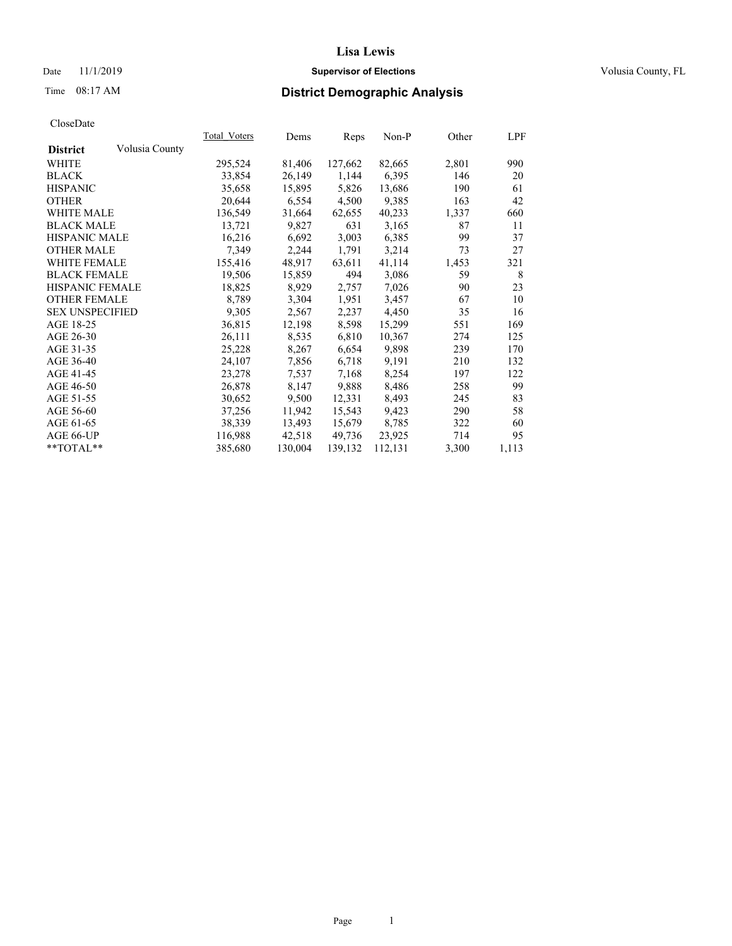## Date 11/1/2019 **Supervisor of Elections Supervisor of Elections** Volusia County, FL

# Time 08:17 AM **District Demographic Analysis**

|                        |                | Total Voters | Dems    | Reps    | Non-P   | Other | LPF   |
|------------------------|----------------|--------------|---------|---------|---------|-------|-------|
| <b>District</b>        | Volusia County |              |         |         |         |       |       |
| WHITE                  |                | 295,524      | 81,406  | 127,662 | 82,665  | 2,801 | 990   |
| <b>BLACK</b>           |                | 33,854       | 26,149  | 1,144   | 6,395   | 146   | 20    |
| <b>HISPANIC</b>        |                | 35,658       | 15,895  | 5,826   | 13,686  | 190   | 61    |
| <b>OTHER</b>           |                | 20,644       | 6,554   | 4,500   | 9,385   | 163   | 42    |
| WHITE MALE             |                | 136,549      | 31,664  | 62,655  | 40,233  | 1,337 | 660   |
| <b>BLACK MALE</b>      |                | 13,721       | 9,827   | 631     | 3,165   | 87    | 11    |
| <b>HISPANIC MALE</b>   |                | 16,216       | 6,692   | 3,003   | 6,385   | 99    | 37    |
| <b>OTHER MALE</b>      |                | 7,349        | 2,244   | 1,791   | 3,214   | 73    | 27    |
| <b>WHITE FEMALE</b>    |                | 155,416      | 48,917  | 63,611  | 41,114  | 1,453 | 321   |
| <b>BLACK FEMALE</b>    |                | 19,506       | 15,859  | 494     | 3,086   | 59    | 8     |
| <b>HISPANIC FEMALE</b> |                | 18,825       | 8,929   | 2,757   | 7,026   | 90    | 23    |
| <b>OTHER FEMALE</b>    |                | 8,789        | 3,304   | 1,951   | 3,457   | 67    | 10    |
| <b>SEX UNSPECIFIED</b> |                | 9,305        | 2,567   | 2,237   | 4,450   | 35    | 16    |
| AGE 18-25              |                | 36,815       | 12,198  | 8,598   | 15,299  | 551   | 169   |
| AGE 26-30              |                | 26,111       | 8,535   | 6,810   | 10,367  | 274   | 125   |
| AGE 31-35              |                | 25,228       | 8,267   | 6,654   | 9,898   | 239   | 170   |
| AGE 36-40              |                | 24,107       | 7,856   | 6,718   | 9,191   | 210   | 132   |
| AGE 41-45              |                | 23,278       | 7,537   | 7,168   | 8,254   | 197   | 122   |
| AGE 46-50              |                | 26,878       | 8,147   | 9,888   | 8,486   | 258   | 99    |
| AGE 51-55              |                | 30,652       | 9,500   | 12,331  | 8,493   | 245   | 83    |
| AGE 56-60              |                | 37,256       | 11,942  | 15,543  | 9,423   | 290   | 58    |
| AGE 61-65              |                | 38,339       | 13,493  | 15,679  | 8,785   | 322   | 60    |
| AGE 66-UP              |                | 116,988      | 42,518  | 49,736  | 23,925  | 714   | 95    |
| $*$ $TOTAL**$          |                | 385,680      | 130,004 | 139,132 | 112,131 | 3,300 | 1,113 |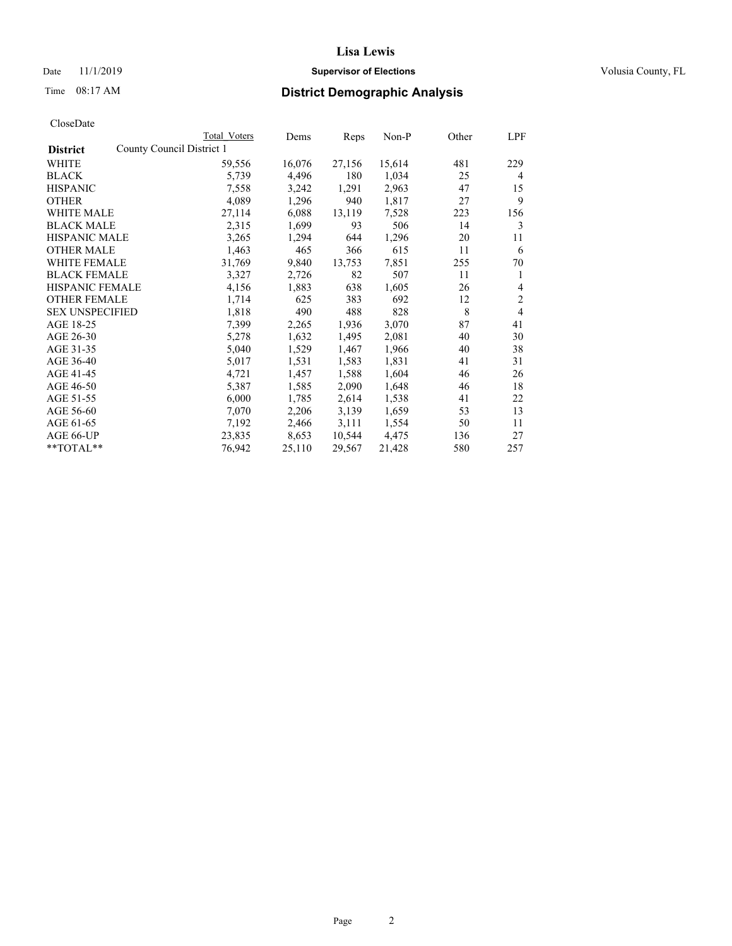## Date 11/1/2019 **Supervisor of Elections Supervisor of Elections** Volusia County, FL

|                                              | Total Voters | Dems   | Reps   | Non-P  | Other | LPF            |
|----------------------------------------------|--------------|--------|--------|--------|-------|----------------|
| County Council District 1<br><b>District</b> |              |        |        |        |       |                |
| WHITE                                        | 59,556       | 16,076 | 27,156 | 15,614 | 481   | 229            |
| <b>BLACK</b>                                 | 5,739        | 4,496  | 180    | 1,034  | 25    | 4              |
| <b>HISPANIC</b>                              | 7,558        | 3,242  | 1,291  | 2,963  | 47    | 15             |
| <b>OTHER</b>                                 | 4,089        | 1,296  | 940    | 1,817  | 27    | 9              |
| <b>WHITE MALE</b>                            | 27,114       | 6,088  | 13,119 | 7,528  | 223   | 156            |
| <b>BLACK MALE</b>                            | 2,315        | 1,699  | 93     | 506    | 14    | 3              |
| <b>HISPANIC MALE</b>                         | 3,265        | 1,294  | 644    | 1,296  | 20    | 11             |
| <b>OTHER MALE</b>                            | 1,463        | 465    | 366    | 615    | 11    | 6              |
| WHITE FEMALE                                 | 31,769       | 9,840  | 13,753 | 7,851  | 255   | 70             |
| <b>BLACK FEMALE</b>                          | 3,327        | 2,726  | 82     | 507    | 11    | 1              |
| HISPANIC FEMALE                              | 4,156        | 1,883  | 638    | 1,605  | 26    | 4              |
| <b>OTHER FEMALE</b>                          | 1,714        | 625    | 383    | 692    | 12    | $\overline{2}$ |
| <b>SEX UNSPECIFIED</b>                       | 1,818        | 490    | 488    | 828    | 8     | 4              |
| AGE 18-25                                    | 7,399        | 2,265  | 1,936  | 3,070  | 87    | 41             |
| AGE 26-30                                    | 5,278        | 1,632  | 1,495  | 2,081  | 40    | 30             |
| AGE 31-35                                    | 5,040        | 1,529  | 1,467  | 1,966  | 40    | 38             |
| AGE 36-40                                    | 5,017        | 1,531  | 1,583  | 1,831  | 41    | 31             |
| AGE 41-45                                    | 4,721        | 1,457  | 1,588  | 1,604  | 46    | 26             |
| AGE 46-50                                    | 5,387        | 1,585  | 2,090  | 1,648  | 46    | 18             |
| AGE 51-55                                    | 6,000        | 1,785  | 2,614  | 1,538  | 41    | 22             |
| AGE 56-60                                    | 7,070        | 2,206  | 3,139  | 1,659  | 53    | 13             |
| AGE 61-65                                    | 7,192        | 2,466  | 3,111  | 1,554  | 50    | 11             |
| AGE 66-UP                                    | 23,835       | 8,653  | 10,544 | 4,475  | 136   | 27             |
| **TOTAL**                                    | 76,942       | 25,110 | 29,567 | 21,428 | 580   | 257            |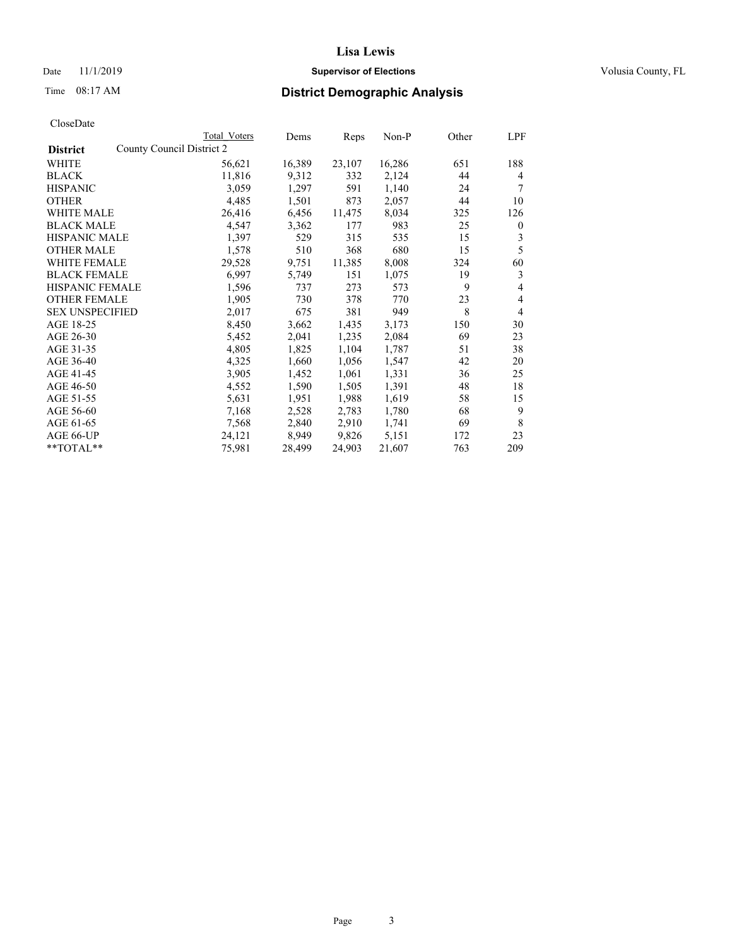## Date 11/1/2019 **Supervisor of Elections Supervisor of Elections** Volusia County, FL

|                                              | Total Voters | Dems   | Reps   | Non-P  | Other | LPF              |
|----------------------------------------------|--------------|--------|--------|--------|-------|------------------|
| County Council District 2<br><b>District</b> |              |        |        |        |       |                  |
| WHITE                                        | 56,621       | 16,389 | 23,107 | 16,286 | 651   | 188              |
| <b>BLACK</b>                                 | 11,816       | 9,312  | 332    | 2,124  | 44    | 4                |
| <b>HISPANIC</b>                              | 3,059        | 1,297  | 591    | 1,140  | 24    | 7                |
| <b>OTHER</b>                                 | 4,485        | 1,501  | 873    | 2,057  | 44    | 10               |
| WHITE MALE                                   | 26,416       | 6,456  | 11,475 | 8,034  | 325   | 126              |
| <b>BLACK MALE</b>                            | 4,547        | 3,362  | 177    | 983    | 25    | $\boldsymbol{0}$ |
| <b>HISPANIC MALE</b>                         | 1,397        | 529    | 315    | 535    | 15    | 3                |
| <b>OTHER MALE</b>                            | 1,578        | 510    | 368    | 680    | 15    | 5                |
| <b>WHITE FEMALE</b>                          | 29,528       | 9,751  | 11,385 | 8,008  | 324   | 60               |
| <b>BLACK FEMALE</b>                          | 6,997        | 5,749  | 151    | 1,075  | 19    | 3                |
| HISPANIC FEMALE                              | 1,596        | 737    | 273    | 573    | 9     | 4                |
| <b>OTHER FEMALE</b>                          | 1,905        | 730    | 378    | 770    | 23    | 4                |
| <b>SEX UNSPECIFIED</b>                       | 2,017        | 675    | 381    | 949    | 8     | 4                |
| AGE 18-25                                    | 8,450        | 3,662  | 1,435  | 3,173  | 150   | 30               |
| AGE 26-30                                    | 5,452        | 2,041  | 1,235  | 2,084  | 69    | 23               |
| AGE 31-35                                    | 4,805        | 1,825  | 1,104  | 1,787  | 51    | 38               |
| AGE 36-40                                    | 4,325        | 1,660  | 1,056  | 1,547  | 42    | 20               |
| AGE 41-45                                    | 3,905        | 1,452  | 1,061  | 1,331  | 36    | 25               |
| AGE 46-50                                    | 4,552        | 1,590  | 1,505  | 1,391  | 48    | 18               |
| AGE 51-55                                    | 5,631        | 1,951  | 1,988  | 1,619  | 58    | 15               |
| AGE 56-60                                    | 7,168        | 2,528  | 2,783  | 1,780  | 68    | 9                |
| AGE 61-65                                    | 7,568        | 2,840  | 2,910  | 1,741  | 69    | 8                |
| AGE 66-UP                                    | 24,121       | 8,949  | 9,826  | 5,151  | 172   | 23               |
| **TOTAL**                                    | 75,981       | 28,499 | 24,903 | 21,607 | 763   | 209              |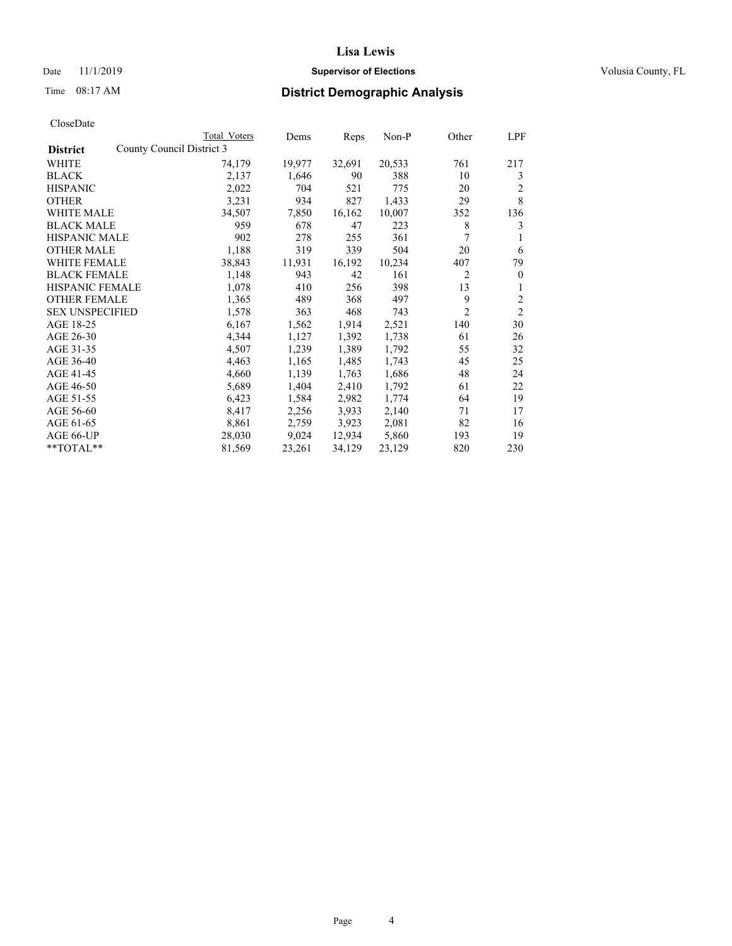## Date 11/1/2019 **Supervisor of Elections Supervisor of Elections** Volusia County, FL

# Time 08:17 AM **District Demographic Analysis**

|                        |                           | Total Voters | Dems   | Reps   | Non-P  | Other          | LPF            |
|------------------------|---------------------------|--------------|--------|--------|--------|----------------|----------------|
| <b>District</b>        | County Council District 3 |              |        |        |        |                |                |
| WHITE                  |                           | 74,179       | 19,977 | 32,691 | 20,533 | 761            | 217            |
| <b>BLACK</b>           |                           | 2,137        | 1,646  | 90     | 388    | 10             | 3              |
| <b>HISPANIC</b>        |                           | 2,022        | 704    | 521    | 775    | 20             | 2              |
| <b>OTHER</b>           |                           | 3,231        | 934    | 827    | 1,433  | 29             | 8              |
| WHITE MALE             |                           | 34,507       | 7,850  | 16,162 | 10,007 | 352            | 136            |
| <b>BLACK MALE</b>      |                           | 959          | 678    | 47     | 223    | 8              | 3              |
| <b>HISPANIC MALE</b>   |                           | 902          | 278    | 255    | 361    | 7              | 1              |
| <b>OTHER MALE</b>      |                           | 1,188        | 319    | 339    | 504    | 20             | 6              |
| WHITE FEMALE           |                           | 38,843       | 11,931 | 16,192 | 10,234 | 407            | 79             |
| <b>BLACK FEMALE</b>    |                           | 1,148        | 943    | 42     | 161    | 2              | $\mathbf{0}$   |
| <b>HISPANIC FEMALE</b> |                           | 1,078        | 410    | 256    | 398    | 13             | 1              |
| <b>OTHER FEMALE</b>    |                           | 1,365        | 489    | 368    | 497    | 9              | 2              |
| <b>SEX UNSPECIFIED</b> |                           | 1,578        | 363    | 468    | 743    | $\overline{2}$ | $\overline{2}$ |
| AGE 18-25              |                           | 6,167        | 1,562  | 1,914  | 2,521  | 140            | 30             |
| AGE 26-30              |                           | 4,344        | 1,127  | 1,392  | 1,738  | 61             | 26             |
| AGE 31-35              |                           | 4,507        | 1,239  | 1,389  | 1,792  | 55             | 32             |
| AGE 36-40              |                           | 4,463        | 1,165  | 1,485  | 1,743  | 45             | 25             |
| AGE 41-45              |                           | 4,660        | 1,139  | 1,763  | 1,686  | 48             | 24             |
| AGE 46-50              |                           | 5,689        | 1,404  | 2,410  | 1,792  | 61             | 22             |
| AGE 51-55              |                           | 6,423        | 1,584  | 2,982  | 1,774  | 64             | 19             |
| AGE 56-60              |                           | 8,417        | 2,256  | 3,933  | 2,140  | 71             | 17             |
| AGE 61-65              |                           | 8,861        | 2,759  | 3,923  | 2,081  | 82             | 16             |
| AGE 66-UP              |                           | 28,030       | 9,024  | 12,934 | 5,860  | 193            | 19             |
| $*$ $TOTAL**$          |                           | 81,569       | 23,261 | 34,129 | 23,129 | 820            | 230            |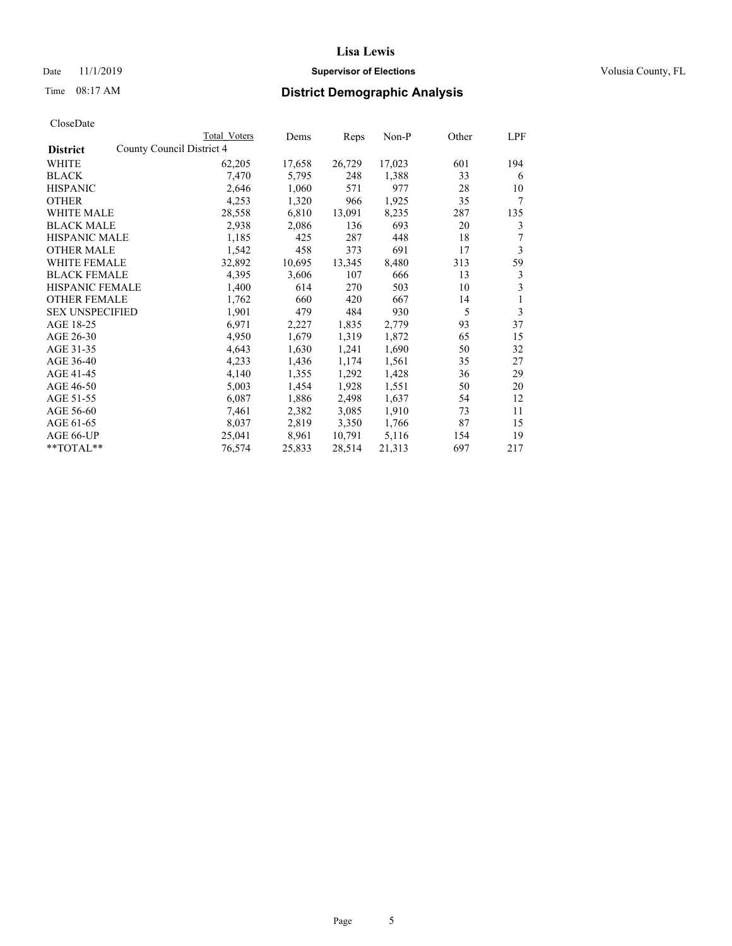## Date 11/1/2019 **Supervisor of Elections Supervisor of Elections** Volusia County, FL

|                                              | Total Voters | Dems   | Reps   | Non-P  | Other | LPF |
|----------------------------------------------|--------------|--------|--------|--------|-------|-----|
| County Council District 4<br><b>District</b> |              |        |        |        |       |     |
| WHITE                                        | 62,205       | 17,658 | 26,729 | 17,023 | 601   | 194 |
| <b>BLACK</b>                                 | 7,470        | 5,795  | 248    | 1,388  | 33    | 6   |
| <b>HISPANIC</b>                              | 2,646        | 1,060  | 571    | 977    | 28    | 10  |
| <b>OTHER</b>                                 | 4,253        | 1,320  | 966    | 1,925  | 35    | 7   |
| WHITE MALE                                   | 28,558       | 6,810  | 13,091 | 8,235  | 287   | 135 |
| <b>BLACK MALE</b>                            | 2,938        | 2,086  | 136    | 693    | 20    | 3   |
| <b>HISPANIC MALE</b>                         | 1,185        | 425    | 287    | 448    | 18    | 7   |
| <b>OTHER MALE</b>                            | 1,542        | 458    | 373    | 691    | 17    | 3   |
| <b>WHITE FEMALE</b>                          | 32,892       | 10,695 | 13,345 | 8,480  | 313   | 59  |
| <b>BLACK FEMALE</b>                          | 4,395        | 3,606  | 107    | 666    | 13    | 3   |
| HISPANIC FEMALE                              | 1,400        | 614    | 270    | 503    | 10    | 3   |
| <b>OTHER FEMALE</b>                          | 1,762        | 660    | 420    | 667    | 14    | 1   |
| <b>SEX UNSPECIFIED</b>                       | 1,901        | 479    | 484    | 930    | 5     | 3   |
| AGE 18-25                                    | 6,971        | 2,227  | 1,835  | 2,779  | 93    | 37  |
| AGE 26-30                                    | 4,950        | 1,679  | 1,319  | 1,872  | 65    | 15  |
| AGE 31-35                                    | 4,643        | 1,630  | 1,241  | 1,690  | 50    | 32  |
| AGE 36-40                                    | 4,233        | 1,436  | 1,174  | 1,561  | 35    | 27  |
| AGE 41-45                                    | 4,140        | 1,355  | 1,292  | 1,428  | 36    | 29  |
| AGE 46-50                                    | 5,003        | 1,454  | 1,928  | 1,551  | 50    | 20  |
| AGE 51-55                                    | 6,087        | 1,886  | 2,498  | 1,637  | 54    | 12  |
| AGE 56-60                                    | 7,461        | 2,382  | 3,085  | 1,910  | 73    | 11  |
| AGE 61-65                                    | 8,037        | 2,819  | 3,350  | 1,766  | 87    | 15  |
| AGE 66-UP                                    | 25,041       | 8,961  | 10,791 | 5,116  | 154   | 19  |
| $*$ $TOTAL**$                                | 76,574       | 25,833 | 28,514 | 21,313 | 697   | 217 |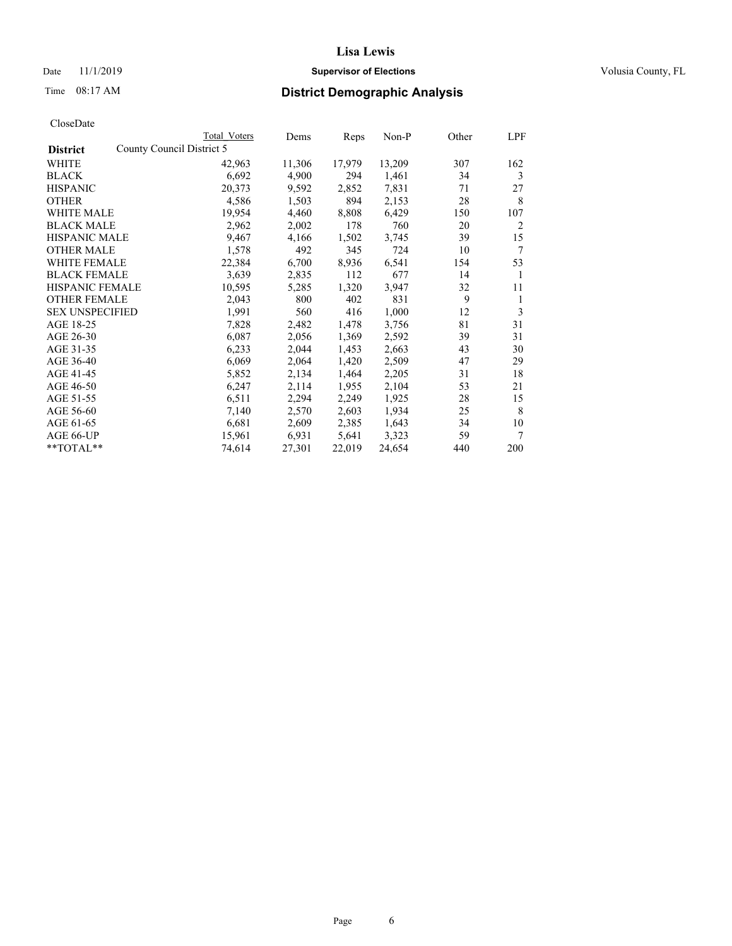## Date 11/1/2019 **Supervisor of Elections Supervisor of Elections** Volusia County, FL

|                                              | Total Voters | Dems   | Reps   | Non-P  | Other | LPF |
|----------------------------------------------|--------------|--------|--------|--------|-------|-----|
| County Council District 5<br><b>District</b> |              |        |        |        |       |     |
| WHITE                                        | 42,963       | 11,306 | 17,979 | 13,209 | 307   | 162 |
| <b>BLACK</b>                                 | 6,692        | 4,900  | 294    | 1,461  | 34    | 3   |
| <b>HISPANIC</b>                              | 20,373       | 9,592  | 2,852  | 7,831  | 71    | 27  |
| <b>OTHER</b>                                 | 4,586        | 1,503  | 894    | 2,153  | 28    | 8   |
| WHITE MALE                                   | 19,954       | 4,460  | 8,808  | 6,429  | 150   | 107 |
| <b>BLACK MALE</b>                            | 2,962        | 2,002  | 178    | 760    | 20    | 2   |
| <b>HISPANIC MALE</b>                         | 9,467        | 4,166  | 1,502  | 3,745  | 39    | 15  |
| <b>OTHER MALE</b>                            | 1,578        | 492    | 345    | 724    | 10    | 7   |
| <b>WHITE FEMALE</b>                          | 22,384       | 6,700  | 8,936  | 6,541  | 154   | 53  |
| <b>BLACK FEMALE</b>                          | 3,639        | 2,835  | 112    | 677    | 14    | 1   |
| HISPANIC FEMALE                              | 10,595       | 5,285  | 1,320  | 3,947  | 32    | 11  |
| <b>OTHER FEMALE</b>                          | 2,043        | 800    | 402    | 831    | 9     | 1   |
| <b>SEX UNSPECIFIED</b>                       | 1,991        | 560    | 416    | 1,000  | 12    | 3   |
| AGE 18-25                                    | 7,828        | 2,482  | 1,478  | 3,756  | 81    | 31  |
| AGE 26-30                                    | 6,087        | 2,056  | 1,369  | 2,592  | 39    | 31  |
| AGE 31-35                                    | 6,233        | 2,044  | 1,453  | 2,663  | 43    | 30  |
| AGE 36-40                                    | 6,069        | 2,064  | 1,420  | 2,509  | 47    | 29  |
| AGE 41-45                                    | 5,852        | 2,134  | 1,464  | 2,205  | 31    | 18  |
| AGE 46-50                                    | 6,247        | 2,114  | 1,955  | 2,104  | 53    | 21  |
| AGE 51-55                                    | 6,511        | 2,294  | 2,249  | 1,925  | 28    | 15  |
| AGE 56-60                                    | 7,140        | 2,570  | 2,603  | 1,934  | 25    | 8   |
| AGE 61-65                                    | 6,681        | 2,609  | 2,385  | 1,643  | 34    | 10  |
| AGE 66-UP                                    | 15,961       | 6,931  | 5,641  | 3,323  | 59    | 7   |
| **TOTAL**                                    | 74,614       | 27,301 | 22,019 | 24,654 | 440   | 200 |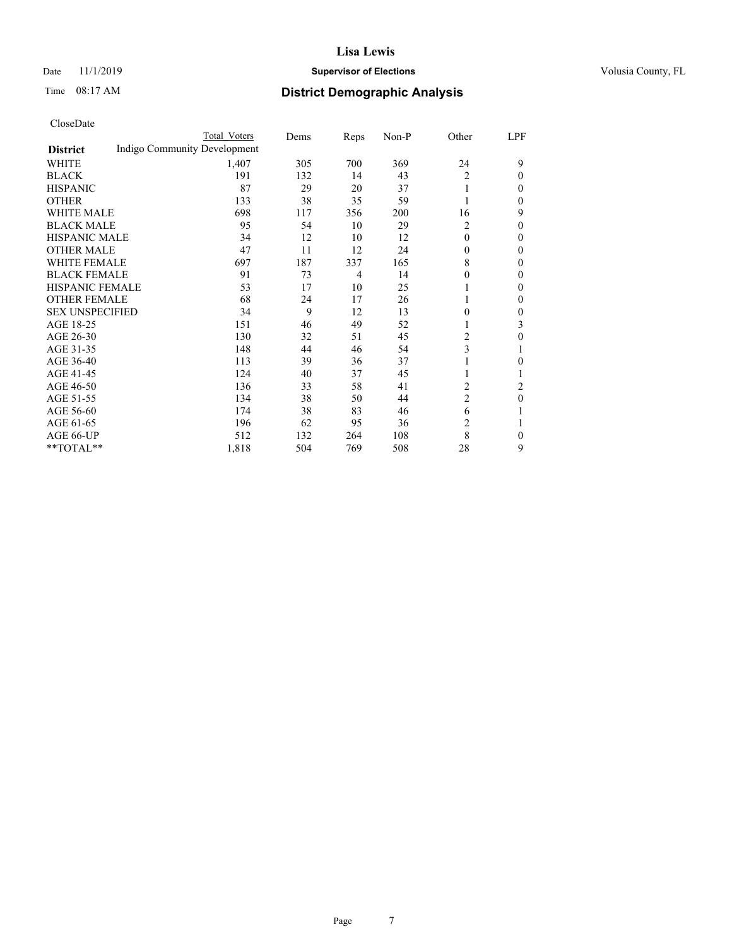## Date 11/1/2019 **Supervisor of Elections Supervisor of Elections** Volusia County, FL

# Time 08:17 AM **District Demographic Analysis**

|                        |                              | Total Voters | Dems | Reps | Non-P | Other          | LPF |
|------------------------|------------------------------|--------------|------|------|-------|----------------|-----|
| <b>District</b>        | Indigo Community Development |              |      |      |       |                |     |
| WHITE                  |                              | 1,407        | 305  | 700  | 369   | 24             | 9   |
| <b>BLACK</b>           |                              | 191          | 132  | 14   | 43    | 2              | 0   |
| <b>HISPANIC</b>        |                              | 87           | 29   | 20   | 37    | 1              | 0   |
| <b>OTHER</b>           |                              | 133          | 38   | 35   | 59    |                | 0   |
| WHITE MALE             |                              | 698          | 117  | 356  | 200   | 16             | 9   |
| <b>BLACK MALE</b>      |                              | 95           | 54   | 10   | 29    | 2              | 0   |
| <b>HISPANIC MALE</b>   |                              | 34           | 12   | 10   | 12    | $\Omega$       | 0   |
| <b>OTHER MALE</b>      |                              | 47           | 11   | 12   | 24    | $\Omega$       | 0   |
| WHITE FEMALE           |                              | 697          | 187  | 337  | 165   | 8              | 0   |
| <b>BLACK FEMALE</b>    |                              | 91           | 73   | 4    | 14    | $\Omega$       | 0   |
| <b>HISPANIC FEMALE</b> |                              | 53           | 17   | 10   | 25    |                | 0   |
| <b>OTHER FEMALE</b>    |                              | 68           | 24   | 17   | 26    | 1              | 0   |
| <b>SEX UNSPECIFIED</b> |                              | 34           | 9    | 12   | 13    | $\Omega$       | 0   |
| AGE 18-25              |                              | 151          | 46   | 49   | 52    |                | 3   |
| AGE 26-30              |                              | 130          | 32   | 51   | 45    | $\overline{c}$ | 0   |
| AGE 31-35              |                              | 148          | 44   | 46   | 54    | 3              |     |
| AGE 36-40              |                              | 113          | 39   | 36   | 37    | 1              | 0   |
| AGE 41-45              |                              | 124          | 40   | 37   | 45    |                |     |
| AGE 46-50              |                              | 136          | 33   | 58   | 41    | 2              | 2   |
| AGE 51-55              |                              | 134          | 38   | 50   | 44    | $\overline{c}$ | 0   |
| AGE 56-60              |                              | 174          | 38   | 83   | 46    | 6              |     |
| AGE 61-65              |                              | 196          | 62   | 95   | 36    | 2              |     |
| AGE 66-UP              |                              | 512          | 132  | 264  | 108   | 8              | 0   |
| **TOTAL**              |                              | 1,818        | 504  | 769  | 508   | 28             | 9   |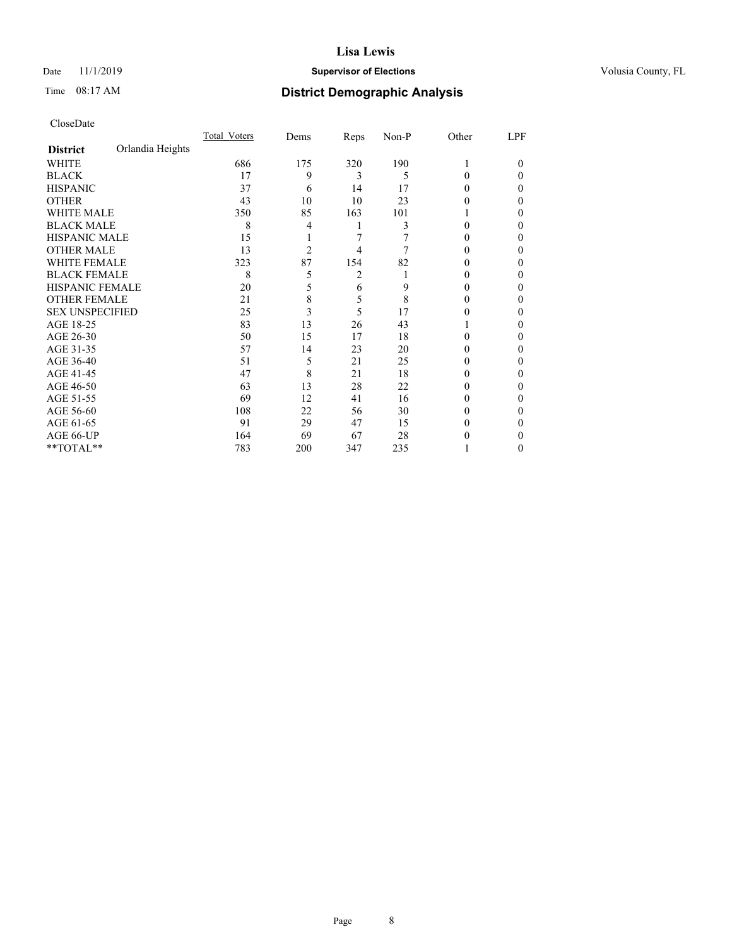## Date 11/1/2019 **Supervisor of Elections Supervisor of Elections** Volusia County, FL

# Time 08:17 AM **District Demographic Analysis**

|                        |                  | Total Voters | Dems           | Reps | Non-P | Other | LPF      |
|------------------------|------------------|--------------|----------------|------|-------|-------|----------|
| <b>District</b>        | Orlandia Heights |              |                |      |       |       |          |
| WHITE                  |                  | 686          | 175            | 320  | 190   |       | $\Omega$ |
| <b>BLACK</b>           |                  | 17           | 9              | 3    | 5     | 0     | 0        |
| <b>HISPANIC</b>        |                  | 37           | 6              | 14   | 17    | 0     | 0        |
| <b>OTHER</b>           |                  | 43           | 10             | 10   | 23    | 0     | 0        |
| WHITE MALE             |                  | 350          | 85             | 163  | 101   |       | $_{0}$   |
| <b>BLACK MALE</b>      |                  | 8            | 4              |      | 3     | 0     | 0        |
| HISPANIC MALE          |                  | 15           |                | 7    |       |       | 0        |
| <b>OTHER MALE</b>      |                  | 13           | $\overline{2}$ | 4    | 7     |       | $_{0}$   |
| <b>WHITE FEMALE</b>    |                  | 323          | 87             | 154  | 82    |       | 0        |
| <b>BLACK FEMALE</b>    |                  | 8            | 5              | 2    |       | 0     | 0        |
| <b>HISPANIC FEMALE</b> |                  | 20           | 5              | 6    | 9     | 0     | 0        |
| <b>OTHER FEMALE</b>    |                  | 21           | 8              | 5    | 8     | 0     | $_{0}$   |
| <b>SEX UNSPECIFIED</b> |                  | 25           | 3              | 5    | 17    |       | 0        |
| AGE 18-25              |                  | 83           | 13             | 26   | 43    |       | 0        |
| AGE 26-30              |                  | 50           | 15             | 17   | 18    | 0     | $_{0}$   |
| AGE 31-35              |                  | 57           | 14             | 23   | 20    |       | 0        |
| AGE 36-40              |                  | 51           | 5              | 21   | 25    | 0     | 0        |
| AGE 41-45              |                  | 47           | 8              | 21   | 18    |       | 0        |
| AGE 46-50              |                  | 63           | 13             | 28   | 22    | 0     | 0        |
| AGE 51-55              |                  | 69           | 12             | 41   | 16    |       | 0        |
| AGE 56-60              |                  | 108          | 22             | 56   | 30    | 0     | 0        |
| AGE 61-65              |                  | 91           | 29             | 47   | 15    |       | 0        |
| AGE 66-UP              |                  | 164          | 69             | 67   | 28    |       | 0        |
| **TOTAL**              |                  | 783          | 200            | 347  | 235   |       | $_{0}$   |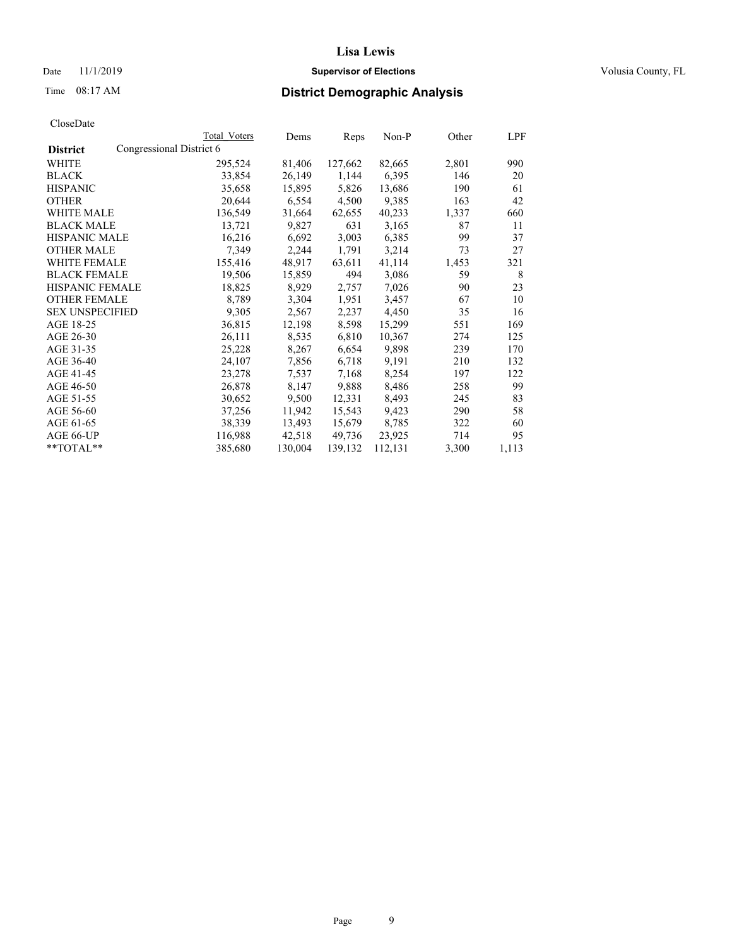Date 11/1/2019 **Supervisor of Elections Supervisor of Elections** Volusia County, FL

# Time 08:17 AM **District Demographic Analysis**

|                        |                          | Total Voters | Dems    | Reps    | Non-P   | Other | LPF   |
|------------------------|--------------------------|--------------|---------|---------|---------|-------|-------|
| <b>District</b>        | Congressional District 6 |              |         |         |         |       |       |
| WHITE                  |                          | 295,524      | 81,406  | 127,662 | 82,665  | 2,801 | 990   |
| <b>BLACK</b>           |                          | 33,854       | 26,149  | 1,144   | 6,395   | 146   | 20    |
| <b>HISPANIC</b>        |                          | 35,658       | 15,895  | 5,826   | 13,686  | 190   | 61    |
| <b>OTHER</b>           |                          | 20,644       | 6,554   | 4,500   | 9,385   | 163   | 42    |
| WHITE MALE             |                          | 136,549      | 31,664  | 62,655  | 40,233  | 1,337 | 660   |
| <b>BLACK MALE</b>      |                          | 13,721       | 9,827   | 631     | 3,165   | 87    | 11    |
| <b>HISPANIC MALE</b>   |                          | 16,216       | 6,692   | 3,003   | 6,385   | 99    | 37    |
| <b>OTHER MALE</b>      |                          | 7,349        | 2,244   | 1,791   | 3,214   | 73    | 27    |
| <b>WHITE FEMALE</b>    |                          | 155,416      | 48,917  | 63,611  | 41,114  | 1,453 | 321   |
| <b>BLACK FEMALE</b>    |                          | 19,506       | 15,859  | 494     | 3,086   | 59    | 8     |
| <b>HISPANIC FEMALE</b> |                          | 18,825       | 8,929   | 2,757   | 7,026   | 90    | 23    |
| <b>OTHER FEMALE</b>    |                          | 8,789        | 3,304   | 1,951   | 3,457   | 67    | 10    |
| <b>SEX UNSPECIFIED</b> |                          | 9,305        | 2,567   | 2,237   | 4,450   | 35    | 16    |
| AGE 18-25              |                          | 36,815       | 12,198  | 8,598   | 15,299  | 551   | 169   |
| AGE 26-30              |                          | 26,111       | 8,535   | 6,810   | 10,367  | 274   | 125   |
| AGE 31-35              |                          | 25,228       | 8,267   | 6,654   | 9,898   | 239   | 170   |
| AGE 36-40              |                          | 24,107       | 7,856   | 6,718   | 9,191   | 210   | 132   |
| AGE 41-45              |                          | 23,278       | 7,537   | 7,168   | 8,254   | 197   | 122   |
| AGE 46-50              |                          | 26,878       | 8,147   | 9,888   | 8,486   | 258   | 99    |
| AGE 51-55              |                          | 30,652       | 9,500   | 12,331  | 8,493   | 245   | 83    |
| AGE 56-60              |                          | 37,256       | 11,942  | 15,543  | 9,423   | 290   | 58    |
| AGE 61-65              |                          | 38,339       | 13,493  | 15,679  | 8,785   | 322   | 60    |
| AGE 66-UP              |                          | 116,988      | 42,518  | 49,736  | 23,925  | 714   | 95    |
| $*$ TOTAL $*$          |                          | 385,680      | 130,004 | 139,132 | 112,131 | 3,300 | 1,113 |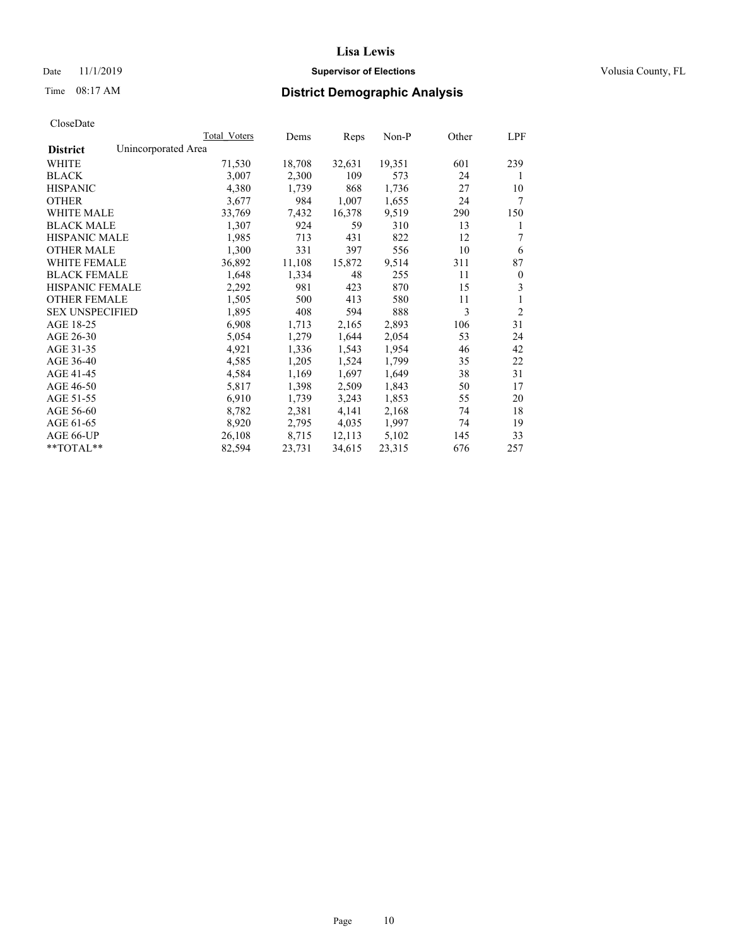## Date 11/1/2019 **Supervisor of Elections Supervisor of Elections** Volusia County, FL

# Time 08:17 AM **District Demographic Analysis**

|                                        | Total Voters | Dems   | Reps   | Non-P  | Other | LPF            |
|----------------------------------------|--------------|--------|--------|--------|-------|----------------|
| Unincorporated Area<br><b>District</b> |              |        |        |        |       |                |
| WHITE                                  | 71,530       | 18,708 | 32,631 | 19,351 | 601   | 239            |
| <b>BLACK</b>                           | 3,007        | 2,300  | 109    | 573    | 24    | 1              |
| <b>HISPANIC</b>                        | 4,380        | 1,739  | 868    | 1,736  | 27    | 10             |
| <b>OTHER</b>                           | 3,677        | 984    | 1,007  | 1,655  | 24    | 7              |
| WHITE MALE                             | 33,769       | 7,432  | 16,378 | 9,519  | 290   | 150            |
| <b>BLACK MALE</b>                      | 1,307        | 924    | 59     | 310    | 13    | 1              |
| <b>HISPANIC MALE</b>                   | 1,985        | 713    | 431    | 822    | 12    | 7              |
| <b>OTHER MALE</b>                      | 1,300        | 331    | 397    | 556    | 10    | 6              |
| <b>WHITE FEMALE</b>                    | 36,892       | 11,108 | 15,872 | 9,514  | 311   | 87             |
| <b>BLACK FEMALE</b>                    | 1,648        | 1,334  | 48     | 255    | 11    | $\mathbf{0}$   |
| <b>HISPANIC FEMALE</b>                 | 2,292        | 981    | 423    | 870    | 15    | 3              |
| <b>OTHER FEMALE</b>                    | 1,505        | 500    | 413    | 580    | 11    | 1              |
| <b>SEX UNSPECIFIED</b>                 | 1,895        | 408    | 594    | 888    | 3     | $\overline{2}$ |
| AGE 18-25                              | 6,908        | 1,713  | 2,165  | 2,893  | 106   | 31             |
| AGE 26-30                              | 5,054        | 1,279  | 1,644  | 2,054  | 53    | 24             |
| AGE 31-35                              | 4,921        | 1,336  | 1,543  | 1,954  | 46    | 42             |
| AGE 36-40                              | 4,585        | 1,205  | 1,524  | 1,799  | 35    | 22             |
| AGE 41-45                              | 4,584        | 1,169  | 1,697  | 1,649  | 38    | 31             |
| AGE 46-50                              | 5,817        | 1,398  | 2,509  | 1,843  | 50    | 17             |
| AGE 51-55                              | 6,910        | 1,739  | 3,243  | 1,853  | 55    | 20             |
| AGE 56-60                              | 8,782        | 2,381  | 4,141  | 2,168  | 74    | 18             |
| AGE 61-65                              | 8,920        | 2,795  | 4,035  | 1,997  | 74    | 19             |
| AGE 66-UP                              | 26,108       | 8,715  | 12,113 | 5,102  | 145   | 33             |
| $*$ TOTAL $*$                          | 82,594       | 23,731 | 34,615 | 23,315 | 676   | 257            |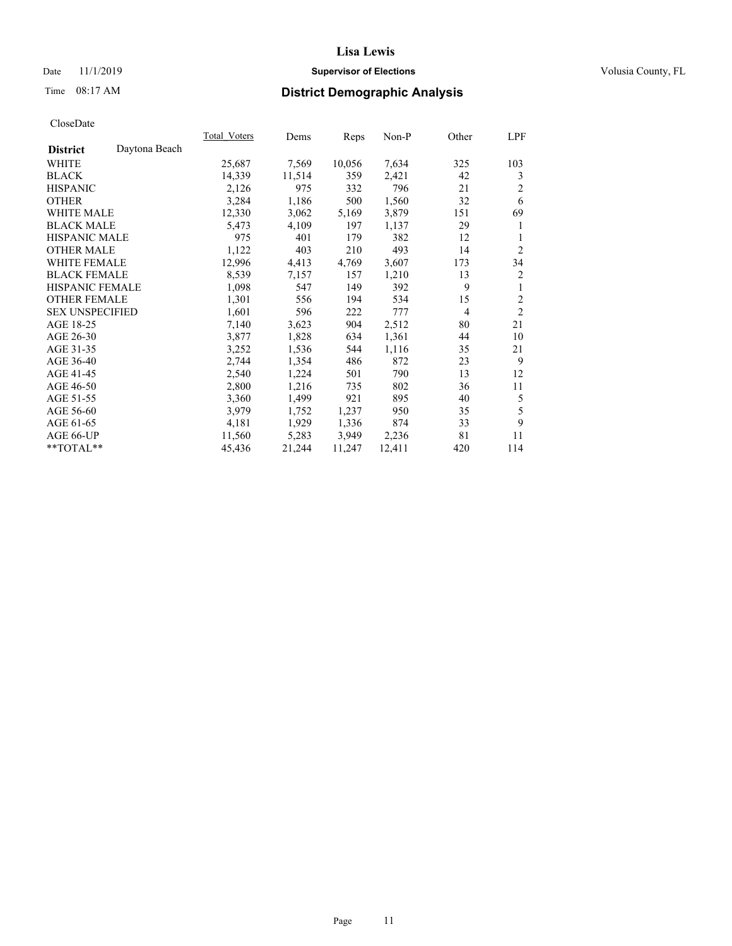## Date 11/1/2019 **Supervisor of Elections Supervisor of Elections** Volusia County, FL

# Time 08:17 AM **District Demographic Analysis**

| Total Voters | Dems   |        | Non-P  | Other          | LPF            |
|--------------|--------|--------|--------|----------------|----------------|
|              |        |        |        |                |                |
| 25,687       | 7,569  | 10,056 | 7,634  | 325            | 103            |
| 14,339       | 11,514 | 359    | 2,421  | 42             | 3              |
| 2,126        | 975    | 332    | 796    | 21             | 2              |
| 3,284        | 1,186  | 500    | 1,560  | 32             | 6              |
| 12,330       | 3,062  | 5,169  | 3,879  | 151            | 69             |
| 5,473        | 4,109  | 197    | 1,137  | 29             | 1              |
| 975          | 401    | 179    | 382    | 12             | 1              |
| 1,122        | 403    | 210    | 493    | 14             | $\overline{2}$ |
| 12,996       | 4,413  | 4,769  | 3,607  | 173            | 34             |
| 8,539        | 7,157  | 157    | 1,210  | 13             | 2              |
| 1,098        | 547    | 149    | 392    | 9              | 1              |
| 1,301        | 556    | 194    | 534    | 15             | $\overline{2}$ |
| 1,601        | 596    | 222    | 777    | $\overline{4}$ | $\overline{2}$ |
| 7,140        | 3,623  | 904    | 2,512  | 80             | 21             |
| 3,877        | 1,828  | 634    | 1,361  | 44             | 10             |
| 3,252        | 1,536  | 544    | 1,116  | 35             | 21             |
| 2,744        | 1,354  | 486    | 872    | 23             | 9              |
| 2,540        | 1,224  | 501    | 790    | 13             | 12             |
| 2,800        | 1,216  | 735    | 802    | 36             | 11             |
| 3,360        | 1,499  | 921    | 895    | 40             | 5              |
| 3,979        | 1,752  | 1,237  | 950    | 35             | 5              |
| 4,181        | 1,929  | 1,336  | 874    | 33             | 9              |
| 11,560       | 5,283  | 3,949  | 2,236  | 81             | 11             |
| 45,436       | 21,244 | 11,247 | 12,411 | 420            | 114            |
|              |        |        | Reps   |                |                |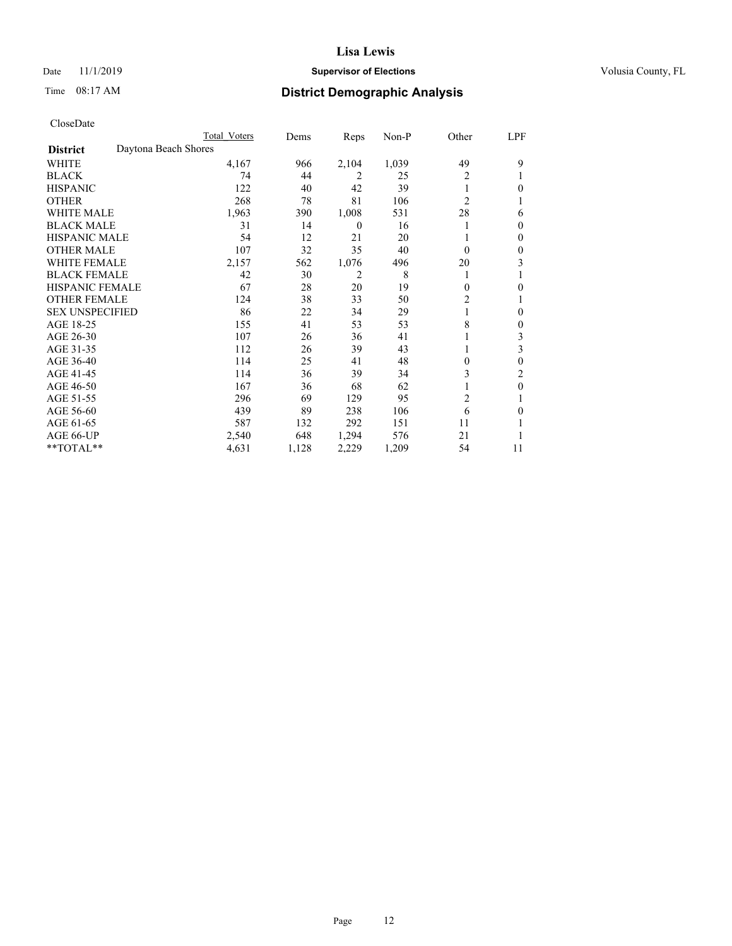## Date 11/1/2019 **Supervisor of Elections Supervisor of Elections** Volusia County, FL

# Time 08:17 AM **District Demographic Analysis**

|                                         | Total Voters | Dems  | Reps     | $Non-P$ | Other          | LPF          |
|-----------------------------------------|--------------|-------|----------|---------|----------------|--------------|
| Daytona Beach Shores<br><b>District</b> |              |       |          |         |                |              |
| WHITE                                   | 4,167        | 966   | 2,104    | 1,039   | 49             | 9            |
| <b>BLACK</b>                            | 74           | 44    | 2        | 25      | 2              |              |
| <b>HISPANIC</b>                         | 122          | 40    | 42       | 39      |                | 0            |
| <b>OTHER</b>                            | 268          | 78    | 81       | 106     | $\overline{2}$ |              |
| <b>WHITE MALE</b>                       | 1,963        | 390   | 1,008    | 531     | 28             | 6            |
| <b>BLACK MALE</b>                       | 31           | 14    | $\theta$ | 16      |                | 0            |
| <b>HISPANIC MALE</b>                    | 54           | 12    | 21       | 20      |                | 0            |
| <b>OTHER MALE</b>                       | 107          | 32    | 35       | 40      | $\Omega$       | 0            |
| <b>WHITE FEMALE</b>                     | 2,157        | 562   | 1,076    | 496     | 20             | 3            |
| <b>BLACK FEMALE</b>                     | 42           | 30    | 2        | 8       |                |              |
| <b>HISPANIC FEMALE</b>                  | 67           | 28    | 20       | 19      | $\theta$       | 0            |
| <b>OTHER FEMALE</b>                     | 124          | 38    | 33       | 50      | 2              |              |
| <b>SEX UNSPECIFIED</b>                  | 86           | 22    | 34       | 29      | 1              | 0            |
| AGE 18-25                               | 155          | 41    | 53       | 53      | 8              | 0            |
| AGE 26-30                               | 107          | 26    | 36       | 41      |                | 3            |
| AGE 31-35                               | 112          | 26    | 39       | 43      |                | 3            |
| AGE 36-40                               | 114          | 25    | 41       | 48      | $\theta$       | 0            |
| AGE 41-45                               | 114          | 36    | 39       | 34      | 3              | 2            |
| AGE 46-50                               | 167          | 36    | 68       | 62      |                | $\mathbf{0}$ |
| AGE 51-55                               | 296          | 69    | 129      | 95      | $\overline{c}$ |              |
| AGE 56-60                               | 439          | 89    | 238      | 106     | 6              | 0            |
| AGE 61-65                               | 587          | 132   | 292      | 151     | 11             |              |
| AGE 66-UP                               | 2,540        | 648   | 1,294    | 576     | 21             |              |
| **TOTAL**                               | 4,631        | 1,128 | 2,229    | 1,209   | 54             | 11           |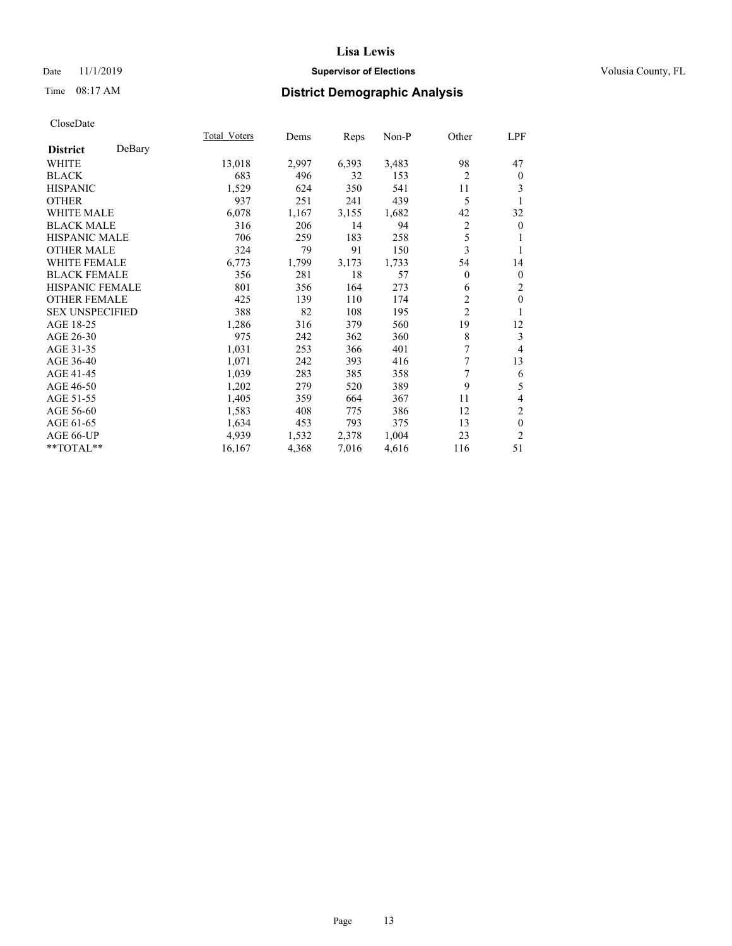## Date 11/1/2019 **Supervisor of Elections Supervisor of Elections** Volusia County, FL

# Time 08:17 AM **District Demographic Analysis**

|                        |        | Total Voters | Dems  | Reps  | Non-P | Other          | LPF            |
|------------------------|--------|--------------|-------|-------|-------|----------------|----------------|
| <b>District</b>        | DeBary |              |       |       |       |                |                |
| WHITE                  |        | 13,018       | 2,997 | 6,393 | 3,483 | 98             | 47             |
| <b>BLACK</b>           |        | 683          | 496   | 32    | 153   | $\overline{2}$ | $\mathbf{0}$   |
| <b>HISPANIC</b>        |        | 1,529        | 624   | 350   | 541   | 11             | 3              |
| <b>OTHER</b>           |        | 937          | 251   | 241   | 439   | 5              | 1              |
| WHITE MALE             |        | 6,078        | 1,167 | 3,155 | 1,682 | 42             | 32             |
| <b>BLACK MALE</b>      |        | 316          | 206   | 14    | 94    | 2              | $\overline{0}$ |
| <b>HISPANIC MALE</b>   |        | 706          | 259   | 183   | 258   | 5              | 1              |
| <b>OTHER MALE</b>      |        | 324          | 79    | 91    | 150   | 3              | 1              |
| <b>WHITE FEMALE</b>    |        | 6,773        | 1,799 | 3,173 | 1,733 | 54             | 14             |
| <b>BLACK FEMALE</b>    |        | 356          | 281   | 18    | 57    | 0              | $\mathbf{0}$   |
| <b>HISPANIC FEMALE</b> |        | 801          | 356   | 164   | 273   | 6              | 2              |
| <b>OTHER FEMALE</b>    |        | 425          | 139   | 110   | 174   | $\overline{2}$ | $\mathbf{0}$   |
| <b>SEX UNSPECIFIED</b> |        | 388          | 82    | 108   | 195   | $\overline{c}$ | 1              |
| AGE 18-25              |        | 1,286        | 316   | 379   | 560   | 19             | 12             |
| AGE 26-30              |        | 975          | 242   | 362   | 360   | 8              | 3              |
| AGE 31-35              |        | 1,031        | 253   | 366   | 401   | 7              | $\overline{4}$ |
| AGE 36-40              |        | 1,071        | 242   | 393   | 416   | 7              | 13             |
| AGE 41-45              |        | 1,039        | 283   | 385   | 358   | 7              | 6              |
| AGE 46-50              |        | 1,202        | 279   | 520   | 389   | 9              | 5              |
| AGE 51-55              |        | 1,405        | 359   | 664   | 367   | 11             | 4              |
| AGE 56-60              |        | 1,583        | 408   | 775   | 386   | 12             | 2              |
| AGE 61-65              |        | 1,634        | 453   | 793   | 375   | 13             | $\mathbf{0}$   |
| AGE 66-UP              |        | 4,939        | 1,532 | 2,378 | 1,004 | 23             | $\overline{2}$ |
| **TOTAL**              |        | 16,167       | 4,368 | 7,016 | 4,616 | 116            | 51             |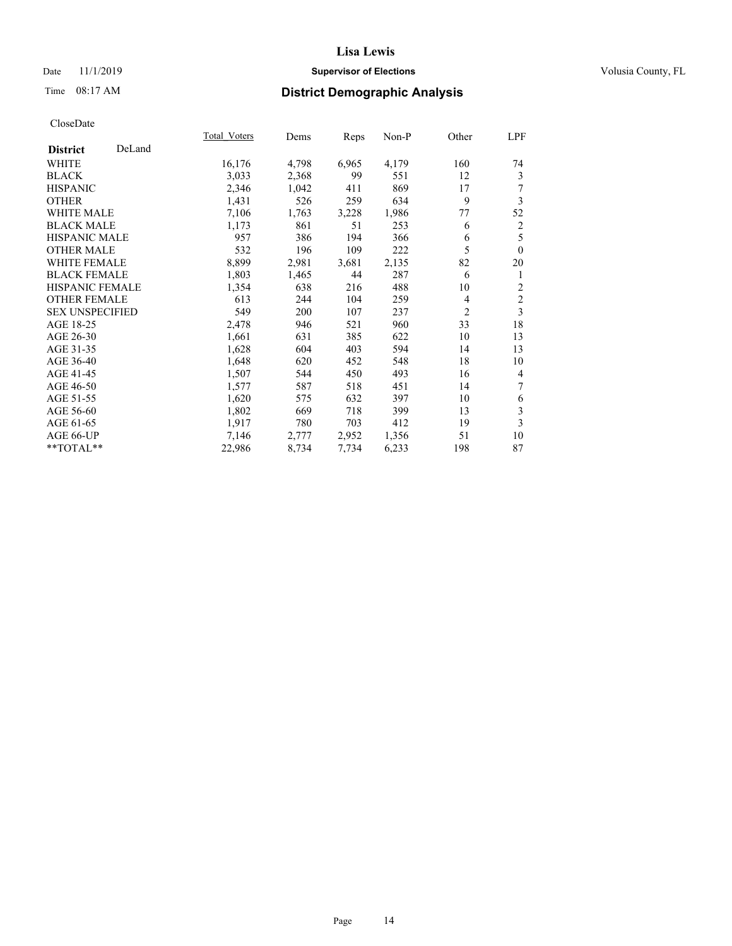## Date 11/1/2019 **Supervisor of Elections Supervisor of Elections** Volusia County, FL

# Time 08:17 AM **District Demographic Analysis**

|                        |        | Total Voters | Dems  | Reps  | Non-P | Other          | LPF            |
|------------------------|--------|--------------|-------|-------|-------|----------------|----------------|
| <b>District</b>        | DeLand |              |       |       |       |                |                |
| WHITE                  |        | 16,176       | 4,798 | 6,965 | 4,179 | 160            | 74             |
| <b>BLACK</b>           |        | 3,033        | 2,368 | 99    | 551   | 12             | 3              |
| <b>HISPANIC</b>        |        | 2,346        | 1,042 | 411   | 869   | 17             | 7              |
| <b>OTHER</b>           |        | 1,431        | 526   | 259   | 634   | 9              | 3              |
| <b>WHITE MALE</b>      |        | 7,106        | 1,763 | 3,228 | 1,986 | 77             | 52             |
| <b>BLACK MALE</b>      |        | 1,173        | 861   | 51    | 253   | 6              | $\overline{2}$ |
| <b>HISPANIC MALE</b>   |        | 957          | 386   | 194   | 366   | 6              | 5              |
| <b>OTHER MALE</b>      |        | 532          | 196   | 109   | 222   | 5              | $\theta$       |
| <b>WHITE FEMALE</b>    |        | 8,899        | 2,981 | 3,681 | 2,135 | 82             | 20             |
| <b>BLACK FEMALE</b>    |        | 1,803        | 1,465 | 44    | 287   | 6              | 1              |
| <b>HISPANIC FEMALE</b> |        | 1,354        | 638   | 216   | 488   | 10             | 2              |
| <b>OTHER FEMALE</b>    |        | 613          | 244   | 104   | 259   | 4              | $\mathfrak{2}$ |
| <b>SEX UNSPECIFIED</b> |        | 549          | 200   | 107   | 237   | $\overline{2}$ | 3              |
| AGE 18-25              |        | 2,478        | 946   | 521   | 960   | 33             | 18             |
| AGE 26-30              |        | 1,661        | 631   | 385   | 622   | 10             | 13             |
| AGE 31-35              |        | 1,628        | 604   | 403   | 594   | 14             | 13             |
| AGE 36-40              |        | 1,648        | 620   | 452   | 548   | 18             | 10             |
| AGE 41-45              |        | 1,507        | 544   | 450   | 493   | 16             | 4              |
| AGE 46-50              |        | 1,577        | 587   | 518   | 451   | 14             | 7              |
| AGE 51-55              |        | 1,620        | 575   | 632   | 397   | 10             | 6              |
| AGE 56-60              |        | 1,802        | 669   | 718   | 399   | 13             | 3              |
| AGE 61-65              |        | 1,917        | 780   | 703   | 412   | 19             | 3              |
| AGE 66-UP              |        | 7,146        | 2,777 | 2,952 | 1,356 | 51             | 10             |
| **TOTAL**              |        | 22,986       | 8,734 | 7,734 | 6,233 | 198            | 87             |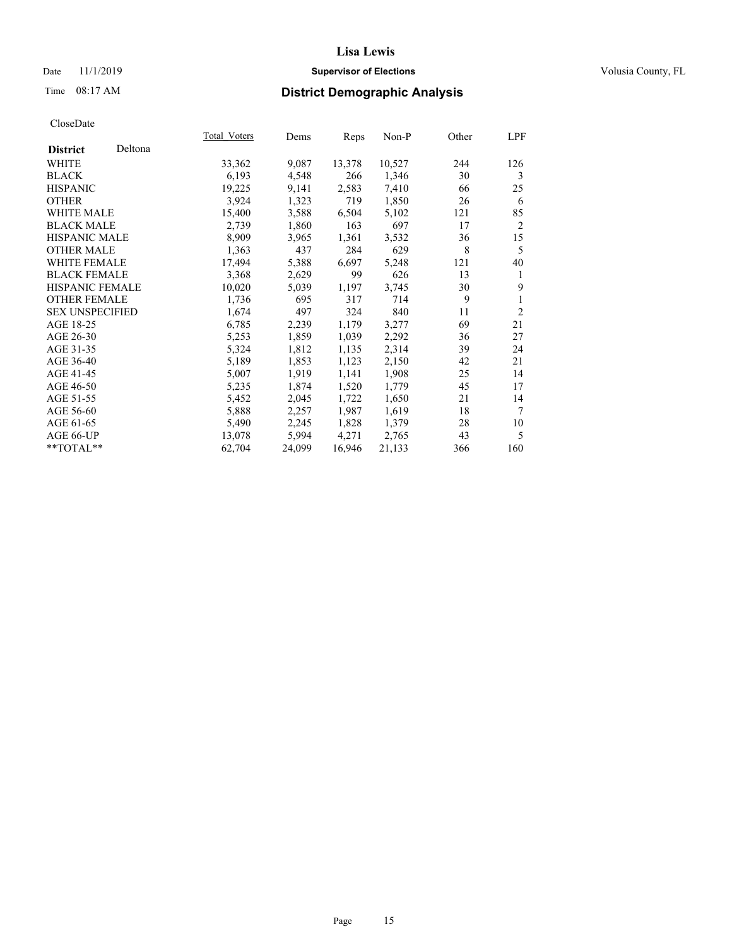## Date 11/1/2019 **Supervisor of Elections Supervisor of Elections** Volusia County, FL

# Time 08:17 AM **District Demographic Analysis**

|                        |         | Total Voters | Dems   | Reps   | Non-P  | Other | LPF            |
|------------------------|---------|--------------|--------|--------|--------|-------|----------------|
| <b>District</b>        | Deltona |              |        |        |        |       |                |
| <b>WHITE</b>           |         | 33,362       | 9,087  | 13,378 | 10,527 | 244   | 126            |
| <b>BLACK</b>           |         | 6,193        | 4,548  | 266    | 1,346  | 30    | 3              |
| <b>HISPANIC</b>        |         | 19,225       | 9,141  | 2,583  | 7,410  | 66    | 25             |
| <b>OTHER</b>           |         | 3,924        | 1,323  | 719    | 1,850  | 26    | 6              |
| WHITE MALE             |         | 15,400       | 3,588  | 6,504  | 5,102  | 121   | 85             |
| <b>BLACK MALE</b>      |         | 2,739        | 1,860  | 163    | 697    | 17    | $\overline{2}$ |
| <b>HISPANIC MALE</b>   |         | 8,909        | 3,965  | 1,361  | 3,532  | 36    | 15             |
| <b>OTHER MALE</b>      |         | 1,363        | 437    | 284    | 629    | 8     | 5              |
| <b>WHITE FEMALE</b>    |         | 17,494       | 5,388  | 6,697  | 5,248  | 121   | 40             |
| <b>BLACK FEMALE</b>    |         | 3,368        | 2,629  | 99     | 626    | 13    | 1              |
| HISPANIC FEMALE        |         | 10,020       | 5,039  | 1,197  | 3,745  | 30    | 9              |
| <b>OTHER FEMALE</b>    |         | 1,736        | 695    | 317    | 714    | 9     | 1              |
| <b>SEX UNSPECIFIED</b> |         | 1,674        | 497    | 324    | 840    | 11    | $\overline{2}$ |
| AGE 18-25              |         | 6,785        | 2,239  | 1,179  | 3,277  | 69    | 21             |
| AGE 26-30              |         | 5,253        | 1,859  | 1,039  | 2,292  | 36    | 27             |
| AGE 31-35              |         | 5,324        | 1,812  | 1,135  | 2,314  | 39    | 24             |
| AGE 36-40              |         | 5,189        | 1,853  | 1,123  | 2,150  | 42    | 21             |
| AGE 41-45              |         | 5,007        | 1,919  | 1,141  | 1,908  | 25    | 14             |
| AGE 46-50              |         | 5,235        | 1,874  | 1,520  | 1,779  | 45    | 17             |
| AGE 51-55              |         | 5,452        | 2,045  | 1,722  | 1,650  | 21    | 14             |
| AGE 56-60              |         | 5,888        | 2,257  | 1,987  | 1,619  | 18    | 7              |
| AGE 61-65              |         | 5,490        | 2,245  | 1,828  | 1,379  | 28    | 10             |
| AGE 66-UP              |         | 13,078       | 5,994  | 4,271  | 2,765  | 43    | 5              |
| $*$ $TOTAL**$          |         | 62,704       | 24,099 | 16,946 | 21,133 | 366   | 160            |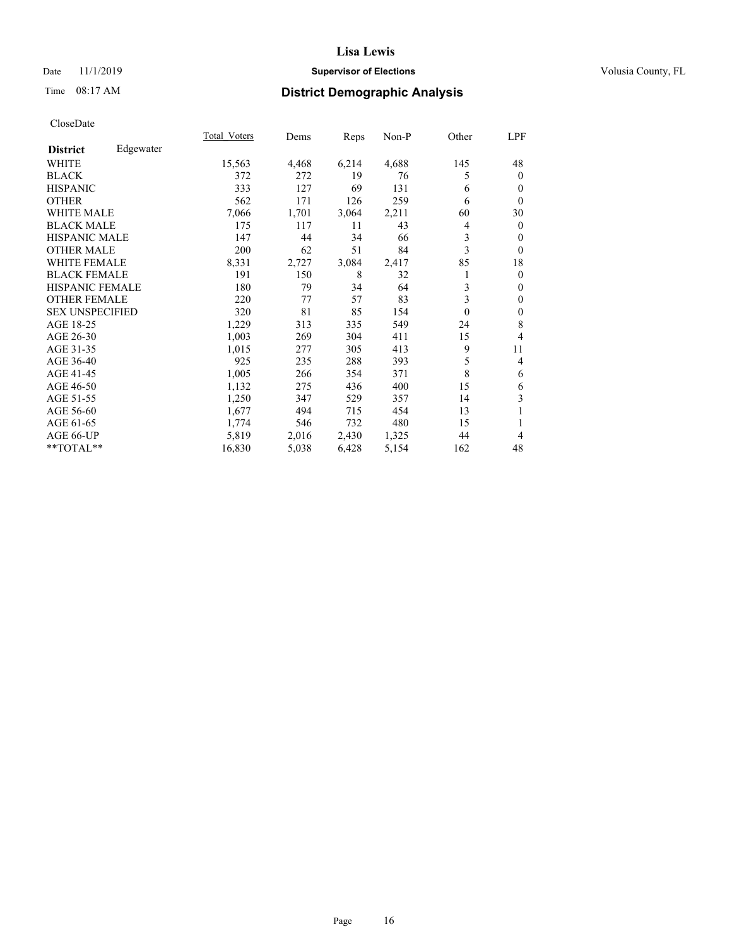## Date 11/1/2019 **Supervisor of Elections Supervisor of Elections** Volusia County, FL

# Time 08:17 AM **District Demographic Analysis**

|                        |           | Total Voters | Dems  | Reps  | Non-P | Other    | LPF          |
|------------------------|-----------|--------------|-------|-------|-------|----------|--------------|
| <b>District</b>        | Edgewater |              |       |       |       |          |              |
| WHITE                  |           | 15,563       | 4,468 | 6,214 | 4,688 | 145      | 48           |
| <b>BLACK</b>           |           | 372          | 272   | 19    | 76    | 5        | $\mathbf{0}$ |
| <b>HISPANIC</b>        |           | 333          | 127   | 69    | 131   | 6        | $\theta$     |
| <b>OTHER</b>           |           | 562          | 171   | 126   | 259   | 6        | $\theta$     |
| WHITE MALE             |           | 7,066        | 1,701 | 3,064 | 2,211 | 60       | 30           |
| <b>BLACK MALE</b>      |           | 175          | 117   | 11    | 43    | 4        | $\mathbf{0}$ |
| <b>HISPANIC MALE</b>   |           | 147          | 44    | 34    | 66    | 3        | $\mathbf{0}$ |
| <b>OTHER MALE</b>      |           | 200          | 62    | 51    | 84    | 3        | $\theta$     |
| <b>WHITE FEMALE</b>    |           | 8,331        | 2,727 | 3,084 | 2,417 | 85       | 18           |
| <b>BLACK FEMALE</b>    |           | 191          | 150   | 8     | 32    | 1        | $\mathbf{0}$ |
| <b>HISPANIC FEMALE</b> |           | 180          | 79    | 34    | 64    | 3        | $\mathbf{0}$ |
| <b>OTHER FEMALE</b>    |           | 220          | 77    | 57    | 83    | 3        | $\theta$     |
| <b>SEX UNSPECIFIED</b> |           | 320          | 81    | 85    | 154   | $\theta$ | $\mathbf{0}$ |
| AGE 18-25              |           | 1,229        | 313   | 335   | 549   | 24       | 8            |
| AGE 26-30              |           | 1,003        | 269   | 304   | 411   | 15       | 4            |
| AGE 31-35              |           | 1,015        | 277   | 305   | 413   | 9        | 11           |
| AGE 36-40              |           | 925          | 235   | 288   | 393   | 5        | 4            |
| AGE 41-45              |           | 1,005        | 266   | 354   | 371   | 8        | 6            |
| AGE 46-50              |           | 1,132        | 275   | 436   | 400   | 15       | 6            |
| AGE 51-55              |           | 1,250        | 347   | 529   | 357   | 14       | 3            |
| AGE 56-60              |           | 1,677        | 494   | 715   | 454   | 13       | 1            |
| AGE 61-65              |           | 1,774        | 546   | 732   | 480   | 15       | 1            |
| AGE 66-UP              |           | 5,819        | 2,016 | 2,430 | 1,325 | 44       | 4            |
| **TOTAL**              |           | 16,830       | 5,038 | 6,428 | 5,154 | 162      | 48           |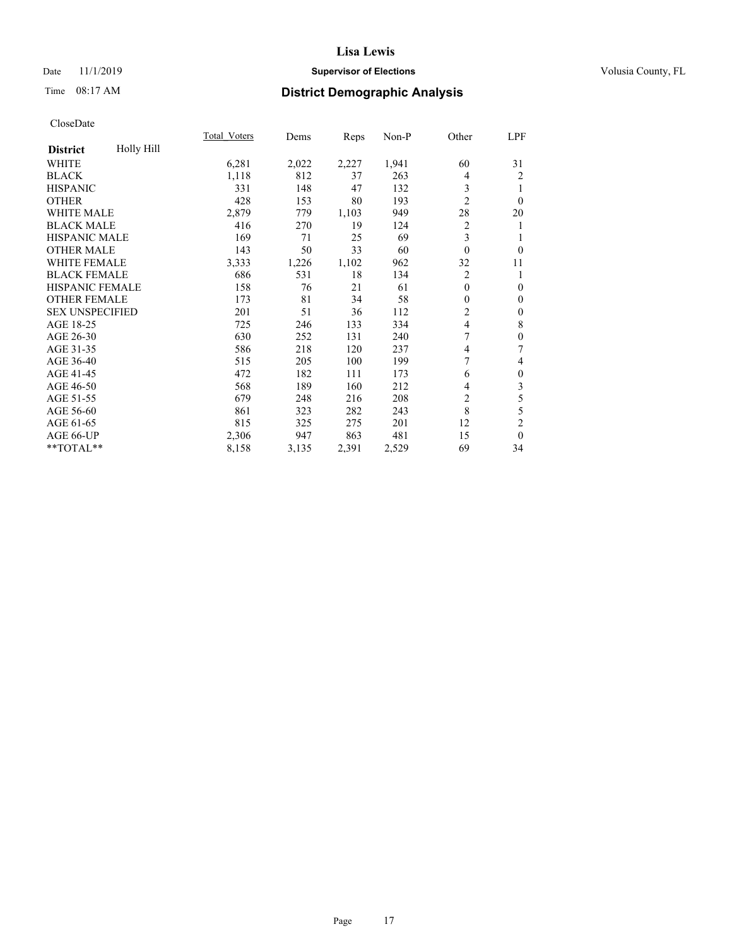## Date 11/1/2019 **Supervisor of Elections Supervisor of Elections** Volusia County, FL

# Time 08:17 AM **District Demographic Analysis**

|                        |            | Total Voters | Dems  | Reps  | Non-P | Other          | LPF              |
|------------------------|------------|--------------|-------|-------|-------|----------------|------------------|
| <b>District</b>        | Holly Hill |              |       |       |       |                |                  |
| WHITE                  |            | 6,281        | 2,022 | 2,227 | 1,941 | 60             | 31               |
| <b>BLACK</b>           |            | 1,118        | 812   | 37    | 263   | 4              | $\overline{2}$   |
| <b>HISPANIC</b>        |            | 331          | 148   | 47    | 132   | 3              |                  |
| <b>OTHER</b>           |            | 428          | 153   | 80    | 193   | $\overline{2}$ | $\Omega$         |
| WHITE MALE             |            | 2,879        | 779   | 1,103 | 949   | 28             | 20               |
| <b>BLACK MALE</b>      |            | 416          | 270   | 19    | 124   | $\overline{2}$ | 1                |
| <b>HISPANIC MALE</b>   |            | 169          | 71    | 25    | 69    | 3              | 1                |
| <b>OTHER MALE</b>      |            | 143          | 50    | 33    | 60    | $\theta$       | $\mathbf{0}$     |
| <b>WHITE FEMALE</b>    |            | 3,333        | 1,226 | 1,102 | 962   | 32             | 11               |
| <b>BLACK FEMALE</b>    |            | 686          | 531   | 18    | 134   | 2              | 1                |
| <b>HISPANIC FEMALE</b> |            | 158          | 76    | 21    | 61    | $\theta$       | $\mathbf{0}$     |
| <b>OTHER FEMALE</b>    |            | 173          | 81    | 34    | 58    | $\mathbf{0}$   | $\mathbf{0}$     |
| <b>SEX UNSPECIFIED</b> |            | 201          | 51    | 36    | 112   | $\overline{2}$ | $\boldsymbol{0}$ |
| AGE 18-25              |            | 725          | 246   | 133   | 334   | 4              | $\,$ 8 $\,$      |
| AGE 26-30              |            | 630          | 252   | 131   | 240   | 7              | $\boldsymbol{0}$ |
| AGE 31-35              |            | 586          | 218   | 120   | 237   | 4              | 7                |
| AGE 36-40              |            | 515          | 205   | 100   | 199   | 7              | 4                |
| AGE 41-45              |            | 472          | 182   | 111   | 173   | 6              | $\boldsymbol{0}$ |
| AGE 46-50              |            | 568          | 189   | 160   | 212   | 4              | 3                |
| AGE 51-55              |            | 679          | 248   | 216   | 208   | $\overline{2}$ | 5                |
| AGE 56-60              |            | 861          | 323   | 282   | 243   | 8              | 5                |
| AGE 61-65              |            | 815          | 325   | 275   | 201   | 12             | 2                |
| AGE 66-UP              |            | 2,306        | 947   | 863   | 481   | 15             | $\mathbf{0}$     |
| **TOTAL**              |            | 8,158        | 3,135 | 2,391 | 2,529 | 69             | 34               |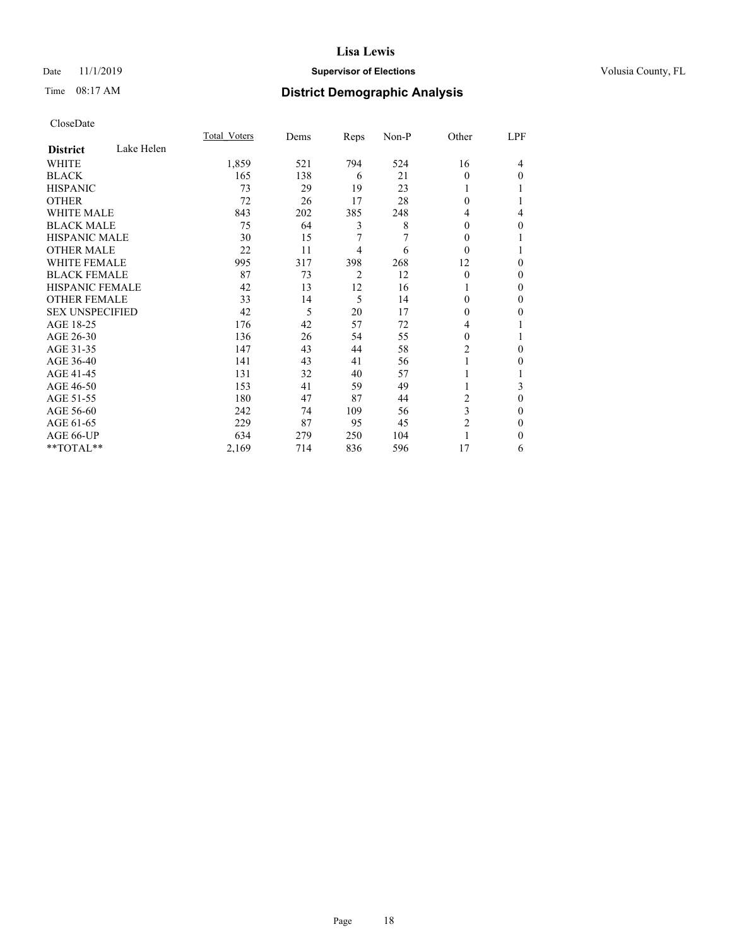## Date 11/1/2019 **Supervisor of Elections Supervisor of Elections** Volusia County, FL

# Time 08:17 AM **District Demographic Analysis**

|                        |            | Total Voters | Dems | Reps | Non-P | Other    | LPF |
|------------------------|------------|--------------|------|------|-------|----------|-----|
| <b>District</b>        | Lake Helen |              |      |      |       |          |     |
| WHITE                  |            | 1,859        | 521  | 794  | 524   | 16       | 4   |
| <b>BLACK</b>           |            | 165          | 138  | 6    | 21    | $\Omega$ | 0   |
| <b>HISPANIC</b>        |            | 73           | 29   | 19   | 23    | 1        |     |
| <b>OTHER</b>           |            | 72           | 26   | 17   | 28    | 0        |     |
| WHITE MALE             |            | 843          | 202  | 385  | 248   | 4        | 4   |
| <b>BLACK MALE</b>      |            | 75           | 64   | 3    | 8     | 0        | 0   |
| <b>HISPANIC MALE</b>   |            | 30           | 15   | 7    | 7     | $_{0}$   |     |
| <b>OTHER MALE</b>      |            | 22           | 11   | 4    | 6     | $\Omega$ | 1   |
| <b>WHITE FEMALE</b>    |            | 995          | 317  | 398  | 268   | 12       | 0   |
| <b>BLACK FEMALE</b>    |            | 87           | 73   | 2    | 12    | $\theta$ | 0   |
| <b>HISPANIC FEMALE</b> |            | 42           | 13   | 12   | 16    |          | 0   |
| <b>OTHER FEMALE</b>    |            | 33           | 14   | 5    | 14    | 0        | 0   |
| <b>SEX UNSPECIFIED</b> |            | 42           | 5    | 20   | 17    | 0        | 0   |
| AGE 18-25              |            | 176          | 42   | 57   | 72    | 4        |     |
| AGE 26-30              |            | 136          | 26   | 54   | 55    | 0        |     |
| AGE 31-35              |            | 147          | 43   | 44   | 58    | 2        | 0   |
| AGE 36-40              |            | 141          | 43   | 41   | 56    | 1        | 0   |
| AGE 41-45              |            | 131          | 32   | 40   | 57    |          |     |
| AGE 46-50              |            | 153          | 41   | 59   | 49    | 1        | 3   |
| AGE 51-55              |            | 180          | 47   | 87   | 44    | 2        | 0   |
| AGE 56-60              |            | 242          | 74   | 109  | 56    | 3        | 0   |
| AGE 61-65              |            | 229          | 87   | 95   | 45    | 2        | 0   |
| AGE 66-UP              |            | 634          | 279  | 250  | 104   |          | 0   |
| **TOTAL**              |            | 2,169        | 714  | 836  | 596   | 17       | 6   |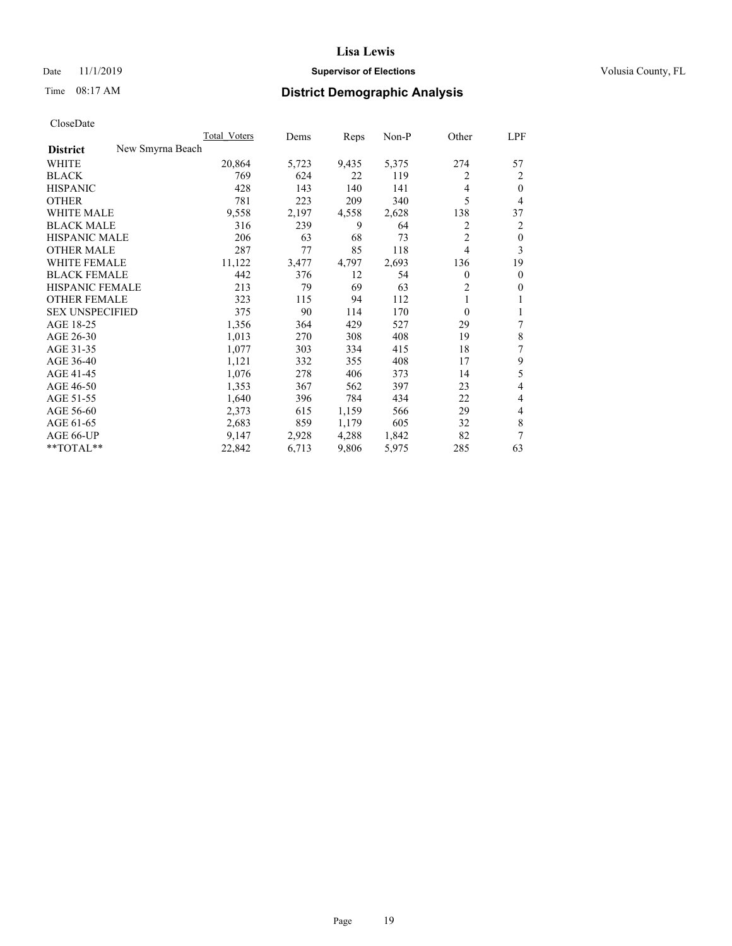## Date 11/1/2019 **Supervisor of Elections Supervisor of Elections** Volusia County, FL

# Time 08:17 AM **District Demographic Analysis**

|                                     | Total Voters | Dems  | Reps  | $Non-P$ | Other          | <u>LPF</u>   |
|-------------------------------------|--------------|-------|-------|---------|----------------|--------------|
| New Smyrna Beach<br><b>District</b> |              |       |       |         |                |              |
| WHITE                               | 20,864       | 5,723 | 9,435 | 5,375   | 274            | 57           |
| <b>BLACK</b>                        | 769          | 624   | 22    | 119     | 2              | 2            |
| <b>HISPANIC</b>                     | 428          | 143   | 140   | 141     | 4              | $\theta$     |
| <b>OTHER</b>                        | 781          | 223   | 209   | 340     | 5              | 4            |
| <b>WHITE MALE</b>                   | 9,558        | 2,197 | 4,558 | 2,628   | 138            | 37           |
| <b>BLACK MALE</b>                   | 316          | 239   | 9     | 64      | 2              | 2            |
| <b>HISPANIC MALE</b>                | 206          | 63    | 68    | 73      | $\overline{2}$ | $\mathbf{0}$ |
| <b>OTHER MALE</b>                   | 287          | 77    | 85    | 118     | 4              | 3            |
| WHITE FEMALE                        | 11,122       | 3,477 | 4,797 | 2,693   | 136            | 19           |
| <b>BLACK FEMALE</b>                 | 442          | 376   | 12    | 54      | 0              | $\mathbf{0}$ |
| HISPANIC FEMALE                     | 213          | 79    | 69    | 63      | 2              | $\mathbf{0}$ |
| <b>OTHER FEMALE</b>                 | 323          | 115   | 94    | 112     | 1              | 1            |
| <b>SEX UNSPECIFIED</b>              | 375          | 90    | 114   | 170     | $\theta$       | 1            |
| AGE 18-25                           | 1,356        | 364   | 429   | 527     | 29             | 7            |
| AGE 26-30                           | 1,013        | 270   | 308   | 408     | 19             | 8            |
| AGE 31-35                           | 1,077        | 303   | 334   | 415     | 18             | 7            |
| AGE 36-40                           | 1,121        | 332   | 355   | 408     | 17             | 9            |
| AGE 41-45                           | 1,076        | 278   | 406   | 373     | 14             | 5            |
| AGE 46-50                           | 1,353        | 367   | 562   | 397     | 23             | 4            |
| AGE 51-55                           | 1,640        | 396   | 784   | 434     | 22             | 4            |
| AGE 56-60                           | 2,373        | 615   | 1,159 | 566     | 29             | 4            |
| AGE 61-65                           | 2,683        | 859   | 1,179 | 605     | 32             | 8            |
| AGE 66-UP                           | 9.147        | 2,928 | 4,288 | 1,842   | 82             | 7            |
| **TOTAL**                           | 22,842       | 6,713 | 9,806 | 5,975   | 285            | 63           |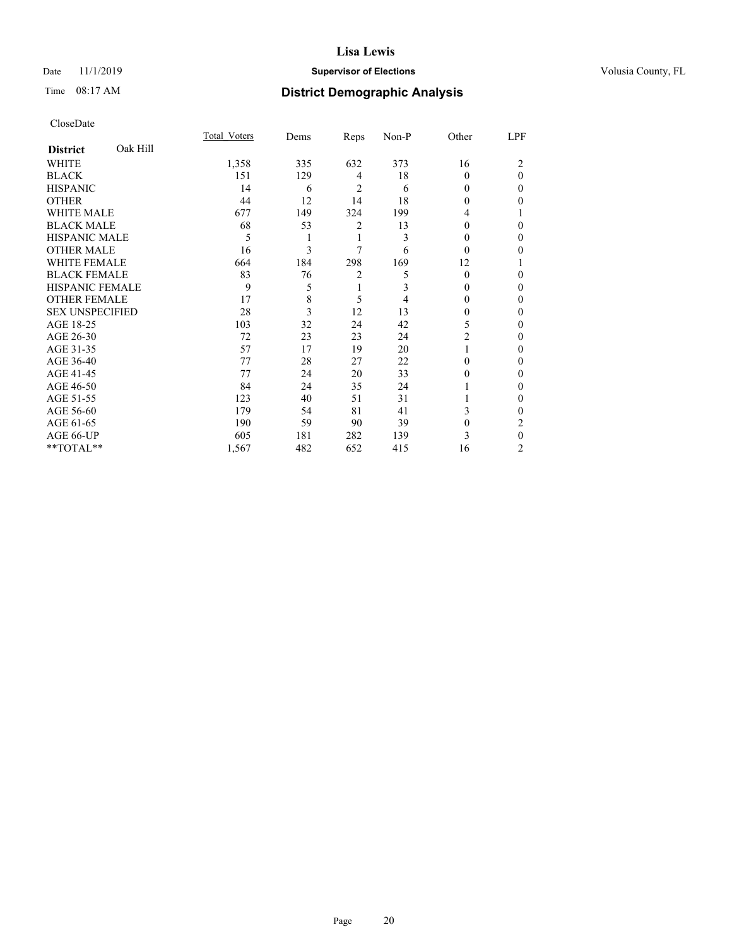## Date 11/1/2019 **Supervisor of Elections Supervisor of Elections** Volusia County, FL

# Time 08:17 AM **District Demographic Analysis**

|                        |          | Total Voters | Dems | Reps | Non-P | Other    | LPF |
|------------------------|----------|--------------|------|------|-------|----------|-----|
| <b>District</b>        | Oak Hill |              |      |      |       |          |     |
| WHITE                  |          | 1,358        | 335  | 632  | 373   | 16       | 2   |
| <b>BLACK</b>           |          | 151          | 129  | 4    | 18    | 0        | 0   |
| <b>HISPANIC</b>        |          | 14           | 6    | 2    | 6     | 0        | 0   |
| <b>OTHER</b>           |          | 44           | 12   | 14   | 18    | 0        | 0   |
| WHITE MALE             |          | 677          | 149  | 324  | 199   | 4        |     |
| <b>BLACK MALE</b>      |          | 68           | 53   | 2    | 13    | 0        | 0   |
| <b>HISPANIC MALE</b>   |          | 5            |      | 1    | 3     | $_{0}$   | 0   |
| <b>OTHER MALE</b>      |          | 16           | 3    | 7    | 6     | $\Omega$ | 0   |
| WHITE FEMALE           |          | 664          | 184  | 298  | 169   | 12       |     |
| <b>BLACK FEMALE</b>    |          | 83           | 76   | 2    | 5     | $\Omega$ | 0   |
| <b>HISPANIC FEMALE</b> |          | 9            | 5    | 1    | 3     | 0        | 0   |
| <b>OTHER FEMALE</b>    |          | 17           | 8    | 5    | 4     | 0        | 0   |
| <b>SEX UNSPECIFIED</b> |          | 28           | 3    | 12   | 13    | 0        | 0   |
| AGE 18-25              |          | 103          | 32   | 24   | 42    | 5        | 0   |
| AGE 26-30              |          | 72           | 23   | 23   | 24    | 2        | 0   |
| AGE 31-35              |          | 57           | 17   | 19   | 20    |          | 0   |
| AGE 36-40              |          | 77           | 28   | 27   | 22    | 0        | 0   |
| AGE 41-45              |          | 77           | 24   | 20   | 33    | 0        | 0   |
| AGE 46-50              |          | 84           | 24   | 35   | 24    |          | 0   |
| AGE 51-55              |          | 123          | 40   | 51   | 31    |          | 0   |
| AGE 56-60              |          | 179          | 54   | 81   | 41    | 3        | 0   |
| AGE 61-65              |          | 190          | 59   | 90   | 39    | 0        | 2   |
| AGE 66-UP              |          | 605          | 181  | 282  | 139   | 3        | 0   |
| **TOTAL**              |          | 1,567        | 482  | 652  | 415   | 16       | 2   |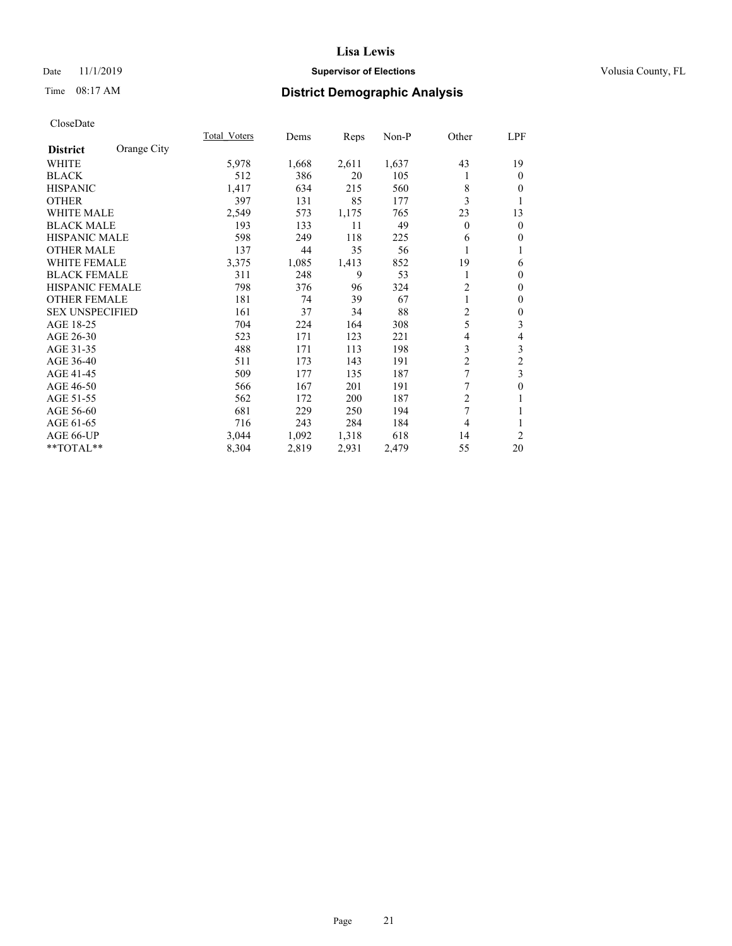## Date 11/1/2019 **Supervisor of Elections Supervisor of Elections** Volusia County, FL

# Time 08:17 AM **District Demographic Analysis**

|                        |             | Total Voters | Dems  | Reps  | Non-P | Other          | LPF              |
|------------------------|-------------|--------------|-------|-------|-------|----------------|------------------|
| <b>District</b>        | Orange City |              |       |       |       |                |                  |
| WHITE                  |             | 5,978        | 1,668 | 2,611 | 1,637 | 43             | 19               |
| <b>BLACK</b>           |             | 512          | 386   | 20    | 105   |                | $\mathbf{0}$     |
| <b>HISPANIC</b>        |             | 1,417        | 634   | 215   | 560   | 8              | $\theta$         |
| <b>OTHER</b>           |             | 397          | 131   | 85    | 177   | 3              | 1                |
| WHITE MALE             |             | 2,549        | 573   | 1,175 | 765   | 23             | 13               |
| <b>BLACK MALE</b>      |             | 193          | 133   | 11    | 49    | $\theta$       | $\mathbf{0}$     |
| HISPANIC MALE          |             | 598          | 249   | 118   | 225   | 6              | $\mathbf{0}$     |
| <b>OTHER MALE</b>      |             | 137          | 44    | 35    | 56    |                | 1                |
| <b>WHITE FEMALE</b>    |             | 3,375        | 1,085 | 1,413 | 852   | 19             | 6                |
| <b>BLACK FEMALE</b>    |             | 311          | 248   | 9     | 53    | 1              | $\boldsymbol{0}$ |
| <b>HISPANIC FEMALE</b> |             | 798          | 376   | 96    | 324   | $\overline{2}$ | $\mathbf{0}$     |
| <b>OTHER FEMALE</b>    |             | 181          | 74    | 39    | 67    |                | $\mathbf{0}$     |
| <b>SEX UNSPECIFIED</b> |             | 161          | 37    | 34    | 88    | $\overline{2}$ | $\boldsymbol{0}$ |
| AGE 18-25              |             | 704          | 224   | 164   | 308   | 5              | 3                |
| AGE 26-30              |             | 523          | 171   | 123   | 221   | 4              | $\overline{4}$   |
| AGE 31-35              |             | 488          | 171   | 113   | 198   | 3              | 3                |
| AGE 36-40              |             | 511          | 173   | 143   | 191   | $\overline{c}$ | $\overline{c}$   |
| AGE 41-45              |             | 509          | 177   | 135   | 187   | 7              | 3                |
| AGE 46-50              |             | 566          | 167   | 201   | 191   | 7              | $\boldsymbol{0}$ |
| AGE 51-55              |             | 562          | 172   | 200   | 187   | $\overline{2}$ | 1                |
| AGE 56-60              |             | 681          | 229   | 250   | 194   | 7              | 1                |
| AGE 61-65              |             | 716          | 243   | 284   | 184   | 4              | 1                |
| AGE 66-UP              |             | 3,044        | 1,092 | 1,318 | 618   | 14             | $\overline{2}$   |
| **TOTAL**              |             | 8,304        | 2,819 | 2,931 | 2,479 | 55             | 20               |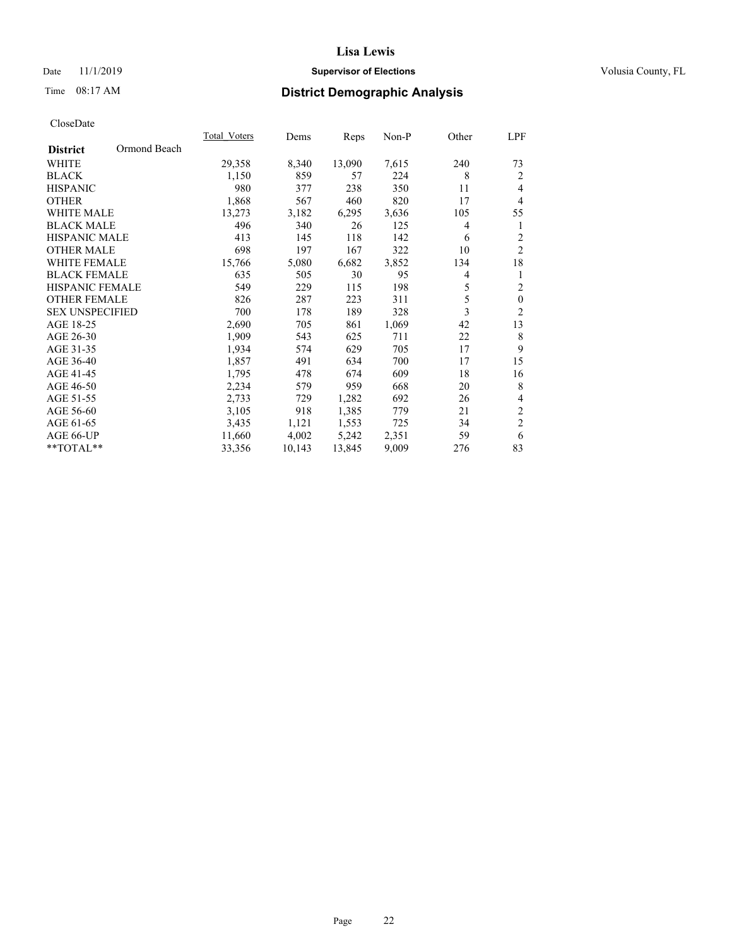## Date 11/1/2019 **Supervisor of Elections Supervisor of Elections** Volusia County, FL

# Time 08:17 AM **District Demographic Analysis**

|                        |              | Total Voters | Dems   | Reps   | Non-P | Other | LPF            |
|------------------------|--------------|--------------|--------|--------|-------|-------|----------------|
| <b>District</b>        | Ormond Beach |              |        |        |       |       |                |
| WHITE                  |              | 29,358       | 8,340  | 13,090 | 7,615 | 240   | 73             |
| <b>BLACK</b>           |              | 1,150        | 859    | 57     | 224   | 8     | 2              |
| <b>HISPANIC</b>        |              | 980          | 377    | 238    | 350   | 11    | $\overline{4}$ |
| <b>OTHER</b>           |              | 1,868        | 567    | 460    | 820   | 17    | $\overline{4}$ |
| <b>WHITE MALE</b>      |              | 13,273       | 3,182  | 6,295  | 3,636 | 105   | 55             |
| <b>BLACK MALE</b>      |              | 496          | 340    | 26     | 125   | 4     | 1              |
| <b>HISPANIC MALE</b>   |              | 413          | 145    | 118    | 142   | 6     | $\overline{2}$ |
| <b>OTHER MALE</b>      |              | 698          | 197    | 167    | 322   | 10    | $\overline{2}$ |
| <b>WHITE FEMALE</b>    |              | 15,766       | 5,080  | 6,682  | 3,852 | 134   | 18             |
| <b>BLACK FEMALE</b>    |              | 635          | 505    | 30     | 95    | 4     | 1              |
| HISPANIC FEMALE        |              | 549          | 229    | 115    | 198   | 5     | $\overline{2}$ |
| <b>OTHER FEMALE</b>    |              | 826          | 287    | 223    | 311   | 5     | $\mathbf{0}$   |
| <b>SEX UNSPECIFIED</b> |              | 700          | 178    | 189    | 328   | 3     | $\sqrt{2}$     |
| AGE 18-25              |              | 2,690        | 705    | 861    | 1,069 | 42    | 13             |
| AGE 26-30              |              | 1,909        | 543    | 625    | 711   | 22    | 8              |
| AGE 31-35              |              | 1,934        | 574    | 629    | 705   | 17    | 9              |
| AGE 36-40              |              | 1,857        | 491    | 634    | 700   | 17    | 15             |
| AGE 41-45              |              | 1,795        | 478    | 674    | 609   | 18    | 16             |
| AGE 46-50              |              | 2,234        | 579    | 959    | 668   | 20    | 8              |
| AGE 51-55              |              | 2,733        | 729    | 1,282  | 692   | 26    | 4              |
| AGE 56-60              |              | 3,105        | 918    | 1,385  | 779   | 21    | $\sqrt{2}$     |
| AGE 61-65              |              | 3,435        | 1,121  | 1,553  | 725   | 34    | $\overline{2}$ |
| AGE 66-UP              |              | 11,660       | 4,002  | 5,242  | 2,351 | 59    | 6              |
| **TOTAL**              |              | 33,356       | 10,143 | 13,845 | 9,009 | 276   | 83             |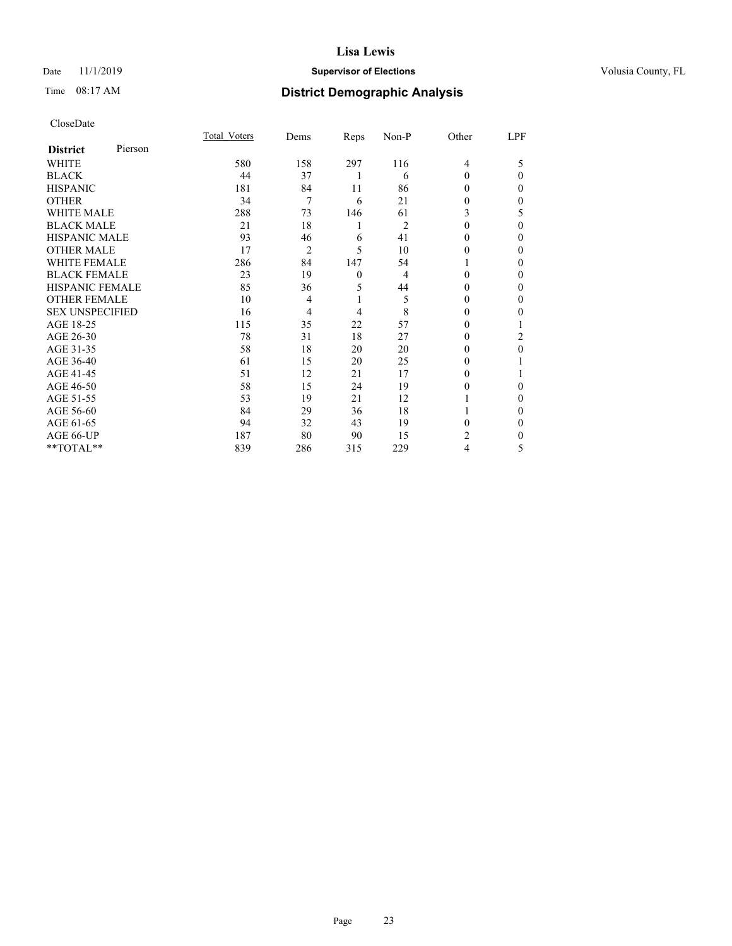## Date 11/1/2019 **Supervisor of Elections Supervisor of Elections** Volusia County, FL

# Time 08:17 AM **District Demographic Analysis**

|                        |         | Total Voters | Dems           | Reps           | Non-P | Other  | LPF |
|------------------------|---------|--------------|----------------|----------------|-------|--------|-----|
| <b>District</b>        | Pierson |              |                |                |       |        |     |
| WHITE                  |         | 580          | 158            | 297            | 116   | 4      | 5   |
| <b>BLACK</b>           |         | 44           | 37             | 1              | 6     | 0      | 0   |
| <b>HISPANIC</b>        |         | 181          | 84             | 11             | 86    | 0      | 0   |
| <b>OTHER</b>           |         | 34           | 7              | 6              | 21    | 0      | 0   |
| <b>WHITE MALE</b>      |         | 288          | 73             | 146            | 61    | 3      | 5   |
| <b>BLACK MALE</b>      |         | 21           | 18             | 1              | 2     | 0      | 0   |
| <b>HISPANIC MALE</b>   |         | 93           | 46             | 6              | 41    | 0      | 0   |
| <b>OTHER MALE</b>      |         | 17           | $\overline{2}$ | 5              | 10    | $_{0}$ | 0   |
| <b>WHITE FEMALE</b>    |         | 286          | 84             | 147            | 54    |        | 0   |
| <b>BLACK FEMALE</b>    |         | 23           | 19             | $\overline{0}$ | 4     | 0      | 0   |
| <b>HISPANIC FEMALE</b> |         | 85           | 36             | 5              | 44    | 0      | 0   |
| <b>OTHER FEMALE</b>    |         | 10           | 4              | 1              | 5     | $_{0}$ | 0   |
| <b>SEX UNSPECIFIED</b> |         | 16           | 4              | 4              | 8     | 0      | 0   |
| AGE 18-25              |         | 115          | 35             | 22             | 57    | $_{0}$ |     |
| AGE 26-30              |         | 78           | 31             | 18             | 27    | 0      | 2   |
| AGE 31-35              |         | 58           | 18             | 20             | 20    | 0      | 0   |
| AGE 36-40              |         | 61           | 15             | 20             | 25    | 0      |     |
| AGE 41-45              |         | 51           | 12             | 21             | 17    | 0      |     |
| AGE 46-50              |         | 58           | 15             | 24             | 19    | 0      | 0   |
| AGE 51-55              |         | 53           | 19             | 21             | 12    |        | 0   |
| AGE 56-60              |         | 84           | 29             | 36             | 18    |        | 0   |
| AGE 61-65              |         | 94           | 32             | 43             | 19    | 0      | 0   |
| AGE 66-UP              |         | 187          | 80             | 90             | 15    | 2      | 0   |
| **TOTAL**              |         | 839          | 286            | 315            | 229   | 4      | 5   |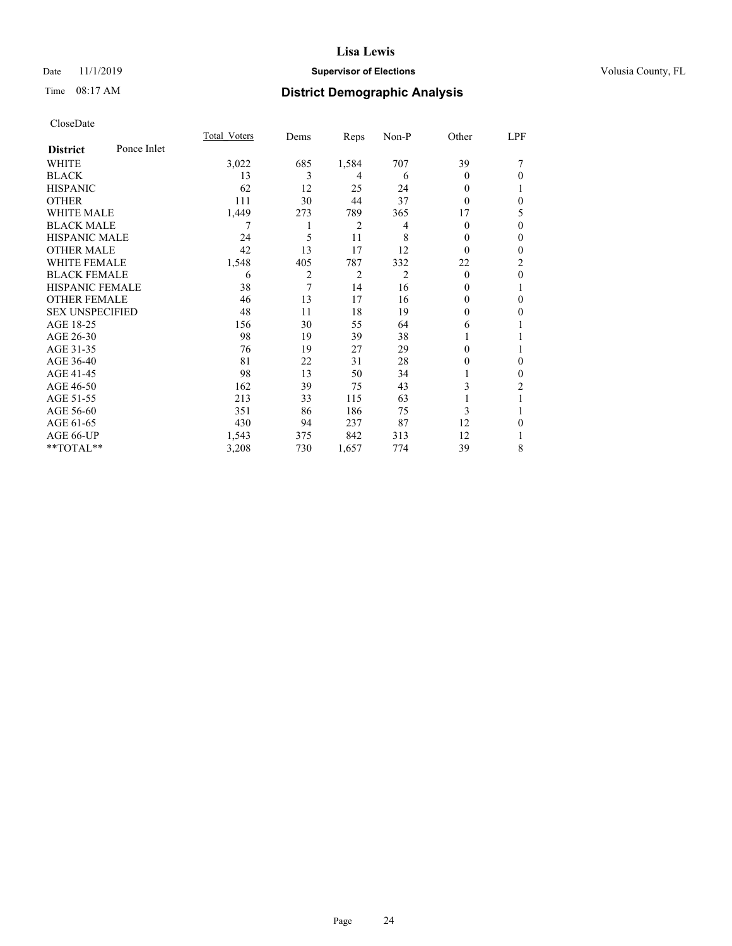## Date 11/1/2019 **Supervisor of Elections Supervisor of Elections** Volusia County, FL

# Time 08:17 AM **District Demographic Analysis**

|                        |             | Total Voters | Dems | Reps  | Non-P | Other    | LPF          |
|------------------------|-------------|--------------|------|-------|-------|----------|--------------|
| <b>District</b>        | Ponce Inlet |              |      |       |       |          |              |
| WHITE                  |             | 3,022        | 685  | 1,584 | 707   | 39       |              |
| <b>BLACK</b>           |             | 13           | 3    | 4     | 6     | 0        | $\Omega$     |
| <b>HISPANIC</b>        |             | 62           | 12   | 25    | 24    | 0        |              |
| <b>OTHER</b>           |             | 111          | 30   | 44    | 37    | 0        | $\theta$     |
| WHITE MALE             |             | 1,449        | 273  | 789   | 365   | 17       | 5            |
| <b>BLACK MALE</b>      |             |              |      | 2     | 4     | 0        | $\theta$     |
| <b>HISPANIC MALE</b>   |             | 24           | 5    | 11    | 8     | $_{0}$   | $\theta$     |
| <b>OTHER MALE</b>      |             | 42           | 13   | 17    | 12    | $\theta$ | $\mathbf{0}$ |
| <b>WHITE FEMALE</b>    |             | 1,548        | 405  | 787   | 332   | 22       | 2            |
| <b>BLACK FEMALE</b>    |             | 6            | 2    | 2     | 2     | $\theta$ | $\theta$     |
| <b>HISPANIC FEMALE</b> |             | 38           | 7    | 14    | 16    | $_{0}$   | 1            |
| <b>OTHER FEMALE</b>    |             | 46           | 13   | 17    | 16    | 0        | $\theta$     |
| <b>SEX UNSPECIFIED</b> |             | 48           | 11   | 18    | 19    | 0        | $\Omega$     |
| AGE 18-25              |             | 156          | 30   | 55    | 64    | 6        |              |
| AGE 26-30              |             | 98           | 19   | 39    | 38    |          |              |
| AGE 31-35              |             | 76           | 19   | 27    | 29    | 0        | 1            |
| AGE 36-40              |             | 81           | 22   | 31    | 28    | 0        | $\theta$     |
| AGE 41-45              |             | 98           | 13   | 50    | 34    |          | $\theta$     |
| AGE 46-50              |             | 162          | 39   | 75    | 43    | 3        | 2            |
| AGE 51-55              |             | 213          | 33   | 115   | 63    |          |              |
| AGE 56-60              |             | 351          | 86   | 186   | 75    | 3        |              |
| AGE 61-65              |             | 430          | 94   | 237   | 87    | 12       | $\theta$     |
| AGE 66-UP              |             | 1,543        | 375  | 842   | 313   | 12       |              |
| **TOTAL**              |             | 3,208        | 730  | 1,657 | 774   | 39       | 8            |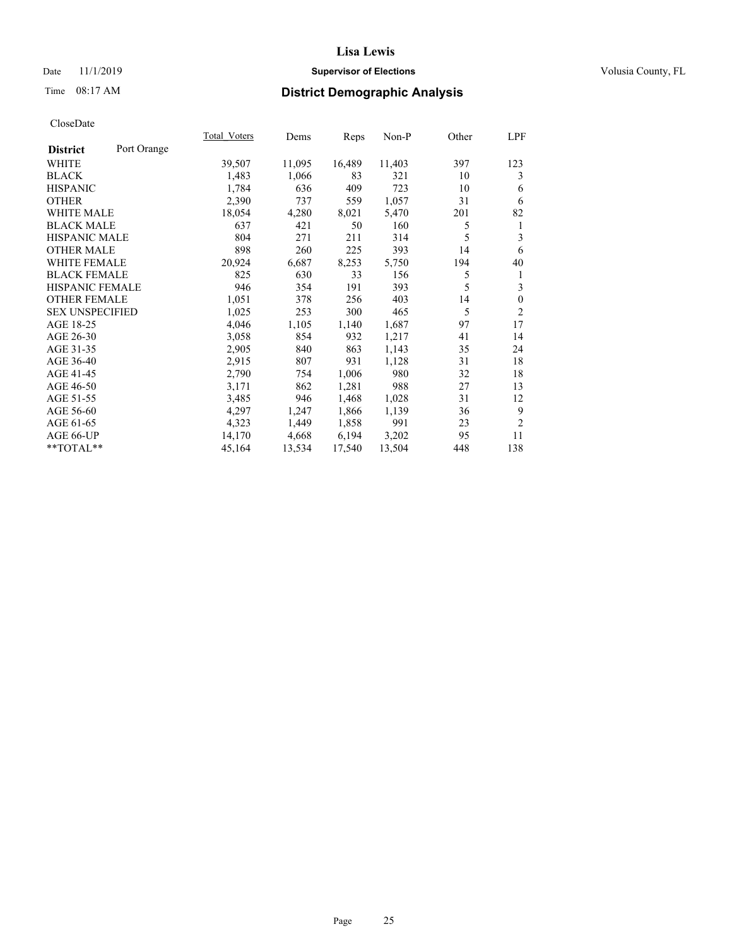## Date 11/1/2019 **Supervisor of Elections Supervisor of Elections** Volusia County, FL

# Time 08:17 AM **District Demographic Analysis**

|                        |             | Total Voters | Dems   | Reps   | Non-P  | Other | LPF            |
|------------------------|-------------|--------------|--------|--------|--------|-------|----------------|
| <b>District</b>        | Port Orange |              |        |        |        |       |                |
| WHITE                  |             | 39,507       | 11,095 | 16,489 | 11,403 | 397   | 123            |
| <b>BLACK</b>           |             | 1,483        | 1,066  | 83     | 321    | 10    | 3              |
| <b>HISPANIC</b>        |             | 1,784        | 636    | 409    | 723    | 10    | 6              |
| <b>OTHER</b>           |             | 2,390        | 737    | 559    | 1,057  | 31    | 6              |
| <b>WHITE MALE</b>      |             | 18,054       | 4,280  | 8,021  | 5,470  | 201   | 82             |
| <b>BLACK MALE</b>      |             | 637          | 421    | 50     | 160    | 5     | 1              |
| <b>HISPANIC MALE</b>   |             | 804          | 271    | 211    | 314    | 5     | 3              |
| <b>OTHER MALE</b>      |             | 898          | 260    | 225    | 393    | 14    | 6              |
| <b>WHITE FEMALE</b>    |             | 20,924       | 6,687  | 8,253  | 5,750  | 194   | 40             |
| <b>BLACK FEMALE</b>    |             | 825          | 630    | 33     | 156    | 5     | 1              |
| <b>HISPANIC FEMALE</b> |             | 946          | 354    | 191    | 393    | 5     | 3              |
| <b>OTHER FEMALE</b>    |             | 1,051        | 378    | 256    | 403    | 14    | $\mathbf{0}$   |
| <b>SEX UNSPECIFIED</b> |             | 1,025        | 253    | 300    | 465    | 5     | $\overline{2}$ |
| AGE 18-25              |             | 4,046        | 1,105  | 1,140  | 1,687  | 97    | 17             |
| AGE 26-30              |             | 3,058        | 854    | 932    | 1,217  | 41    | 14             |
| AGE 31-35              |             | 2,905        | 840    | 863    | 1,143  | 35    | 24             |
| AGE 36-40              |             | 2,915        | 807    | 931    | 1,128  | 31    | 18             |
| AGE 41-45              |             | 2,790        | 754    | 1,006  | 980    | 32    | 18             |
| AGE 46-50              |             | 3,171        | 862    | 1,281  | 988    | 27    | 13             |
| AGE 51-55              |             | 3,485        | 946    | 1,468  | 1,028  | 31    | 12             |
| AGE 56-60              |             | 4,297        | 1,247  | 1,866  | 1,139  | 36    | 9              |
| AGE 61-65              |             | 4,323        | 1,449  | 1,858  | 991    | 23    | $\overline{2}$ |
| AGE 66-UP              |             | 14,170       | 4,668  | 6,194  | 3,202  | 95    | 11             |
| $*$ TOTAL $*$          |             | 45,164       | 13,534 | 17,540 | 13,504 | 448   | 138            |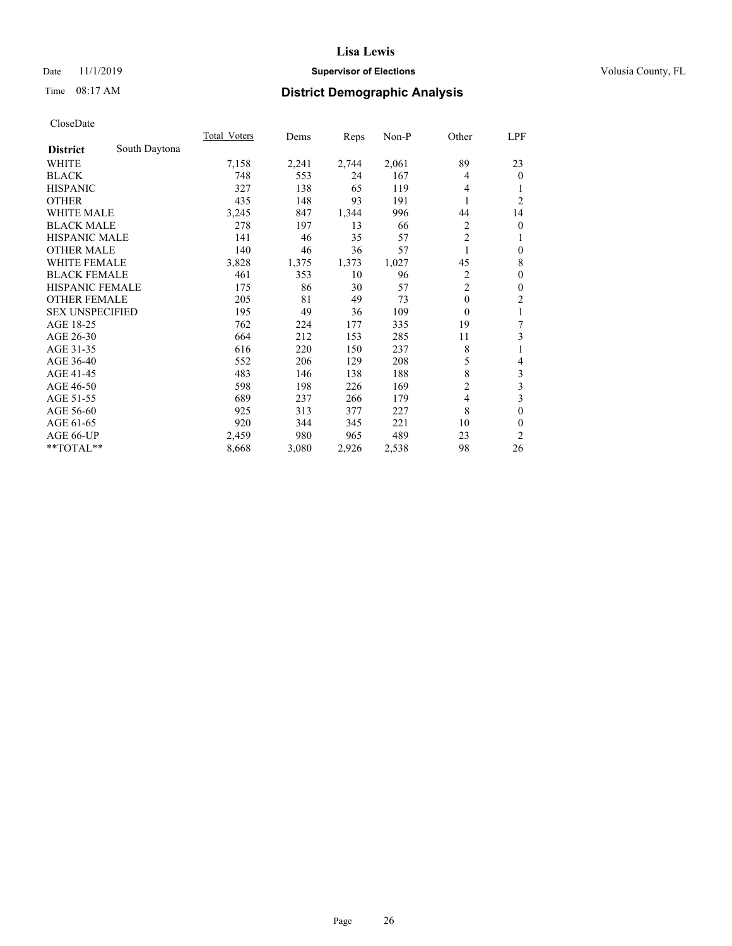## Date 11/1/2019 **Supervisor of Elections Supervisor of Elections** Volusia County, FL

# Time 08:17 AM **District Demographic Analysis**

|                        |               | <b>Total Voters</b> | Dems  | Reps  | Non-P | Other          | LPF            |
|------------------------|---------------|---------------------|-------|-------|-------|----------------|----------------|
| <b>District</b>        | South Daytona |                     |       |       |       |                |                |
| WHITE                  |               | 7,158               | 2,241 | 2,744 | 2,061 | 89             | 23             |
| <b>BLACK</b>           |               | 748                 | 553   | 24    | 167   | 4              | $\theta$       |
| <b>HISPANIC</b>        |               | 327                 | 138   | 65    | 119   | 4              |                |
| <b>OTHER</b>           |               | 435                 | 148   | 93    | 191   | 1              | $\overline{2}$ |
| <b>WHITE MALE</b>      |               | 3,245               | 847   | 1,344 | 996   | 44             | 14             |
| <b>BLACK MALE</b>      |               | 278                 | 197   | 13    | 66    | 2              | $\theta$       |
| <b>HISPANIC MALE</b>   |               | 141                 | 46    | 35    | 57    | $\overline{2}$ | 1              |
| <b>OTHER MALE</b>      |               | 140                 | 46    | 36    | 57    | 1              | $\theta$       |
| WHITE FEMALE           |               | 3,828               | 1,375 | 1,373 | 1,027 | 45             | 8              |
| <b>BLACK FEMALE</b>    |               | 461                 | 353   | 10    | 96    | $\overline{2}$ | $\theta$       |
| <b>HISPANIC FEMALE</b> |               | 175                 | 86    | 30    | 57    | $\overline{2}$ | $\theta$       |
| <b>OTHER FEMALE</b>    |               | 205                 | 81    | 49    | 73    | $\theta$       | 2              |
| <b>SEX UNSPECIFIED</b> |               | 195                 | 49    | 36    | 109   | $\mathbf{0}$   | 1              |
| AGE 18-25              |               | 762                 | 224   | 177   | 335   | 19             | 7              |
| AGE 26-30              |               | 664                 | 212   | 153   | 285   | 11             | 3              |
| AGE 31-35              |               | 616                 | 220   | 150   | 237   | 8              | 1              |
| AGE 36-40              |               | 552                 | 206   | 129   | 208   | 5              | 4              |
| AGE 41-45              |               | 483                 | 146   | 138   | 188   | 8              | 3              |
| AGE 46-50              |               | 598                 | 198   | 226   | 169   | $\overline{c}$ | 3              |
| AGE 51-55              |               | 689                 | 237   | 266   | 179   | 4              | 3              |
| AGE 56-60              |               | 925                 | 313   | 377   | 227   | 8              | 0              |
| AGE 61-65              |               | 920                 | 344   | 345   | 221   | 10             | 0              |
| AGE 66-UP              |               | 2,459               | 980   | 965   | 489   | 23             | $\overline{2}$ |
| **TOTAL**              |               | 8,668               | 3,080 | 2,926 | 2,538 | 98             | 26             |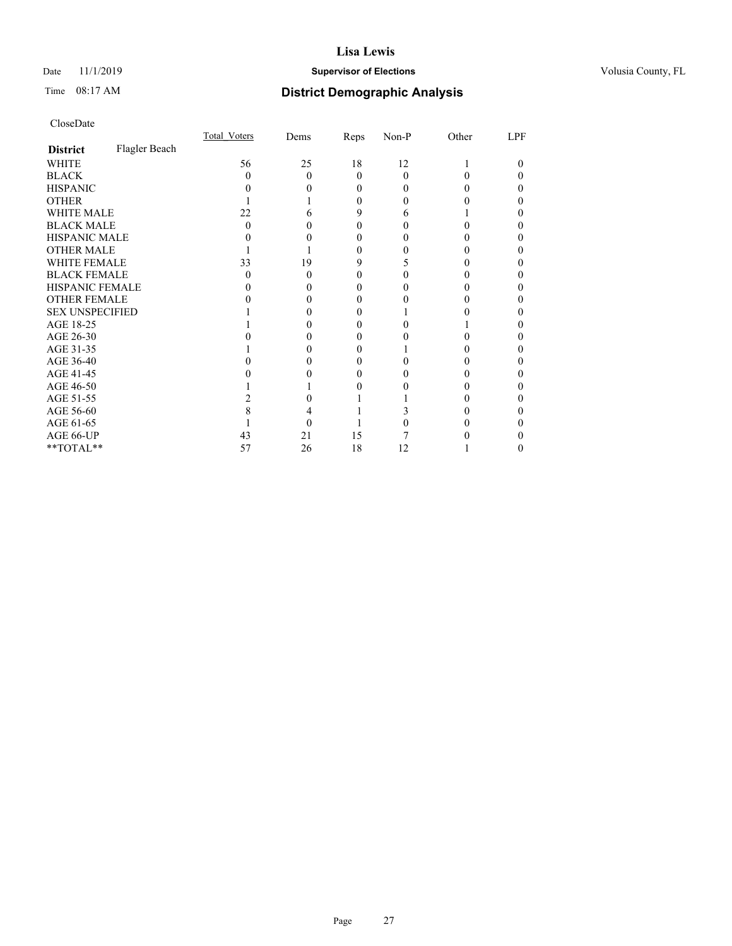## Date 11/1/2019 **Supervisor of Elections Supervisor of Elections** Volusia County, FL

# Time 08:17 AM **District Demographic Analysis**

|                        |               | Total Voters | Dems | Reps     | Non-P    | Other | LPF |
|------------------------|---------------|--------------|------|----------|----------|-------|-----|
| <b>District</b>        | Flagler Beach |              |      |          |          |       |     |
| WHITE                  |               | 56           | 25   | 18       | 12       |       | 0   |
| <b>BLACK</b>           |               | $\mathbf{0}$ | 0    | $\Omega$ | $\Omega$ |       |     |
| <b>HISPANIC</b>        |               |              |      | 0        | 0        |       |     |
| <b>OTHER</b>           |               |              |      | 0        |          |       |     |
| <b>WHITE MALE</b>      |               | 22           |      | 9        | 6        |       |     |
| <b>BLACK MALE</b>      |               | 0            |      | 0        |          |       |     |
| <b>HISPANIC MALE</b>   |               |              |      |          |          |       |     |
| <b>OTHER MALE</b>      |               |              |      | 0        |          |       |     |
| <b>WHITE FEMALE</b>    |               | 33           | 19   | 9        |          |       |     |
| <b>BLACK FEMALE</b>    |               | $\mathbf{0}$ | 0    | $\theta$ |          |       |     |
| <b>HISPANIC FEMALE</b> |               |              |      |          |          |       |     |
| <b>OTHER FEMALE</b>    |               |              |      |          |          |       |     |
| <b>SEX UNSPECIFIED</b> |               |              |      |          |          |       |     |
| AGE 18-25              |               |              |      |          |          |       |     |
| AGE 26-30              |               |              |      |          |          |       |     |
| AGE 31-35              |               |              |      |          |          |       |     |
| AGE 36-40              |               |              |      |          |          |       |     |
| AGE 41-45              |               |              |      |          |          |       |     |
| AGE 46-50              |               |              |      |          |          |       |     |
| AGE 51-55              |               |              |      |          |          |       |     |
| AGE 56-60              |               |              |      |          |          |       |     |
| AGE 61-65              |               |              |      |          |          |       |     |
| AGE 66-UP              |               | 43           | 21   | 15       |          |       |     |
| **TOTAL**              |               | 57           | 26   | 18       | 12       |       | 0   |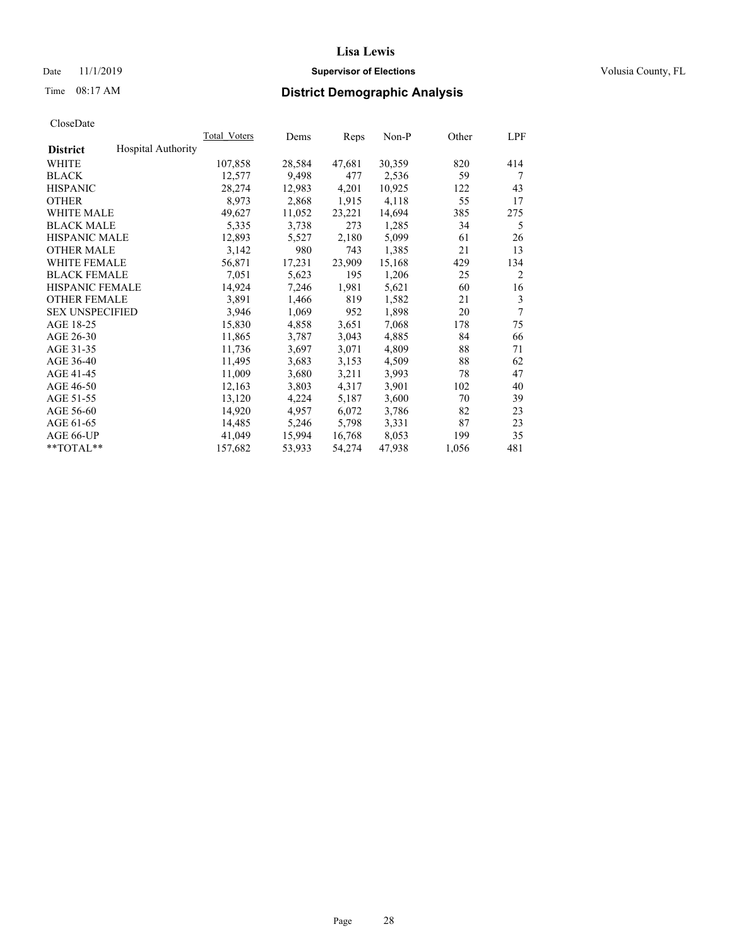## Date 11/1/2019 **Supervisor of Elections Supervisor of Elections** Volusia County, FL

# Time 08:17 AM **District Demographic Analysis**

| <b>Total Voters</b> | Dems   | Reps   | Non-P  | Other | <b>LPF</b>     |
|---------------------|--------|--------|--------|-------|----------------|
|                     |        |        |        |       |                |
| 107,858             | 28,584 | 47,681 | 30,359 | 820   | 414            |
| 12,577              | 9,498  | 477    | 2,536  | 59    | 7              |
| 28,274              | 12,983 | 4,201  | 10,925 | 122   | 43             |
| 8,973               | 2,868  | 1,915  | 4,118  | 55    | 17             |
| 49,627              | 11,052 | 23,221 | 14,694 | 385   | 275            |
| 5,335               | 3,738  | 273    | 1,285  | 34    | 5              |
| 12,893              | 5,527  | 2,180  | 5,099  | 61    | 26             |
| 3,142               | 980    | 743    | 1,385  | 21    | 13             |
| 56,871              | 17,231 | 23,909 | 15,168 | 429   | 134            |
| 7,051               | 5,623  | 195    | 1,206  | 25    | $\overline{2}$ |
| 14,924              | 7,246  | 1,981  | 5,621  | 60    | 16             |
| 3,891               | 1,466  | 819    | 1,582  | 21    | 3              |
| 3,946               | 1,069  | 952    | 1,898  | 20    | 7              |
| 15,830              | 4,858  | 3,651  | 7,068  | 178   | 75             |
| 11,865              | 3,787  | 3,043  | 4,885  | 84    | 66             |
| 11,736              | 3,697  | 3,071  | 4,809  | 88    | 71             |
| 11,495              | 3,683  | 3,153  | 4,509  | 88    | 62             |
| 11,009              | 3,680  | 3,211  | 3,993  | 78    | 47             |
| 12,163              | 3,803  | 4,317  | 3,901  | 102   | 40             |
| 13,120              | 4,224  | 5,187  | 3,600  | 70    | 39             |
| 14,920              | 4,957  | 6,072  | 3,786  | 82    | 23             |
| 14,485              | 5,246  | 5,798  | 3,331  | 87    | 23             |
| 41,049              | 15,994 | 16,768 | 8,053  | 199   | 35             |
| 157,682             | 53,933 | 54,274 | 47,938 | 1,056 | 481            |
|                     |        |        |        |       |                |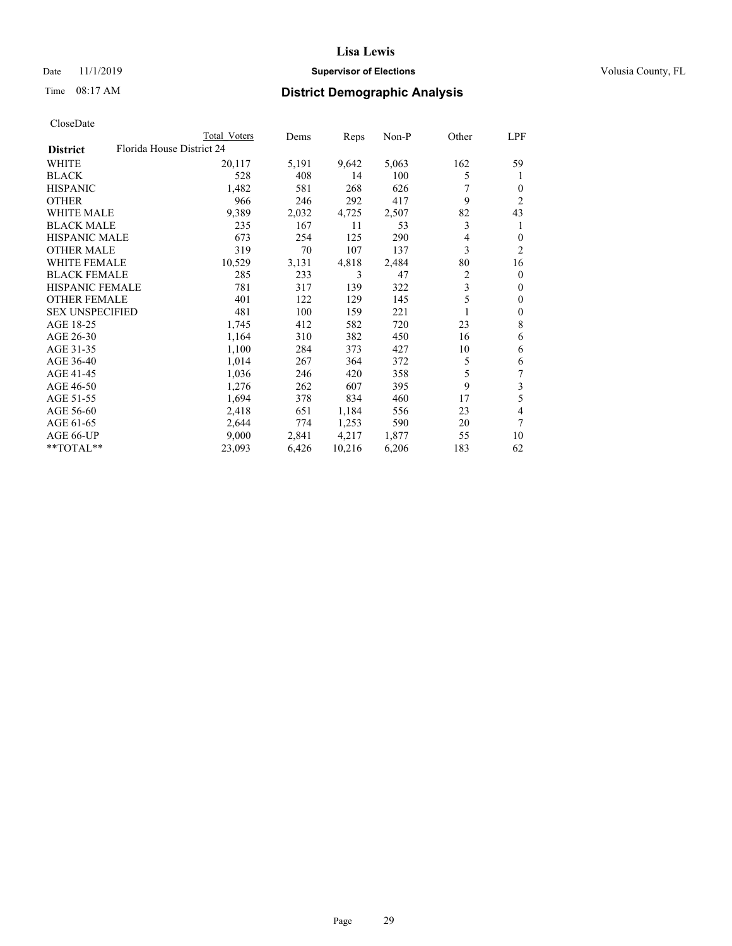## Date 11/1/2019 **Supervisor of Elections Supervisor of Elections** Volusia County, FL

| CloseDate |
|-----------|
|-----------|

|                                              | Total Voters | Dems  | Reps   | Non-P | Other          | LPF              |
|----------------------------------------------|--------------|-------|--------|-------|----------------|------------------|
| Florida House District 24<br><b>District</b> |              |       |        |       |                |                  |
| WHITE                                        | 20,117       | 5,191 | 9,642  | 5,063 | 162            | 59               |
| <b>BLACK</b>                                 | 528          | 408   | 14     | 100   | 5              | 1                |
| <b>HISPANIC</b>                              | 1,482        | 581   | 268    | 626   |                | 0                |
| <b>OTHER</b>                                 | 966          | 246   | 292    | 417   | 9              | $\overline{2}$   |
| <b>WHITE MALE</b>                            | 9,389        | 2,032 | 4,725  | 2,507 | 82             | 43               |
| <b>BLACK MALE</b>                            | 235          | 167   | 11     | 53    | 3              | 1                |
| <b>HISPANIC MALE</b>                         | 673          | 254   | 125    | 290   | 4              | 0                |
| <b>OTHER MALE</b>                            | 319          | 70    | 107    | 137   | 3              | $\overline{2}$   |
| <b>WHITE FEMALE</b>                          | 10,529       | 3,131 | 4,818  | 2,484 | 80             | 16               |
| <b>BLACK FEMALE</b>                          | 285          | 233   | 3      | 47    | $\overline{2}$ | $\mathbf{0}$     |
| <b>HISPANIC FEMALE</b>                       | 781          | 317   | 139    | 322   | 3              | $\mathbf{0}$     |
| <b>OTHER FEMALE</b>                          | 401          | 122   | 129    | 145   | 5              | $\theta$         |
| <b>SEX UNSPECIFIED</b>                       | 481          | 100   | 159    | 221   | 1              | $\boldsymbol{0}$ |
| AGE 18-25                                    | 1,745        | 412   | 582    | 720   | 23             | 8                |
| AGE 26-30                                    | 1,164        | 310   | 382    | 450   | 16             | 6                |
| AGE 31-35                                    | 1,100        | 284   | 373    | 427   | 10             | 6                |
| AGE 36-40                                    | 1,014        | 267   | 364    | 372   | 5              | 6                |
| AGE 41-45                                    | 1,036        | 246   | 420    | 358   | 5              | 7                |
| AGE 46-50                                    | 1,276        | 262   | 607    | 395   | 9              | $\mathfrak{Z}$   |
| AGE 51-55                                    | 1,694        | 378   | 834    | 460   | 17             | 5                |
| AGE 56-60                                    | 2,418        | 651   | 1,184  | 556   | 23             | 4                |
| AGE 61-65                                    | 2,644        | 774   | 1,253  | 590   | 20             | 7                |
| AGE 66-UP                                    | 9,000        | 2,841 | 4,217  | 1,877 | 55             | 10               |
| **TOTAL**                                    | 23,093       | 6,426 | 10,216 | 6,206 | 183            | 62               |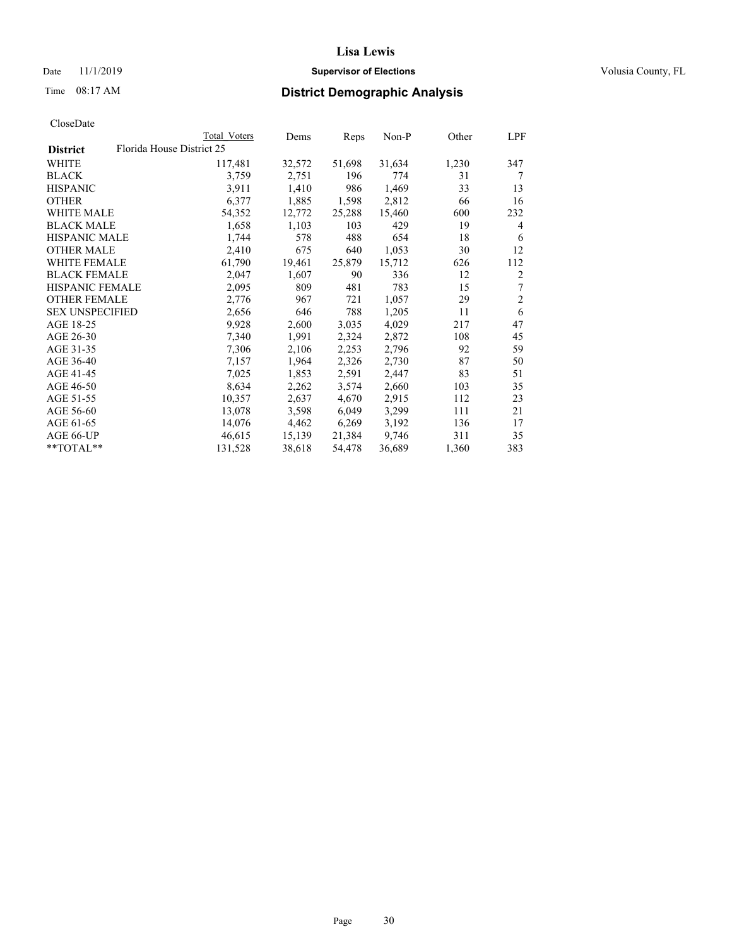## Date 11/1/2019 **Supervisor of Elections Supervisor of Elections** Volusia County, FL

|                        |                           | Total Voters | Dems   | Reps   | $Non-P$ | Other | LPF            |
|------------------------|---------------------------|--------------|--------|--------|---------|-------|----------------|
| <b>District</b>        | Florida House District 25 |              |        |        |         |       |                |
| WHITE                  |                           | 117,481      | 32,572 | 51,698 | 31,634  | 1,230 | 347            |
| <b>BLACK</b>           |                           | 3,759        | 2,751  | 196    | 774     | 31    | 7              |
| <b>HISPANIC</b>        |                           | 3,911        | 1,410  | 986    | 1,469   | 33    | 13             |
| <b>OTHER</b>           |                           | 6,377        | 1,885  | 1,598  | 2,812   | 66    | 16             |
| <b>WHITE MALE</b>      |                           | 54,352       | 12,772 | 25,288 | 15,460  | 600   | 232            |
| <b>BLACK MALE</b>      |                           | 1,658        | 1,103  | 103    | 429     | 19    | 4              |
| <b>HISPANIC MALE</b>   |                           | 1,744        | 578    | 488    | 654     | 18    | 6              |
| <b>OTHER MALE</b>      |                           | 2,410        | 675    | 640    | 1,053   | 30    | 12             |
| <b>WHITE FEMALE</b>    |                           | 61,790       | 19,461 | 25,879 | 15,712  | 626   | 112            |
| <b>BLACK FEMALE</b>    |                           | 2,047        | 1,607  | 90     | 336     | 12    | 2              |
| <b>HISPANIC FEMALE</b> |                           | 2,095        | 809    | 481    | 783     | 15    | 7              |
| <b>OTHER FEMALE</b>    |                           | 2,776        | 967    | 721    | 1,057   | 29    | $\overline{c}$ |
| <b>SEX UNSPECIFIED</b> |                           | 2,656        | 646    | 788    | 1,205   | 11    | 6              |
| AGE 18-25              |                           | 9,928        | 2,600  | 3,035  | 4,029   | 217   | 47             |
| AGE 26-30              |                           | 7,340        | 1,991  | 2,324  | 2,872   | 108   | 45             |
| AGE 31-35              |                           | 7,306        | 2,106  | 2,253  | 2,796   | 92    | 59             |
| AGE 36-40              |                           | 7,157        | 1,964  | 2,326  | 2,730   | 87    | 50             |
| AGE 41-45              |                           | 7,025        | 1,853  | 2,591  | 2,447   | 83    | 51             |
| AGE 46-50              |                           | 8,634        | 2,262  | 3,574  | 2,660   | 103   | 35             |
| AGE 51-55              |                           | 10,357       | 2,637  | 4,670  | 2,915   | 112   | 23             |
| AGE 56-60              |                           | 13,078       | 3,598  | 6,049  | 3,299   | 111   | 21             |
| AGE 61-65              |                           | 14,076       | 4,462  | 6,269  | 3,192   | 136   | 17             |
| AGE 66-UP              |                           | 46,615       | 15,139 | 21,384 | 9,746   | 311   | 35             |
| **TOTAL**              |                           | 131,528      | 38,618 | 54,478 | 36,689  | 1,360 | 383            |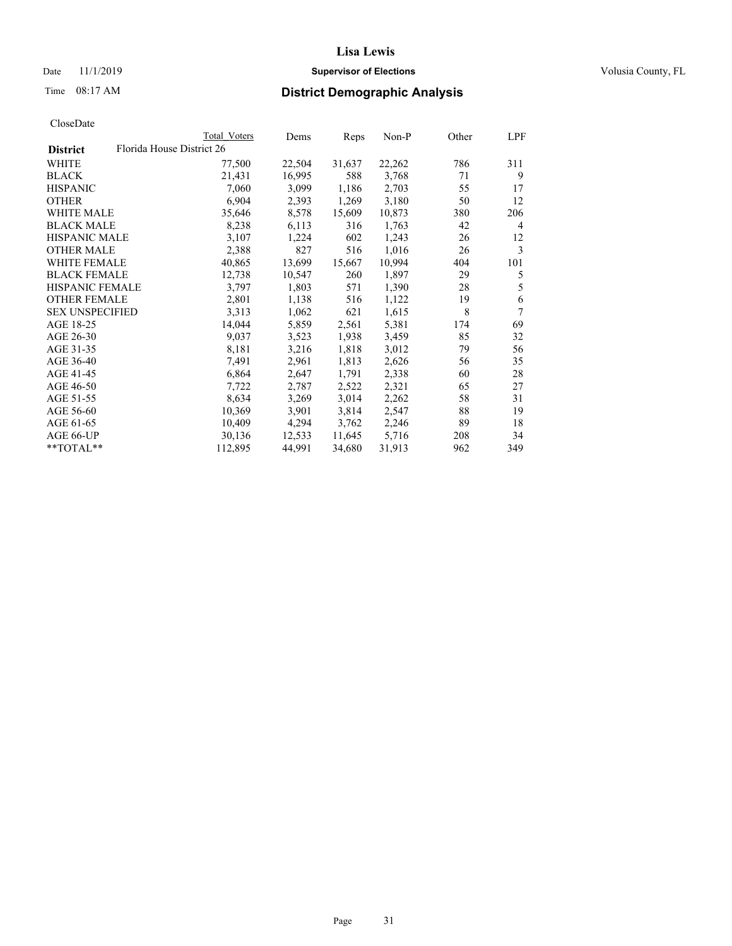## Date 11/1/2019 **Supervisor of Elections Supervisor of Elections** Volusia County, FL

|                        |                           | Total Voters | Dems   | Reps   | Non-P  | Other | LPF    |
|------------------------|---------------------------|--------------|--------|--------|--------|-------|--------|
| <b>District</b>        | Florida House District 26 |              |        |        |        |       |        |
| WHITE                  |                           | 77,500       | 22,504 | 31,637 | 22,262 | 786   | 311    |
| BLACK                  |                           | 21,431       | 16,995 | 588    | 3,768  | 71    | 9      |
| <b>HISPANIC</b>        |                           | 7,060        | 3,099  | 1,186  | 2,703  | 55    | 17     |
| OTHER                  |                           | 6,904        | 2,393  | 1,269  | 3,180  | 50    | 12     |
| <b>WHITE MALE</b>      |                           | 35,646       | 8,578  | 15,609 | 10,873 | 380   | 206    |
| <b>BLACK MALE</b>      |                           | 8,238        | 6,113  | 316    | 1,763  | 42    | 4      |
| HISPANIC MALE          |                           | 3,107        | 1,224  | 602    | 1,243  | 26    | 12     |
| <b>OTHER MALE</b>      |                           | 2,388        | 827    | 516    | 1,016  | 26    | 3      |
| <b>WHITE FEMALE</b>    |                           | 40,865       | 13,699 | 15,667 | 10,994 | 404   | 101    |
| <b>BLACK FEMALE</b>    |                           | 12,738       | 10,547 | 260    | 1,897  | 29    | 5      |
| <b>HISPANIC FEMALE</b> |                           | 3,797        | 1,803  | 571    | 1,390  | 28    | 5      |
| <b>OTHER FEMALE</b>    |                           | 2,801        | 1,138  | 516    | 1,122  | 19    | 6      |
| <b>SEX UNSPECIFIED</b> |                           | 3,313        | 1,062  | 621    | 1,615  | 8     | $\tau$ |
| AGE 18-25              |                           | 14,044       | 5,859  | 2,561  | 5,381  | 174   | 69     |
| AGE 26-30              |                           | 9,037        | 3,523  | 1,938  | 3,459  | 85    | 32     |
| AGE 31-35              |                           | 8,181        | 3,216  | 1,818  | 3,012  | 79    | 56     |
| AGE 36-40              |                           | 7,491        | 2,961  | 1,813  | 2,626  | 56    | 35     |
| AGE 41-45              |                           | 6,864        | 2,647  | 1,791  | 2,338  | 60    | 28     |
| AGE 46-50              |                           | 7,722        | 2,787  | 2,522  | 2,321  | 65    | 27     |
| AGE 51-55              |                           | 8,634        | 3,269  | 3,014  | 2,262  | 58    | 31     |
| AGE 56-60              |                           | 10,369       | 3,901  | 3,814  | 2,547  | 88    | 19     |
| AGE 61-65              |                           | 10,409       | 4,294  | 3,762  | 2,246  | 89    | 18     |
| AGE 66-UP              |                           | 30,136       | 12,533 | 11,645 | 5,716  | 208   | 34     |
| **TOTAL**              |                           | 112,895      | 44,991 | 34,680 | 31,913 | 962   | 349    |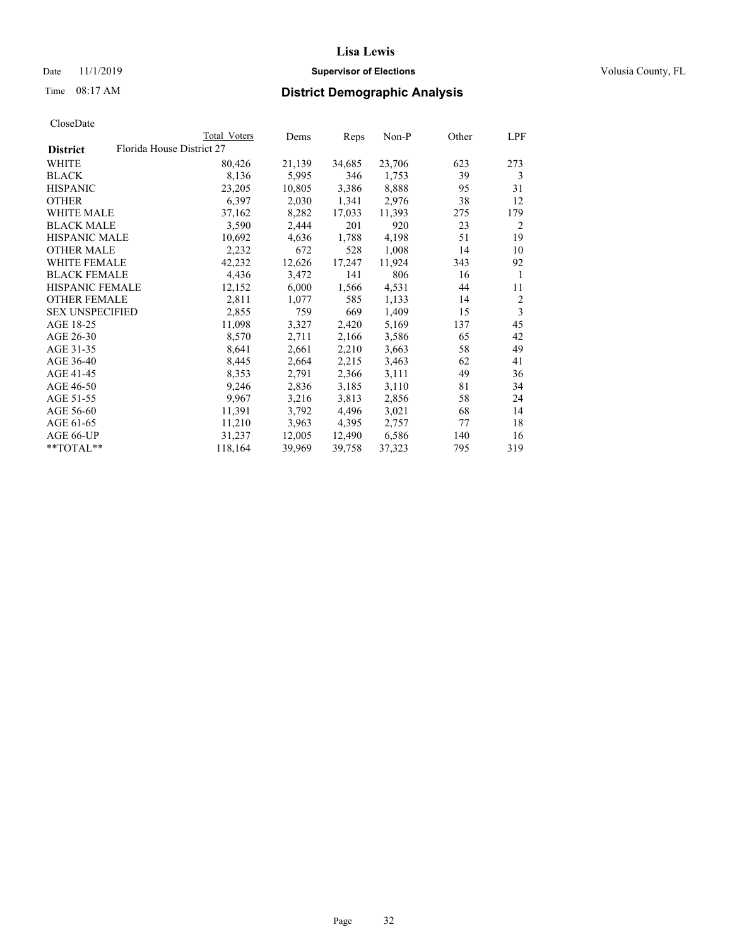## Date 11/1/2019 **Supervisor of Elections Supervisor of Elections** Volusia County, FL

|                        |                           | Total Voters | Dems   | Reps   | Non-P  | Other | LPF            |
|------------------------|---------------------------|--------------|--------|--------|--------|-------|----------------|
| <b>District</b>        | Florida House District 27 |              |        |        |        |       |                |
| WHITE                  |                           | 80,426       | 21,139 | 34,685 | 23,706 | 623   | 273            |
| <b>BLACK</b>           |                           | 8,136        | 5,995  | 346    | 1,753  | 39    | 3              |
| <b>HISPANIC</b>        |                           | 23,205       | 10,805 | 3,386  | 8,888  | 95    | 31             |
| OTHER                  |                           | 6,397        | 2,030  | 1,341  | 2,976  | 38    | 12             |
| WHITE MALE             |                           | 37,162       | 8,282  | 17,033 | 11,393 | 275   | 179            |
| <b>BLACK MALE</b>      |                           | 3,590        | 2,444  | 201    | 920    | 23    | 2              |
| HISPANIC MALE          |                           | 10,692       | 4,636  | 1,788  | 4,198  | 51    | 19             |
| OTHER MALE             |                           | 2,232        | 672    | 528    | 1,008  | 14    | 10             |
| <b>WHITE FEMALE</b>    |                           | 42,232       | 12,626 | 17,247 | 11,924 | 343   | 92             |
| <b>BLACK FEMALE</b>    |                           | 4,436        | 3,472  | 141    | 806    | 16    | 1              |
| HISPANIC FEMALE        |                           | 12,152       | 6,000  | 1,566  | 4,531  | 44    | 11             |
| <b>OTHER FEMALE</b>    |                           | 2,811        | 1,077  | 585    | 1,133  | 14    | $\overline{c}$ |
| <b>SEX UNSPECIFIED</b> |                           | 2,855        | 759    | 669    | 1,409  | 15    | 3              |
| AGE 18-25              |                           | 11,098       | 3,327  | 2,420  | 5,169  | 137   | 45             |
| AGE 26-30              |                           | 8,570        | 2,711  | 2,166  | 3,586  | 65    | 42             |
| AGE 31-35              |                           | 8,641        | 2,661  | 2,210  | 3,663  | 58    | 49             |
| AGE 36-40              |                           | 8,445        | 2,664  | 2,215  | 3,463  | 62    | 41             |
| AGE 41-45              |                           | 8,353        | 2,791  | 2,366  | 3,111  | 49    | 36             |
| AGE 46-50              |                           | 9,246        | 2,836  | 3,185  | 3,110  | 81    | 34             |
| AGE 51-55              |                           | 9,967        | 3,216  | 3,813  | 2,856  | 58    | 24             |
| AGE 56-60              |                           | 11,391       | 3,792  | 4,496  | 3,021  | 68    | 14             |
| AGE 61-65              |                           | 11,210       | 3,963  | 4,395  | 2,757  | 77    | 18             |
| AGE 66-UP              |                           | 31,237       | 12,005 | 12,490 | 6,586  | 140   | 16             |
| **TOTAL**              |                           | 118,164      | 39,969 | 39,758 | 37,323 | 795   | 319            |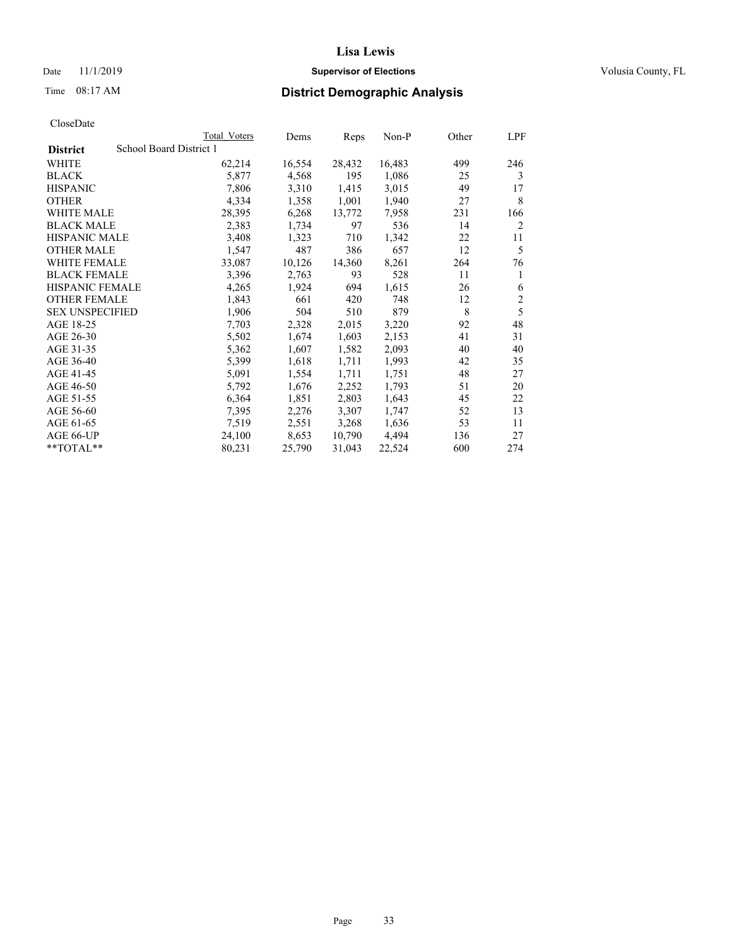## Date 11/1/2019 **Supervisor of Elections Supervisor of Elections** Volusia County, FL

# Time 08:17 AM **District Demographic Analysis**

|                        |                         | Total Voters | Dems   | Reps   | Non-P  | Other | LPF            |
|------------------------|-------------------------|--------------|--------|--------|--------|-------|----------------|
| <b>District</b>        | School Board District 1 |              |        |        |        |       |                |
| WHITE                  |                         | 62,214       | 16,554 | 28,432 | 16,483 | 499   | 246            |
| <b>BLACK</b>           |                         | 5,877        | 4,568  | 195    | 1,086  | 25    | 3              |
| <b>HISPANIC</b>        |                         | 7,806        | 3,310  | 1,415  | 3,015  | 49    | 17             |
| <b>OTHER</b>           |                         | 4,334        | 1,358  | 1,001  | 1,940  | 27    | 8              |
| WHITE MALE             |                         | 28,395       | 6,268  | 13,772 | 7,958  | 231   | 166            |
| <b>BLACK MALE</b>      |                         | 2,383        | 1,734  | 97     | 536    | 14    | 2              |
| <b>HISPANIC MALE</b>   |                         | 3,408        | 1,323  | 710    | 1,342  | 22    | 11             |
| <b>OTHER MALE</b>      |                         | 1,547        | 487    | 386    | 657    | 12    | 5              |
| WHITE FEMALE           |                         | 33,087       | 10,126 | 14,360 | 8,261  | 264   | 76             |
| <b>BLACK FEMALE</b>    |                         | 3,396        | 2,763  | 93     | 528    | 11    | 1              |
| <b>HISPANIC FEMALE</b> |                         | 4,265        | 1,924  | 694    | 1,615  | 26    | 6              |
| <b>OTHER FEMALE</b>    |                         | 1,843        | 661    | 420    | 748    | 12    | $\mathfrak{2}$ |
| <b>SEX UNSPECIFIED</b> |                         | 1,906        | 504    | 510    | 879    | 8     | 5              |
| AGE 18-25              |                         | 7,703        | 2,328  | 2,015  | 3,220  | 92    | 48             |
| AGE 26-30              |                         | 5,502        | 1,674  | 1,603  | 2,153  | 41    | 31             |
| AGE 31-35              |                         | 5,362        | 1,607  | 1,582  | 2,093  | 40    | 40             |
| AGE 36-40              |                         | 5,399        | 1,618  | 1,711  | 1,993  | 42    | 35             |
| AGE 41-45              |                         | 5,091        | 1,554  | 1,711  | 1,751  | 48    | 27             |
| AGE 46-50              |                         | 5,792        | 1,676  | 2,252  | 1,793  | 51    | 20             |
| AGE 51-55              |                         | 6,364        | 1,851  | 2,803  | 1,643  | 45    | 22             |
| AGE 56-60              |                         | 7,395        | 2,276  | 3,307  | 1,747  | 52    | 13             |
| AGE 61-65              |                         | 7,519        | 2,551  | 3,268  | 1,636  | 53    | 11             |
| AGE 66-UP              |                         | 24,100       | 8,653  | 10,790 | 4,494  | 136   | 27             |
| $*$ $TOTAL**$          |                         | 80,231       | 25,790 | 31,043 | 22,524 | 600   | 274            |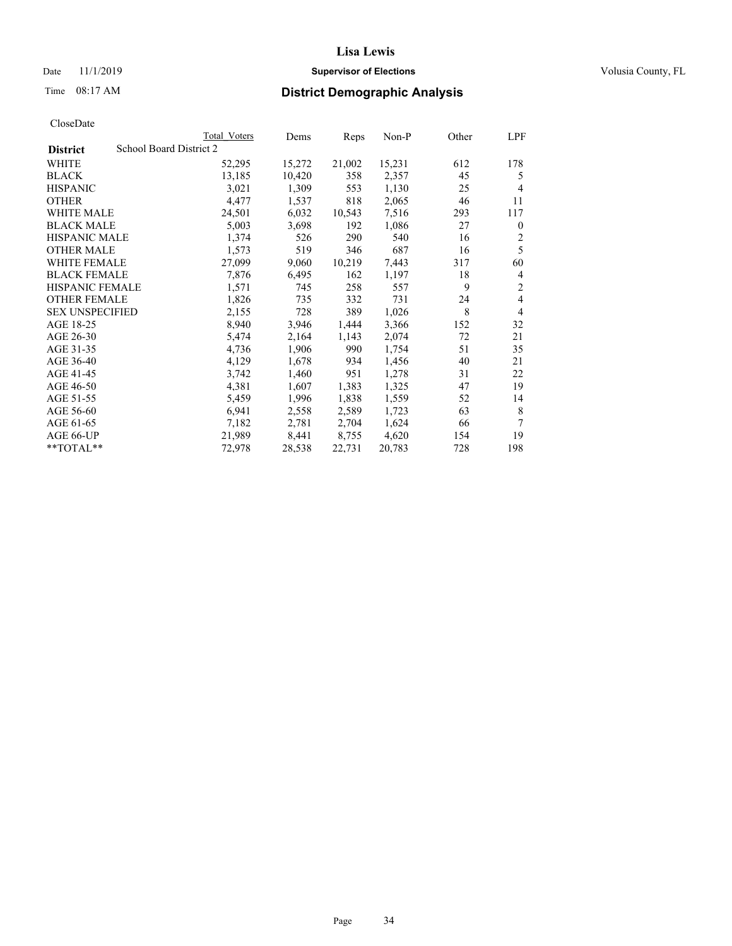## Date 11/1/2019 **Supervisor of Elections Supervisor of Elections** Volusia County, FL

# Time 08:17 AM **District Demographic Analysis**

|                        |                         | Total Voters | Dems   | Reps   | $Non-P$ | Other | LPF            |
|------------------------|-------------------------|--------------|--------|--------|---------|-------|----------------|
| <b>District</b>        | School Board District 2 |              |        |        |         |       |                |
| WHITE                  |                         | 52,295       | 15,272 | 21,002 | 15,231  | 612   | 178            |
| <b>BLACK</b>           |                         | 13,185       | 10,420 | 358    | 2,357   | 45    | 5              |
| <b>HISPANIC</b>        |                         | 3,021        | 1,309  | 553    | 1,130   | 25    | $\overline{4}$ |
| <b>OTHER</b>           |                         | 4,477        | 1,537  | 818    | 2,065   | 46    | 11             |
| WHITE MALE             |                         | 24,501       | 6,032  | 10,543 | 7,516   | 293   | 117            |
| <b>BLACK MALE</b>      |                         | 5,003        | 3,698  | 192    | 1,086   | 27    | $\mathbf{0}$   |
| <b>HISPANIC MALE</b>   |                         | 1,374        | 526    | 290    | 540     | 16    | 2              |
| <b>OTHER MALE</b>      |                         | 1,573        | 519    | 346    | 687     | 16    | 5              |
| <b>WHITE FEMALE</b>    |                         | 27,099       | 9,060  | 10,219 | 7,443   | 317   | 60             |
| <b>BLACK FEMALE</b>    |                         | 7,876        | 6,495  | 162    | 1,197   | 18    | 4              |
| HISPANIC FEMALE        |                         | 1,571        | 745    | 258    | 557     | 9     | $\overline{2}$ |
| <b>OTHER FEMALE</b>    |                         | 1,826        | 735    | 332    | 731     | 24    | 4              |
| <b>SEX UNSPECIFIED</b> |                         | 2,155        | 728    | 389    | 1,026   | 8     | $\overline{4}$ |
| AGE 18-25              |                         | 8,940        | 3,946  | 1,444  | 3,366   | 152   | 32             |
| AGE 26-30              |                         | 5,474        | 2,164  | 1,143  | 2,074   | 72    | 21             |
| AGE 31-35              |                         | 4,736        | 1,906  | 990    | 1,754   | 51    | 35             |
| AGE 36-40              |                         | 4,129        | 1,678  | 934    | 1,456   | 40    | 21             |
| AGE 41-45              |                         | 3,742        | 1,460  | 951    | 1,278   | 31    | 22             |
| AGE 46-50              |                         | 4,381        | 1,607  | 1,383  | 1,325   | 47    | 19             |
| AGE 51-55              |                         | 5,459        | 1,996  | 1,838  | 1,559   | 52    | 14             |
| AGE 56-60              |                         | 6,941        | 2,558  | 2,589  | 1,723   | 63    | 8              |
| AGE 61-65              |                         | 7,182        | 2,781  | 2,704  | 1,624   | 66    | 7              |
| AGE 66-UP              |                         | 21,989       | 8,441  | 8,755  | 4,620   | 154   | 19             |
| $*$ $TOTAL**$          |                         | 72,978       | 28,538 | 22,731 | 20,783  | 728   | 198            |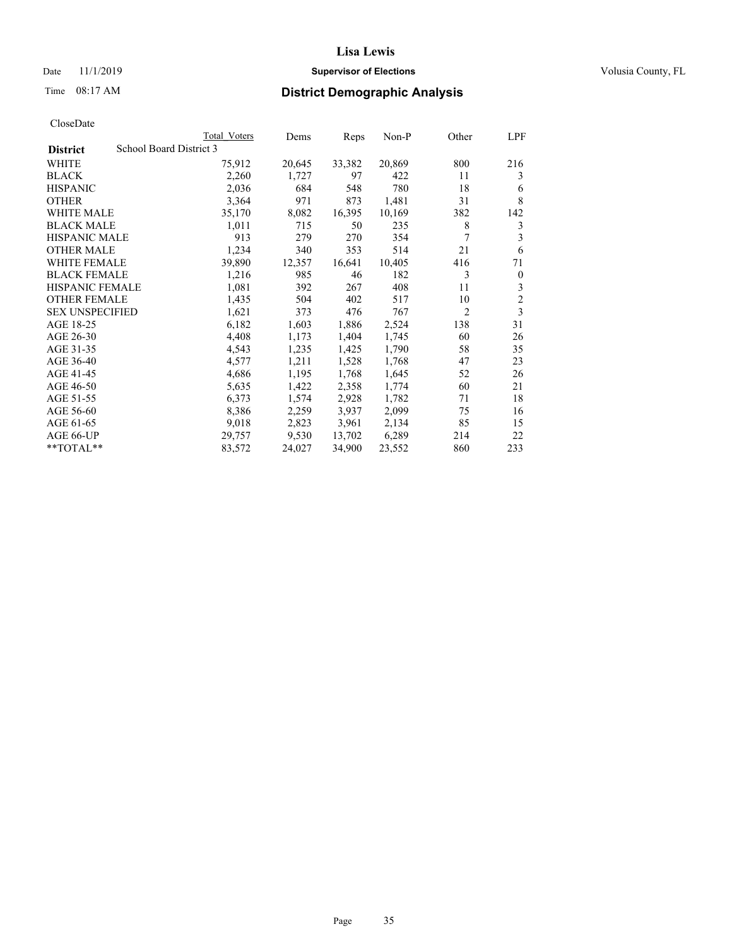## Date 11/1/2019 **Supervisor of Elections Supervisor of Elections** Volusia County, FL

# Time 08:17 AM **District Demographic Analysis**

|                        | Total Voters            | Dems   | Reps   | Non-P  | Other          | LPF            |
|------------------------|-------------------------|--------|--------|--------|----------------|----------------|
| <b>District</b>        | School Board District 3 |        |        |        |                |                |
| WHITE                  | 75,912                  | 20,645 | 33,382 | 20,869 | 800            | 216            |
| <b>BLACK</b>           | 2,260                   | 1,727  | 97     | 422    | 11             | 3              |
| <b>HISPANIC</b>        | 2,036                   | 684    | 548    | 780    | 18             | 6              |
| <b>OTHER</b>           | 3,364                   | 971    | 873    | 1,481  | 31             | 8              |
| WHITE MALE             | 35,170                  | 8,082  | 16,395 | 10,169 | 382            | 142            |
| <b>BLACK MALE</b>      | 1,011                   | 715    | 50     | 235    | 8              | 3              |
| <b>HISPANIC MALE</b>   | 913                     | 279    | 270    | 354    | 7              | 3              |
| <b>OTHER MALE</b>      | 1,234                   | 340    | 353    | 514    | 21             | 6              |
| <b>WHITE FEMALE</b>    | 39,890                  | 12,357 | 16,641 | 10,405 | 416            | 71             |
| <b>BLACK FEMALE</b>    | 1,216                   | 985    | 46     | 182    | 3              | $\mathbf{0}$   |
| <b>HISPANIC FEMALE</b> | 1,081                   | 392    | 267    | 408    | 11             | 3              |
| <b>OTHER FEMALE</b>    | 1,435                   | 504    | 402    | 517    | 10             | $\overline{c}$ |
| <b>SEX UNSPECIFIED</b> | 1,621                   | 373    | 476    | 767    | $\overline{2}$ | 3              |
| AGE 18-25              | 6,182                   | 1,603  | 1,886  | 2,524  | 138            | 31             |
| AGE 26-30              | 4,408                   | 1,173  | 1,404  | 1,745  | 60             | 26             |
| AGE 31-35              | 4,543                   | 1,235  | 1,425  | 1,790  | 58             | 35             |
| AGE 36-40              | 4,577                   | 1,211  | 1,528  | 1,768  | 47             | 23             |
| AGE 41-45              | 4,686                   | 1,195  | 1,768  | 1,645  | 52             | 26             |
| AGE 46-50              | 5,635                   | 1,422  | 2,358  | 1,774  | 60             | 21             |
| AGE 51-55              | 6,373                   | 1,574  | 2,928  | 1,782  | 71             | 18             |
| AGE 56-60              | 8,386                   | 2,259  | 3,937  | 2,099  | 75             | 16             |
| AGE 61-65              | 9,018                   | 2,823  | 3,961  | 2,134  | 85             | 15             |
| AGE 66-UP              | 29,757                  | 9,530  | 13,702 | 6,289  | 214            | 22             |
| $*$ TOTAL $*$          | 83,572                  | 24,027 | 34,900 | 23,552 | 860            | 233            |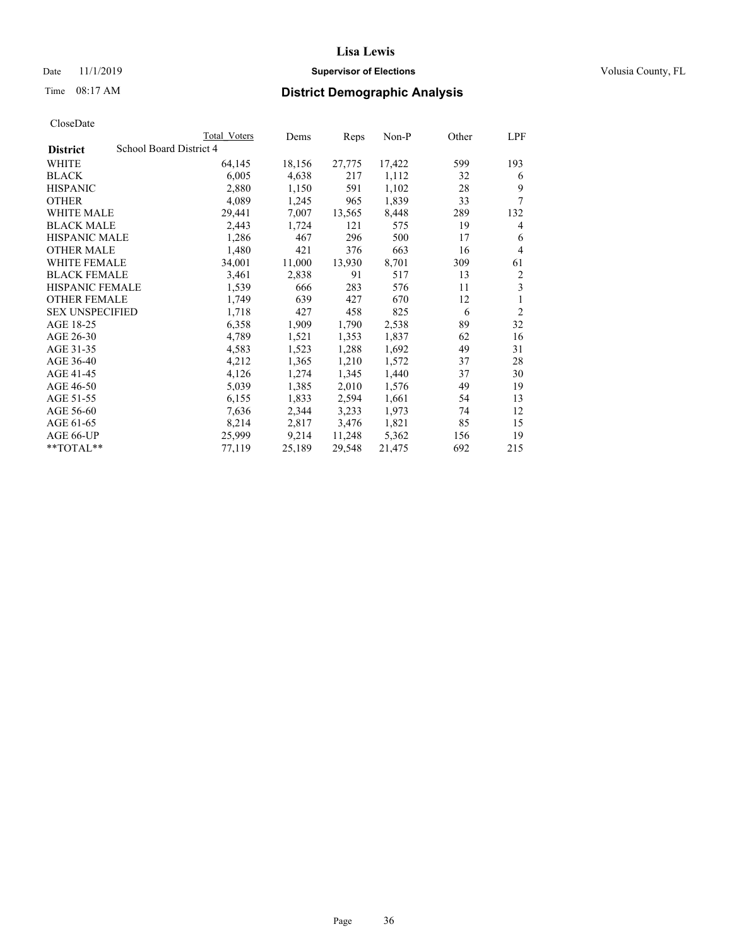## Date 11/1/2019 **Supervisor of Elections Supervisor of Elections** Volusia County, FL

# Time 08:17 AM **District Demographic Analysis**

|                        |                         | Total Voters | Dems   | Reps   | Non-P  | Other | LPF            |
|------------------------|-------------------------|--------------|--------|--------|--------|-------|----------------|
| <b>District</b>        | School Board District 4 |              |        |        |        |       |                |
| WHITE                  |                         | 64,145       | 18,156 | 27,775 | 17,422 | 599   | 193            |
| <b>BLACK</b>           |                         | 6,005        | 4,638  | 217    | 1,112  | 32    | 6              |
| <b>HISPANIC</b>        |                         | 2,880        | 1,150  | 591    | 1,102  | 28    | 9              |
| <b>OTHER</b>           |                         | 4,089        | 1,245  | 965    | 1,839  | 33    | 7              |
| WHITE MALE             |                         | 29,441       | 7,007  | 13,565 | 8,448  | 289   | 132            |
| <b>BLACK MALE</b>      |                         | 2,443        | 1,724  | 121    | 575    | 19    | 4              |
| <b>HISPANIC MALE</b>   |                         | 1,286        | 467    | 296    | 500    | 17    | 6              |
| <b>OTHER MALE</b>      |                         | 1,480        | 421    | 376    | 663    | 16    | 4              |
| WHITE FEMALE           |                         | 34,001       | 11,000 | 13,930 | 8,701  | 309   | 61             |
| <b>BLACK FEMALE</b>    |                         | 3,461        | 2,838  | 91     | 517    | 13    | 2              |
| <b>HISPANIC FEMALE</b> |                         | 1,539        | 666    | 283    | 576    | 11    | 3              |
| <b>OTHER FEMALE</b>    |                         | 1,749        | 639    | 427    | 670    | 12    | 1              |
| <b>SEX UNSPECIFIED</b> |                         | 1,718        | 427    | 458    | 825    | 6     | $\overline{2}$ |
| AGE 18-25              |                         | 6,358        | 1,909  | 1,790  | 2,538  | 89    | 32             |
| AGE 26-30              |                         | 4,789        | 1,521  | 1,353  | 1,837  | 62    | 16             |
| AGE 31-35              |                         | 4,583        | 1,523  | 1,288  | 1,692  | 49    | 31             |
| AGE 36-40              |                         | 4,212        | 1,365  | 1,210  | 1,572  | 37    | 28             |
| AGE 41-45              |                         | 4,126        | 1,274  | 1,345  | 1,440  | 37    | 30             |
| AGE 46-50              |                         | 5,039        | 1,385  | 2,010  | 1,576  | 49    | 19             |
| AGE 51-55              |                         | 6,155        | 1,833  | 2,594  | 1,661  | 54    | 13             |
| AGE 56-60              |                         | 7,636        | 2,344  | 3,233  | 1,973  | 74    | 12             |
| AGE 61-65              |                         | 8,214        | 2,817  | 3,476  | 1,821  | 85    | 15             |
| AGE 66-UP              |                         | 25,999       | 9,214  | 11,248 | 5,362  | 156   | 19             |
| **TOTAL**              |                         | 77,119       | 25,189 | 29,548 | 21,475 | 692   | 215            |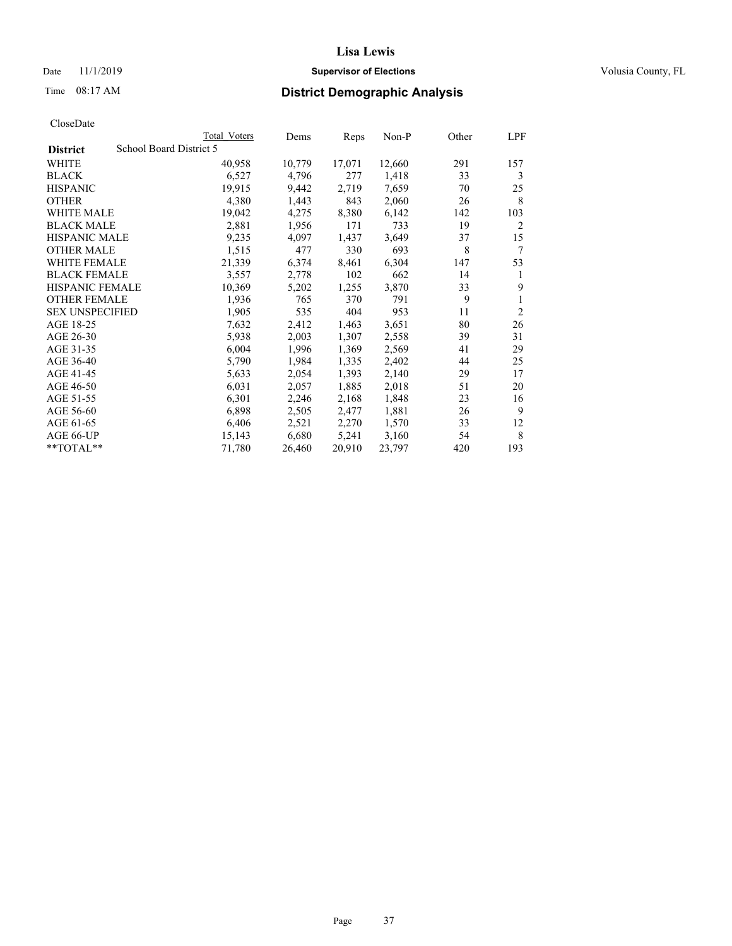## Date 11/1/2019 **Supervisor of Elections Supervisor of Elections** Volusia County, FL

# Time 08:17 AM **District Demographic Analysis**

|                        | Total Voters            | Dems   | Reps   | Non-P  | Other | LPF            |
|------------------------|-------------------------|--------|--------|--------|-------|----------------|
| <b>District</b>        | School Board District 5 |        |        |        |       |                |
| WHITE                  | 40,958                  | 10,779 | 17,071 | 12,660 | 291   | 157            |
| <b>BLACK</b>           | 6,527                   | 4,796  | 277    | 1,418  | 33    | 3              |
| <b>HISPANIC</b>        | 19,915                  | 9,442  | 2,719  | 7,659  | 70    | 25             |
| <b>OTHER</b>           | 4,380                   | 1,443  | 843    | 2,060  | 26    | 8              |
| WHITE MALE             | 19,042                  | 4,275  | 8,380  | 6,142  | 142   | 103            |
| <b>BLACK MALE</b>      | 2,881                   | 1,956  | 171    | 733    | 19    | 2              |
| <b>HISPANIC MALE</b>   | 9,235                   | 4,097  | 1,437  | 3,649  | 37    | 15             |
| <b>OTHER MALE</b>      | 1,515                   | 477    | 330    | 693    | 8     | 7              |
| WHITE FEMALE           | 21,339                  | 6,374  | 8,461  | 6,304  | 147   | 53             |
| <b>BLACK FEMALE</b>    | 3,557                   | 2,778  | 102    | 662    | 14    | 1              |
| <b>HISPANIC FEMALE</b> | 10,369                  | 5,202  | 1,255  | 3,870  | 33    | 9              |
| <b>OTHER FEMALE</b>    | 1,936                   | 765    | 370    | 791    | 9     | 1              |
| <b>SEX UNSPECIFIED</b> | 1,905                   | 535    | 404    | 953    | 11    | $\overline{2}$ |
| AGE 18-25              | 7,632                   | 2,412  | 1,463  | 3,651  | 80    | 26             |
| AGE 26-30              | 5,938                   | 2,003  | 1,307  | 2,558  | 39    | 31             |
| AGE 31-35              | 6,004                   | 1,996  | 1,369  | 2,569  | 41    | 29             |
| AGE 36-40              | 5,790                   | 1,984  | 1,335  | 2,402  | 44    | 25             |
| AGE 41-45              | 5,633                   | 2,054  | 1,393  | 2,140  | 29    | 17             |
| AGE 46-50              | 6,031                   | 2,057  | 1,885  | 2,018  | 51    | 20             |
| AGE 51-55              | 6,301                   | 2,246  | 2,168  | 1,848  | 23    | 16             |
| AGE 56-60              | 6,898                   | 2,505  | 2,477  | 1,881  | 26    | 9              |
| AGE 61-65              | 6,406                   | 2,521  | 2,270  | 1,570  | 33    | 12             |
| AGE 66-UP              | 15,143                  | 6,680  | 5,241  | 3,160  | 54    | 8              |
| $*$ $TOTAL**$          | 71,780                  | 26,460 | 20,910 | 23,797 | 420   | 193            |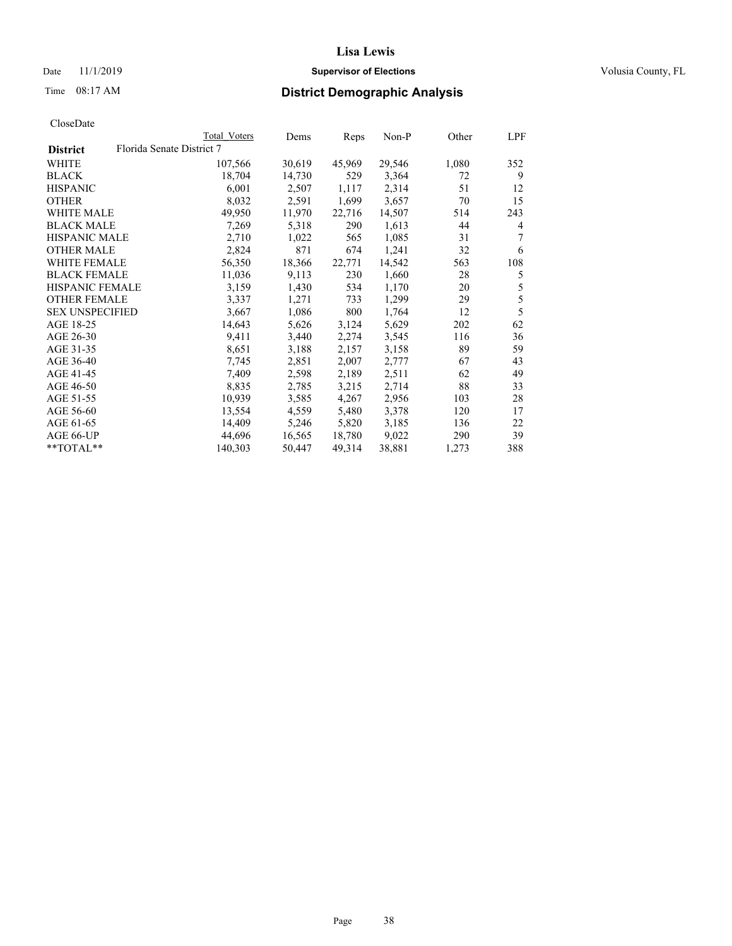## Date 11/1/2019 **Supervisor of Elections Supervisor of Elections** Volusia County, FL

# Time 08:17 AM **District Demographic Analysis**

|                        |                           | Total Voters | Dems   | Reps   | Non-P  | Other | LPF            |
|------------------------|---------------------------|--------------|--------|--------|--------|-------|----------------|
| <b>District</b>        | Florida Senate District 7 |              |        |        |        |       |                |
| WHITE                  |                           | 107,566      | 30,619 | 45,969 | 29,546 | 1,080 | 352            |
| <b>BLACK</b>           |                           | 18,704       | 14,730 | 529    | 3,364  | 72    | 9              |
| <b>HISPANIC</b>        |                           | 6,001        | 2,507  | 1,117  | 2,314  | 51    | 12             |
| <b>OTHER</b>           |                           | 8,032        | 2,591  | 1,699  | 3,657  | 70    | 15             |
| <b>WHITE MALE</b>      |                           | 49,950       | 11,970 | 22,716 | 14,507 | 514   | 243            |
| <b>BLACK MALE</b>      |                           | 7,269        | 5,318  | 290    | 1,613  | 44    | $\overline{4}$ |
| <b>HISPANIC MALE</b>   |                           | 2,710        | 1,022  | 565    | 1,085  | 31    | 7              |
| <b>OTHER MALE</b>      |                           | 2,824        | 871    | 674    | 1,241  | 32    | 6              |
| <b>WHITE FEMALE</b>    |                           | 56,350       | 18,366 | 22,771 | 14,542 | 563   | 108            |
| <b>BLACK FEMALE</b>    |                           | 11,036       | 9,113  | 230    | 1,660  | 28    | 5              |
| <b>HISPANIC FEMALE</b> |                           | 3,159        | 1,430  | 534    | 1,170  | 20    | $\mathfrak s$  |
| <b>OTHER FEMALE</b>    |                           | 3,337        | 1,271  | 733    | 1,299  | 29    | $\mathfrak s$  |
| <b>SEX UNSPECIFIED</b> |                           | 3,667        | 1,086  | 800    | 1,764  | 12    | 5              |
| AGE 18-25              |                           | 14,643       | 5,626  | 3,124  | 5,629  | 202   | 62             |
| AGE 26-30              |                           | 9,411        | 3,440  | 2,274  | 3,545  | 116   | 36             |
| AGE 31-35              |                           | 8,651        | 3,188  | 2,157  | 3,158  | 89    | 59             |
| AGE 36-40              |                           | 7,745        | 2,851  | 2,007  | 2,777  | 67    | 43             |
| AGE 41-45              |                           | 7,409        | 2,598  | 2,189  | 2,511  | 62    | 49             |
| AGE 46-50              |                           | 8,835        | 2,785  | 3,215  | 2,714  | 88    | 33             |
| AGE 51-55              |                           | 10,939       | 3,585  | 4,267  | 2,956  | 103   | 28             |
| AGE 56-60              |                           | 13,554       | 4,559  | 5,480  | 3,378  | 120   | 17             |
| AGE 61-65              |                           | 14,409       | 5,246  | 5,820  | 3,185  | 136   | 22             |
| AGE 66-UP              |                           | 44,696       | 16,565 | 18,780 | 9,022  | 290   | 39             |
| **TOTAL**              |                           | 140,303      | 50,447 | 49,314 | 38,881 | 1,273 | 388            |
|                        |                           |              |        |        |        |       |                |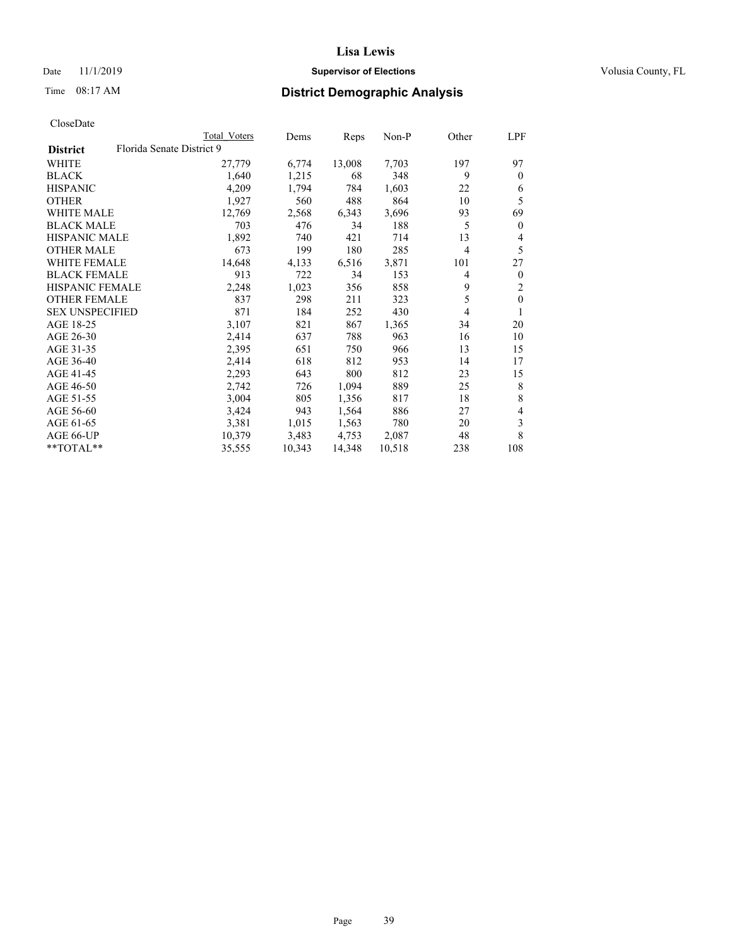## Date 11/1/2019 **Supervisor of Elections Supervisor of Elections** Volusia County, FL

# Time 08:17 AM **District Demographic Analysis**

|                        |                           | Total Voters | Dems   | Reps   | $Non-P$ | Other          | LPF          |
|------------------------|---------------------------|--------------|--------|--------|---------|----------------|--------------|
| <b>District</b>        | Florida Senate District 9 |              |        |        |         |                |              |
| WHITE                  |                           | 27,779       | 6,774  | 13,008 | 7,703   | 197            | 97           |
| <b>BLACK</b>           |                           | 1,640        | 1,215  | 68     | 348     | 9              | $\theta$     |
| <b>HISPANIC</b>        |                           | 4,209        | 1,794  | 784    | 1,603   | 22             | 6            |
| <b>OTHER</b>           |                           | 1,927        | 560    | 488    | 864     | 10             | 5            |
| WHITE MALE             |                           | 12,769       | 2,568  | 6,343  | 3,696   | 93             | 69           |
| <b>BLACK MALE</b>      |                           | 703          | 476    | 34     | 188     | 5              | $\mathbf{0}$ |
| <b>HISPANIC MALE</b>   |                           | 1,892        | 740    | 421    | 714     | 13             | 4            |
| <b>OTHER MALE</b>      |                           | 673          | 199    | 180    | 285     | $\overline{4}$ | 5            |
| WHITE FEMALE           |                           | 14,648       | 4,133  | 6,516  | 3,871   | 101            | 27           |
| <b>BLACK FEMALE</b>    |                           | 913          | 722    | 34     | 153     | 4              | $\mathbf{0}$ |
| HISPANIC FEMALE        |                           | 2,248        | 1,023  | 356    | 858     | 9              | 2            |
| <b>OTHER FEMALE</b>    |                           | 837          | 298    | 211    | 323     | 5              | $\mathbf{0}$ |
| <b>SEX UNSPECIFIED</b> |                           | 871          | 184    | 252    | 430     | 4              | 1            |
| AGE 18-25              |                           | 3,107        | 821    | 867    | 1,365   | 34             | 20           |
| AGE 26-30              |                           | 2,414        | 637    | 788    | 963     | 16             | 10           |
| AGE 31-35              |                           | 2,395        | 651    | 750    | 966     | 13             | 15           |
| AGE 36-40              |                           | 2,414        | 618    | 812    | 953     | 14             | 17           |
| AGE 41-45              |                           | 2,293        | 643    | 800    | 812     | 23             | 15           |
| AGE 46-50              |                           | 2,742        | 726    | 1,094  | 889     | 25             | 8            |
| AGE 51-55              |                           | 3,004        | 805    | 1,356  | 817     | 18             | 8            |
| AGE 56-60              |                           | 3,424        | 943    | 1,564  | 886     | 27             | 4            |
| AGE 61-65              |                           | 3,381        | 1,015  | 1,563  | 780     | 20             | 3            |
| AGE 66-UP              |                           | 10,379       | 3,483  | 4,753  | 2,087   | 48             | 8            |
| **TOTAL**              |                           | 35,555       | 10,343 | 14,348 | 10,518  | 238            | 108          |
|                        |                           |              |        |        |         |                |              |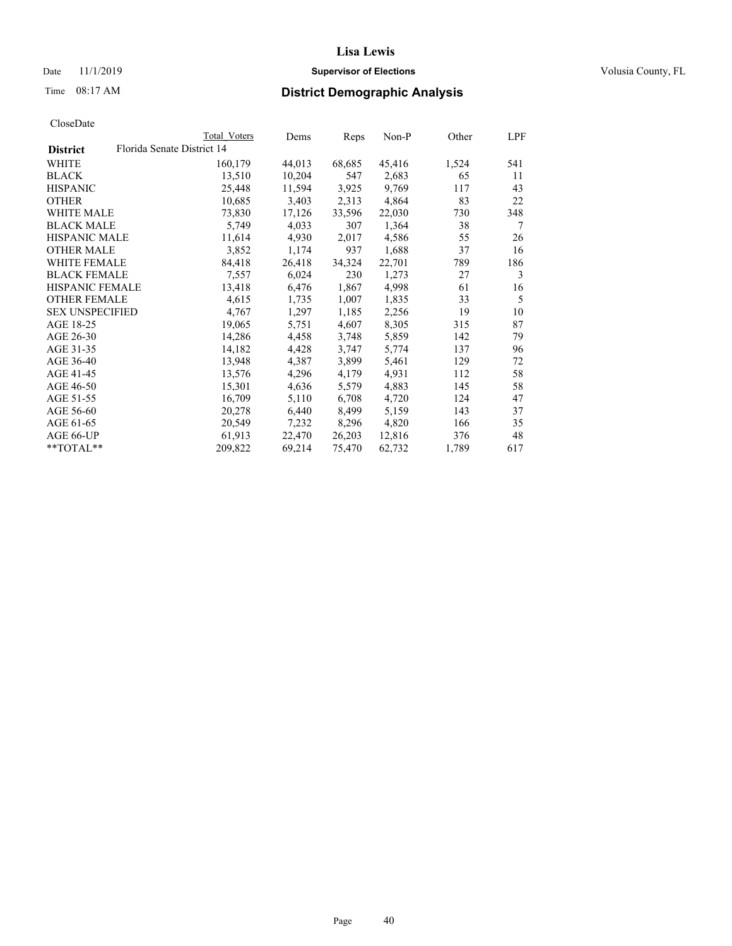## Date 11/1/2019 **Supervisor of Elections Supervisor of Elections** Volusia County, FL

|                        |                            | Total Voters | Dems   | Reps   | Non-P  | Other | LPF |
|------------------------|----------------------------|--------------|--------|--------|--------|-------|-----|
| <b>District</b>        | Florida Senate District 14 |              |        |        |        |       |     |
| WHITE                  |                            | 160,179      | 44,013 | 68,685 | 45,416 | 1,524 | 541 |
| <b>BLACK</b>           |                            | 13,510       | 10,204 | 547    | 2,683  | 65    | 11  |
| <b>HISPANIC</b>        |                            | 25,448       | 11,594 | 3,925  | 9,769  | 117   | 43  |
| <b>OTHER</b>           |                            | 10,685       | 3,403  | 2,313  | 4,864  | 83    | 22  |
| <b>WHITE MALE</b>      |                            | 73,830       | 17,126 | 33,596 | 22,030 | 730   | 348 |
| <b>BLACK MALE</b>      |                            | 5,749        | 4,033  | 307    | 1,364  | 38    | 7   |
| <b>HISPANIC MALE</b>   |                            | 11,614       | 4,930  | 2,017  | 4,586  | 55    | 26  |
| <b>OTHER MALE</b>      |                            | 3,852        | 1,174  | 937    | 1,688  | 37    | 16  |
| WHITE FEMALE           |                            | 84,418       | 26,418 | 34,324 | 22,701 | 789   | 186 |
| <b>BLACK FEMALE</b>    |                            | 7,557        | 6,024  | 230    | 1,273  | 27    | 3   |
| <b>HISPANIC FEMALE</b> |                            | 13,418       | 6,476  | 1,867  | 4,998  | 61    | 16  |
| <b>OTHER FEMALE</b>    |                            | 4,615        | 1,735  | 1,007  | 1,835  | 33    | 5   |
| <b>SEX UNSPECIFIED</b> |                            | 4,767        | 1,297  | 1,185  | 2,256  | 19    | 10  |
| AGE 18-25              |                            | 19,065       | 5,751  | 4,607  | 8,305  | 315   | 87  |
| AGE 26-30              |                            | 14,286       | 4,458  | 3,748  | 5,859  | 142   | 79  |
| AGE 31-35              |                            | 14,182       | 4,428  | 3,747  | 5,774  | 137   | 96  |
| AGE 36-40              |                            | 13,948       | 4,387  | 3,899  | 5,461  | 129   | 72  |
| AGE 41-45              |                            | 13,576       | 4,296  | 4,179  | 4,931  | 112   | 58  |
| AGE 46-50              |                            | 15,301       | 4,636  | 5,579  | 4,883  | 145   | 58  |
| AGE 51-55              |                            | 16,709       | 5,110  | 6,708  | 4,720  | 124   | 47  |
| AGE 56-60              |                            | 20,278       | 6,440  | 8,499  | 5,159  | 143   | 37  |
| AGE 61-65              |                            | 20,549       | 7,232  | 8,296  | 4,820  | 166   | 35  |
| AGE 66-UP              |                            | 61,913       | 22,470 | 26,203 | 12,816 | 376   | 48  |
| **TOTAL**              |                            | 209,822      | 69,214 | 75,470 | 62,732 | 1,789 | 617 |
|                        |                            |              |        |        |        |       |     |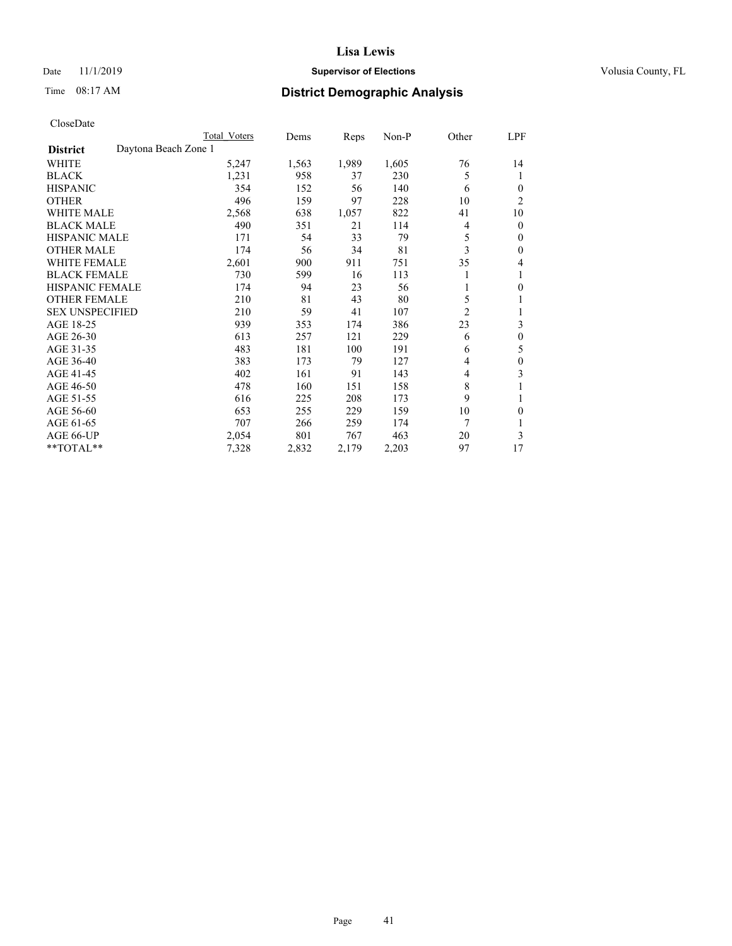## Date 11/1/2019 **Supervisor of Elections Supervisor of Elections** Volusia County, FL

# Time 08:17 AM **District Demographic Analysis**

|                        |                      | Total Voters | Dems  | Reps  | $Non-P$ | Other          | LPF            |
|------------------------|----------------------|--------------|-------|-------|---------|----------------|----------------|
| <b>District</b>        | Daytona Beach Zone 1 |              |       |       |         |                |                |
| WHITE                  |                      | 5,247        | 1,563 | 1,989 | 1,605   | 76             | 14             |
| <b>BLACK</b>           |                      | 1,231        | 958   | 37    | 230     | 5              | 1              |
| <b>HISPANIC</b>        |                      | 354          | 152   | 56    | 140     | 6              | $\theta$       |
| <b>OTHER</b>           |                      | 496          | 159   | 97    | 228     | 10             | $\overline{2}$ |
| <b>WHITE MALE</b>      |                      | 2,568        | 638   | 1,057 | 822     | 41             | 10             |
| <b>BLACK MALE</b>      |                      | 490          | 351   | 21    | 114     | 4              | $\mathbf{0}$   |
| <b>HISPANIC MALE</b>   |                      | 171          | 54    | 33    | 79      | 5              | $\mathbf{0}$   |
| <b>OTHER MALE</b>      |                      | 174          | 56    | 34    | 81      | 3              | $\theta$       |
| <b>WHITE FEMALE</b>    |                      | 2,601        | 900   | 911   | 751     | 35             | 4              |
| <b>BLACK FEMALE</b>    |                      | 730          | 599   | 16    | 113     |                | 1              |
| <b>HISPANIC FEMALE</b> |                      | 174          | 94    | 23    | 56      | 1              | $\theta$       |
| <b>OTHER FEMALE</b>    |                      | 210          | 81    | 43    | 80      | 5              | 1              |
| <b>SEX UNSPECIFIED</b> |                      | 210          | 59    | 41    | 107     | $\overline{c}$ | 1              |
| AGE 18-25              |                      | 939          | 353   | 174   | 386     | 23             | 3              |
| AGE 26-30              |                      | 613          | 257   | 121   | 229     | 6              | $\theta$       |
| AGE 31-35              |                      | 483          | 181   | 100   | 191     | 6              | 5              |
| AGE 36-40              |                      | 383          | 173   | 79    | 127     | 4              | $\theta$       |
| AGE 41-45              |                      | 402          | 161   | 91    | 143     | 4              | 3              |
| AGE 46-50              |                      | 478          | 160   | 151   | 158     | 8              |                |
| AGE 51-55              |                      | 616          | 225   | 208   | 173     | 9              | 1              |
| AGE 56-60              |                      | 653          | 255   | 229   | 159     | 10             | $\theta$       |
| AGE 61-65              |                      | 707          | 266   | 259   | 174     | 7              |                |
| AGE 66-UP              |                      | 2,054        | 801   | 767   | 463     | 20             | 3              |
| **TOTAL**              |                      | 7,328        | 2,832 | 2,179 | 2,203   | 97             | 17             |
|                        |                      |              |       |       |         |                |                |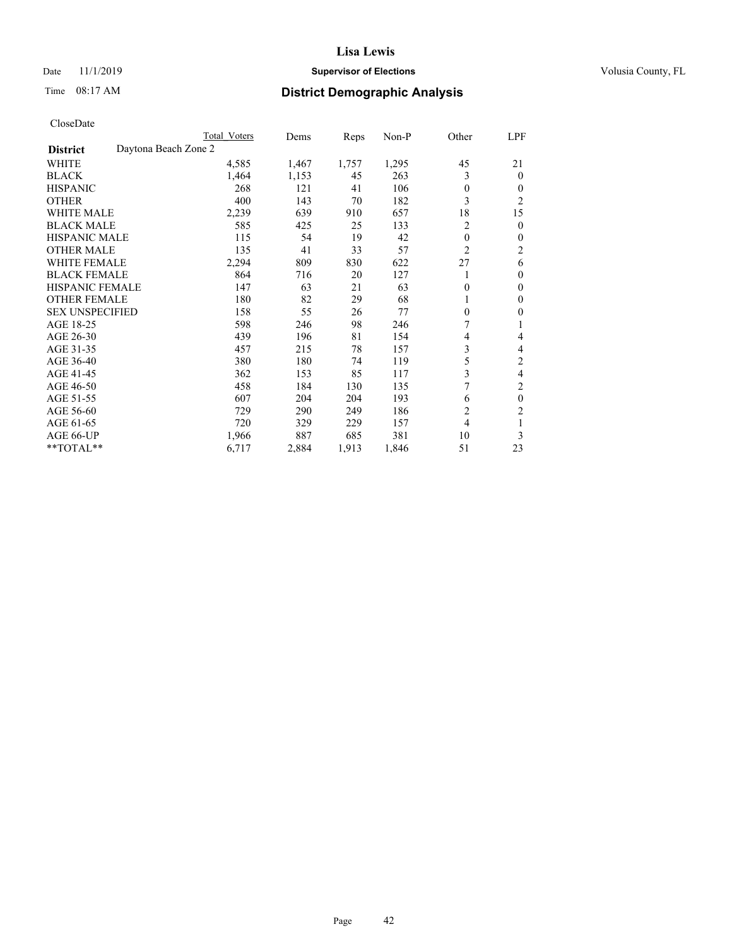## Date 11/1/2019 **Supervisor of Elections Supervisor of Elections** Volusia County, FL

# Time 08:17 AM **District Demographic Analysis**

|                        | Total Voters         | Dems  | Reps  | Non-P | Other          | LPF            |
|------------------------|----------------------|-------|-------|-------|----------------|----------------|
| <b>District</b>        | Daytona Beach Zone 2 |       |       |       |                |                |
| WHITE                  | 4,585                | 1,467 | 1,757 | 1,295 | 45             | 21             |
| <b>BLACK</b>           | 1,464                | 1,153 | 45    | 263   | 3              | $\mathbf{0}$   |
| <b>HISPANIC</b>        | 268                  | 121   | 41    | 106   | $\theta$       | $\theta$       |
| <b>OTHER</b>           | 400                  | 143   | 70    | 182   | 3              | $\overline{2}$ |
| <b>WHITE MALE</b>      | 2,239                | 639   | 910   | 657   | 18             | 15             |
| <b>BLACK MALE</b>      | 585                  | 425   | 25    | 133   | 2              | $\theta$       |
| <b>HISPANIC MALE</b>   | 115                  | 54    | 19    | 42    | $\theta$       | $\theta$       |
| <b>OTHER MALE</b>      | 135                  | 41    | 33    | 57    | $\overline{2}$ | 2              |
| <b>WHITE FEMALE</b>    | 2,294                | 809   | 830   | 622   | 27             | 6              |
| <b>BLACK FEMALE</b>    | 864                  | 716   | 20    | 127   |                | $\theta$       |
| <b>HISPANIC FEMALE</b> | 147                  | 63    | 21    | 63    | 0              | $\theta$       |
| <b>OTHER FEMALE</b>    | 180                  | 82    | 29    | 68    |                | $\theta$       |
| <b>SEX UNSPECIFIED</b> | 158                  | 55    | 26    | 77    | $\theta$       | $\theta$       |
| AGE 18-25              | 598                  | 246   | 98    | 246   | 7              | 1              |
| AGE 26-30              | 439                  | 196   | 81    | 154   | 4              | 4              |
| AGE 31-35              | 457                  | 215   | 78    | 157   | 3              | 4              |
| AGE 36-40              | 380                  | 180   | 74    | 119   | 5              | 2              |
| AGE 41-45              | 362                  | 153   | 85    | 117   | 3              | 4              |
| AGE 46-50              | 458                  | 184   | 130   | 135   | 7              | 2              |
| AGE 51-55              | 607                  | 204   | 204   | 193   | 6              | $\theta$       |
| AGE 56-60              | 729                  | 290   | 249   | 186   | $\overline{2}$ | $\overline{2}$ |
| AGE 61-65              | 720                  | 329   | 229   | 157   | 4              | 1              |
| AGE 66-UP              | 1,966                | 887   | 685   | 381   | 10             | 3              |
| **TOTAL**              | 6,717                | 2,884 | 1,913 | 1,846 | 51             | 23             |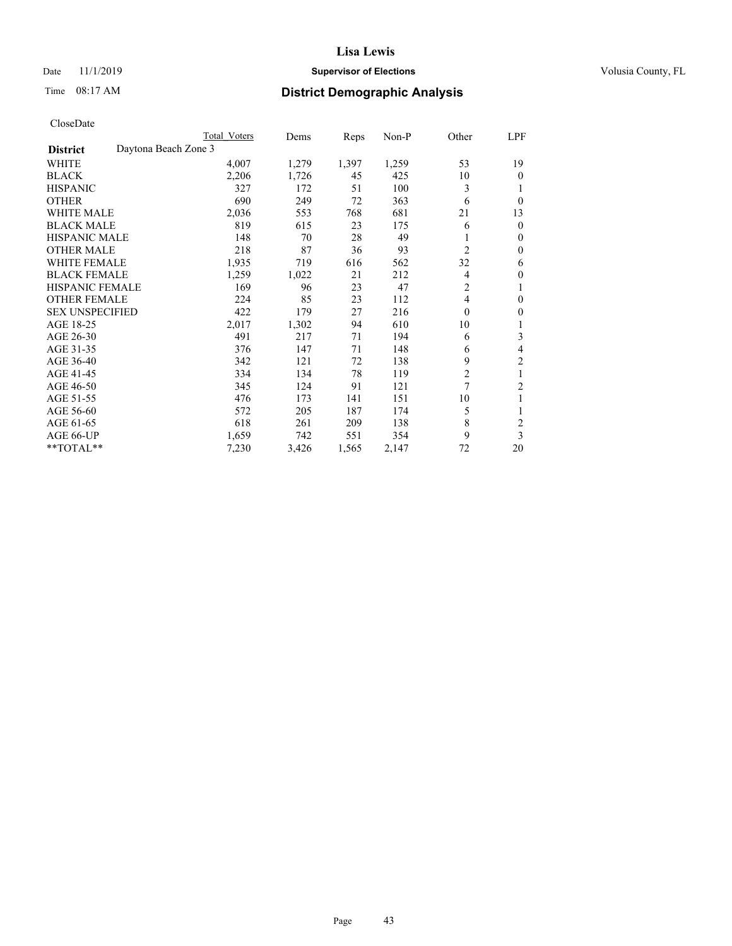## Date 11/1/2019 **Supervisor of Elections Supervisor of Elections** Volusia County, FL

# Time 08:17 AM **District Demographic Analysis**

|                                         | Total Voters | Dems  | Reps  | $Non-P$ | Other          | LPF            |
|-----------------------------------------|--------------|-------|-------|---------|----------------|----------------|
| Daytona Beach Zone 3<br><b>District</b> |              |       |       |         |                |                |
| WHITE                                   | 4,007        | 1,279 | 1,397 | 1,259   | 53             | 19             |
| <b>BLACK</b>                            | 2,206        | 1,726 | 45    | 425     | 10             | $\theta$       |
| <b>HISPANIC</b>                         | 327          | 172   | 51    | 100     | 3              |                |
| <b>OTHER</b>                            | 690          | 249   | 72    | 363     | 6              | $\theta$       |
| <b>WHITE MALE</b>                       | 2,036        | 553   | 768   | 681     | 21             | 13             |
| <b>BLACK MALE</b>                       | 819          | 615   | 23    | 175     | 6              | $\mathbf{0}$   |
| <b>HISPANIC MALE</b>                    | 148          | 70    | 28    | 49      | 1              | $\mathbf{0}$   |
| <b>OTHER MALE</b>                       | 218          | 87    | 36    | 93      | 2              | $\theta$       |
| <b>WHITE FEMALE</b>                     | 1,935        | 719   | 616   | 562     | 32             | 6              |
| <b>BLACK FEMALE</b>                     | 1,259        | 1,022 | 21    | 212     | 4              | $\theta$       |
| <b>HISPANIC FEMALE</b>                  | 169          | 96    | 23    | 47      | 2              | 1              |
| <b>OTHER FEMALE</b>                     | 224          | 85    | 23    | 112     | 4              | $\theta$       |
| <b>SEX UNSPECIFIED</b>                  | 422          | 179   | 27    | 216     | $\mathbf{0}$   | $\mathbf{0}$   |
| AGE 18-25                               | 2,017        | 1,302 | 94    | 610     | 10             | 1              |
| AGE 26-30                               | 491          | 217   | 71    | 194     | 6              | 3              |
| AGE 31-35                               | 376          | 147   | 71    | 148     | 6              | 4              |
| AGE 36-40                               | 342          | 121   | 72    | 138     | 9              | $\overline{2}$ |
| AGE 41-45                               | 334          | 134   | 78    | 119     | $\overline{2}$ | 1              |
| AGE 46-50                               | 345          | 124   | 91    | 121     | $\overline{7}$ | $\overline{2}$ |
| AGE 51-55                               | 476          | 173   | 141   | 151     | 10             | 1              |
| AGE 56-60                               | 572          | 205   | 187   | 174     | 5              | 1              |
| AGE 61-65                               | 618          | 261   | 209   | 138     | 8              | $\overline{c}$ |
| AGE 66-UP                               | 1,659        | 742   | 551   | 354     | 9              | 3              |
| $*$ TOTAL $*$                           | 7,230        | 3,426 | 1,565 | 2,147   | 72             | 20             |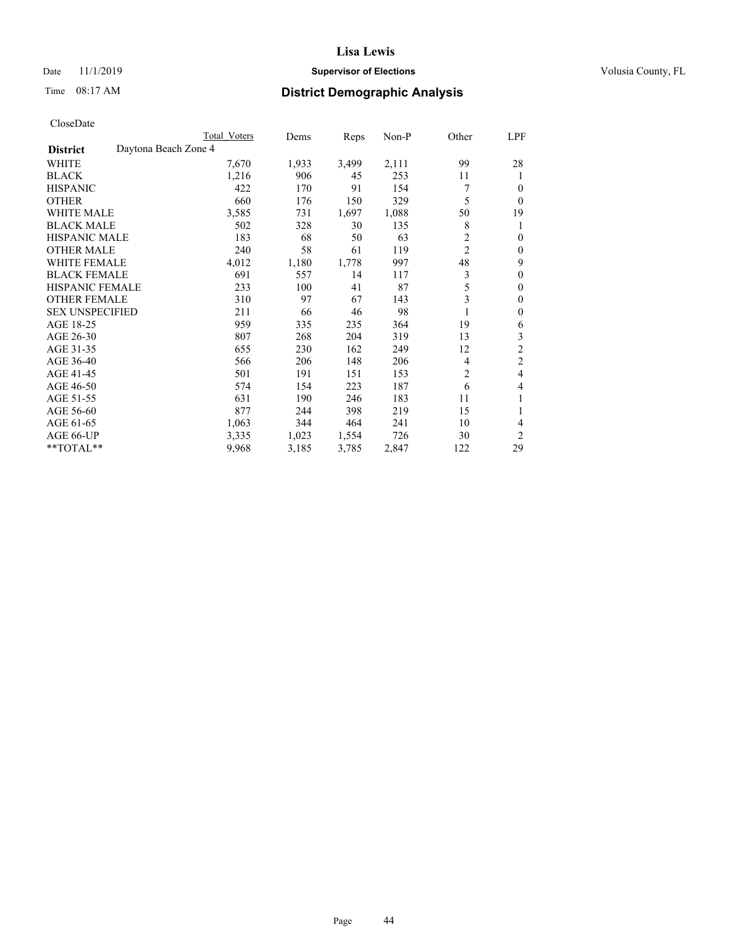## Date 11/1/2019 **Supervisor of Elections Supervisor of Elections** Volusia County, FL

# Time 08:17 AM **District Demographic Analysis**

|                        | Total Voters         | Dems  | Reps  | Non-P | Other          | LPF            |
|------------------------|----------------------|-------|-------|-------|----------------|----------------|
| <b>District</b>        | Daytona Beach Zone 4 |       |       |       |                |                |
| WHITE                  | 7,670                | 1,933 | 3,499 | 2,111 | 99             | 28             |
| <b>BLACK</b>           | 1,216                | 906   | 45    | 253   | 11             | 1              |
| <b>HISPANIC</b>        | 422                  | 170   | 91    | 154   |                | 0              |
| <b>OTHER</b>           | 660                  | 176   | 150   | 329   | 5              | $\Omega$       |
| WHITE MALE             | 3,585                | 731   | 1,697 | 1,088 | 50             | 19             |
| <b>BLACK MALE</b>      | 502                  | 328   | 30    | 135   | 8              | 1              |
| <b>HISPANIC MALE</b>   | 183                  | 68    | 50    | 63    | 2              | 0              |
| <b>OTHER MALE</b>      | 240                  | 58    | 61    | 119   | $\overline{2}$ | 0              |
| <b>WHITE FEMALE</b>    | 4,012                | 1,180 | 1,778 | 997   | 48             | 9              |
| <b>BLACK FEMALE</b>    | 691                  | 557   | 14    | 117   | 3              | 0              |
| <b>HISPANIC FEMALE</b> | 233                  | 100   | 41    | 87    | 5              | 0              |
| <b>OTHER FEMALE</b>    | 310                  | 97    | 67    | 143   | 3              | 0              |
| <b>SEX UNSPECIFIED</b> | 211                  | 66    | 46    | 98    |                | 0              |
| AGE 18-25              | 959                  | 335   | 235   | 364   | 19             | 6              |
| AGE 26-30              | 807                  | 268   | 204   | 319   | 13             | 3              |
| AGE 31-35              | 655                  | 230   | 162   | 249   | 12             | $\overline{c}$ |
| AGE 36-40              | 566                  | 206   | 148   | 206   | 4              | $\overline{c}$ |
| AGE 41-45              | 501                  | 191   | 151   | 153   | 2              | 4              |
| AGE 46-50              | 574                  | 154   | 223   | 187   | 6              | 4              |
| AGE 51-55              | 631                  | 190   | 246   | 183   | 11             | 1              |
| AGE 56-60              | 877                  | 244   | 398   | 219   | 15             |                |
| AGE 61-65              | 1,063                | 344   | 464   | 241   | 10             | 4              |
| AGE 66-UP              | 3,335                | 1,023 | 1,554 | 726   | 30             | $\overline{c}$ |
| **TOTAL**              | 9,968                | 3,185 | 3,785 | 2,847 | 122            | 29             |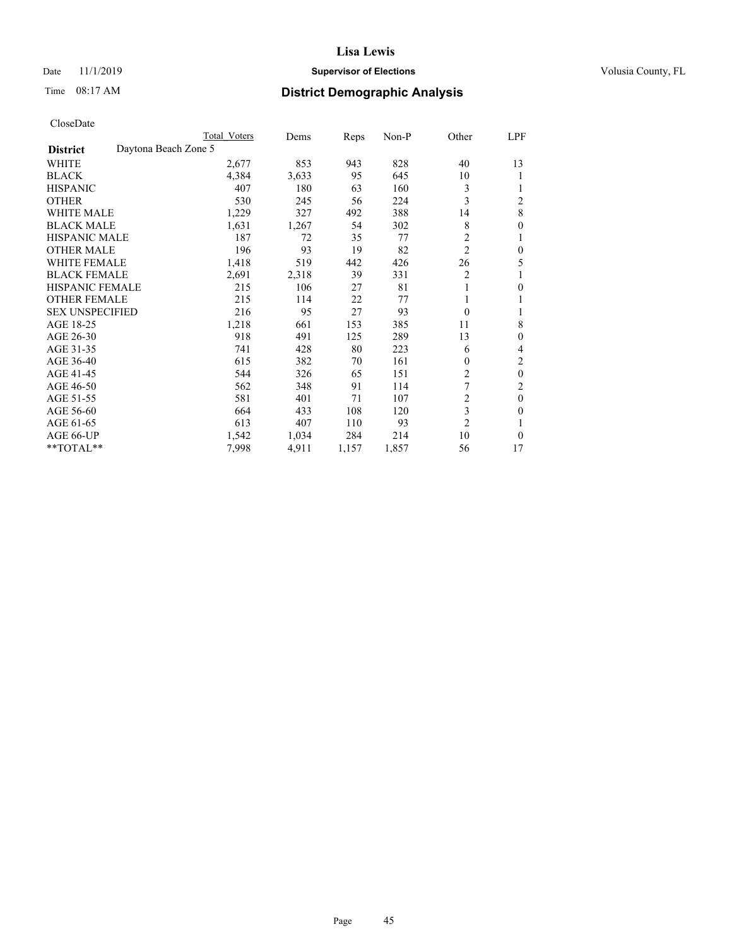## Date 11/1/2019 **Supervisor of Elections Supervisor of Elections** Volusia County, FL

|                        |                      | Total Voters | Dems  | Reps  | Non-P | Other          | LPF          |
|------------------------|----------------------|--------------|-------|-------|-------|----------------|--------------|
| <b>District</b>        | Daytona Beach Zone 5 |              |       |       |       |                |              |
| WHITE                  |                      | 2,677        | 853   | 943   | 828   | 40             | 13           |
| <b>BLACK</b>           |                      | 4,384        | 3,633 | 95    | 645   | 10             |              |
| <b>HISPANIC</b>        |                      | 407          | 180   | 63    | 160   | 3              |              |
| <b>OTHER</b>           |                      | 530          | 245   | 56    | 224   | 3              | 2            |
| WHITE MALE             |                      | 1,229        | 327   | 492   | 388   | 14             | 8            |
| <b>BLACK MALE</b>      |                      | 1,631        | 1,267 | 54    | 302   | 8              | 0            |
| <b>HISPANIC MALE</b>   |                      | 187          | 72    | 35    | 77    | $\overline{c}$ | 1            |
| <b>OTHER MALE</b>      |                      | 196          | 93    | 19    | 82    | $\overline{c}$ | 0            |
| <b>WHITE FEMALE</b>    |                      | 1,418        | 519   | 442   | 426   | 26             | 5            |
| <b>BLACK FEMALE</b>    |                      | 2,691        | 2,318 | 39    | 331   | 2              |              |
| <b>HISPANIC FEMALE</b> |                      | 215          | 106   | 27    | 81    | 1              | 0            |
| <b>OTHER FEMALE</b>    |                      | 215          | 114   | 22    | 77    | 1              |              |
| <b>SEX UNSPECIFIED</b> |                      | 216          | 95    | 27    | 93    | $\theta$       | 1            |
| AGE 18-25              |                      | 1,218        | 661   | 153   | 385   | 11             | 8            |
| AGE 26-30              |                      | 918          | 491   | 125   | 289   | 13             | 0            |
| AGE 31-35              |                      | 741          | 428   | 80    | 223   | 6              | 4            |
| AGE 36-40              |                      | 615          | 382   | 70    | 161   | $\theta$       | 2            |
| AGE 41-45              |                      | 544          | 326   | 65    | 151   | 2              | $\theta$     |
| AGE 46-50              |                      | 562          | 348   | 91    | 114   | 7              | 2            |
| AGE 51-55              |                      | 581          | 401   | 71    | 107   | 2              | $\mathbf{0}$ |
| AGE 56-60              |                      | 664          | 433   | 108   | 120   | 3              | 0            |
| AGE 61-65              |                      | 613          | 407   | 110   | 93    | $\overline{2}$ | 1            |
| AGE 66-UP              |                      | 1,542        | 1,034 | 284   | 214   | 10             | $\Omega$     |
| **TOTAL**              |                      | 7,998        | 4,911 | 1,157 | 1,857 | 56             | 17           |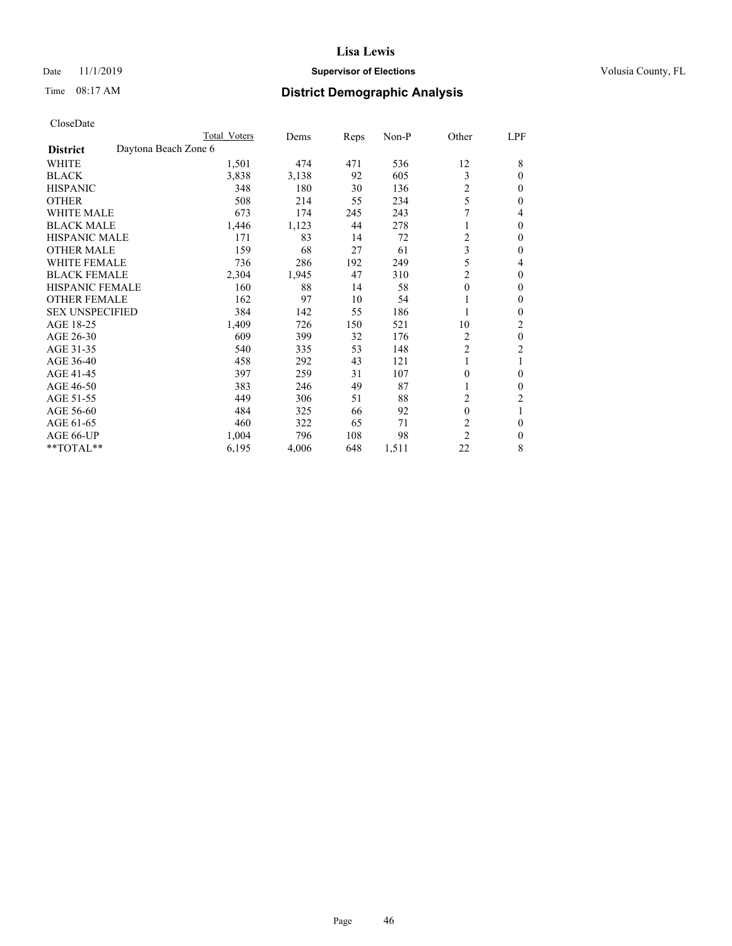## Date 11/1/2019 **Supervisor of Elections Supervisor of Elections** Volusia County, FL

|                                         | Total Voters | Dems  | Reps | Non-P | Other          | LPF          |
|-----------------------------------------|--------------|-------|------|-------|----------------|--------------|
| Daytona Beach Zone 6<br><b>District</b> |              |       |      |       |                |              |
| WHITE                                   | 1,501        | 474   | 471  | 536   | 12             | 8            |
| <b>BLACK</b>                            | 3,838        | 3,138 | 92   | 605   | 3              | $\mathbf{0}$ |
| <b>HISPANIC</b>                         | 348          | 180   | 30   | 136   | $\overline{c}$ | $\theta$     |
| <b>OTHER</b>                            | 508          | 214   | 55   | 234   | 5              | $\theta$     |
| <b>WHITE MALE</b>                       | 673          | 174   | 245  | 243   | 7              | 4            |
| <b>BLACK MALE</b>                       | 1,446        | 1,123 | 44   | 278   |                | $\theta$     |
| <b>HISPANIC MALE</b>                    | 171          | 83    | 14   | 72    | 2              | $\theta$     |
| <b>OTHER MALE</b>                       | 159          | 68    | 27   | 61    | 3              | $\mathbf{0}$ |
| <b>WHITE FEMALE</b>                     | 736          | 286   | 192  | 249   | 5              | 4            |
| <b>BLACK FEMALE</b>                     | 2,304        | 1,945 | 47   | 310   | 2              | $\mathbf{0}$ |
| <b>HISPANIC FEMALE</b>                  | 160          | 88    | 14   | 58    | $\theta$       | $\theta$     |
| <b>OTHER FEMALE</b>                     | 162          | 97    | 10   | 54    | 1              | $\theta$     |
| <b>SEX UNSPECIFIED</b>                  | 384          | 142   | 55   | 186   |                | $\theta$     |
| AGE 18-25                               | 1,409        | 726   | 150  | 521   | 10             | 2            |
| AGE 26-30                               | 609          | 399   | 32   | 176   | 2              | $\mathbf{0}$ |
| AGE 31-35                               | 540          | 335   | 53   | 148   | 2              | 2            |
| AGE 36-40                               | 458          | 292   | 43   | 121   |                | 1            |
| AGE 41-45                               | 397          | 259   | 31   | 107   | $\mathbf{0}$   | $\theta$     |
| AGE 46-50                               | 383          | 246   | 49   | 87    |                | $\theta$     |
| AGE 51-55                               | 449          | 306   | 51   | 88    | 2              | 2            |
| AGE 56-60                               | 484          | 325   | 66   | 92    | $\mathbf{0}$   | 1            |
| AGE 61-65                               | 460          | 322   | 65   | 71    | 2              | $\theta$     |
| AGE 66-UP                               | 1,004        | 796   | 108  | 98    | $\overline{c}$ | $\theta$     |
| **TOTAL**                               | 6,195        | 4,006 | 648  | 1,511 | 22             | 8            |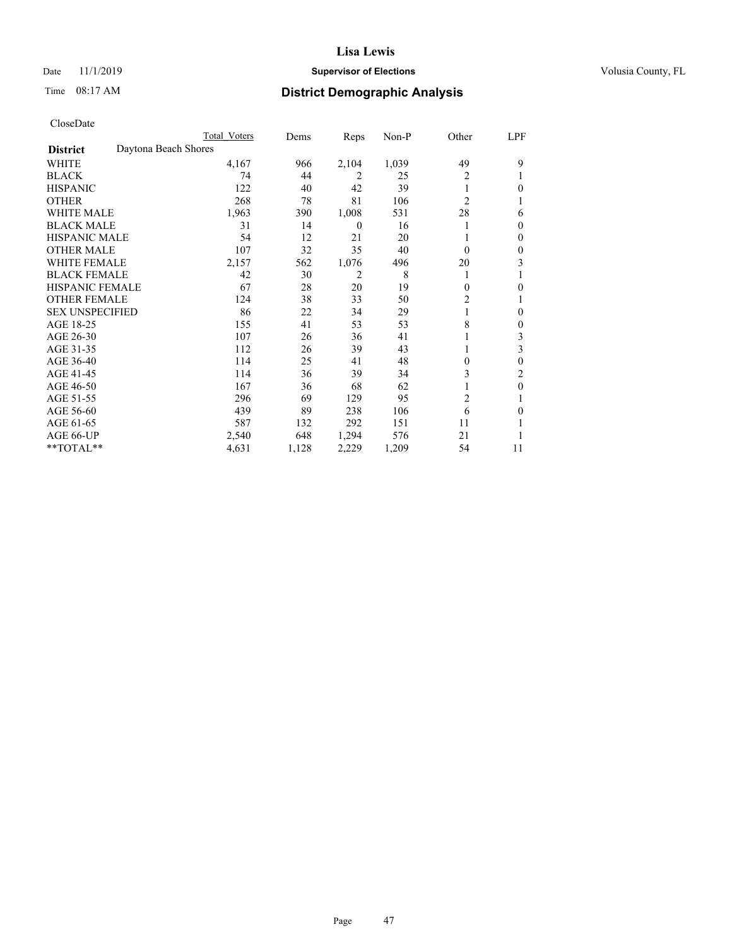## Date 11/1/2019 **Supervisor of Elections Supervisor of Elections** Volusia County, FL

# Time 08:17 AM **District Demographic Analysis**

|                        | Total Voters         | Dems  | Reps             | Non-P | Other          | LPF |
|------------------------|----------------------|-------|------------------|-------|----------------|-----|
| <b>District</b>        | Daytona Beach Shores |       |                  |       |                |     |
| WHITE                  | 4,167                | 966   | 2,104            | 1,039 | 49             | 9   |
| <b>BLACK</b>           | 74                   | 44    | 2                | 25    | 2              |     |
| <b>HISPANIC</b>        | 122                  | 40    | 42               | 39    |                | 0   |
| <b>OTHER</b>           | 268                  | 78    | 81               | 106   | $\overline{2}$ |     |
| WHITE MALE             | 1,963                | 390   | 1,008            | 531   | 28             | 6   |
| <b>BLACK MALE</b>      | 31                   | 14    | $\boldsymbol{0}$ | 16    |                | 0   |
| <b>HISPANIC MALE</b>   | 54                   | 12    | 21               | 20    |                | 0   |
| <b>OTHER MALE</b>      | 107                  | 32    | 35               | 40    | $\Omega$       | 0   |
| <b>WHITE FEMALE</b>    | 2,157                | 562   | 1,076            | 496   | 20             | 3   |
| <b>BLACK FEMALE</b>    | 42                   | 30    | 2                | 8     | 1              |     |
| <b>HISPANIC FEMALE</b> | 67                   | 28    | 20               | 19    | $\Omega$       | 0   |
| <b>OTHER FEMALE</b>    | 124                  | 38    | 33               | 50    | 2              |     |
| <b>SEX UNSPECIFIED</b> | 86                   | 22    | 34               | 29    |                | 0   |
| AGE 18-25              | 155                  | 41    | 53               | 53    | 8              | 0   |
| AGE 26-30              | 107                  | 26    | 36               | 41    |                | 3   |
| AGE 31-35              | 112                  | 26    | 39               | 43    |                | 3   |
| AGE 36-40              | 114                  | 25    | 41               | 48    | $\theta$       | 0   |
| AGE 41-45              | 114                  | 36    | 39               | 34    | 3              | 2   |
| AGE 46-50              | 167                  | 36    | 68               | 62    |                | 0   |
| AGE 51-55              | 296                  | 69    | 129              | 95    | $\overline{2}$ |     |
| AGE 56-60              | 439                  | 89    | 238              | 106   | 6              | 0   |
| AGE 61-65              | 587                  | 132   | 292              | 151   | 11             |     |
| AGE 66-UP              | 2,540                | 648   | 1,294            | 576   | 21             |     |
| **TOTAL**              | 4,631                | 1,128 | 2,229            | 1,209 | 54             | 11  |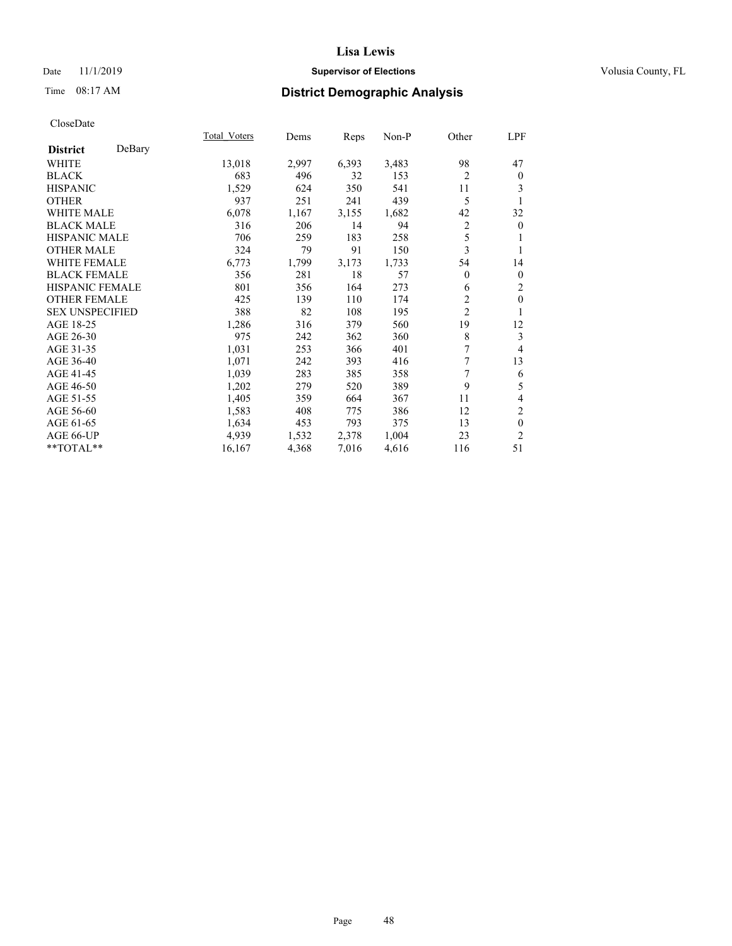## Date 11/1/2019 **Supervisor of Elections Supervisor of Elections** Volusia County, FL

# Time 08:17 AM **District Demographic Analysis**

|                        |        | Total Voters | Dems  | Reps  | Non-P | Other          | LPF            |
|------------------------|--------|--------------|-------|-------|-------|----------------|----------------|
| <b>District</b>        | DeBary |              |       |       |       |                |                |
| WHITE                  |        | 13,018       | 2,997 | 6,393 | 3,483 | 98             | 47             |
| <b>BLACK</b>           |        | 683          | 496   | 32    | 153   | $\overline{2}$ | $\mathbf{0}$   |
| <b>HISPANIC</b>        |        | 1,529        | 624   | 350   | 541   | 11             | 3              |
| <b>OTHER</b>           |        | 937          | 251   | 241   | 439   | 5              | 1              |
| WHITE MALE             |        | 6,078        | 1,167 | 3,155 | 1,682 | 42             | 32             |
| <b>BLACK MALE</b>      |        | 316          | 206   | 14    | 94    | $\overline{2}$ | $\mathbf{0}$   |
| <b>HISPANIC MALE</b>   |        | 706          | 259   | 183   | 258   | 5              | 1              |
| <b>OTHER MALE</b>      |        | 324          | 79    | 91    | 150   | 3              | 1              |
| <b>WHITE FEMALE</b>    |        | 6,773        | 1,799 | 3,173 | 1,733 | 54             | 14             |
| <b>BLACK FEMALE</b>    |        | 356          | 281   | 18    | 57    | $\overline{0}$ | $\mathbf{0}$   |
| <b>HISPANIC FEMALE</b> |        | 801          | 356   | 164   | 273   | 6              | 2              |
| <b>OTHER FEMALE</b>    |        | 425          | 139   | 110   | 174   | 2              | $\mathbf{0}$   |
| <b>SEX UNSPECIFIED</b> |        | 388          | 82    | 108   | 195   | $\overline{2}$ | 1              |
| AGE 18-25              |        | 1,286        | 316   | 379   | 560   | 19             | 12             |
| AGE 26-30              |        | 975          | 242   | 362   | 360   | 8              | 3              |
| AGE 31-35              |        | 1,031        | 253   | 366   | 401   | 7              | 4              |
| AGE 36-40              |        | 1,071        | 242   | 393   | 416   | 7              | 13             |
| AGE 41-45              |        | 1,039        | 283   | 385   | 358   | 7              | 6              |
| AGE 46-50              |        | 1,202        | 279   | 520   | 389   | 9              | 5              |
| AGE 51-55              |        | 1,405        | 359   | 664   | 367   | 11             | 4              |
| AGE 56-60              |        | 1,583        | 408   | 775   | 386   | 12             | $\overline{c}$ |
| AGE 61-65              |        | 1,634        | 453   | 793   | 375   | 13             | $\mathbf{0}$   |
| AGE 66-UP              |        | 4,939        | 1,532 | 2,378 | 1,004 | 23             | $\overline{2}$ |
| **TOTAL**              |        | 16,167       | 4,368 | 7,016 | 4,616 | 116            | 51             |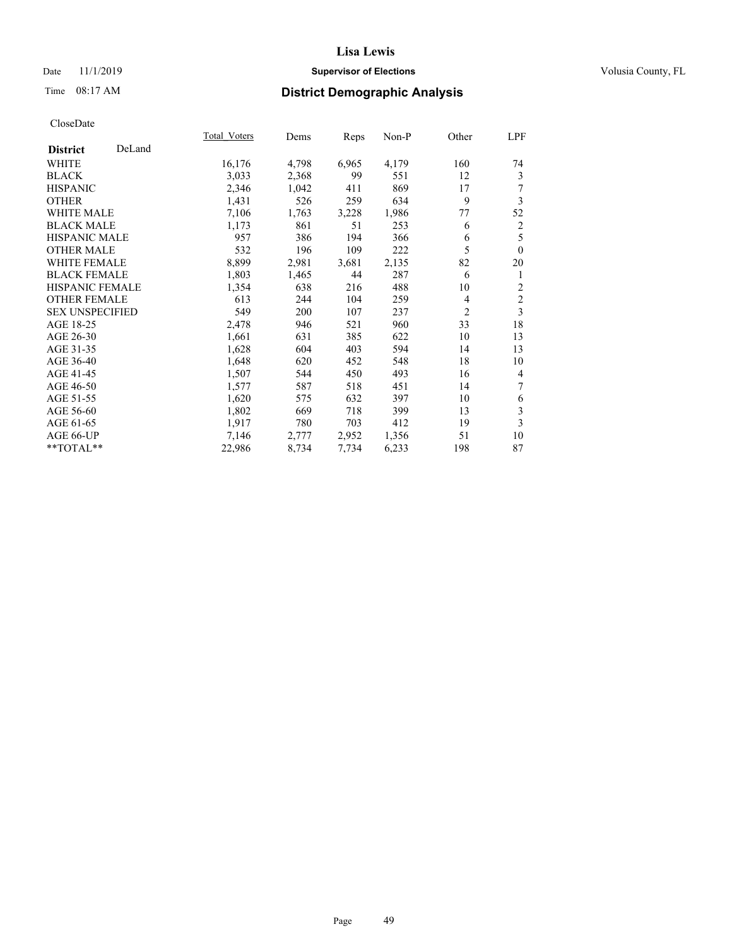## Date 11/1/2019 **Supervisor of Elections Supervisor of Elections** Volusia County, FL

# Time 08:17 AM **District Demographic Analysis**

|                        |        | Total Voters | Dems  | Reps  | Non-P | Other          | LPF            |
|------------------------|--------|--------------|-------|-------|-------|----------------|----------------|
| <b>District</b>        | DeLand |              |       |       |       |                |                |
| WHITE                  |        | 16,176       | 4,798 | 6,965 | 4,179 | 160            | 74             |
| <b>BLACK</b>           |        | 3,033        | 2,368 | 99    | 551   | 12             | 3              |
| <b>HISPANIC</b>        |        | 2,346        | 1,042 | 411   | 869   | 17             | 7              |
| <b>OTHER</b>           |        | 1,431        | 526   | 259   | 634   | 9              | 3              |
| WHITE MALE             |        | 7,106        | 1,763 | 3,228 | 1,986 | 77             | 52             |
| <b>BLACK MALE</b>      |        | 1,173        | 861   | 51    | 253   | 6              | $\overline{c}$ |
| <b>HISPANIC MALE</b>   |        | 957          | 386   | 194   | 366   | 6              | 5              |
| <b>OTHER MALE</b>      |        | 532          | 196   | 109   | 222   | 5              | $\theta$       |
| <b>WHITE FEMALE</b>    |        | 8,899        | 2,981 | 3,681 | 2,135 | 82             | 20             |
| <b>BLACK FEMALE</b>    |        | 1,803        | 1,465 | 44    | 287   | 6              | 1              |
| <b>HISPANIC FEMALE</b> |        | 1,354        | 638   | 216   | 488   | 10             | 2              |
| <b>OTHER FEMALE</b>    |        | 613          | 244   | 104   | 259   | 4              | $\mathfrak{2}$ |
| <b>SEX UNSPECIFIED</b> |        | 549          | 200   | 107   | 237   | $\overline{2}$ | 3              |
| AGE 18-25              |        | 2,478        | 946   | 521   | 960   | 33             | 18             |
| AGE 26-30              |        | 1,661        | 631   | 385   | 622   | 10             | 13             |
| AGE 31-35              |        | 1,628        | 604   | 403   | 594   | 14             | 13             |
| AGE 36-40              |        | 1,648        | 620   | 452   | 548   | 18             | 10             |
| AGE 41-45              |        | 1,507        | 544   | 450   | 493   | 16             | $\overline{4}$ |
| AGE 46-50              |        | 1,577        | 587   | 518   | 451   | 14             | 7              |
| AGE 51-55              |        | 1,620        | 575   | 632   | 397   | 10             | 6              |
| AGE 56-60              |        | 1,802        | 669   | 718   | 399   | 13             | 3              |
| AGE 61-65              |        | 1,917        | 780   | 703   | 412   | 19             | 3              |
| AGE 66-UP              |        | 7,146        | 2,777 | 2,952 | 1,356 | 51             | 10             |
| **TOTAL**              |        | 22,986       | 8,734 | 7,734 | 6,233 | 198            | 87             |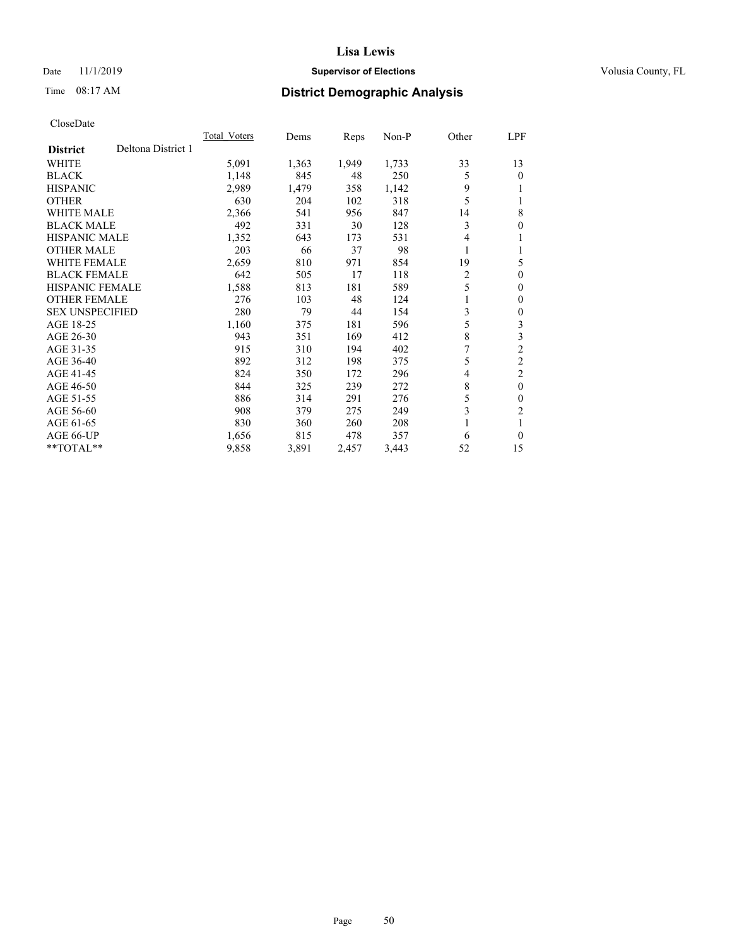## Date 11/1/2019 **Supervisor of Elections Supervisor of Elections** Volusia County, FL

# Time 08:17 AM **District Demographic Analysis**

|                                       | Total Voters | Dems  | Reps  | $Non-P$ | Other          | LPF            |
|---------------------------------------|--------------|-------|-------|---------|----------------|----------------|
| Deltona District 1<br><b>District</b> |              |       |       |         |                |                |
| <b>WHITE</b>                          | 5,091        | 1,363 | 1,949 | 1,733   | 33             | 13             |
| <b>BLACK</b>                          | 1,148        | 845   | 48    | 250     | 5              | 0              |
| <b>HISPANIC</b>                       | 2,989        | 1,479 | 358   | 1,142   | 9              |                |
| <b>OTHER</b>                          | 630          | 204   | 102   | 318     | 5              |                |
| <b>WHITE MALE</b>                     | 2,366        | 541   | 956   | 847     | 14             | 8              |
| <b>BLACK MALE</b>                     | 492          | 331   | 30    | 128     | 3              | 0              |
| HISPANIC MALE                         | 1,352        | 643   | 173   | 531     | 4              |                |
| <b>OTHER MALE</b>                     | 203          | 66    | 37    | 98      | 1              |                |
| <b>WHITE FEMALE</b>                   | 2,659        | 810   | 971   | 854     | 19             | 5              |
| <b>BLACK FEMALE</b>                   | 642          | 505   | 17    | 118     | $\overline{2}$ | 0              |
| <b>HISPANIC FEMALE</b>                | 1,588        | 813   | 181   | 589     | 5              | 0              |
| <b>OTHER FEMALE</b>                   | 276          | 103   | 48    | 124     |                | 0              |
| <b>SEX UNSPECIFIED</b>                | 280          | 79    | 44    | 154     | 3              | 0              |
| AGE 18-25                             | 1,160        | 375   | 181   | 596     | 5              | 3              |
| AGE 26-30                             | 943          | 351   | 169   | 412     | 8              | 3              |
| AGE 31-35                             | 915          | 310   | 194   | 402     | 7              | $\overline{2}$ |
| AGE 36-40                             | 892          | 312   | 198   | 375     | 5              | $\overline{2}$ |
| AGE 41-45                             | 824          | 350   | 172   | 296     | 4              | 2              |
| AGE 46-50                             | 844          | 325   | 239   | 272     | 8              | $\theta$       |
| AGE 51-55                             | 886          | 314   | 291   | 276     | 5              | 0              |
| AGE 56-60                             | 908          | 379   | 275   | 249     | 3              | $\overline{c}$ |
| AGE 61-65                             | 830          | 360   | 260   | 208     |                |                |
| AGE 66-UP                             | 1,656        | 815   | 478   | 357     | 6              | 0              |
| $*$ TOTAL $*$                         | 9,858        | 3,891 | 2,457 | 3,443   | 52             | 15             |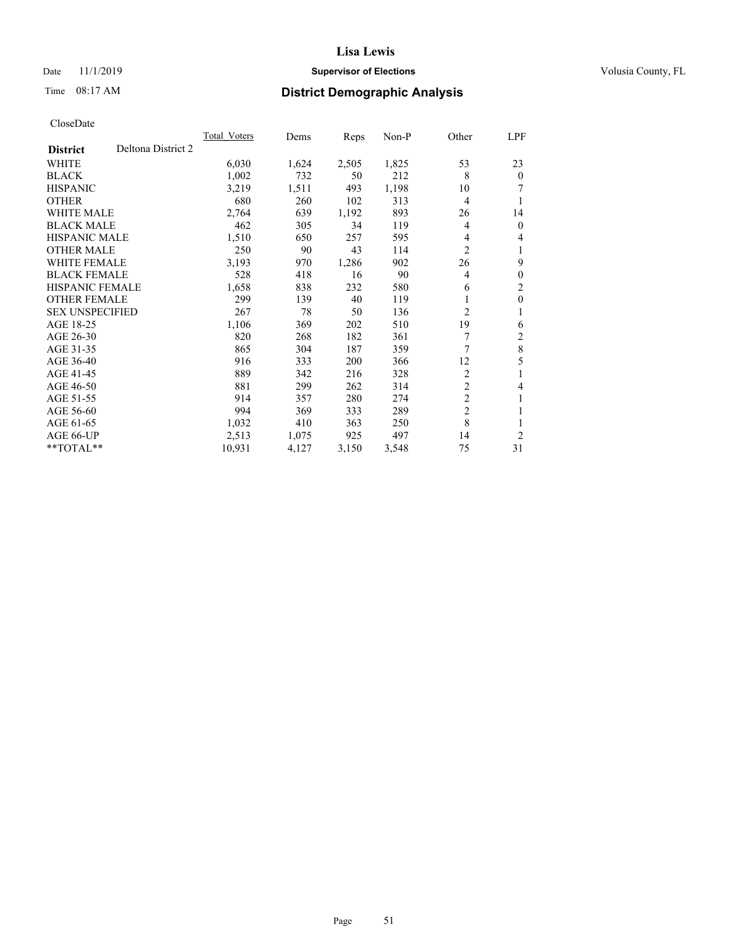## Date 11/1/2019 **Supervisor of Elections Supervisor of Elections** Volusia County, FL

# Time 08:17 AM **District Demographic Analysis**

|                        |                    | Total Voters | Dems  | Reps  | $Non-P$ | Other          | <u>LPF</u>     |
|------------------------|--------------------|--------------|-------|-------|---------|----------------|----------------|
| <b>District</b>        | Deltona District 2 |              |       |       |         |                |                |
| WHITE                  |                    | 6,030        | 1,624 | 2,505 | 1,825   | 53             | 23             |
| <b>BLACK</b>           |                    | 1,002        | 732   | 50    | 212     | 8              | $\theta$       |
| <b>HISPANIC</b>        |                    | 3,219        | 1,511 | 493   | 1,198   | 10             |                |
| <b>OTHER</b>           |                    | 680          | 260   | 102   | 313     | 4              | 1              |
| <b>WHITE MALE</b>      |                    | 2,764        | 639   | 1,192 | 893     | 26             | 14             |
| <b>BLACK MALE</b>      |                    | 462          | 305   | 34    | 119     | 4              | $\mathbf{0}$   |
| <b>HISPANIC MALE</b>   |                    | 1,510        | 650   | 257   | 595     | 4              | 4              |
| <b>OTHER MALE</b>      |                    | 250          | 90    | 43    | 114     | $\overline{c}$ | 1              |
| <b>WHITE FEMALE</b>    |                    | 3,193        | 970   | 1,286 | 902     | 26             | 9              |
| <b>BLACK FEMALE</b>    |                    | 528          | 418   | 16    | 90      | 4              | $\mathbf{0}$   |
| <b>HISPANIC FEMALE</b> |                    | 1,658        | 838   | 232   | 580     | 6              | $\overline{c}$ |
| <b>OTHER FEMALE</b>    |                    | 299          | 139   | 40    | 119     | 1              | $\mathbf{0}$   |
| <b>SEX UNSPECIFIED</b> |                    | 267          | 78    | 50    | 136     | 2              | 1              |
| AGE 18-25              |                    | 1,106        | 369   | 202   | 510     | 19             | 6              |
| AGE 26-30              |                    | 820          | 268   | 182   | 361     | 7              | $\overline{2}$ |
| AGE 31-35              |                    | 865          | 304   | 187   | 359     | 7              | $\,8\,$        |
| AGE 36-40              |                    | 916          | 333   | 200   | 366     | 12             | 5              |
| AGE 41-45              |                    | 889          | 342   | 216   | 328     | 2              | 1              |
| AGE 46-50              |                    | 881          | 299   | 262   | 314     | $\overline{c}$ | 4              |
| AGE 51-55              |                    | 914          | 357   | 280   | 274     | $\overline{2}$ | 1              |
| AGE 56-60              |                    | 994          | 369   | 333   | 289     | $\overline{2}$ | 1              |
| AGE 61-65              |                    | 1,032        | 410   | 363   | 250     | 8              | 1              |
| AGE 66-UP              |                    | 2,513        | 1,075 | 925   | 497     | 14             | $\overline{2}$ |
| $*$ TOTAL $*$          |                    | 10,931       | 4,127 | 3,150 | 3,548   | 75             | 31             |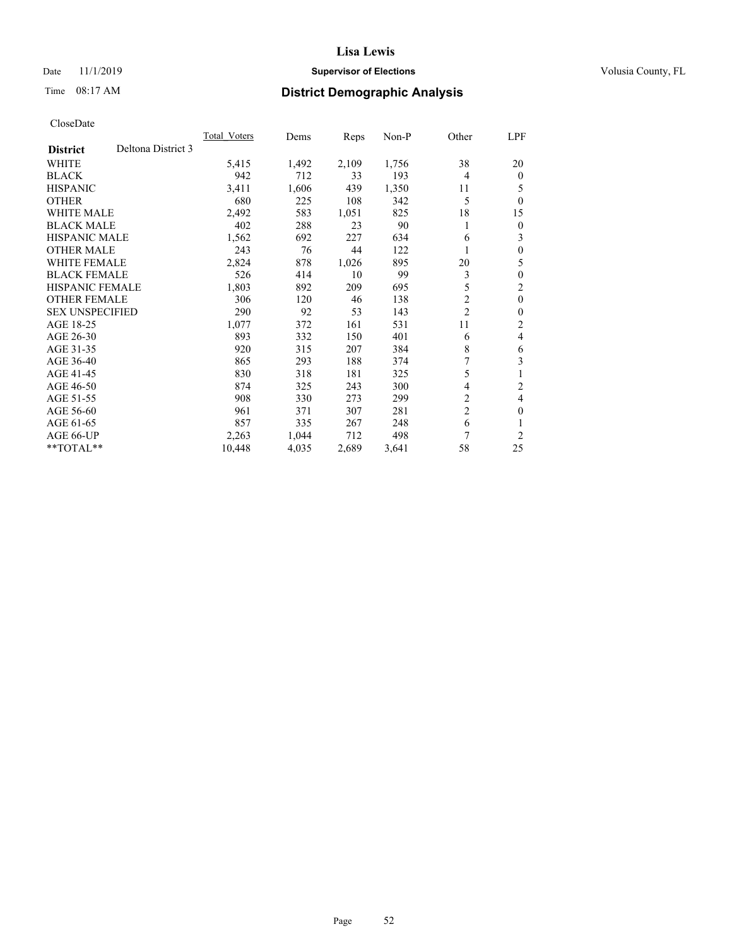## Date 11/1/2019 **Supervisor of Elections Supervisor of Elections** Volusia County, FL

# Time 08:17 AM **District Demographic Analysis**

|                        |                    | Total Voters | Dems  | Reps  | Non-P | Other          | LPF            |
|------------------------|--------------------|--------------|-------|-------|-------|----------------|----------------|
| <b>District</b>        | Deltona District 3 |              |       |       |       |                |                |
| WHITE                  |                    | 5,415        | 1,492 | 2,109 | 1,756 | 38             | 20             |
| <b>BLACK</b>           |                    | 942          | 712   | 33    | 193   | 4              | $\mathbf{0}$   |
| <b>HISPANIC</b>        |                    | 3,411        | 1,606 | 439   | 1,350 | 11             | 5              |
| <b>OTHER</b>           |                    | 680          | 225   | 108   | 342   | 5              | $\theta$       |
| WHITE MALE             |                    | 2,492        | 583   | 1,051 | 825   | 18             | 15             |
| <b>BLACK MALE</b>      |                    | 402          | 288   | 23    | 90    | 1              | $\theta$       |
| HISPANIC MALE          |                    | 1,562        | 692   | 227   | 634   | 6              | 3              |
| <b>OTHER MALE</b>      |                    | 243          | 76    | 44    | 122   |                | $\theta$       |
| <b>WHITE FEMALE</b>    |                    | 2,824        | 878   | 1,026 | 895   | 20             | 5              |
| <b>BLACK FEMALE</b>    |                    | 526          | 414   | 10    | 99    | 3              | $\theta$       |
| <b>HISPANIC FEMALE</b> |                    | 1,803        | 892   | 209   | 695   | 5              | $\overline{c}$ |
| <b>OTHER FEMALE</b>    |                    | 306          | 120   | 46    | 138   | $\overline{2}$ | $\overline{0}$ |
| <b>SEX UNSPECIFIED</b> |                    | 290          | 92    | 53    | 143   | $\overline{c}$ | $\theta$       |
| AGE 18-25              |                    | 1,077        | 372   | 161   | 531   | 11             | 2              |
| AGE 26-30              |                    | 893          | 332   | 150   | 401   | 6              | 4              |
| AGE 31-35              |                    | 920          | 315   | 207   | 384   | 8              | 6              |
| AGE 36-40              |                    | 865          | 293   | 188   | 374   |                | 3              |
| AGE 41-45              |                    | 830          | 318   | 181   | 325   | 5              | 1              |
| AGE 46-50              |                    | 874          | 325   | 243   | 300   | 4              | $\overline{c}$ |
| AGE 51-55              |                    | 908          | 330   | 273   | 299   | 2              | 4              |
| AGE 56-60              |                    | 961          | 371   | 307   | 281   | $\overline{c}$ | $\theta$       |
| AGE 61-65              |                    | 857          | 335   | 267   | 248   | 6              |                |
| AGE 66-UP              |                    | 2,263        | 1,044 | 712   | 498   | 7              | $\overline{c}$ |
| **TOTAL**              |                    | 10,448       | 4,035 | 2,689 | 3,641 | 58             | 25             |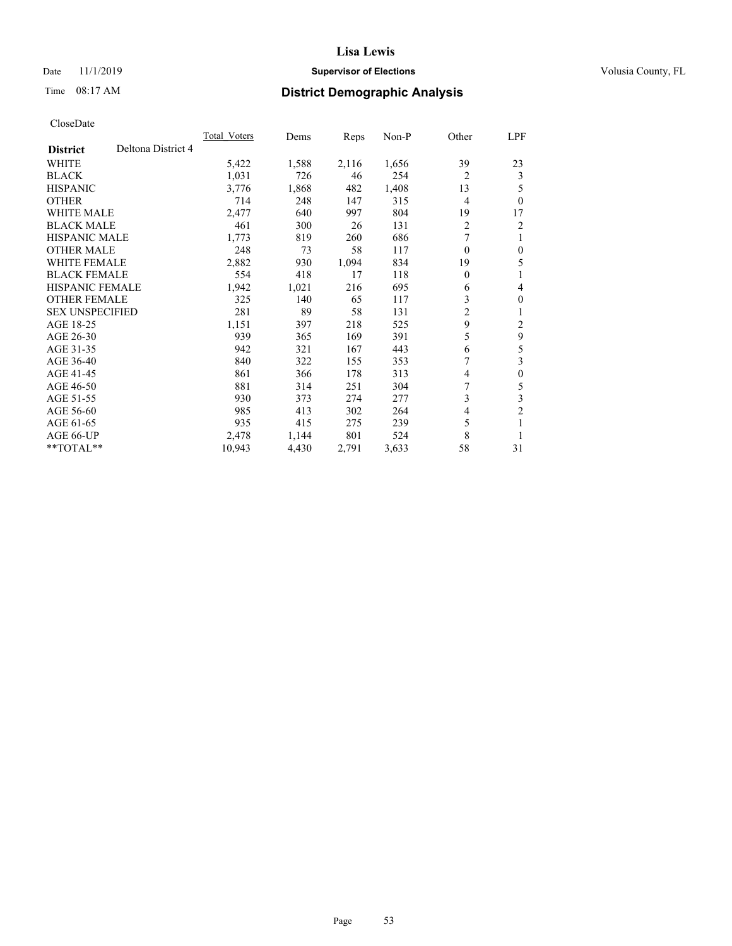## Date 11/1/2019 **Supervisor of Elections Supervisor of Elections** Volusia County, FL

## Time 08:17 AM **District Demographic Analysis**

|                                       | <b>Total Voters</b> | Dems  | Reps  | $Non-P$ | Other            | LPF              |
|---------------------------------------|---------------------|-------|-------|---------|------------------|------------------|
| Deltona District 4<br><b>District</b> |                     |       |       |         |                  |                  |
| <b>WHITE</b>                          | 5,422               | 1,588 | 2,116 | 1,656   | 39               | 23               |
| <b>BLACK</b>                          | 1,031               | 726   | 46    | 254     | $\overline{2}$   | 3                |
| <b>HISPANIC</b>                       | 3,776               | 1,868 | 482   | 1,408   | 13               | 5                |
| <b>OTHER</b>                          | 714                 | 248   | 147   | 315     | $\overline{4}$   | $\theta$         |
| <b>WHITE MALE</b>                     | 2,477               | 640   | 997   | 804     | 19               | 17               |
| <b>BLACK MALE</b>                     | 461                 | 300   | 26    | 131     | 2                | 2                |
| <b>HISPANIC MALE</b>                  | 1,773               | 819   | 260   | 686     | 7                | 1                |
| <b>OTHER MALE</b>                     | 248                 | 73    | 58    | 117     | 0                | $\theta$         |
| <b>WHITE FEMALE</b>                   | 2,882               | 930   | 1,094 | 834     | 19               | 5                |
| <b>BLACK FEMALE</b>                   | 554                 | 418   | 17    | 118     | $\boldsymbol{0}$ | 1                |
| <b>HISPANIC FEMALE</b>                | 1,942               | 1,021 | 216   | 695     | 6                | 4                |
| <b>OTHER FEMALE</b>                   | 325                 | 140   | 65    | 117     | 3                | $\theta$         |
| <b>SEX UNSPECIFIED</b>                | 281                 | 89    | 58    | 131     | 2                | 1                |
| AGE 18-25                             | 1,151               | 397   | 218   | 525     | 9                | 2                |
| AGE 26-30                             | 939                 | 365   | 169   | 391     | 5                | 9                |
| AGE 31-35                             | 942                 | 321   | 167   | 443     | 6                | 5                |
| AGE 36-40                             | 840                 | 322   | 155   | 353     | 7                | 3                |
| AGE 41-45                             | 861                 | 366   | 178   | 313     | 4                | $\boldsymbol{0}$ |
| AGE 46-50                             | 881                 | 314   | 251   | 304     | 7                | 5                |
| AGE 51-55                             | 930                 | 373   | 274   | 277     | 3                | 3                |
| AGE 56-60                             | 985                 | 413   | 302   | 264     | 4                | $\overline{c}$   |
| AGE 61-65                             | 935                 | 415   | 275   | 239     | 5                | 1                |
| AGE 66-UP                             | 2,478               | 1,144 | 801   | 524     | 8                | 1                |
| $*$ TOTAL $*$                         | 10,943              | 4,430 | 2,791 | 3,633   | 58               | 31               |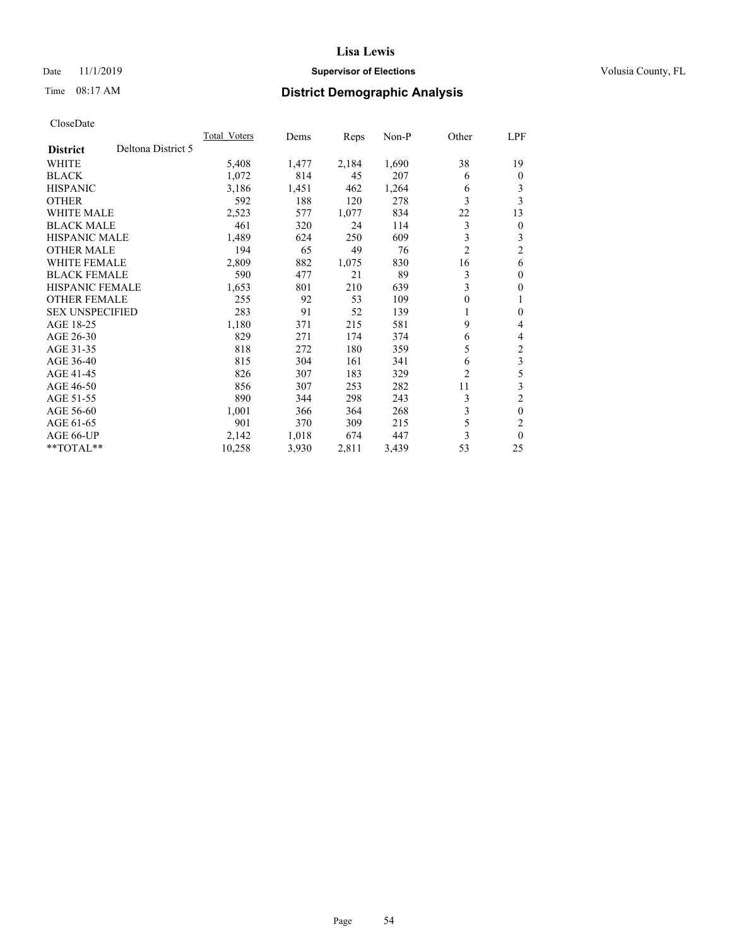## Date 11/1/2019 **Supervisor of Elections Supervisor of Elections** Volusia County, FL

# Time 08:17 AM **District Demographic Analysis**

|                                       | <b>Total Voters</b> | Dems  | Reps  | $Non-P$ | Other          | LPF              |
|---------------------------------------|---------------------|-------|-------|---------|----------------|------------------|
| Deltona District 5<br><b>District</b> |                     |       |       |         |                |                  |
| <b>WHITE</b>                          | 5,408               | 1,477 | 2,184 | 1,690   | 38             | 19               |
| <b>BLACK</b>                          | 1,072               | 814   | 45    | 207     | 6              | $\theta$         |
| <b>HISPANIC</b>                       | 3,186               | 1,451 | 462   | 1,264   | 6              | 3                |
| <b>OTHER</b>                          | 592                 | 188   | 120   | 278     | 3              | 3                |
| <b>WHITE MALE</b>                     | 2,523               | 577   | 1,077 | 834     | 22             | 13               |
| <b>BLACK MALE</b>                     | 461                 | 320   | 24    | 114     | 3              | $\theta$         |
| <b>HISPANIC MALE</b>                  | 1,489               | 624   | 250   | 609     | 3              | 3                |
| <b>OTHER MALE</b>                     | 194                 | 65    | 49    | 76      | $\overline{2}$ | $\overline{c}$   |
| <b>WHITE FEMALE</b>                   | 2,809               | 882   | 1,075 | 830     | 16             | 6                |
| <b>BLACK FEMALE</b>                   | 590                 | 477   | 21    | 89      | 3              | $\theta$         |
| <b>HISPANIC FEMALE</b>                | 1,653               | 801   | 210   | 639     | 3              | $\theta$         |
| <b>OTHER FEMALE</b>                   | 255                 | 92    | 53    | 109     | 0              | 1                |
| <b>SEX UNSPECIFIED</b>                | 283                 | 91    | 52    | 139     | 1              | $\boldsymbol{0}$ |
| AGE 18-25                             | 1,180               | 371   | 215   | 581     | 9              | 4                |
| AGE 26-30                             | 829                 | 271   | 174   | 374     | 6              | 4                |
| AGE 31-35                             | 818                 | 272   | 180   | 359     | 5              | $\mathfrak{2}$   |
| AGE 36-40                             | 815                 | 304   | 161   | 341     | 6              | 3                |
| AGE 41-45                             | 826                 | 307   | 183   | 329     | 2              | 5                |
| AGE 46-50                             | 856                 | 307   | 253   | 282     | 11             | 3                |
| AGE 51-55                             | 890                 | 344   | 298   | 243     | 3              | $\overline{c}$   |
| AGE 56-60                             | 1,001               | 366   | 364   | 268     | 3              | $\theta$         |
| AGE 61-65                             | 901                 | 370   | 309   | 215     | 5              | $\overline{c}$   |
| AGE 66-UP                             | 2,142               | 1,018 | 674   | 447     | 3              | $\theta$         |
| $*$ TOTAL $*$                         | 10,258              | 3,930 | 2,811 | 3,439   | 53             | 25               |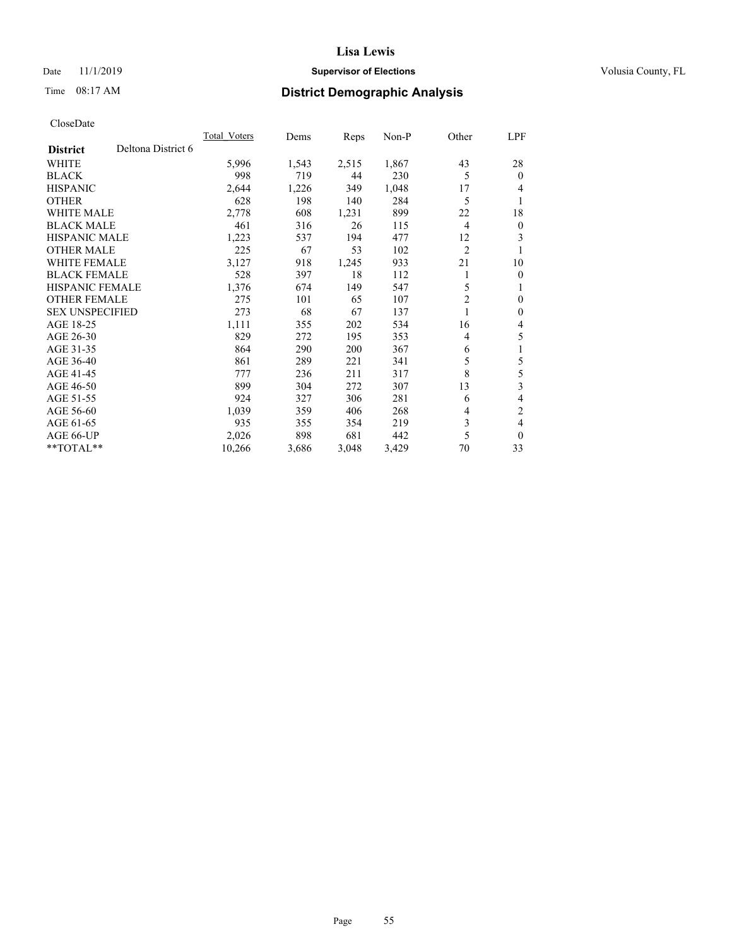## Date 11/1/2019 **Supervisor of Elections Supervisor of Elections** Volusia County, FL

# Time 08:17 AM **District Demographic Analysis**

|                        |                    | Total Voters | Dems  | Reps  | $Non-P$ | Other          | <u>LPF</u>     |
|------------------------|--------------------|--------------|-------|-------|---------|----------------|----------------|
| <b>District</b>        | Deltona District 6 |              |       |       |         |                |                |
| WHITE                  |                    | 5,996        | 1,543 | 2,515 | 1,867   | 43             | 28             |
| <b>BLACK</b>           |                    | 998          | 719   | 44    | 230     | 5              | $\theta$       |
| <b>HISPANIC</b>        |                    | 2,644        | 1,226 | 349   | 1,048   | 17             | 4              |
| <b>OTHER</b>           |                    | 628          | 198   | 140   | 284     | 5              | 1              |
| <b>WHITE MALE</b>      |                    | 2,778        | 608   | 1,231 | 899     | 22             | 18             |
| <b>BLACK MALE</b>      |                    | 461          | 316   | 26    | 115     | $\overline{4}$ | $\mathbf{0}$   |
| <b>HISPANIC MALE</b>   |                    | 1,223        | 537   | 194   | 477     | 12             | 3              |
| <b>OTHER MALE</b>      |                    | 225          | 67    | 53    | 102     | $\overline{c}$ | 1              |
| WHITE FEMALE           |                    | 3,127        | 918   | 1,245 | 933     | 21             | 10             |
| <b>BLACK FEMALE</b>    |                    | 528          | 397   | 18    | 112     |                | $\mathbf{0}$   |
| <b>HISPANIC FEMALE</b> |                    | 1,376        | 674   | 149   | 547     | 5              | 1              |
| <b>OTHER FEMALE</b>    |                    | 275          | 101   | 65    | 107     | $\overline{c}$ | $\theta$       |
| <b>SEX UNSPECIFIED</b> |                    | 273          | 68    | 67    | 137     |                | $\mathbf{0}$   |
| AGE 18-25              |                    | 1,111        | 355   | 202   | 534     | 16             | 4              |
| AGE 26-30              |                    | 829          | 272   | 195   | 353     | 4              | 5              |
| AGE 31-35              |                    | 864          | 290   | 200   | 367     | 6              | 1              |
| AGE 36-40              |                    | 861          | 289   | 221   | 341     | 5              | 5              |
| AGE 41-45              |                    | 777          | 236   | 211   | 317     | 8              | 5              |
| AGE 46-50              |                    | 899          | 304   | 272   | 307     | 13             | 3              |
| AGE 51-55              |                    | 924          | 327   | 306   | 281     | 6              | 4              |
| AGE 56-60              |                    | 1,039        | 359   | 406   | 268     | 4              | $\overline{2}$ |
| AGE 61-65              |                    | 935          | 355   | 354   | 219     | 3              | 4              |
| AGE 66-UP              |                    | 2,026        | 898   | 681   | 442     | 5              | $\mathbf{0}$   |
| **TOTAL**              |                    | 10,266       | 3,686 | 3,048 | 3,429   | 70             | 33             |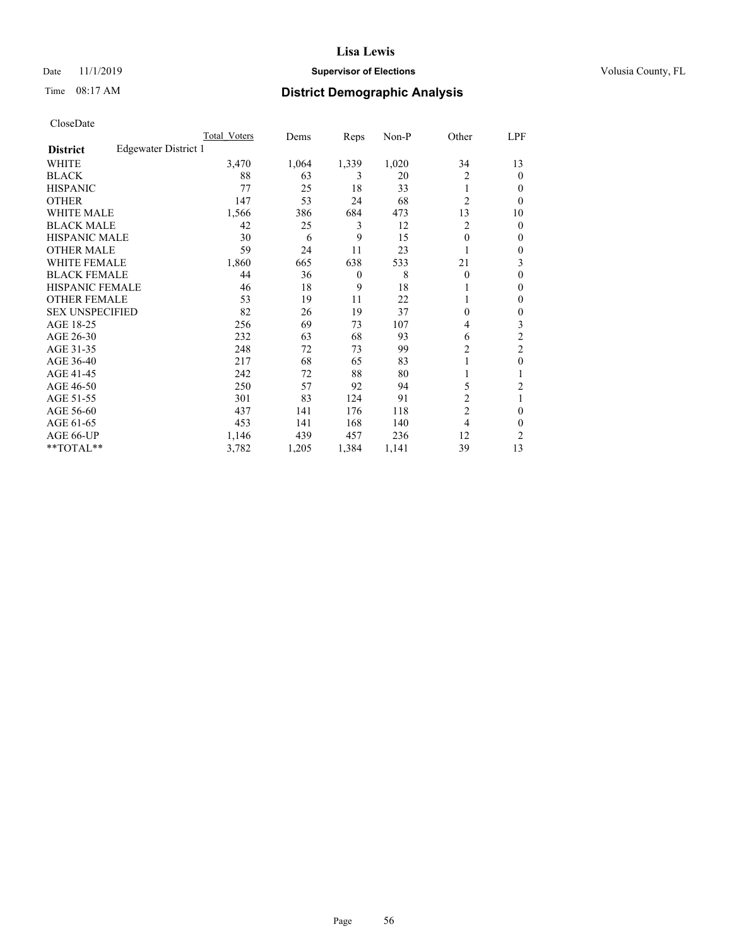## Date 11/1/2019 **Supervisor of Elections Supervisor of Elections** Volusia County, FL

# Time 08:17 AM **District Demographic Analysis**

|                        |                      | Total Voters | Dems  | Reps           | Non-P | Other          | LPF            |
|------------------------|----------------------|--------------|-------|----------------|-------|----------------|----------------|
| <b>District</b>        | Edgewater District 1 |              |       |                |       |                |                |
| WHITE                  |                      | 3,470        | 1,064 | 1,339          | 1,020 | 34             | 13             |
| <b>BLACK</b>           |                      | 88           | 63    | 3              | 20    | $\overline{c}$ | $\mathbf{0}$   |
| <b>HISPANIC</b>        |                      | 77           | 25    | 18             | 33    | 1              | 0              |
| <b>OTHER</b>           |                      | 147          | 53    | 24             | 68    | $\overline{2}$ | $\Omega$       |
| <b>WHITE MALE</b>      |                      | 1,566        | 386   | 684            | 473   | 13             | 10             |
| <b>BLACK MALE</b>      |                      | 42           | 25    | 3              | 12    | 2              | $\mathbf{0}$   |
| <b>HISPANIC MALE</b>   |                      | 30           | 6     | 9              | 15    | 0              | $\mathbf{0}$   |
| <b>OTHER MALE</b>      |                      | 59           | 24    | 11             | 23    |                | 0              |
| WHITE FEMALE           |                      | 1,860        | 665   | 638            | 533   | 21             | 3              |
| <b>BLACK FEMALE</b>    |                      | 44           | 36    | $\overline{0}$ | 8     | 0              | 0              |
| <b>HISPANIC FEMALE</b> |                      | 46           | 18    | 9              | 18    |                | 0              |
| <b>OTHER FEMALE</b>    |                      | 53           | 19    | 11             | 22    |                | 0              |
| <b>SEX UNSPECIFIED</b> |                      | 82           | 26    | 19             | 37    | 0              | $\theta$       |
| AGE 18-25              |                      | 256          | 69    | 73             | 107   | 4              | 3              |
| AGE 26-30              |                      | 232          | 63    | 68             | 93    | 6              | $\overline{2}$ |
| AGE 31-35              |                      | 248          | 72    | 73             | 99    | 2              | $\overline{2}$ |
| AGE 36-40              |                      | 217          | 68    | 65             | 83    |                | $\mathbf{0}$   |
| AGE 41-45              |                      | 242          | 72    | 88             | 80    |                |                |
| AGE 46-50              |                      | 250          | 57    | 92             | 94    | 5              | 2              |
| AGE 51-55              |                      | 301          | 83    | 124            | 91    | $\overline{c}$ | 1              |
| AGE 56-60              |                      | 437          | 141   | 176            | 118   | $\overline{2}$ | 0              |
| AGE 61-65              |                      | 453          | 141   | 168            | 140   | 4              | $\theta$       |
| AGE 66-UP              |                      | 1,146        | 439   | 457            | 236   | 12             | 2              |
| **TOTAL**              |                      | 3,782        | 1,205 | 1,384          | 1,141 | 39             | 13             |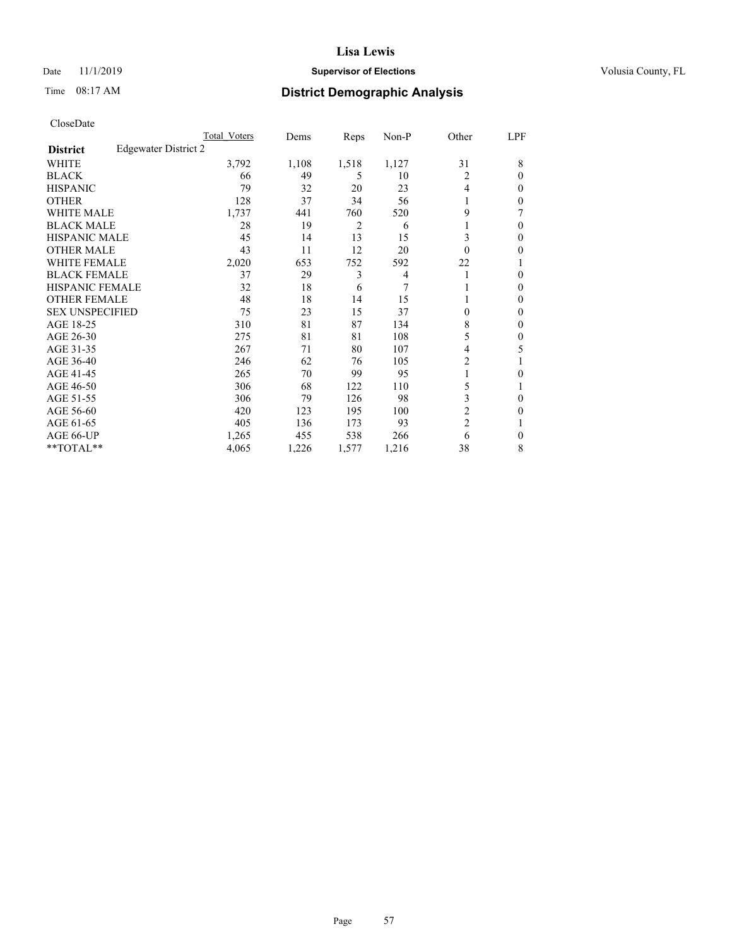## Date 11/1/2019 **Supervisor of Elections Supervisor of Elections** Volusia County, FL

# Time 08:17 AM **District Demographic Analysis**

|                        |                      | Total Voters | Dems  | Reps           | Non-P          | Other          | LPF    |
|------------------------|----------------------|--------------|-------|----------------|----------------|----------------|--------|
| <b>District</b>        | Edgewater District 2 |              |       |                |                |                |        |
| WHITE                  |                      | 3,792        | 1,108 | 1,518          | 1,127          | 31             | 8      |
| <b>BLACK</b>           |                      | 66           | 49    | 5              | 10             | 2              | 0      |
| <b>HISPANIC</b>        |                      | 79           | 32    | 20             | 23             | 4              | $_{0}$ |
| <b>OTHER</b>           |                      | 128          | 37    | 34             | 56             |                | 0      |
| WHITE MALE             |                      | 1,737        | 441   | 760            | 520            | 9              |        |
| <b>BLACK MALE</b>      |                      | 28           | 19    | $\overline{2}$ | 6              |                | 0      |
| <b>HISPANIC MALE</b>   |                      | 45           | 14    | 13             | 15             | 3              | 0      |
| <b>OTHER MALE</b>      |                      | 43           | 11    | 12             | 20             | $\Omega$       | 0      |
| WHITE FEMALE           |                      | 2,020        | 653   | 752            | 592            | 22             |        |
| <b>BLACK FEMALE</b>    |                      | 37           | 29    | 3              | $\overline{4}$ |                | 0      |
| <b>HISPANIC FEMALE</b> |                      | 32           | 18    | 6              | 7              |                | 0      |
| <b>OTHER FEMALE</b>    |                      | 48           | 18    | 14             | 15             |                | 0      |
| <b>SEX UNSPECIFIED</b> |                      | 75           | 23    | 15             | 37             | 0              | 0      |
| AGE 18-25              |                      | 310          | 81    | 87             | 134            | 8              | 0      |
| AGE 26-30              |                      | 275          | 81    | 81             | 108            | 5              | 0      |
| AGE 31-35              |                      | 267          | 71    | 80             | 107            | 4              | 5      |
| AGE 36-40              |                      | 246          | 62    | 76             | 105            | 2              |        |
| AGE 41-45              |                      | 265          | 70    | 99             | 95             |                | 0      |
| AGE 46-50              |                      | 306          | 68    | 122            | 110            | 5              |        |
| AGE 51-55              |                      | 306          | 79    | 126            | 98             | 3              | 0      |
| AGE 56-60              |                      | 420          | 123   | 195            | 100            | $\overline{c}$ | 0      |
| AGE 61-65              |                      | 405          | 136   | 173            | 93             | $\overline{c}$ |        |
| AGE 66-UP              |                      | 1,265        | 455   | 538            | 266            | 6              | 0      |
| **TOTAL**              |                      | 4,065        | 1,226 | 1,577          | 1,216          | 38             | 8      |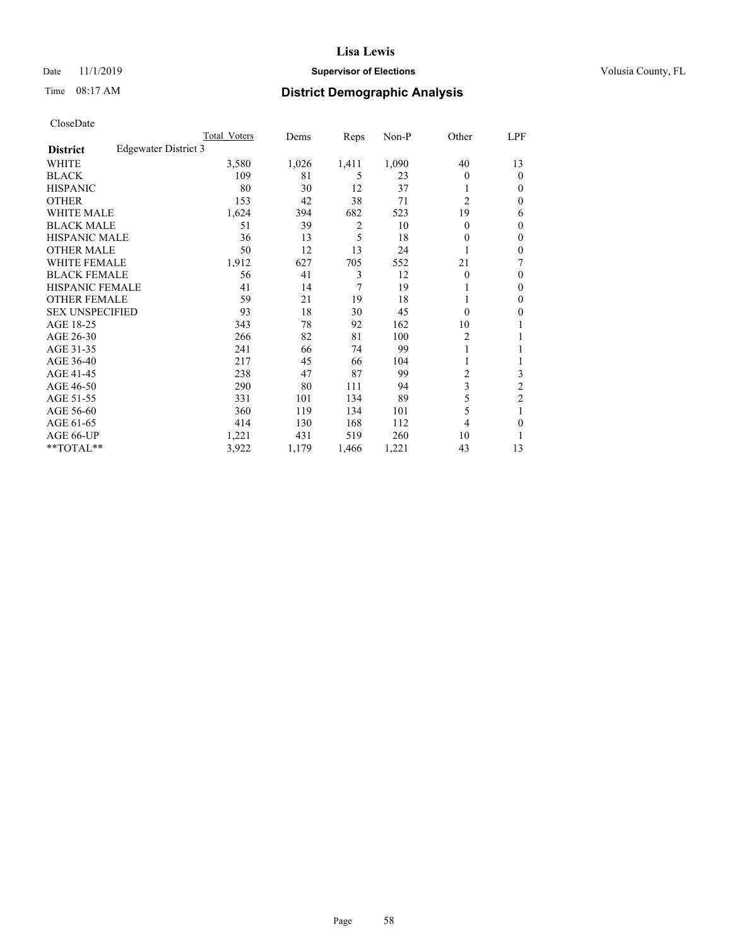## Date 11/1/2019 **Supervisor of Elections Supervisor of Elections** Volusia County, FL

# Time 08:17 AM **District Demographic Analysis**

|                        | Total Voters         | Dems  | Reps  | $Non-P$ | Other          | LPF            |
|------------------------|----------------------|-------|-------|---------|----------------|----------------|
| <b>District</b>        | Edgewater District 3 |       |       |         |                |                |
| WHITE                  | 3,580                | 1,026 | 1,411 | 1,090   | 40             | 13             |
| <b>BLACK</b>           | 109                  | 81    | 5     | 23      | 0              | $\theta$       |
| <b>HISPANIC</b>        | 80                   | 30    | 12    | 37      |                | 0              |
| <b>OTHER</b>           | 153                  | 42    | 38    | 71      | $\overline{c}$ | $\Omega$       |
| <b>WHITE MALE</b>      | 1,624                | 394   | 682   | 523     | 19             | 6              |
| <b>BLACK MALE</b>      | 51                   | 39    | 2     | 10      | 0              | $\theta$       |
| HISPANIC MALE          | 36                   | 13    | 5     | 18      | 0              | $\theta$       |
| <b>OTHER MALE</b>      | 50                   | 12    | 13    | 24      |                | $\theta$       |
| <b>WHITE FEMALE</b>    | 1,912                | 627   | 705   | 552     | 21             | 7              |
| <b>BLACK FEMALE</b>    | 56                   | 41    | 3     | 12      | 0              | $\theta$       |
| <b>HISPANIC FEMALE</b> | 41                   | 14    | 7     | 19      |                | $\mathbf{0}$   |
| <b>OTHER FEMALE</b>    | 59                   | 21    | 19    | 18      |                | $\Omega$       |
| <b>SEX UNSPECIFIED</b> | 93                   | 18    | 30    | 45      | $\theta$       | 0              |
| AGE 18-25              | 343                  | 78    | 92    | 162     | 10             |                |
| AGE 26-30              | 266                  | 82    | 81    | 100     | 2              | 1              |
| AGE 31-35              | 241                  | 66    | 74    | 99      |                |                |
| AGE 36-40              | 217                  | 45    | 66    | 104     |                |                |
| AGE 41-45              | 238                  | 47    | 87    | 99      | 2              | 3              |
| AGE 46-50              | 290                  | 80    | 111   | 94      | 3              | $\overline{c}$ |
| AGE 51-55              | 331                  | 101   | 134   | 89      | 5              | $\overline{c}$ |
| AGE 56-60              | 360                  | 119   | 134   | 101     | 5              | 1              |
| AGE 61-65              | 414                  | 130   | 168   | 112     | 4              | 0              |
| AGE 66-UP              | 1,221                | 431   | 519   | 260     | 10             | 1              |
| $*$ TOTAL $*$          | 3,922                | 1,179 | 1,466 | 1,221   | 43             | 13             |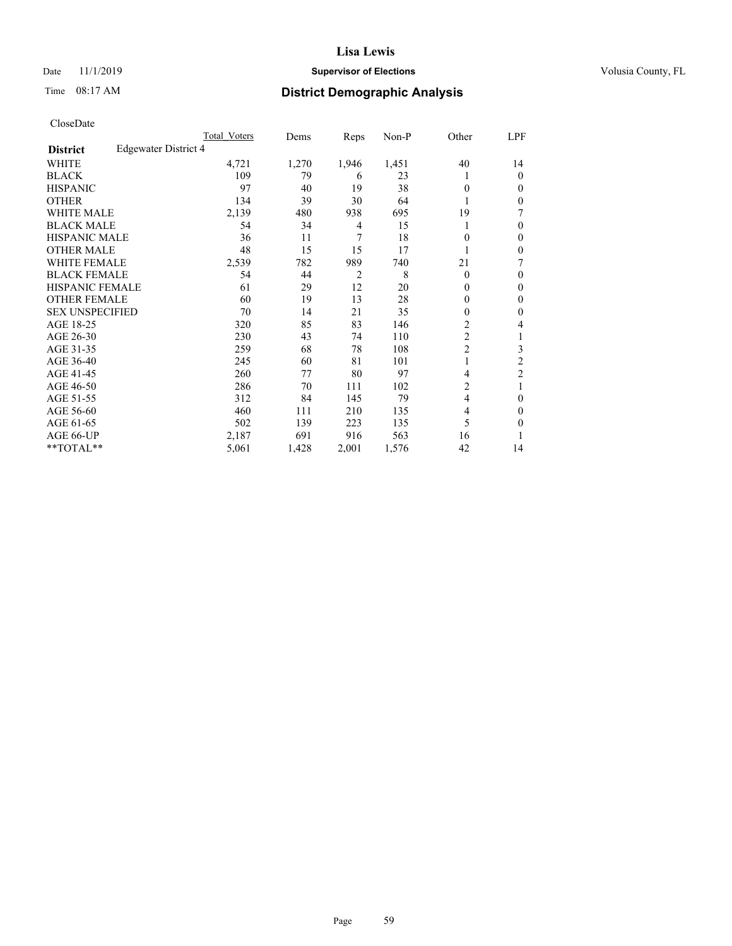#### Date 11/1/2019 **Supervisor of Elections Supervisor of Elections** Volusia County, FL

# Time 08:17 AM **District Demographic Analysis**

|                                         | Total Voters | Dems  | Reps  | $Non-P$ | Other          | LPF            |
|-----------------------------------------|--------------|-------|-------|---------|----------------|----------------|
| Edgewater District 4<br><b>District</b> |              |       |       |         |                |                |
| WHITE                                   | 4,721        | 1,270 | 1,946 | 1,451   | 40             | 14             |
| <b>BLACK</b>                            | 109          | 79    | 6     | 23      | L              | $\theta$       |
| <b>HISPANIC</b>                         | 97           | 40    | 19    | 38      | 0              | $\Omega$       |
| <b>OTHER</b>                            | 134          | 39    | 30    | 64      |                | $\Omega$       |
| <b>WHITE MALE</b>                       | 2,139        | 480   | 938   | 695     | 19             | 7              |
| <b>BLACK MALE</b>                       | 54           | 34    | 4     | 15      |                | 0              |
| HISPANIC MALE                           | 36           | 11    | 7     | 18      | 0              | $\theta$       |
| <b>OTHER MALE</b>                       | 48           | 15    | 15    | 17      |                | $\mathbf{0}$   |
| <b>WHITE FEMALE</b>                     | 2,539        | 782   | 989   | 740     | 21             | 7              |
| <b>BLACK FEMALE</b>                     | 54           | 44    | 2     | 8       | $\theta$       | $\theta$       |
| <b>HISPANIC FEMALE</b>                  | 61           | 29    | 12    | 20      | $\mathbf{0}$   | $\mathbf{0}$   |
| <b>OTHER FEMALE</b>                     | 60           | 19    | 13    | 28      | 0              | $\mathbf{0}$   |
| <b>SEX UNSPECIFIED</b>                  | 70           | 14    | 21    | 35      | 0              | 0              |
| AGE 18-25                               | 320          | 85    | 83    | 146     | 2              | 4              |
| AGE 26-30                               | 230          | 43    | 74    | 110     | $\overline{2}$ | 1              |
| AGE 31-35                               | 259          | 68    | 78    | 108     | $\overline{2}$ | 3              |
| AGE 36-40                               | 245          | 60    | 81    | 101     | 1              | $\overline{2}$ |
| AGE 41-45                               | 260          | 77    | 80    | 97      | 4              | $\overline{2}$ |
| AGE 46-50                               | 286          | 70    | 111   | 102     | 2              |                |
| AGE 51-55                               | 312          | 84    | 145   | 79      | 4              | $\theta$       |
| AGE 56-60                               | 460          | 111   | 210   | 135     | 4              | $\Omega$       |
| AGE 61-65                               | 502          | 139   | 223   | 135     | 5              | 0              |
| AGE 66-UP                               | 2,187        | 691   | 916   | 563     | 16             | 1              |
| $*$ TOTAL $*$                           | 5,061        | 1,428 | 2,001 | 1,576   | 42             | 14             |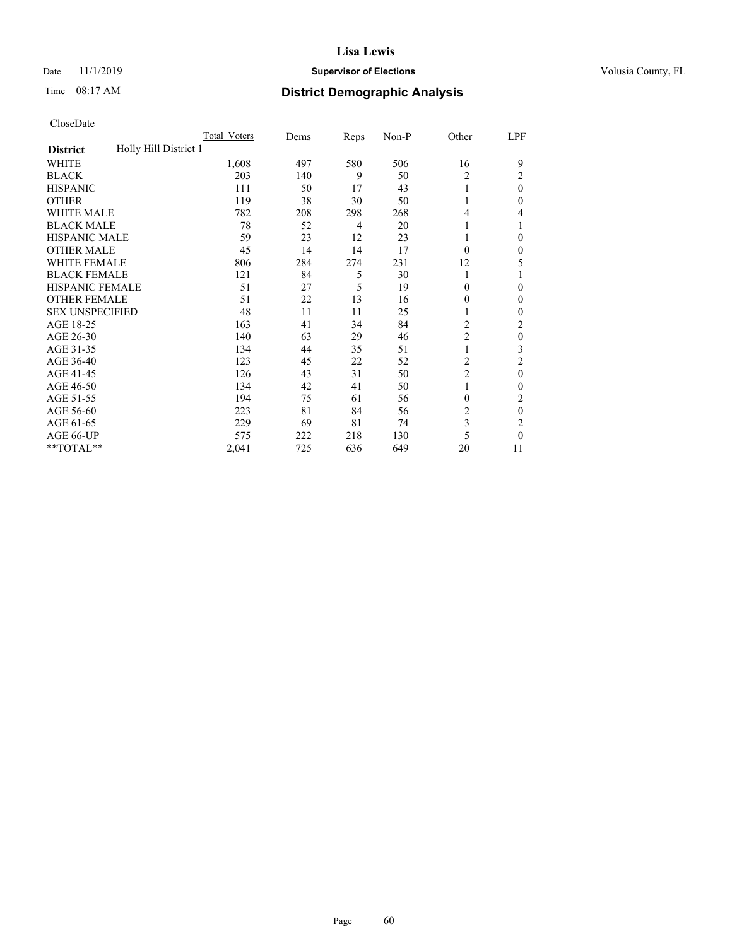## Date 11/1/2019 **Supervisor of Elections Supervisor of Elections** Volusia County, FL

# Time 08:17 AM **District Demographic Analysis**

|                                          | Total Voters | Dems | Reps | Non-P | Other          | LPF      |
|------------------------------------------|--------------|------|------|-------|----------------|----------|
| Holly Hill District 1<br><b>District</b> |              |      |      |       |                |          |
| WHITE                                    | 1,608        | 497  | 580  | 506   | 16             | 9        |
| <b>BLACK</b>                             | 203          | 140  | 9    | 50    | 2              | 2        |
| <b>HISPANIC</b>                          | 111          | 50   | 17   | 43    |                | $\Omega$ |
| <b>OTHER</b>                             | 119          | 38   | 30   | 50    |                | 0        |
| WHITE MALE                               | 782          | 208  | 298  | 268   | 4              | 4        |
| <b>BLACK MALE</b>                        | 78           | 52   | 4    | 20    |                |          |
| <b>HISPANIC MALE</b>                     | 59           | 23   | 12   | 23    |                | 0        |
| <b>OTHER MALE</b>                        | 45           | 14   | 14   | 17    | $\theta$       | 0        |
| WHITE FEMALE                             | 806          | 284  | 274  | 231   | 12             | 5        |
| <b>BLACK FEMALE</b>                      | 121          | 84   | 5    | 30    | 1              |          |
| <b>HISPANIC FEMALE</b>                   | 51           | 27   | 5    | 19    | $\Omega$       | 0        |
| <b>OTHER FEMALE</b>                      | 51           | 22   | 13   | 16    | $\Omega$       | 0        |
| <b>SEX UNSPECIFIED</b>                   | 48           | 11   | 11   | 25    |                | 0        |
| AGE 18-25                                | 163          | 41   | 34   | 84    | $\overline{2}$ | 2        |
| AGE 26-30                                | 140          | 63   | 29   | 46    | 2              | $\theta$ |
| AGE 31-35                                | 134          | 44   | 35   | 51    |                | 3        |
| AGE 36-40                                | 123          | 45   | 22   | 52    | 2              | 2        |
| AGE 41-45                                | 126          | 43   | 31   | 50    | $\overline{c}$ | $\theta$ |
| AGE 46-50                                | 134          | 42   | 41   | 50    | 1              | 0        |
| AGE 51-55                                | 194          | 75   | 61   | 56    | $\theta$       | 2        |
| AGE 56-60                                | 223          | 81   | 84   | 56    | $\overline{c}$ | $\theta$ |
| AGE 61-65                                | 229          | 69   | 81   | 74    | 3              | 2        |
| AGE 66-UP                                | 575          | 222  | 218  | 130   | 5              | 0        |
| **TOTAL**                                | 2,041        | 725  | 636  | 649   | 20             | 11       |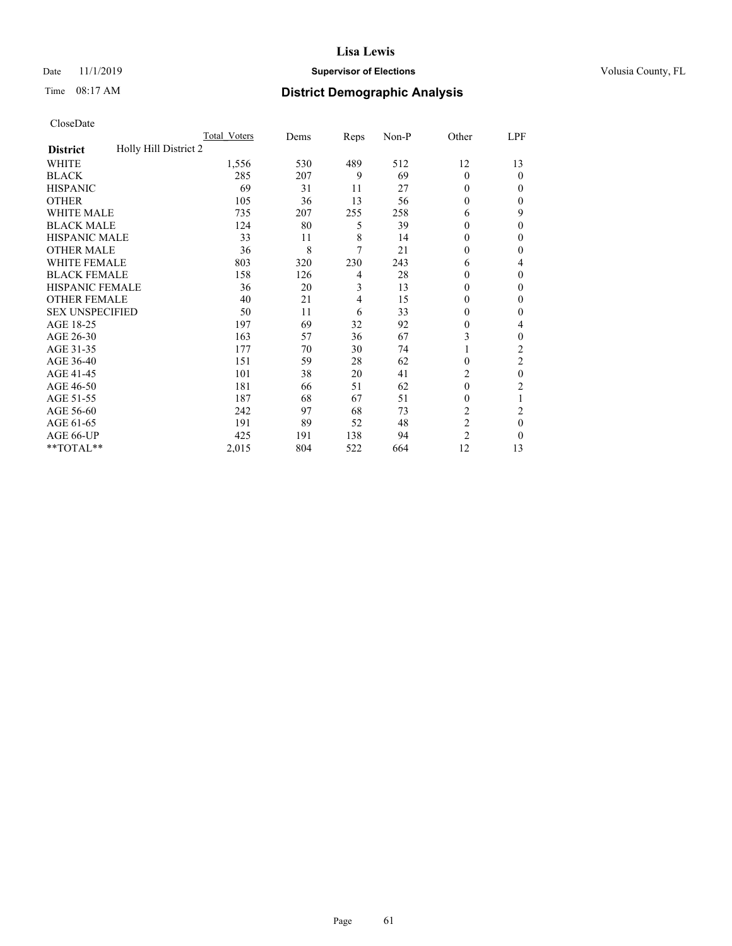## Date 11/1/2019 **Supervisor of Elections Supervisor of Elections** Volusia County, FL

# Time 08:17 AM **District Demographic Analysis**

|                                          | Total Voters | Dems | Reps | Non-P | Other          | LPF            |
|------------------------------------------|--------------|------|------|-------|----------------|----------------|
| Holly Hill District 2<br><b>District</b> |              |      |      |       |                |                |
| WHITE                                    | 1,556        | 530  | 489  | 512   | 12             | 13             |
| <b>BLACK</b>                             | 285          | 207  | 9    | 69    | $\Omega$       | 0              |
| <b>HISPANIC</b>                          | 69           | 31   | 11   | 27    | $\Omega$       | $_{0}$         |
| <b>OTHER</b>                             | 105          | 36   | 13   | 56    | $\theta$       | 0              |
| WHITE MALE                               | 735          | 207  | 255  | 258   | 6              | 9              |
| <b>BLACK MALE</b>                        | 124          | 80   | 5    | 39    | $\theta$       | 0              |
| <b>HISPANIC MALE</b>                     | 33           | 11   | 8    | 14    | 0              | 0              |
| <b>OTHER MALE</b>                        | 36           | 8    | 7    | 21    | $\theta$       | 0              |
| <b>WHITE FEMALE</b>                      | 803          | 320  | 230  | 243   | 6              | 4              |
| <b>BLACK FEMALE</b>                      | 158          | 126  | 4    | 28    | $\theta$       | 0              |
| <b>HISPANIC FEMALE</b>                   | 36           | 20   | 3    | 13    | $\Omega$       | 0              |
| <b>OTHER FEMALE</b>                      | 40           | 21   | 4    | 15    | $\Omega$       | 0              |
| <b>SEX UNSPECIFIED</b>                   | 50           | 11   | 6    | 33    | 0              | 0              |
| AGE 18-25                                | 197          | 69   | 32   | 92    | $\theta$       | 4              |
| AGE 26-30                                | 163          | 57   | 36   | 67    | 3              | 0              |
| AGE 31-35                                | 177          | 70   | 30   | 74    |                | $\overline{c}$ |
| AGE 36-40                                | 151          | 59   | 28   | 62    | $\theta$       | 2              |
| AGE 41-45                                | 101          | 38   | 20   | 41    | 2              | 0              |
| AGE 46-50                                | 181          | 66   | 51   | 62    | $\theta$       | 2              |
| AGE 51-55                                | 187          | 68   | 67   | 51    | 0              | 1              |
| AGE 56-60                                | 242          | 97   | 68   | 73    | $\overline{c}$ | 2              |
| AGE 61-65                                | 191          | 89   | 52   | 48    | $\overline{c}$ | 0              |
| AGE 66-UP                                | 425          | 191  | 138  | 94    | $\overline{2}$ | 0              |
| **TOTAL**                                | 2,015        | 804  | 522  | 664   | 12             | 13             |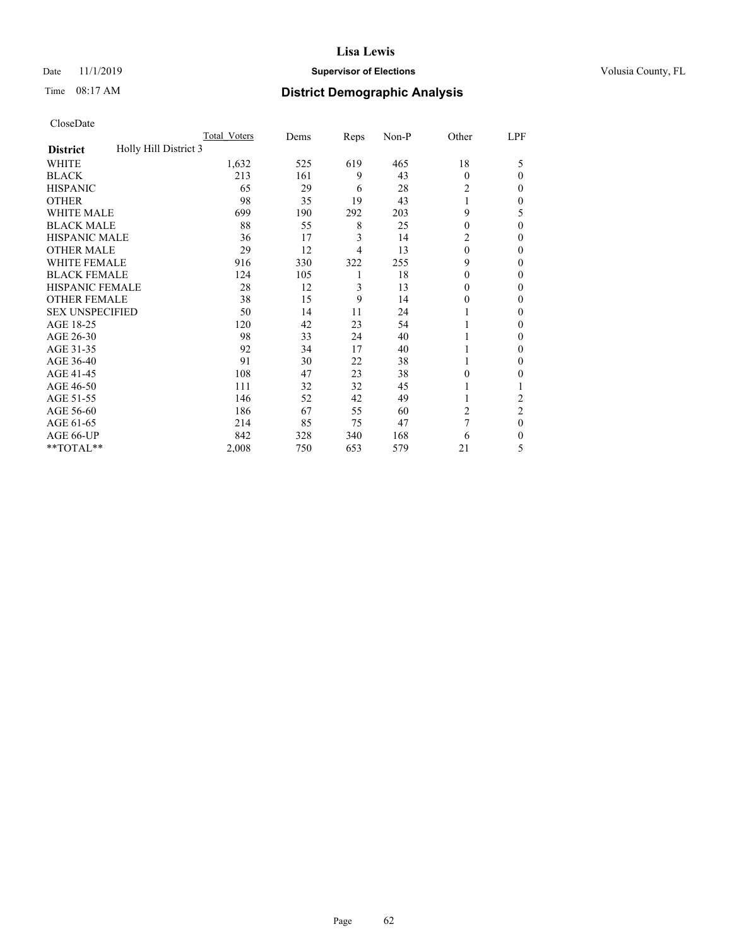## Date 11/1/2019 **Supervisor of Elections Supervisor of Elections** Volusia County, FL

# Time 08:17 AM **District Demographic Analysis**

|                                          | Total Voters | Dems | Reps | Non-P | Other    | LPF            |
|------------------------------------------|--------------|------|------|-------|----------|----------------|
| Holly Hill District 3<br><b>District</b> |              |      |      |       |          |                |
| WHITE                                    | 1,632        | 525  | 619  | 465   | 18       | 5              |
| <b>BLACK</b>                             | 213          | 161  | 9    | 43    | $\Omega$ | 0              |
| <b>HISPANIC</b>                          | 65           | 29   | 6    | 28    | 2        | $_{0}$         |
| <b>OTHER</b>                             | 98           | 35   | 19   | 43    |          | 0              |
| WHITE MALE                               | 699          | 190  | 292  | 203   | 9        | 5              |
| <b>BLACK MALE</b>                        | 88           | 55   | 8    | 25    | $\Omega$ | 0              |
| <b>HISPANIC MALE</b>                     | 36           | 17   | 3    | 14    | 2        | 0              |
| <b>OTHER MALE</b>                        | 29           | 12   | 4    | 13    | $\Omega$ | 0              |
| WHITE FEMALE                             | 916          | 330  | 322  | 255   | 9        | 0              |
| <b>BLACK FEMALE</b>                      | 124          | 105  | 1    | 18    | 0        | 0              |
| <b>HISPANIC FEMALE</b>                   | 28           | 12   | 3    | 13    | 0        | 0              |
| <b>OTHER FEMALE</b>                      | 38           | 15   | 9    | 14    | $_{0}$   | 0              |
| <b>SEX UNSPECIFIED</b>                   | 50           | 14   | 11   | 24    |          | 0              |
| AGE 18-25                                | 120          | 42   | 23   | 54    |          | 0              |
| AGE 26-30                                | 98           | 33   | 24   | 40    |          | 0              |
| AGE 31-35                                | 92           | 34   | 17   | 40    |          | 0              |
| AGE 36-40                                | 91           | 30   | 22   | 38    |          | 0              |
| AGE 41-45                                | 108          | 47   | 23   | 38    | 0        | 0              |
| AGE 46-50                                | 111          | 32   | 32   | 45    |          |                |
| AGE 51-55                                | 146          | 52   | 42   | 49    |          | 2              |
| AGE 56-60                                | 186          | 67   | 55   | 60    | 2        | $\overline{2}$ |
| AGE 61-65                                | 214          | 85   | 75   | 47    | 7        | 0              |
| AGE 66-UP                                | 842          | 328  | 340  | 168   | 6        | 0              |
| **TOTAL**                                | 2,008        | 750  | 653  | 579   | 21       | 5              |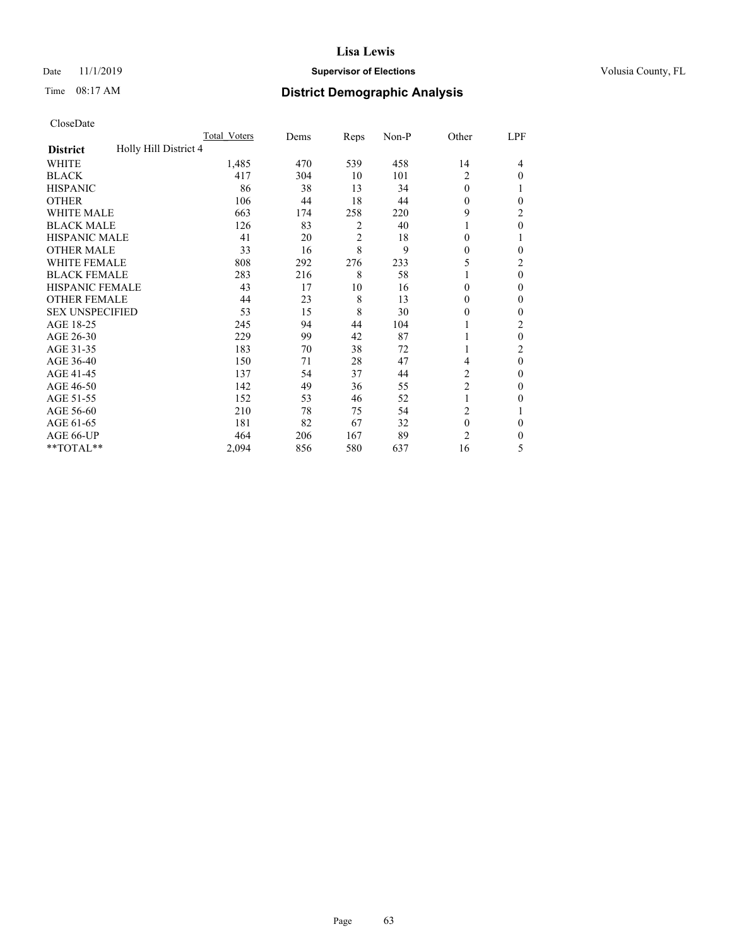## Date 11/1/2019 **Supervisor of Elections Supervisor of Elections** Volusia County, FL

# Time 08:17 AM **District Demographic Analysis**

|                                          | Total Voters | Dems | Reps           | Non-P | Other          | LPF            |
|------------------------------------------|--------------|------|----------------|-------|----------------|----------------|
| Holly Hill District 4<br><b>District</b> |              |      |                |       |                |                |
| WHITE                                    | 1,485        | 470  | 539            | 458   | 14             | 4              |
| <b>BLACK</b>                             | 417          | 304  | 10             | 101   | 2              | $\Omega$       |
| <b>HISPANIC</b>                          | 86           | 38   | 13             | 34    | $\theta$       |                |
| <b>OTHER</b>                             | 106          | 44   | 18             | 44    | $\Omega$       | 0              |
| WHITE MALE                               | 663          | 174  | 258            | 220   | 9              | 2              |
| <b>BLACK MALE</b>                        | 126          | 83   | 2              | 40    | 1              | $\theta$       |
| <b>HISPANIC MALE</b>                     | 41           | 20   | $\overline{2}$ | 18    | $\Omega$       |                |
| <b>OTHER MALE</b>                        | 33           | 16   | 8              | 9     | $\mathbf{0}$   | 0              |
| WHITE FEMALE                             | 808          | 292  | 276            | 233   | 5              | 2              |
| <b>BLACK FEMALE</b>                      | 283          | 216  | 8              | 58    |                | $\theta$       |
| <b>HISPANIC FEMALE</b>                   | 43           | 17   | 10             | 16    | $\Omega$       | 0              |
| <b>OTHER FEMALE</b>                      | 44           | 23   | 8              | 13    | $\Omega$       | 0              |
| <b>SEX UNSPECIFIED</b>                   | 53           | 15   | 8              | 30    | $\theta$       | 0              |
| AGE 18-25                                | 245          | 94   | 44             | 104   |                | 2              |
| AGE 26-30                                | 229          | 99   | 42             | 87    | 1              | $\theta$       |
| AGE 31-35                                | 183          | 70   | 38             | 72    | 1              | $\overline{c}$ |
| AGE 36-40                                | 150          | 71   | 28             | 47    | 4              | $\theta$       |
| AGE 41-45                                | 137          | 54   | 37             | 44    | 2              | 0              |
| AGE 46-50                                | 142          | 49   | 36             | 55    | $\overline{2}$ | $\Omega$       |
| AGE 51-55                                | 152          | 53   | 46             | 52    | 1              | 0              |
| AGE 56-60                                | 210          | 78   | 75             | 54    | $\overline{c}$ |                |
| AGE 61-65                                | 181          | 82   | 67             | 32    | $\mathbf{0}$   | $\theta$       |
| AGE 66-UP                                | 464          | 206  | 167            | 89    | $\overline{c}$ | 0              |
| **TOTAL**                                | 2,094        | 856  | 580            | 637   | 16             | 5              |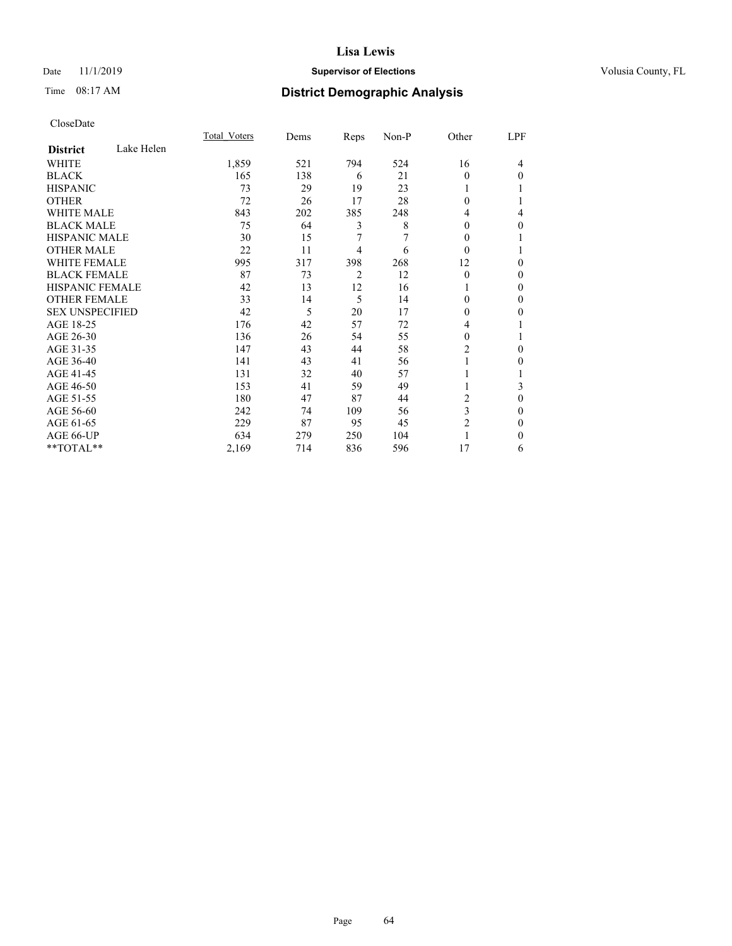## Date 11/1/2019 **Supervisor of Elections Supervisor of Elections** Volusia County, FL

# Time 08:17 AM **District Demographic Analysis**

|                        |            | Total Voters | Dems | Reps | Non-P | Other          | LPF |
|------------------------|------------|--------------|------|------|-------|----------------|-----|
| <b>District</b>        | Lake Helen |              |      |      |       |                |     |
| WHITE                  |            | 1,859        | 521  | 794  | 524   | 16             | 4   |
| <b>BLACK</b>           |            | 165          | 138  | 6    | 21    | 0              | 0   |
| <b>HISPANIC</b>        |            | 73           | 29   | 19   | 23    |                |     |
| <b>OTHER</b>           |            | 72           | 26   | 17   | 28    | 0              |     |
| <b>WHITE MALE</b>      |            | 843          | 202  | 385  | 248   | 4              | 4   |
| <b>BLACK MALE</b>      |            | 75           | 64   | 3    | 8     | 0              | 0   |
| <b>HISPANIC MALE</b>   |            | 30           | 15   | 7    | 7     | 0              |     |
| <b>OTHER MALE</b>      |            | 22           | 11   | 4    | 6     | $\Omega$       |     |
| <b>WHITE FEMALE</b>    |            | 995          | 317  | 398  | 268   | 12             | 0   |
| <b>BLACK FEMALE</b>    |            | 87           | 73   | 2    | 12    | $\Omega$       | 0   |
| <b>HISPANIC FEMALE</b> |            | 42           | 13   | 12   | 16    |                | 0   |
| <b>OTHER FEMALE</b>    |            | 33           | 14   | 5    | 14    | 0              | 0   |
| <b>SEX UNSPECIFIED</b> |            | 42           | 5    | 20   | 17    | 0              | 0   |
| AGE 18-25              |            | 176          | 42   | 57   | 72    | 4              |     |
| AGE 26-30              |            | 136          | 26   | 54   | 55    | $\Omega$       |     |
| AGE 31-35              |            | 147          | 43   | 44   | 58    | $\overline{c}$ | 0   |
| AGE 36-40              |            | 141          | 43   | 41   | 56    |                | 0   |
| AGE 41-45              |            | 131          | 32   | 40   | 57    |                |     |
| AGE 46-50              |            | 153          | 41   | 59   | 49    | 1              | 3   |
| AGE 51-55              |            | 180          | 47   | 87   | 44    | 2              | 0   |
| AGE 56-60              |            | 242          | 74   | 109  | 56    | 3              | 0   |
| AGE 61-65              |            | 229          | 87   | 95   | 45    | 2              | 0   |
| AGE 66-UP              |            | 634          | 279  | 250  | 104   |                | 0   |
| **TOTAL**              |            | 2,169        | 714  | 836  | 596   | 17             | 6   |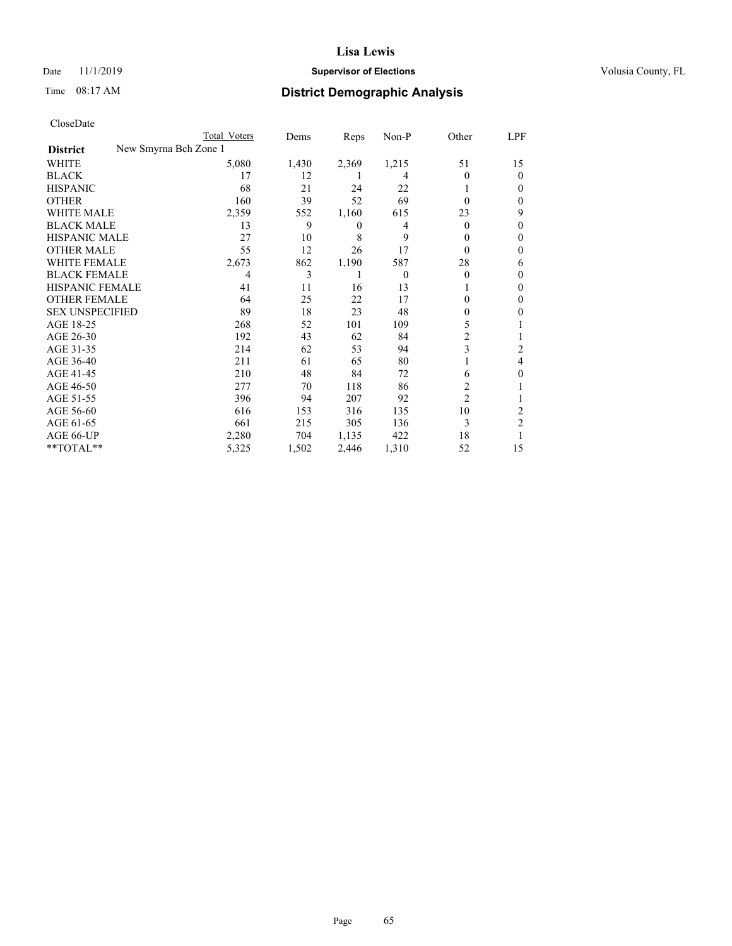## Date 11/1/2019 **Supervisor of Elections Supervisor of Elections** Volusia County, FL

| CloseDate |
|-----------|
|-----------|

|                                          | Total Voters | Dems  | Reps  | Non-P    | Other          | LPF            |
|------------------------------------------|--------------|-------|-------|----------|----------------|----------------|
| New Smyrna Bch Zone 1<br><b>District</b> |              |       |       |          |                |                |
| WHITE                                    | 5,080        | 1,430 | 2,369 | 1,215    | 51             | 15             |
| <b>BLACK</b>                             | 17           | 12    |       | 4        | $\theta$       | $\Omega$       |
| <b>HISPANIC</b>                          | 68           | 21    | 24    | 22       |                | $_{0}$         |
| <b>OTHER</b>                             | 160          | 39    | 52    | 69       | $\Omega$       | 0              |
| <b>WHITE MALE</b>                        | 2,359        | 552   | 1,160 | 615      | 23             | 9              |
| <b>BLACK MALE</b>                        | 13           | 9     | 0     | 4        | $\Omega$       | 0              |
| HISPANIC MALE                            | 27           | 10    | 8     | 9        | $\theta$       | $_{0}$         |
| <b>OTHER MALE</b>                        | 55           | 12    | 26    | 17       | $\theta$       | $\theta$       |
| <b>WHITE FEMALE</b>                      | 2,673        | 862   | 1,190 | 587      | 28             | 6              |
| <b>BLACK FEMALE</b>                      | 4            | 3     |       | $\theta$ | $\Omega$       | $_{0}$         |
| HISPANIC FEMALE                          | 41           | 11    | 16    | 13       |                | $\Omega$       |
| <b>OTHER FEMALE</b>                      | 64           | 25    | 22    | 17       | 0              | 0              |
| <b>SEX UNSPECIFIED</b>                   | 89           | 18    | 23    | 48       | 0              | 0              |
| AGE 18-25                                | 268          | 52    | 101   | 109      | 5              |                |
| AGE 26-30                                | 192          | 43    | 62    | 84       | 2              |                |
| AGE 31-35                                | 214          | 62    | 53    | 94       | 3              | 2              |
| AGE 36-40                                | 211          | 61    | 65    | 80       |                | 4              |
| AGE 41-45                                | 210          | 48    | 84    | 72       | 6              | 0              |
| AGE 46-50                                | 277          | 70    | 118   | 86       | 2              |                |
| AGE 51-55                                | 396          | 94    | 207   | 92       | $\overline{2}$ |                |
| AGE 56-60                                | 616          | 153   | 316   | 135      | 10             | 2              |
| AGE 61-65                                | 661          | 215   | 305   | 136      | 3              | $\overline{2}$ |
| AGE 66-UP                                | 2,280        | 704   | 1,135 | 422      | 18             |                |
| **TOTAL**                                | 5,325        | 1,502 | 2,446 | 1,310    | 52             | 15             |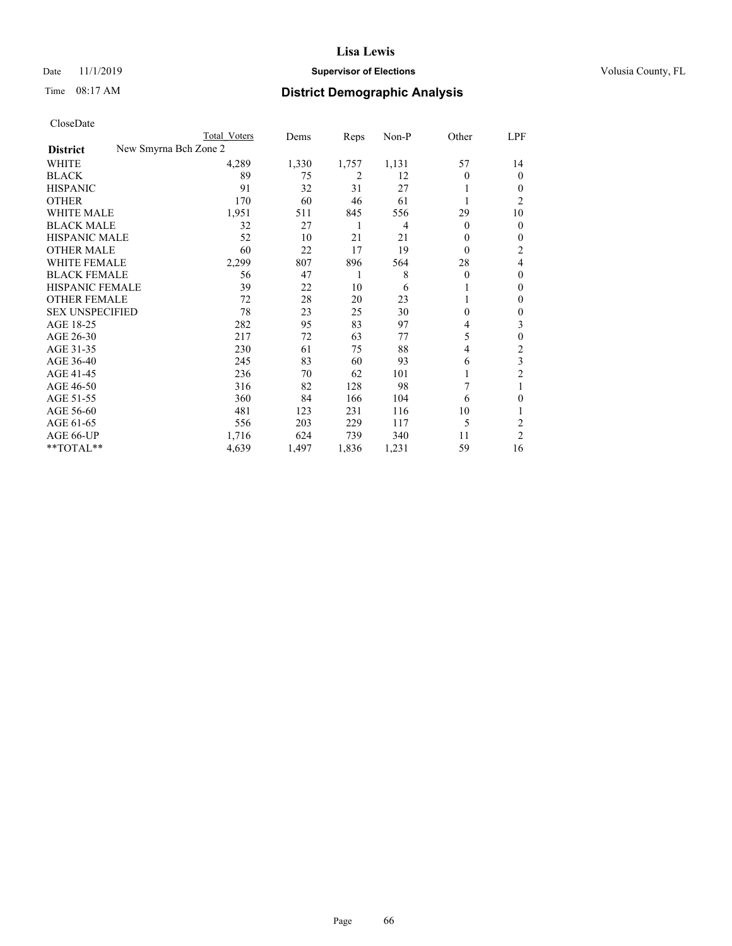## Date 11/1/2019 **Supervisor of Elections Supervisor of Elections** Volusia County, FL

| CloseDate |
|-----------|
|-----------|

|                                          | Total Voters | Dems  | Reps  | Non-P | Other    | LPF            |
|------------------------------------------|--------------|-------|-------|-------|----------|----------------|
| New Smyrna Bch Zone 2<br><b>District</b> |              |       |       |       |          |                |
| WHITE                                    | 4,289        | 1,330 | 1,757 | 1,131 | 57       | 14             |
| <b>BLACK</b>                             | 89           | 75    | 2     | 12    | $\theta$ | 0              |
| <b>HISPANIC</b>                          | 91           | 32    | 31    | 27    | 1        | $_{0}$         |
| <b>OTHER</b>                             | 170          | 60    | 46    | 61    |          | 2              |
| <b>WHITE MALE</b>                        | 1,951        | 511   | 845   | 556   | 29       | 10             |
| <b>BLACK MALE</b>                        | 32           | 27    | 1     | 4     | $\theta$ | 0              |
| <b>HISPANIC MALE</b>                     | 52           | 10    | 21    | 21    | $\theta$ | 0              |
| <b>OTHER MALE</b>                        | 60           | 22    | 17    | 19    | $\theta$ | 2              |
| <b>WHITE FEMALE</b>                      | 2,299        | 807   | 896   | 564   | 28       | 4              |
| <b>BLACK FEMALE</b>                      | 56           | 47    | 1     | 8     | $\theta$ | 0              |
| <b>HISPANIC FEMALE</b>                   | 39           | 22    | 10    | 6     |          | 0              |
| <b>OTHER FEMALE</b>                      | 72           | 28    | 20    | 23    | 1        | 0              |
| <b>SEX UNSPECIFIED</b>                   | 78           | 23    | 25    | 30    | $\theta$ | 0              |
| AGE 18-25                                | 282          | 95    | 83    | 97    | 4        | 3              |
| AGE 26-30                                | 217          | 72    | 63    | 77    | 5        | 0              |
| AGE 31-35                                | 230          | 61    | 75    | 88    | 4        | 2              |
| AGE 36-40                                | 245          | 83    | 60    | 93    | 6        | 3              |
| AGE 41-45                                | 236          | 70    | 62    | 101   |          | $\overline{c}$ |
| AGE 46-50                                | 316          | 82    | 128   | 98    | 7        | 1              |
| AGE 51-55                                | 360          | 84    | 166   | 104   | 6        | 0              |
| AGE 56-60                                | 481          | 123   | 231   | 116   | 10       |                |
| AGE 61-65                                | 556          | 203   | 229   | 117   | 5        | 2              |
| AGE 66-UP                                | 1,716        | 624   | 739   | 340   | 11       | $\overline{c}$ |
| **TOTAL**                                | 4,639        | 1,497 | 1,836 | 1,231 | 59       | 16             |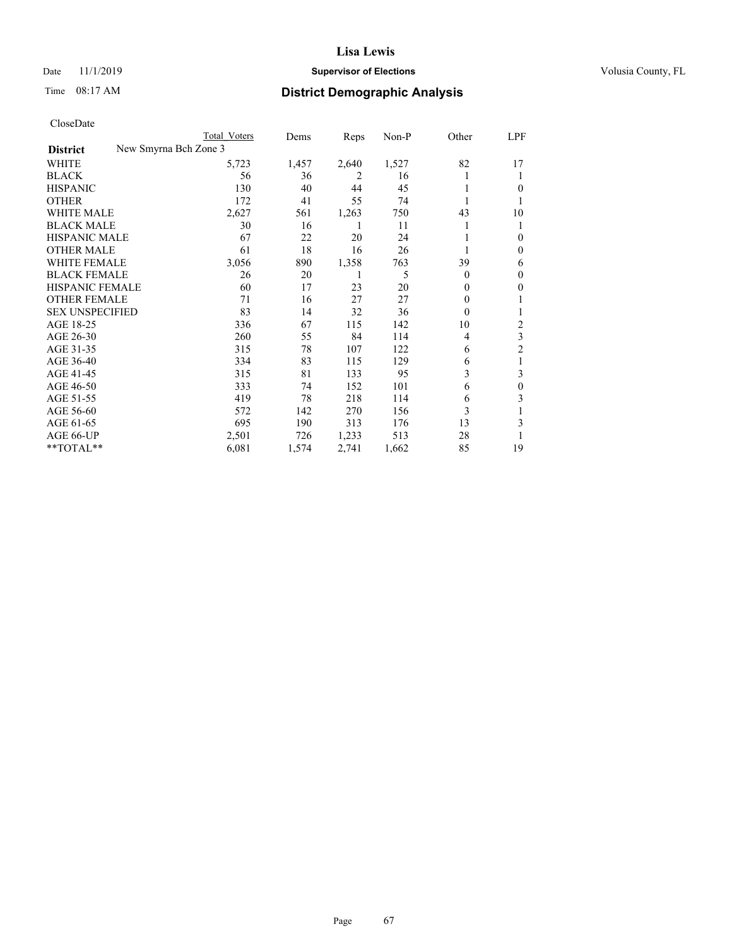## Date 11/1/2019 **Supervisor of Elections Supervisor of Elections** Volusia County, FL

| CloseDate |
|-----------|
|-----------|

|                                          | Total Voters | Dems  | Reps  | Non-P | Other | LPF            |
|------------------------------------------|--------------|-------|-------|-------|-------|----------------|
| New Smyrna Bch Zone 3<br><b>District</b> |              |       |       |       |       |                |
| WHITE                                    | 5,723        | 1,457 | 2,640 | 1,527 | 82    | 17             |
| <b>BLACK</b>                             | 56           | 36    | 2     | 16    |       | 1              |
| <b>HISPANIC</b>                          | 130          | 40    | 44    | 45    |       | $\theta$       |
| <b>OTHER</b>                             | 172          | 41    | 55    | 74    |       | 1              |
| WHITE MALE                               | 2,627        | 561   | 1,263 | 750   | 43    | 10             |
| <b>BLACK MALE</b>                        | 30           | 16    | 1     | 11    |       | 1              |
| <b>HISPANIC MALE</b>                     | 67           | 22    | 20    | 24    |       | $\mathbf{0}$   |
| <b>OTHER MALE</b>                        | 61           | 18    | 16    | 26    |       | $\mathbf{0}$   |
| <b>WHITE FEMALE</b>                      | 3,056        | 890   | 1,358 | 763   | 39    | 6              |
| <b>BLACK FEMALE</b>                      | 26           | 20    |       | 5     | 0     | $\mathbf{0}$   |
| <b>HISPANIC FEMALE</b>                   | 60           | 17    | 23    | 20    | 0     | $\theta$       |
| <b>OTHER FEMALE</b>                      | 71           | 16    | 27    | 27    | 0     | 1              |
| <b>SEX UNSPECIFIED</b>                   | 83           | 14    | 32    | 36    | 0     | 1              |
| AGE 18-25                                | 336          | 67    | 115   | 142   | 10    | 2              |
| AGE 26-30                                | 260          | 55    | 84    | 114   | 4     | 3              |
| AGE 31-35                                | 315          | 78    | 107   | 122   | 6     | $\overline{c}$ |
| AGE 36-40                                | 334          | 83    | 115   | 129   | 6     | 1              |
| AGE 41-45                                | 315          | 81    | 133   | 95    | 3     | 3              |
| AGE 46-50                                | 333          | 74    | 152   | 101   | 6     | $\mathbf{0}$   |
| AGE 51-55                                | 419          | 78    | 218   | 114   | 6     | 3              |
| AGE 56-60                                | 572          | 142   | 270   | 156   | 3     |                |
| AGE 61-65                                | 695          | 190   | 313   | 176   | 13    | 3              |
| AGE 66-UP                                | 2,501        | 726   | 1,233 | 513   | 28    |                |
| **TOTAL**                                | 6,081        | 1,574 | 2,741 | 1,662 | 85    | 19             |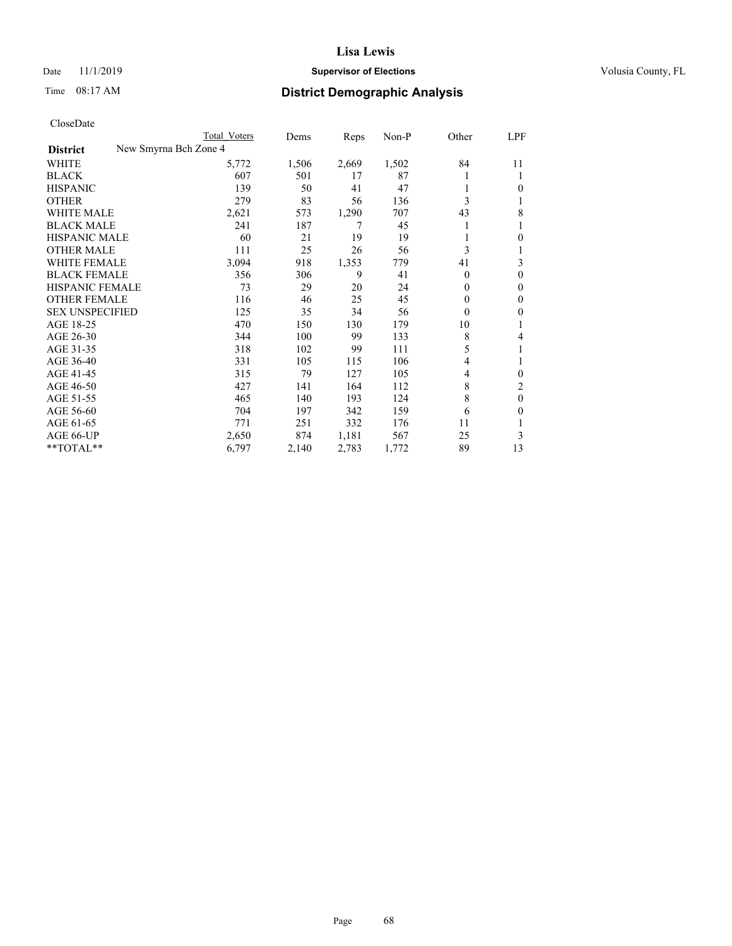## Date 11/1/2019 **Supervisor of Elections Supervisor of Elections** Volusia County, FL

| CloseDate |
|-----------|
|-----------|

|                                          | Total Voters | Dems  | Reps  | $Non-P$ | Other    | LPF          |
|------------------------------------------|--------------|-------|-------|---------|----------|--------------|
| New Smyrna Bch Zone 4<br><b>District</b> |              |       |       |         |          |              |
| WHITE                                    | 5,772        | 1,506 | 2,669 | 1,502   | 84       | 11           |
| <b>BLACK</b>                             | 607          | 501   | 17    | 87      | 1        | 1            |
| <b>HISPANIC</b>                          | 139          | 50    | 41    | 47      | 1        | 0            |
| <b>OTHER</b>                             | 279          | 83    | 56    | 136     | 3        |              |
| <b>WHITE MALE</b>                        | 2,621        | 573   | 1,290 | 707     | 43       | 8            |
| <b>BLACK MALE</b>                        | 241          | 187   | 7     | 45      | 1        |              |
| <b>HISPANIC MALE</b>                     | 60           | 21    | 19    | 19      | 1        | 0            |
| <b>OTHER MALE</b>                        | 111          | 25    | 26    | 56      | 3        |              |
| WHITE FEMALE                             | 3,094        | 918   | 1,353 | 779     | 41       | 3            |
| <b>BLACK FEMALE</b>                      | 356          | 306   | 9     | 41      | $\theta$ | 0            |
| HISPANIC FEMALE                          | 73           | 29    | 20    | 24      | $\theta$ | 0            |
| <b>OTHER FEMALE</b>                      | 116          | 46    | 25    | 45      | $\theta$ | 0            |
| <b>SEX UNSPECIFIED</b>                   | 125          | 35    | 34    | 56      | $\theta$ | 0            |
| AGE 18-25                                | 470          | 150   | 130   | 179     | 10       |              |
| AGE 26-30                                | 344          | 100   | 99    | 133     | 8        | 4            |
| AGE 31-35                                | 318          | 102   | 99    | 111     | 5        |              |
| AGE 36-40                                | 331          | 105   | 115   | 106     | 4        |              |
| AGE 41-45                                | 315          | 79    | 127   | 105     | 4        | 0            |
| AGE 46-50                                | 427          | 141   | 164   | 112     | 8        | 2            |
| AGE 51-55                                | 465          | 140   | 193   | 124     | 8        | $\mathbf{0}$ |
| AGE 56-60                                | 704          | 197   | 342   | 159     | 6        | 0            |
| AGE 61-65                                | 771          | 251   | 332   | 176     | 11       |              |
| AGE 66-UP                                | 2,650        | 874   | 1,181 | 567     | 25       | 3            |
| **TOTAL**                                | 6,797        | 2,140 | 2,783 | 1,772   | 89       | 13           |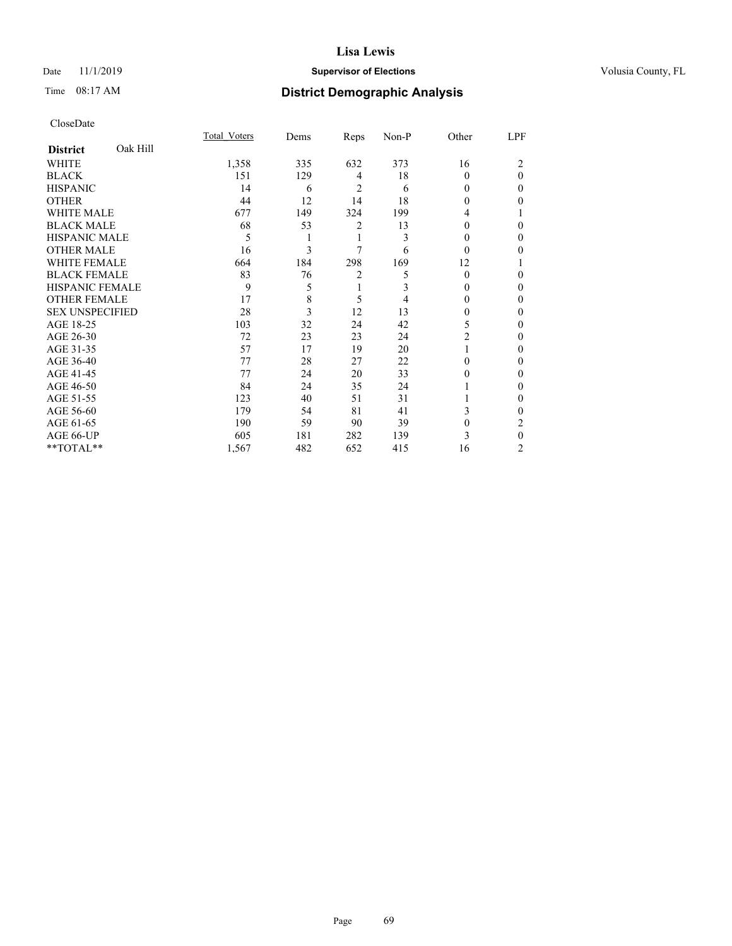## Date 11/1/2019 **Supervisor of Elections Supervisor of Elections** Volusia County, FL

# Time 08:17 AM **District Demographic Analysis**

|                        |          | Total Voters | Dems | Reps           | Non-P | Other          | LPF      |
|------------------------|----------|--------------|------|----------------|-------|----------------|----------|
| <b>District</b>        | Oak Hill |              |      |                |       |                |          |
| WHITE                  |          | 1,358        | 335  | 632            | 373   | 16             | 2        |
| <b>BLACK</b>           |          | 151          | 129  | 4              | 18    | $\theta$       | $\theta$ |
| <b>HISPANIC</b>        |          | 14           | 6    | $\overline{2}$ | 6     | 0              | 0        |
| <b>OTHER</b>           |          | 44           | 12   | 14             | 18    | 0              | 0        |
| WHITE MALE             |          | 677          | 149  | 324            | 199   | 4              |          |
| <b>BLACK MALE</b>      |          | 68           | 53   | $\overline{2}$ | 13    | 0              | 0        |
| <b>HISPANIC MALE</b>   |          | 5            | 1    | 1              | 3     | $\theta$       | 0        |
| <b>OTHER MALE</b>      |          | 16           | 3    | 7              | 6     | $\theta$       | 0        |
| WHITE FEMALE           |          | 664          | 184  | 298            | 169   | 12             |          |
| <b>BLACK FEMALE</b>    |          | 83           | 76   | $\overline{c}$ | 5     | $\theta$       | $\Omega$ |
| <b>HISPANIC FEMALE</b> |          | 9            | 5    | 1              | 3     | 0              | 0        |
| <b>OTHER FEMALE</b>    |          | 17           | 8    | 5              | 4     | $\Omega$       | 0        |
| <b>SEX UNSPECIFIED</b> |          | 28           | 3    | 12             | 13    | $\theta$       | 0        |
| AGE 18-25              |          | 103          | 32   | 24             | 42    | 5              | 0        |
| AGE 26-30              |          | 72           | 23   | 23             | 24    | $\overline{c}$ | 0        |
| AGE 31-35              |          | 57           | 17   | 19             | 20    |                | 0        |
| AGE 36-40              |          | 77           | 28   | 27             | 22    | $\Omega$       | $\Omega$ |
| AGE 41-45              |          | 77           | 24   | 20             | 33    | 0              | 0        |
| AGE 46-50              |          | 84           | 24   | 35             | 24    |                | $_{0}$   |
| AGE 51-55              |          | 123          | 40   | 51             | 31    |                | $\Omega$ |
| AGE 56-60              |          | 179          | 54   | 81             | 41    | 3              | 0        |
| AGE 61-65              |          | 190          | 59   | 90             | 39    | $\mathbf{0}$   | 2        |
| AGE 66-UP              |          | 605          | 181  | 282            | 139   | 3              | $\theta$ |
| **TOTAL**              |          | 1,567        | 482  | 652            | 415   | 16             | 2        |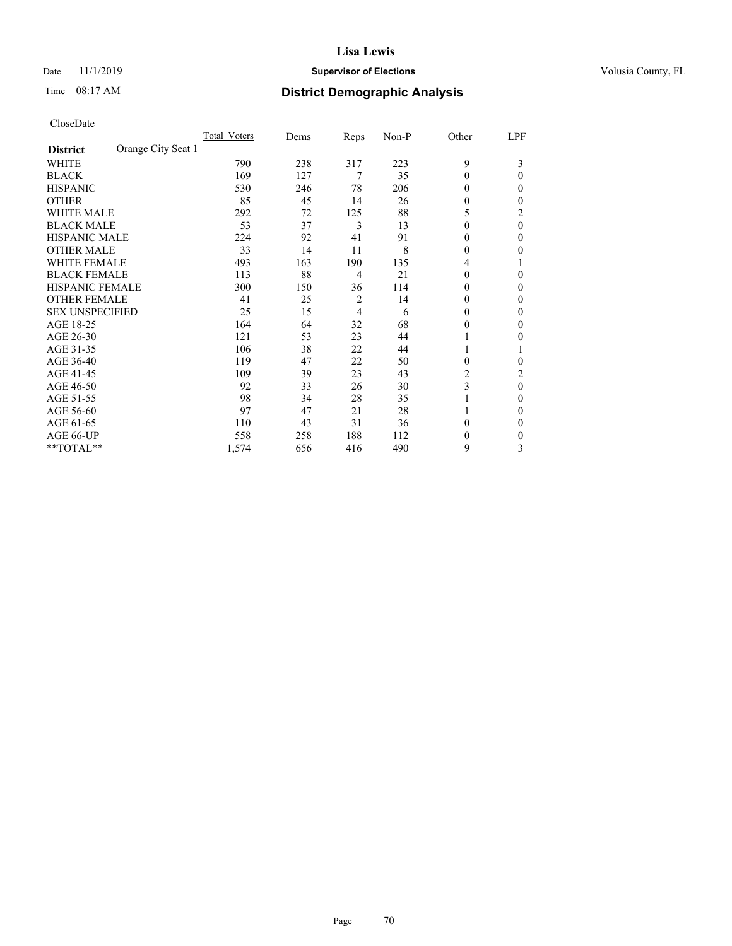## Date 11/1/2019 **Supervisor of Elections Supervisor of Elections** Volusia County, FL

## Time 08:17 AM **District Demographic Analysis**

|                        |                    | Total Voters | Dems | Reps | Non-P | Other    | LPF      |
|------------------------|--------------------|--------------|------|------|-------|----------|----------|
| <b>District</b>        | Orange City Seat 1 |              |      |      |       |          |          |
| WHITE                  |                    | 790          | 238  | 317  | 223   | 9        | 3        |
| <b>BLACK</b>           |                    | 169          | 127  | 7    | 35    | $\theta$ | 0        |
| <b>HISPANIC</b>        |                    | 530          | 246  | 78   | 206   | $\Omega$ | 0        |
| <b>OTHER</b>           |                    | 85           | 45   | 14   | 26    | $\theta$ | 0        |
| WHITE MALE             |                    | 292          | 72   | 125  | 88    | 5        | 2        |
| <b>BLACK MALE</b>      |                    | 53           | 37   | 3    | 13    | $\Omega$ | $\theta$ |
| HISPANIC MALE          |                    | 224          | 92   | 41   | 91    | $\theta$ | 0        |
| <b>OTHER MALE</b>      |                    | 33           | 14   | 11   | 8     | $\Omega$ | 0        |
| WHITE FEMALE           |                    | 493          | 163  | 190  | 135   | 4        |          |
| <b>BLACK FEMALE</b>    |                    | 113          | 88   | 4    | 21    | $\Omega$ | 0        |
| <b>HISPANIC FEMALE</b> |                    | 300          | 150  | 36   | 114   | $\Omega$ | 0        |
| <b>OTHER FEMALE</b>    |                    | 41           | 25   | 2    | 14    | $\Omega$ | 0        |
| <b>SEX UNSPECIFIED</b> |                    | 25           | 15   | 4    | 6     | $\Omega$ | 0        |
| AGE 18-25              |                    | 164          | 64   | 32   | 68    | $\Omega$ | 0        |
| AGE 26-30              |                    | 121          | 53   | 23   | 44    | 1        | 0        |
| AGE 31-35              |                    | 106          | 38   | 22   | 44    |          |          |
| AGE 36-40              |                    | 119          | 47   | 22   | 50    | $\theta$ | 0        |
| AGE 41-45              |                    | 109          | 39   | 23   | 43    | 2        | 2        |
| AGE 46-50              |                    | 92           | 33   | 26   | 30    | 3        | $\theta$ |
| AGE 51-55              |                    | 98           | 34   | 28   | 35    |          | 0        |
| AGE 56-60              |                    | 97           | 47   | 21   | 28    |          | 0        |
| AGE 61-65              |                    | 110          | 43   | 31   | 36    | $\theta$ | 0        |
| AGE 66-UP              |                    | 558          | 258  | 188  | 112   | $\theta$ | 0        |
| **TOTAL**              |                    | 1,574        | 656  | 416  | 490   | 9        | 3        |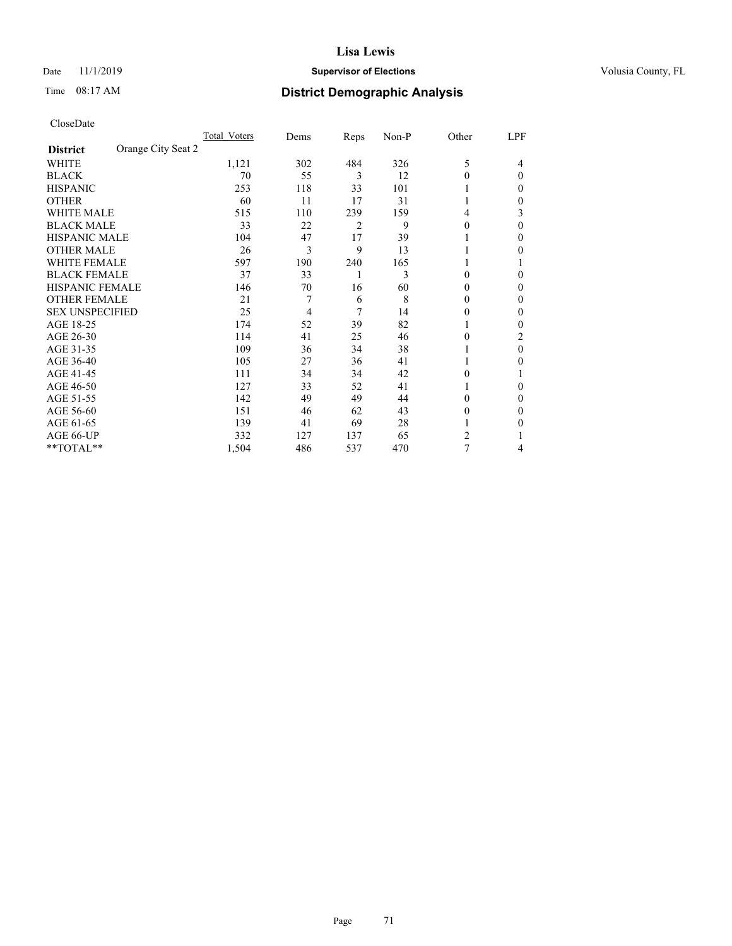## Date 11/1/2019 **Supervisor of Elections Supervisor of Elections** Volusia County, FL

| CloseDate |
|-----------|
|-----------|

|                        | Total Voters       | Dems | Reps | Non-P | Other          | LPF |
|------------------------|--------------------|------|------|-------|----------------|-----|
| <b>District</b>        | Orange City Seat 2 |      |      |       |                |     |
| WHITE                  | 1,121              | 302  | 484  | 326   | 5              | 4   |
| <b>BLACK</b>           | 70                 | 55   | 3    | 12    | $\theta$       | 0   |
| <b>HISPANIC</b>        | 253                | 118  | 33   | 101   |                | 0   |
| <b>OTHER</b>           | 60                 | 11   | 17   | 31    |                | 0   |
| <b>WHITE MALE</b>      | 515                | 110  | 239  | 159   | 4              | 3   |
| <b>BLACK MALE</b>      | 33                 | 22   | 2    | 9     | $\theta$       | 0   |
| <b>HISPANIC MALE</b>   | 104                | 47   | 17   | 39    |                | 0   |
| <b>OTHER MALE</b>      | 26                 | 3    | 9    | 13    |                | 0   |
| <b>WHITE FEMALE</b>    | 597                | 190  | 240  | 165   |                |     |
| <b>BLACK FEMALE</b>    | 37                 | 33   |      | 3     | 0              | 0   |
| HISPANIC FEMALE        | 146                | 70   | 16   | 60    | $\Omega$       | 0   |
| <b>OTHER FEMALE</b>    | 21                 | 7    | 6    | 8     | 0              | 0   |
| <b>SEX UNSPECIFIED</b> | 25                 | 4    | 7    | 14    | 0              | 0   |
| AGE 18-25              | 174                | 52   | 39   | 82    |                | 0   |
| AGE 26-30              | 114                | 41   | 25   | 46    | $\theta$       | 2   |
| AGE 31-35              | 109                | 36   | 34   | 38    |                | 0   |
| AGE 36-40              | 105                | 27   | 36   | 41    |                | 0   |
| AGE 41-45              | 111                | 34   | 34   | 42    | 0              |     |
| AGE 46-50              | 127                | 33   | 52   | 41    |                | 0   |
| AGE 51-55              | 142                | 49   | 49   | 44    | 0              | 0   |
| AGE 56-60              | 151                | 46   | 62   | 43    | $\theta$       | 0   |
| AGE 61-65              | 139                | 41   | 69   | 28    |                | 0   |
| AGE 66-UP              | 332                | 127  | 137  | 65    | $\mathfrak{D}$ |     |
| **TOTAL**              | 1,504              | 486  | 537  | 470   | 7              | 4   |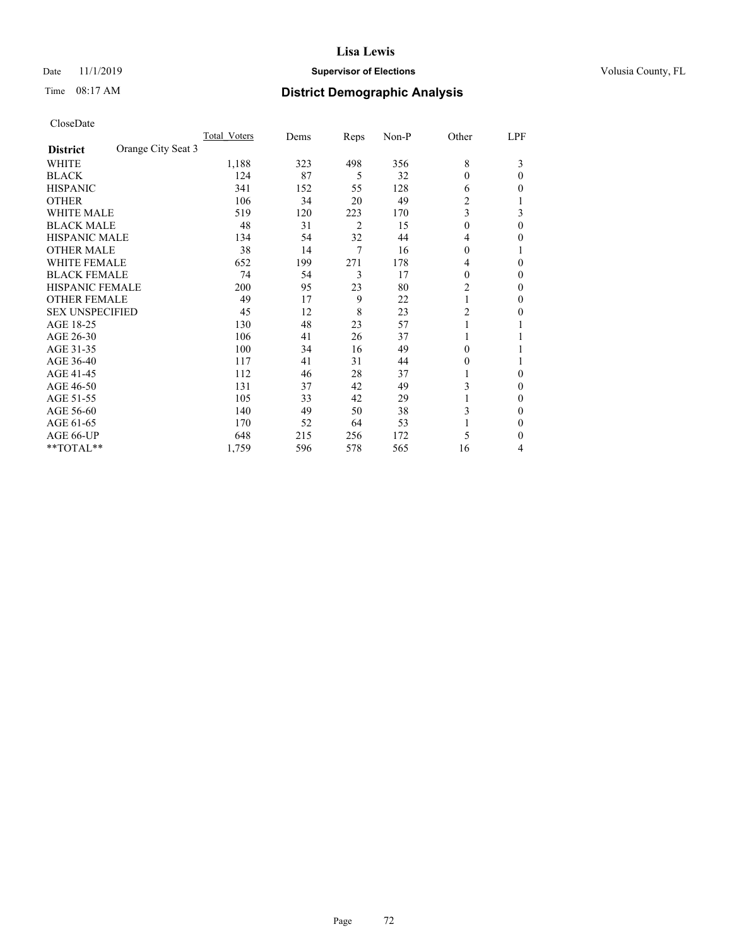## Date 11/1/2019 **Supervisor of Elections Supervisor of Elections** Volusia County, FL

# Time 08:17 AM **District Demographic Analysis**

|                        |                    | Total Voters | Dems | Reps | Non-P | Other          | LPF      |
|------------------------|--------------------|--------------|------|------|-------|----------------|----------|
| <b>District</b>        | Orange City Seat 3 |              |      |      |       |                |          |
| WHITE                  |                    | 1,188        | 323  | 498  | 356   | 8              | 3        |
| <b>BLACK</b>           |                    | 124          | 87   | 5    | 32    | $\theta$       | $\Omega$ |
| <b>HISPANIC</b>        |                    | 341          | 152  | 55   | 128   | 6              | 0        |
| <b>OTHER</b>           |                    | 106          | 34   | 20   | 49    | $\overline{2}$ |          |
| <b>WHITE MALE</b>      |                    | 519          | 120  | 223  | 170   | 3              | 3        |
| <b>BLACK MALE</b>      |                    | 48           | 31   | 2    | 15    | $\mathbf{0}$   | $\theta$ |
| HISPANIC MALE          |                    | 134          | 54   | 32   | 44    | 4              | 0        |
| <b>OTHER MALE</b>      |                    | 38           | 14   | 7    | 16    | $\theta$       | 1        |
| <b>WHITE FEMALE</b>    |                    | 652          | 199  | 271  | 178   | 4              | 0        |
| <b>BLACK FEMALE</b>    |                    | 74           | 54   | 3    | 17    | $\theta$       | 0        |
| <b>HISPANIC FEMALE</b> |                    | 200          | 95   | 23   | 80    | $\overline{2}$ | 0        |
| <b>OTHER FEMALE</b>    |                    | 49           | 17   | 9    | 22    | 1              | 0        |
| <b>SEX UNSPECIFIED</b> |                    | 45           | 12   | 8    | 23    | $\overline{2}$ | 0        |
| AGE 18-25              |                    | 130          | 48   | 23   | 57    | 1              |          |
| AGE 26-30              |                    | 106          | 41   | 26   | 37    | 1              |          |
| AGE 31-35              |                    | 100          | 34   | 16   | 49    | 0              |          |
| AGE 36-40              |                    | 117          | 41   | 31   | 44    | $\theta$       |          |
| AGE 41-45              |                    | 112          | 46   | 28   | 37    |                | 0        |
| AGE 46-50              |                    | 131          | 37   | 42   | 49    | 3              | 0        |
| AGE 51-55              |                    | 105          | 33   | 42   | 29    |                | 0        |
| AGE 56-60              |                    | 140          | 49   | 50   | 38    | 3              | 0        |
| AGE 61-65              |                    | 170          | 52   | 64   | 53    |                | 0        |
| AGE 66-UP              |                    | 648          | 215  | 256  | 172   | 5              | 0        |
| **TOTAL**              |                    | 1,759        | 596  | 578  | 565   | 16             | 4        |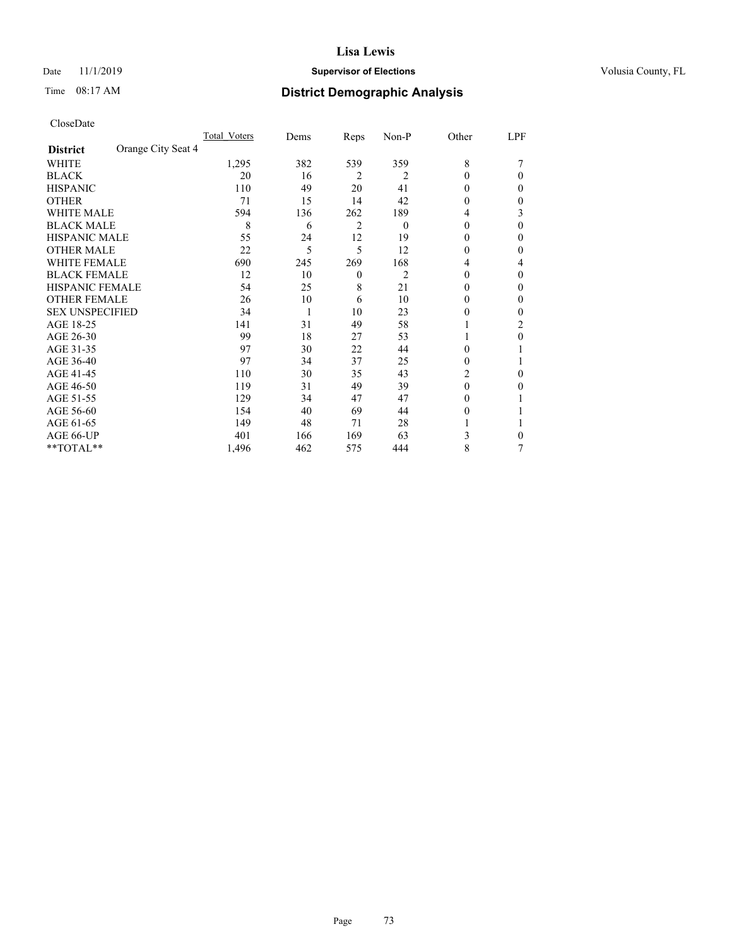# Date 11/1/2019 **Supervisor of Elections Supervisor of Elections** Volusia County, FL

# Time 08:17 AM **District Demographic Analysis**

| CloseDate |
|-----------|
|-----------|

|                                       | Total Voters | Dems | Reps             | Non-P    | Other    | LPF |
|---------------------------------------|--------------|------|------------------|----------|----------|-----|
| Orange City Seat 4<br><b>District</b> |              |      |                  |          |          |     |
| WHITE                                 | 1,295        | 382  | 539              | 359      | 8        |     |
| <b>BLACK</b>                          | 20           | 16   | $\overline{2}$   | 2        | 0        | 0   |
| <b>HISPANIC</b>                       | 110          | 49   | 20               | 41       | 0        | 0   |
| <b>OTHER</b>                          | 71           | 15   | 14               | 42       | 0        | 0   |
| <b>WHITE MALE</b>                     | 594          | 136  | 262              | 189      | 4        | 3   |
| <b>BLACK MALE</b>                     | 8            | 6    | $\overline{2}$   | $\theta$ | $\Omega$ | 0   |
| <b>HISPANIC MALE</b>                  | 55           | 24   | 12               | 19       | 0        | 0   |
| <b>OTHER MALE</b>                     | 22           | 5    | 5                | 12       | $\theta$ | 0   |
| <b>WHITE FEMALE</b>                   | 690          | 245  | 269              | 168      | 4        | 4   |
| <b>BLACK FEMALE</b>                   | 12           | 10   | $\boldsymbol{0}$ | 2        | 0        | 0   |
| <b>HISPANIC FEMALE</b>                | 54           | 25   | 8                | 21       | $\theta$ | 0   |
| <b>OTHER FEMALE</b>                   | 26           | 10   | 6                | 10       | $\theta$ | 0   |
| <b>SEX UNSPECIFIED</b>                | 34           | 1    | 10               | 23       | 0        | 0   |
| AGE 18-25                             | 141          | 31   | 49               | 58       |          | 2   |
| AGE 26-30                             | 99           | 18   | 27               | 53       |          | 0   |
| AGE 31-35                             | 97           | 30   | 22               | 44       | 0        |     |
| AGE 36-40                             | 97           | 34   | 37               | 25       | $\theta$ |     |
| AGE 41-45                             | 110          | 30   | 35               | 43       | 2        | 0   |
| AGE 46-50                             | 119          | 31   | 49               | 39       | $\theta$ | 0   |
| AGE 51-55                             | 129          | 34   | 47               | 47       | $\Omega$ |     |
| AGE 56-60                             | 154          | 40   | 69               | 44       | $\Omega$ |     |
| AGE 61-65                             | 149          | 48   | 71               | 28       |          |     |
| AGE 66-UP                             | 401          | 166  | 169              | 63       | 3        | 0   |
| **TOTAL**                             | 1,496        | 462  | 575              | 444      | 8        | 7   |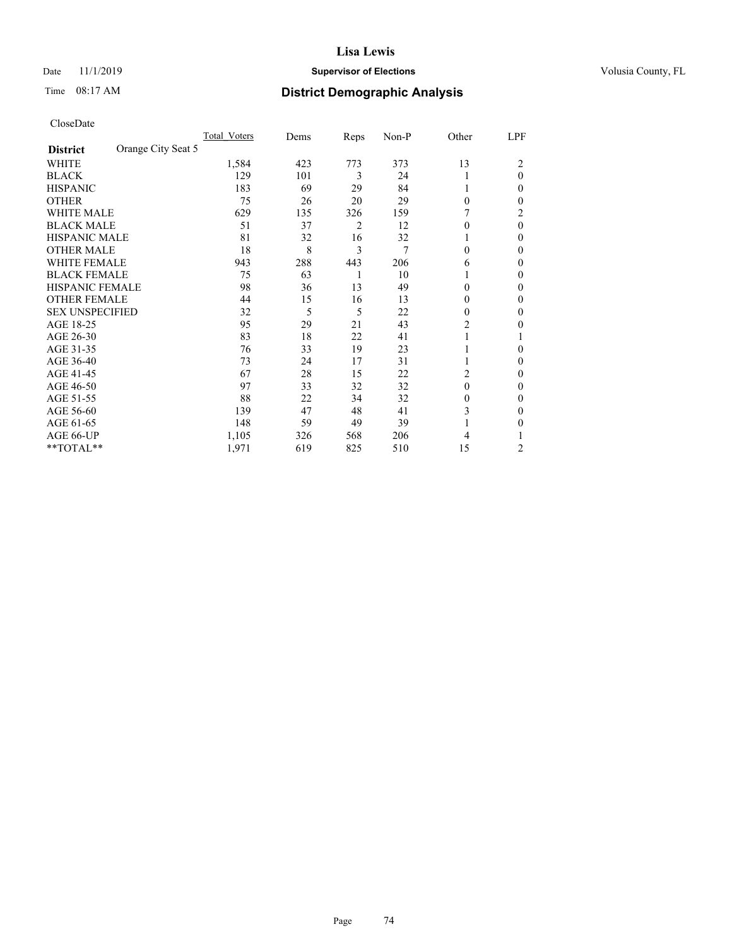# Date 11/1/2019 **Supervisor of Elections Supervisor of Elections** Volusia County, FL

# Time 08:17 AM **District Demographic Analysis**

|                        | Total Voters       | Dems | Reps | Non-P | Other    | LPF      |
|------------------------|--------------------|------|------|-------|----------|----------|
| <b>District</b>        | Orange City Seat 5 |      |      |       |          |          |
| WHITE                  | 1,584              | 423  | 773  | 373   | 13       | 2        |
| <b>BLACK</b>           | 129                | 101  | 3    | 24    |          | $\theta$ |
| <b>HISPANIC</b>        | 183                | 69   | 29   | 84    | 1        | 0        |
| <b>OTHER</b>           | 75                 | 26   | 20   | 29    | $\Omega$ | 0        |
| WHITE MALE             | 629                | 135  | 326  | 159   |          | 2        |
| <b>BLACK MALE</b>      | 51                 | 37   | 2    | 12    | $\Omega$ | $\theta$ |
| <b>HISPANIC MALE</b>   | 81                 | 32   | 16   | 32    |          | 0        |
| <b>OTHER MALE</b>      | 18                 | 8    | 3    | 7     | $\Omega$ | 0        |
| WHITE FEMALE           | 943                | 288  | 443  | 206   | 6        | 0        |
| <b>BLACK FEMALE</b>    | 75                 | 63   | 1    | 10    |          | 0        |
| <b>HISPANIC FEMALE</b> | 98                 | 36   | 13   | 49    | $\Omega$ | 0        |
| <b>OTHER FEMALE</b>    | 44                 | 15   | 16   | 13    | $\Omega$ | 0        |
| <b>SEX UNSPECIFIED</b> | 32                 | 5    | 5    | 22    | $\theta$ | 0        |
| AGE 18-25              | 95                 | 29   | 21   | 43    | 2        | 0        |
| AGE 26-30              | 83                 | 18   | 22   | 41    | 1        |          |
| AGE 31-35              | 76                 | 33   | 19   | 23    |          | 0        |
| AGE 36-40              | 73                 | 24   | 17   | 31    | 1        | 0        |
| AGE 41-45              | 67                 | 28   | 15   | 22    | 2        | 0        |
| AGE 46-50              | 97                 | 33   | 32   | 32    | $\theta$ | 0        |
| AGE 51-55              | 88                 | 22   | 34   | 32    | $\theta$ | 0        |
| AGE 56-60              | 139                | 47   | 48   | 41    | 3        | 0        |
| AGE 61-65              | 148                | 59   | 49   | 39    |          | 0        |
| AGE 66-UP              | 1,105              | 326  | 568  | 206   | 4        |          |
| **TOTAL**              | 1,971              | 619  | 825  | 510   | 15       | 2        |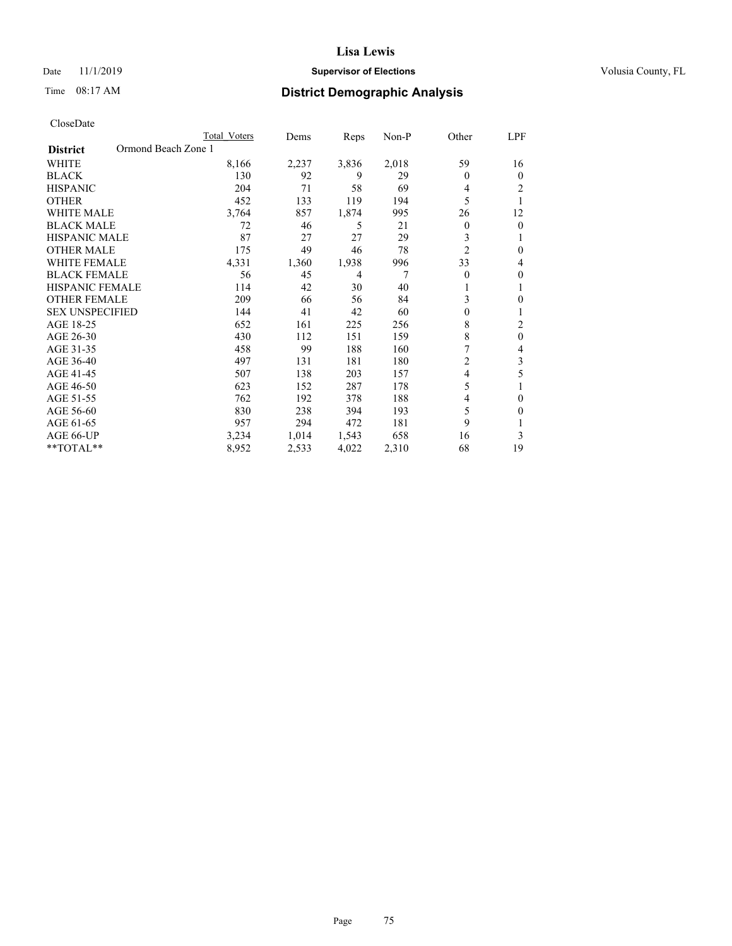# Date 11/1/2019 **Supervisor of Elections Supervisor of Elections** Volusia County, FL

# Time 08:17 AM **District Demographic Analysis**

| Total Voters        | Dems  | Reps           | $Non-P$ | Other          | LPF          |
|---------------------|-------|----------------|---------|----------------|--------------|
| Ormond Beach Zone 1 |       |                |         |                |              |
| 8,166               | 2,237 | 3,836          | 2,018   | 59             | 16           |
| 130                 | 92    | 9              | 29      | 0              | $\theta$     |
| 204                 | 71    | 58             | 69      | 4              | 2            |
| 452                 | 133   | 119            | 194     | 5              | 1            |
| 3,764               | 857   | 1,874          | 995     | 26             | 12           |
| 72                  | 46    | 5              | 21      | 0              | $\mathbf{0}$ |
| 87                  | 27    | 27             | 29      | 3              | 1            |
| 175                 | 49    | 46             | 78      | $\overline{2}$ | $\theta$     |
| 4,331               | 1,360 | 1,938          | 996     | 33             | 4            |
| 56                  | 45    | $\overline{4}$ | 7       | 0              | $\theta$     |
| 114                 | 42    | 30             | 40      | 1              | 1            |
| 209                 | 66    | 56             | 84      | 3              | 0            |
| 144                 | 41    | 42             | 60      | $\theta$       |              |
| 652                 | 161   | 225            | 256     | 8              | 2            |
| 430                 | 112   | 151            | 159     | 8              | $\theta$     |
| 458                 | 99    | 188            | 160     | 7              | 4            |
| 497                 | 131   | 181            | 180     | 2              | 3            |
| 507                 | 138   | 203            | 157     | 4              | 5            |
| 623                 | 152   | 287            | 178     | 5              |              |
| 762                 | 192   | 378            | 188     | 4              | $\theta$     |
| 830                 | 238   | 394            | 193     | 5              | $\Omega$     |
| 957                 | 294   | 472            | 181     | 9              |              |
| 3,234               | 1,014 | 1,543          | 658     | 16             | 3            |
| 8,952               | 2,533 | 4,022          | 2,310   | 68             | 19           |
|                     |       |                |         |                |              |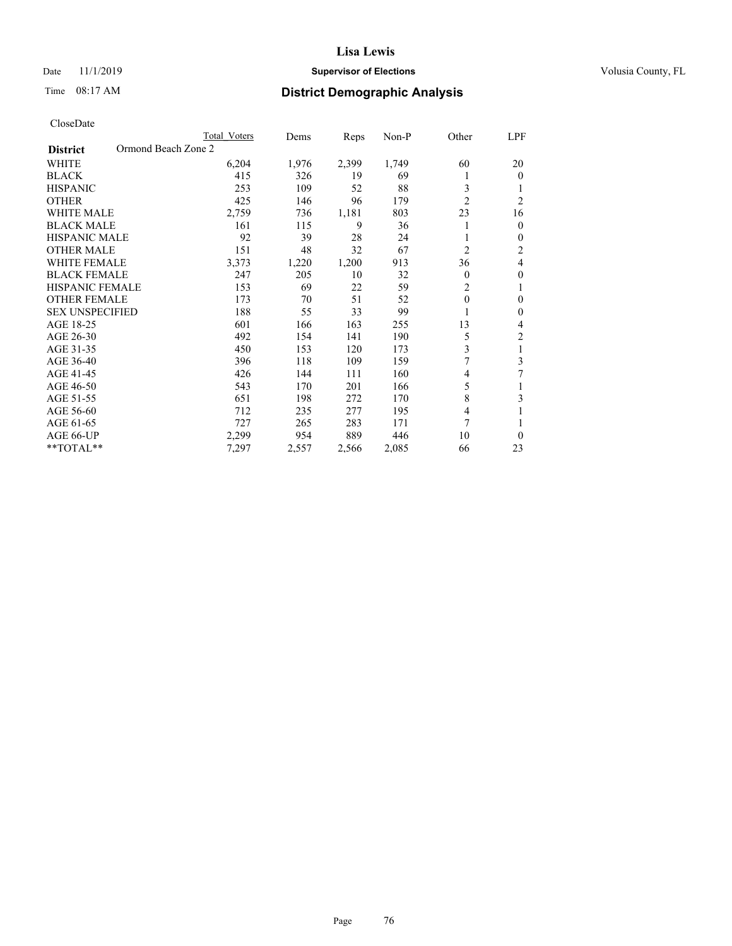# Date 11/1/2019 **Supervisor of Elections Supervisor of Elections** Volusia County, FL

# Time 08:17 AM **District Demographic Analysis**

|                                        | Total Voters | Dems  | Reps  | Non-P | Other          | <u>LPF</u>     |
|----------------------------------------|--------------|-------|-------|-------|----------------|----------------|
| Ormond Beach Zone 2<br><b>District</b> |              |       |       |       |                |                |
| WHITE                                  | 6,204        | 1,976 | 2,399 | 1,749 | 60             | 20             |
| <b>BLACK</b>                           | 415          | 326   | 19    | 69    | 1              | $\theta$       |
| <b>HISPANIC</b>                        | 253          | 109   | 52    | 88    | 3              | 1              |
| <b>OTHER</b>                           | 425          | 146   | 96    | 179   | $\overline{c}$ | $\overline{2}$ |
| <b>WHITE MALE</b>                      | 2,759        | 736   | 1,181 | 803   | 23             | 16             |
| <b>BLACK MALE</b>                      | 161          | 115   | 9     | 36    | 1              | $\mathbf{0}$   |
| <b>HISPANIC MALE</b>                   | 92           | 39    | 28    | 24    |                | $\mathbf{0}$   |
| <b>OTHER MALE</b>                      | 151          | 48    | 32    | 67    | $\overline{2}$ | 2              |
| <b>WHITE FEMALE</b>                    | 3,373        | 1,220 | 1,200 | 913   | 36             | 4              |
| <b>BLACK FEMALE</b>                    | 247          | 205   | 10    | 32    | 0              | $\mathbf{0}$   |
| <b>HISPANIC FEMALE</b>                 | 153          | 69    | 22    | 59    | $\overline{2}$ | 1              |
| <b>OTHER FEMALE</b>                    | 173          | 70    | 51    | 52    | 0              | $\mathbf{0}$   |
| <b>SEX UNSPECIFIED</b>                 | 188          | 55    | 33    | 99    | 1              | $\mathbf{0}$   |
| AGE 18-25                              | 601          | 166   | 163   | 255   | 13             | 4              |
| AGE 26-30                              | 492          | 154   | 141   | 190   | 5              | $\overline{2}$ |
| AGE 31-35                              | 450          | 153   | 120   | 173   | 3              | 1              |
| AGE 36-40                              | 396          | 118   | 109   | 159   | 7              | 3              |
| AGE 41-45                              | 426          | 144   | 111   | 160   | 4              | 7              |
| AGE 46-50                              | 543          | 170   | 201   | 166   | 5              | 1              |
| AGE 51-55                              | 651          | 198   | 272   | 170   | 8              | 3              |
| AGE 56-60                              | 712          | 235   | 277   | 195   | 4              | 1              |
| AGE 61-65                              | 727          | 265   | 283   | 171   | 7              | 1              |
| AGE 66-UP                              | 2,299        | 954   | 889   | 446   | 10             | $\theta$       |
| **TOTAL**                              | 7,297        | 2,557 | 2,566 | 2,085 | 66             | 23             |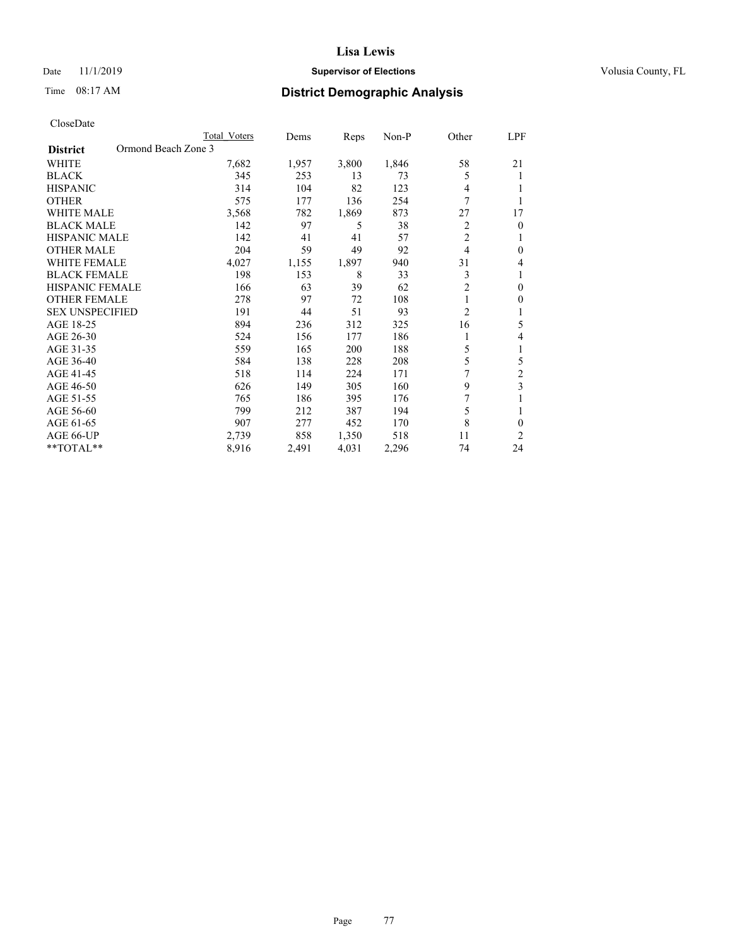# Date 11/1/2019 **Supervisor of Elections Supervisor of Elections** Volusia County, FL

# Time 08:17 AM **District Demographic Analysis**

|                                        | Total Voters | Dems  | Reps  | Non-P | Other          | <u>LPF</u>     |
|----------------------------------------|--------------|-------|-------|-------|----------------|----------------|
| Ormond Beach Zone 3<br><b>District</b> |              |       |       |       |                |                |
| WHITE                                  | 7,682        | 1,957 | 3,800 | 1,846 | 58             | 21             |
| <b>BLACK</b>                           | 345          | 253   | 13    | 73    | 5              | 1              |
| <b>HISPANIC</b>                        | 314          | 104   | 82    | 123   | 4              | 1              |
| <b>OTHER</b>                           | 575          | 177   | 136   | 254   | 7              | 1              |
| <b>WHITE MALE</b>                      | 3,568        | 782   | 1,869 | 873   | 27             | 17             |
| <b>BLACK MALE</b>                      | 142          | 97    | 5     | 38    | 2              | $\mathbf{0}$   |
| <b>HISPANIC MALE</b>                   | 142          | 41    | 41    | 57    | $\overline{2}$ | 1              |
| <b>OTHER MALE</b>                      | 204          | 59    | 49    | 92    | 4              | $\mathbf{0}$   |
| <b>WHITE FEMALE</b>                    | 4,027        | 1,155 | 1,897 | 940   | 31             | 4              |
| <b>BLACK FEMALE</b>                    | 198          | 153   | 8     | 33    | 3              | 1              |
| <b>HISPANIC FEMALE</b>                 | 166          | 63    | 39    | 62    | $\overline{2}$ | $\mathbf{0}$   |
| <b>OTHER FEMALE</b>                    | 278          | 97    | 72    | 108   | 1              | $\mathbf{0}$   |
| <b>SEX UNSPECIFIED</b>                 | 191          | 44    | 51    | 93    | $\overline{2}$ | 1              |
| AGE 18-25                              | 894          | 236   | 312   | 325   | 16             | 5              |
| AGE 26-30                              | 524          | 156   | 177   | 186   | 1              | 4              |
| AGE 31-35                              | 559          | 165   | 200   | 188   | 5              | 1              |
| AGE 36-40                              | 584          | 138   | 228   | 208   | 5              | 5              |
| AGE 41-45                              | 518          | 114   | 224   | 171   | 7              | $\overline{c}$ |
| AGE 46-50                              | 626          | 149   | 305   | 160   | 9              | 3              |
| AGE 51-55                              | 765          | 186   | 395   | 176   | 7              | 1              |
| AGE 56-60                              | 799          | 212   | 387   | 194   | 5              | 1              |
| AGE 61-65                              | 907          | 277   | 452   | 170   | 8              | $\theta$       |
| AGE 66-UP                              | 2,739        | 858   | 1,350 | 518   | 11             | 2              |
| **TOTAL**                              | 8,916        | 2,491 | 4,031 | 2,296 | 74             | 24             |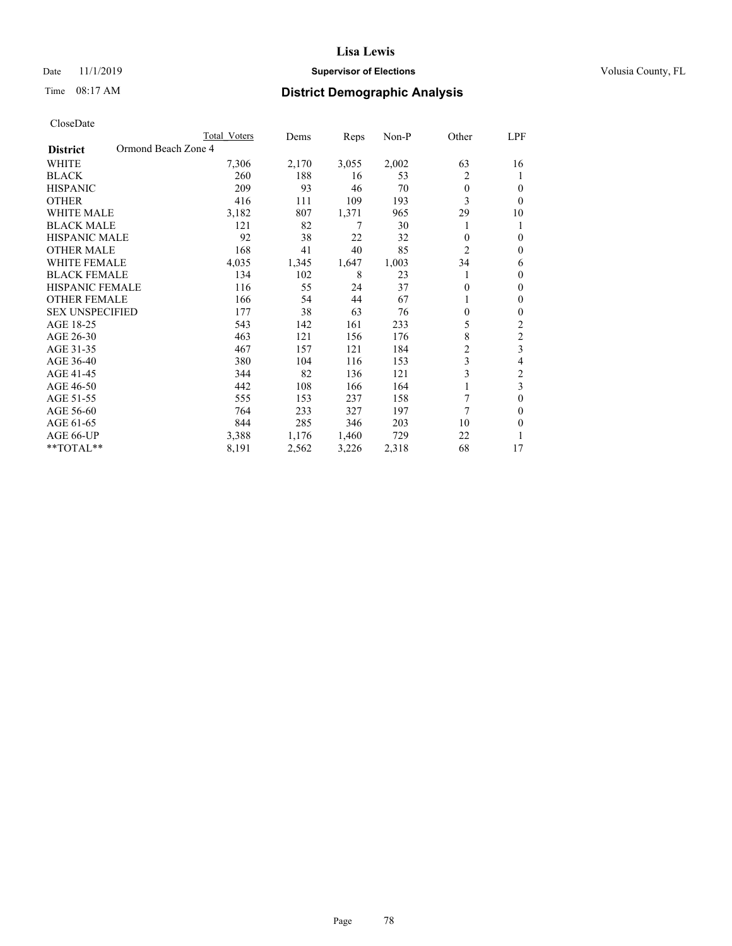# Date 11/1/2019 **Supervisor of Elections Supervisor of Elections** Volusia County, FL

# Time 08:17 AM **District Demographic Analysis**

|                                        | Total Voters | Dems  | Reps  | $Non-P$ | Other          | LPF            |
|----------------------------------------|--------------|-------|-------|---------|----------------|----------------|
| Ormond Beach Zone 4<br><b>District</b> |              |       |       |         |                |                |
| <b>WHITE</b>                           | 7,306        | 2,170 | 3,055 | 2,002   | 63             | 16             |
| <b>BLACK</b>                           | 260          | 188   | 16    | 53      | 2              | 1              |
| <b>HISPANIC</b>                        | 209          | 93    | 46    | 70      | $\theta$       | $\theta$       |
| <b>OTHER</b>                           | 416          | 111   | 109   | 193     | 3              | $\theta$       |
| <b>WHITE MALE</b>                      | 3,182        | 807   | 1,371 | 965     | 29             | 10             |
| <b>BLACK MALE</b>                      | 121          | 82    | 7     | 30      |                | 1              |
| <b>HISPANIC MALE</b>                   | 92           | 38    | 22    | 32      | $\theta$       | $\theta$       |
| <b>OTHER MALE</b>                      | 168          | 41    | 40    | 85      | $\overline{c}$ | $\theta$       |
| <b>WHITE FEMALE</b>                    | 4,035        | 1,345 | 1,647 | 1,003   | 34             | 6              |
| <b>BLACK FEMALE</b>                    | 134          | 102   | 8     | 23      |                | $\theta$       |
| <b>HISPANIC FEMALE</b>                 | 116          | 55    | 24    | 37      | $\Omega$       | $\mathbf{0}$   |
| <b>OTHER FEMALE</b>                    | 166          | 54    | 44    | 67      |                | $\mathbf{0}$   |
| <b>SEX UNSPECIFIED</b>                 | 177          | 38    | 63    | 76      | $\theta$       | $\theta$       |
| AGE 18-25                              | 543          | 142   | 161   | 233     | 5              | 2              |
| AGE 26-30                              | 463          | 121   | 156   | 176     | 8              | $\overline{c}$ |
| AGE 31-35                              | 467          | 157   | 121   | 184     | $\overline{c}$ | 3              |
| AGE 36-40                              | 380          | 104   | 116   | 153     | 3              | 4              |
| AGE 41-45                              | 344          | 82    | 136   | 121     | 3              | $\mathfrak{2}$ |
| AGE 46-50                              | 442          | 108   | 166   | 164     |                | 3              |
| AGE 51-55                              | 555          | 153   | 237   | 158     | 7              | $\theta$       |
| AGE 56-60                              | 764          | 233   | 327   | 197     | 7              | $\Omega$       |
| AGE 61-65                              | 844          | 285   | 346   | 203     | 10             | $\theta$       |
| AGE 66-UP                              | 3,388        | 1,176 | 1,460 | 729     | 22             | 1              |
| $*$ TOTAL $*$                          | 8,191        | 2,562 | 3,226 | 2,318   | 68             | 17             |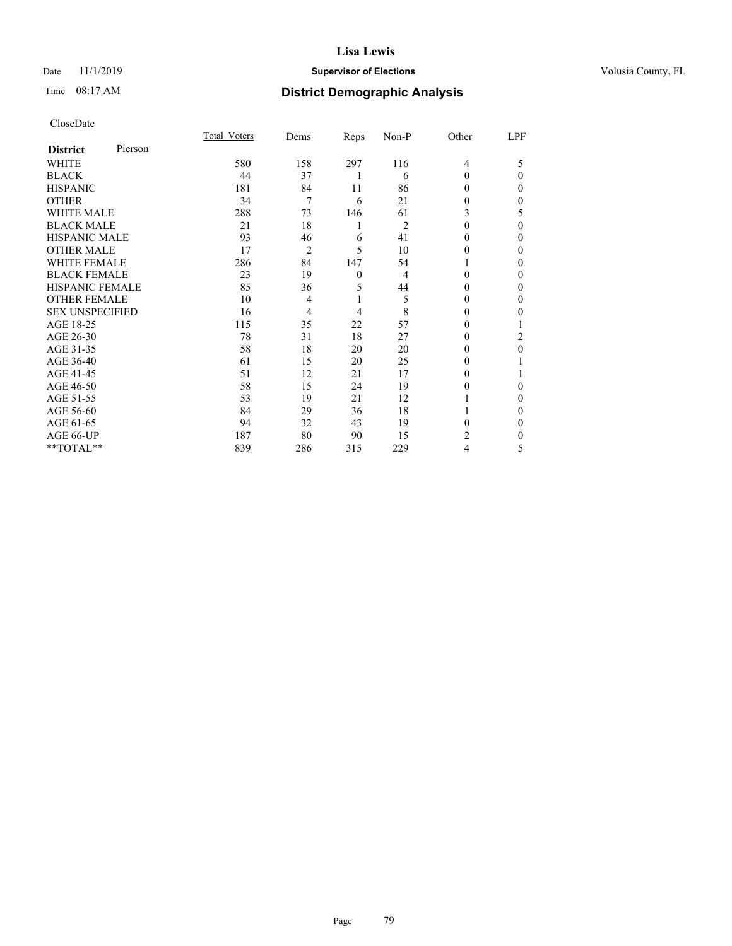# Date 11/1/2019 **Supervisor of Elections Supervisor of Elections** Volusia County, FL

# Time 08:17 AM **District Demographic Analysis**

|                        |         | Total Voters | Dems           | Reps     | Non-P          | Other          | LPF      |
|------------------------|---------|--------------|----------------|----------|----------------|----------------|----------|
| <b>District</b>        | Pierson |              |                |          |                |                |          |
| WHITE                  |         | 580          | 158            | 297      | 116            | $\overline{4}$ | 5        |
| <b>BLACK</b>           |         | 44           | 37             | 1        | 6              | 0              | $\Omega$ |
| <b>HISPANIC</b>        |         | 181          | 84             | 11       | 86             | 0              | 0        |
| <b>OTHER</b>           |         | 34           | 7              | 6        | 21             | 0              | 0        |
| WHITE MALE             |         | 288          | 73             | 146      | 61             | 3              | 5        |
| <b>BLACK MALE</b>      |         | 21           | 18             | 1        | $\overline{2}$ | 0              | 0        |
| <b>HISPANIC MALE</b>   |         | 93           | 46             | 6        | 41             | 0              | 0        |
| <b>OTHER MALE</b>      |         | 17           | $\overline{2}$ | 5        | 10             | 0              | 0        |
| <b>WHITE FEMALE</b>    |         | 286          | 84             | 147      | 54             |                | 0        |
| <b>BLACK FEMALE</b>    |         | 23           | 19             | $\theta$ | $\overline{4}$ | 0              | 0        |
| <b>HISPANIC FEMALE</b> |         | 85           | 36             | 5        | 44             | 0              | 0        |
| <b>OTHER FEMALE</b>    |         | 10           | $\overline{4}$ | 1        | 5              | 0              | 0        |
| <b>SEX UNSPECIFIED</b> |         | 16           | 4              | 4        | 8              | 0              | 0        |
| AGE 18-25              |         | 115          | 35             | 22       | 57             | 0              |          |
| AGE 26-30              |         | 78           | 31             | 18       | 27             | 0              | 2        |
| AGE 31-35              |         | 58           | 18             | 20       | 20             | 0              | 0        |
| AGE 36-40              |         | 61           | 15             | 20       | 25             | 0              |          |
| AGE 41-45              |         | 51           | 12             | 21       | 17             | 0              |          |
| AGE 46-50              |         | 58           | 15             | 24       | 19             | 0              | 0        |
| AGE 51-55              |         | 53           | 19             | 21       | 12             |                | 0        |
| AGE 56-60              |         | 84           | 29             | 36       | 18             |                | 0        |
| AGE 61-65              |         | 94           | 32             | 43       | 19             | 0              | 0        |
| AGE 66-UP              |         | 187          | 80             | 90       | 15             | 2              | 0        |
| **TOTAL**              |         | 839          | 286            | 315      | 229            | 4              | 5        |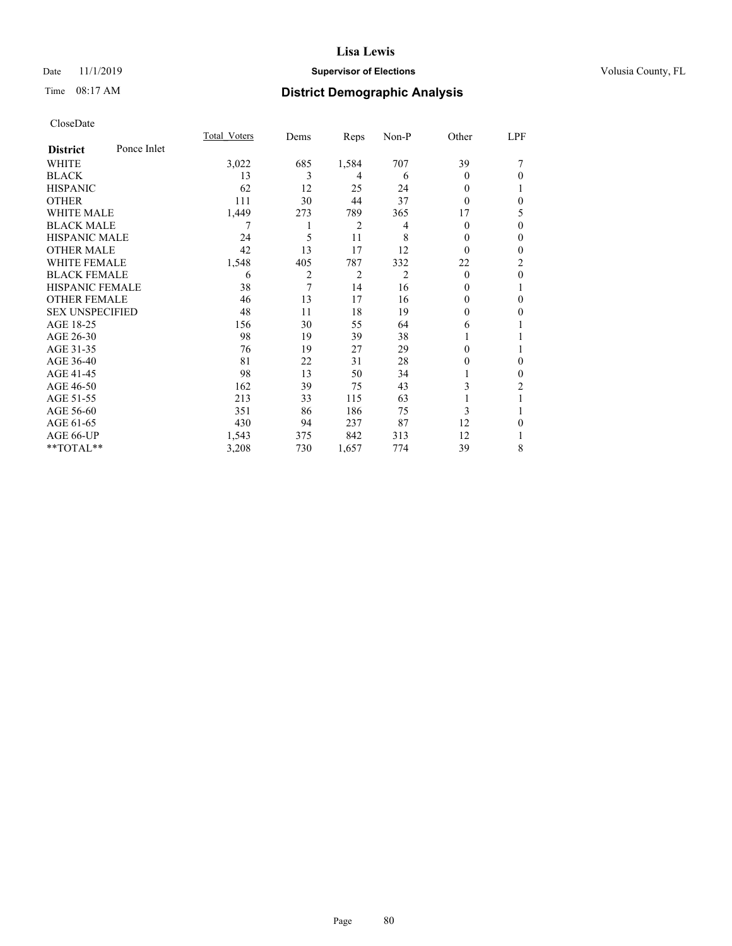# Date 11/1/2019 **Supervisor of Elections Supervisor of Elections** Volusia County, FL

# Time 08:17 AM **District Demographic Analysis**

|                        |             | Total Voters | Dems | Reps  | Non-P | Other  | LPF          |
|------------------------|-------------|--------------|------|-------|-------|--------|--------------|
| <b>District</b>        | Ponce Inlet |              |      |       |       |        |              |
| WHITE                  |             | 3,022        | 685  | 1,584 | 707   | 39     |              |
| <b>BLACK</b>           |             | 13           | 3    | 4     | 6     | 0      | $\Omega$     |
| <b>HISPANIC</b>        |             | 62           | 12   | 25    | 24    | 0      |              |
| <b>OTHER</b>           |             | 111          | 30   | 44    | 37    | 0      | $\theta$     |
| <b>WHITE MALE</b>      |             | 1,449        | 273  | 789   | 365   | 17     | 5            |
| <b>BLACK MALE</b>      |             | 7            |      | 2     | 4     | 0      | $\theta$     |
| <b>HISPANIC MALE</b>   |             | 24           | 5    | 11    | 8     | $_{0}$ | $\theta$     |
| <b>OTHER MALE</b>      |             | 42           | 13   | 17    | 12    | 0      | $\mathbf{0}$ |
| <b>WHITE FEMALE</b>    |             | 1,548        | 405  | 787   | 332   | 22     | 2            |
| <b>BLACK FEMALE</b>    |             | 6            | 2    | 2     | 2     | 0      | $\theta$     |
| <b>HISPANIC FEMALE</b> |             | 38           | 7    | 14    | 16    | $_{0}$ | 1            |
| <b>OTHER FEMALE</b>    |             | 46           | 13   | 17    | 16    | 0      | $\theta$     |
| <b>SEX UNSPECIFIED</b> |             | 48           | 11   | 18    | 19    | 0      | $\Omega$     |
| AGE 18-25              |             | 156          | 30   | 55    | 64    | 6      |              |
| AGE 26-30              |             | 98           | 19   | 39    | 38    |        |              |
| AGE 31-35              |             | 76           | 19   | 27    | 29    | 0      | 1            |
| AGE 36-40              |             | 81           | 22   | 31    | 28    | 0      | $\theta$     |
| AGE 41-45              |             | 98           | 13   | 50    | 34    |        | $\theta$     |
| AGE 46-50              |             | 162          | 39   | 75    | 43    | 3      | 2            |
| AGE 51-55              |             | 213          | 33   | 115   | 63    |        | 1            |
| AGE 56-60              |             | 351          | 86   | 186   | 75    | 3      |              |
| AGE 61-65              |             | 430          | 94   | 237   | 87    | 12     | $\theta$     |
| AGE 66-UP              |             | 1,543        | 375  | 842   | 313   | 12     |              |
| **TOTAL**              |             | 3,208        | 730  | 1,657 | 774   | 39     | 8            |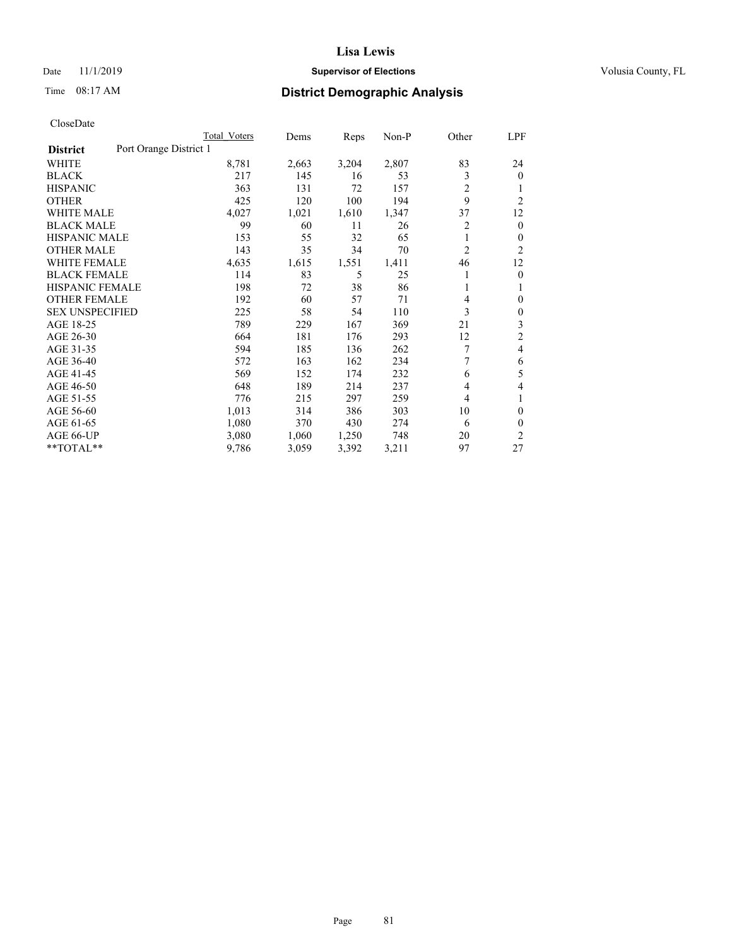# Date 11/1/2019 **Supervisor of Elections Supervisor of Elections** Volusia County, FL

# Time 08:17 AM **District Demographic Analysis**

|                        |                        | Total Voters | Dems  | Reps  | Non-P | Other | LPF            |
|------------------------|------------------------|--------------|-------|-------|-------|-------|----------------|
| <b>District</b>        | Port Orange District 1 |              |       |       |       |       |                |
| WHITE                  |                        | 8,781        | 2,663 | 3,204 | 2,807 | 83    | 24             |
| <b>BLACK</b>           |                        | 217          | 145   | 16    | 53    | 3     | $\mathbf{0}$   |
| <b>HISPANIC</b>        |                        | 363          | 131   | 72    | 157   | 2     | 1              |
| <b>OTHER</b>           |                        | 425          | 120   | 100   | 194   | 9     | $\overline{2}$ |
| <b>WHITE MALE</b>      |                        | 4,027        | 1,021 | 1,610 | 1,347 | 37    | 12             |
| <b>BLACK MALE</b>      |                        | 99           | 60    | 11    | 26    | 2     | $\mathbf{0}$   |
| <b>HISPANIC MALE</b>   |                        | 153          | 55    | 32    | 65    | 1     | $\mathbf{0}$   |
| <b>OTHER MALE</b>      |                        | 143          | 35    | 34    | 70    | 2     | 2              |
| WHITE FEMALE           |                        | 4,635        | 1,615 | 1,551 | 1,411 | 46    | 12             |
| <b>BLACK FEMALE</b>    |                        | 114          | 83    | 5     | 25    |       | $\mathbf{0}$   |
| <b>HISPANIC FEMALE</b> |                        | 198          | 72    | 38    | 86    |       | 1              |
| <b>OTHER FEMALE</b>    |                        | 192          | 60    | 57    | 71    | 4     | 0              |
| <b>SEX UNSPECIFIED</b> |                        | 225          | 58    | 54    | 110   | 3     | $\theta$       |
| AGE 18-25              |                        | 789          | 229   | 167   | 369   | 21    | 3              |
| AGE 26-30              |                        | 664          | 181   | 176   | 293   | 12    | $\overline{2}$ |
| AGE 31-35              |                        | 594          | 185   | 136   | 262   | 7     | 4              |
| AGE 36-40              |                        | 572          | 163   | 162   | 234   | 7     | 6              |
| AGE 41-45              |                        | 569          | 152   | 174   | 232   | 6     | 5              |
| AGE 46-50              |                        | 648          | 189   | 214   | 237   | 4     | 4              |
| AGE 51-55              |                        | 776          | 215   | 297   | 259   | 4     | 1              |
| AGE 56-60              |                        | 1,013        | 314   | 386   | 303   | 10    | $\theta$       |
| AGE 61-65              |                        | 1,080        | 370   | 430   | 274   | 6     | $\theta$       |
| AGE 66-UP              |                        | 3,080        | 1,060 | 1,250 | 748   | 20    | $\overline{2}$ |
| **TOTAL**              |                        | 9,786        | 3,059 | 3,392 | 3,211 | 97    | 27             |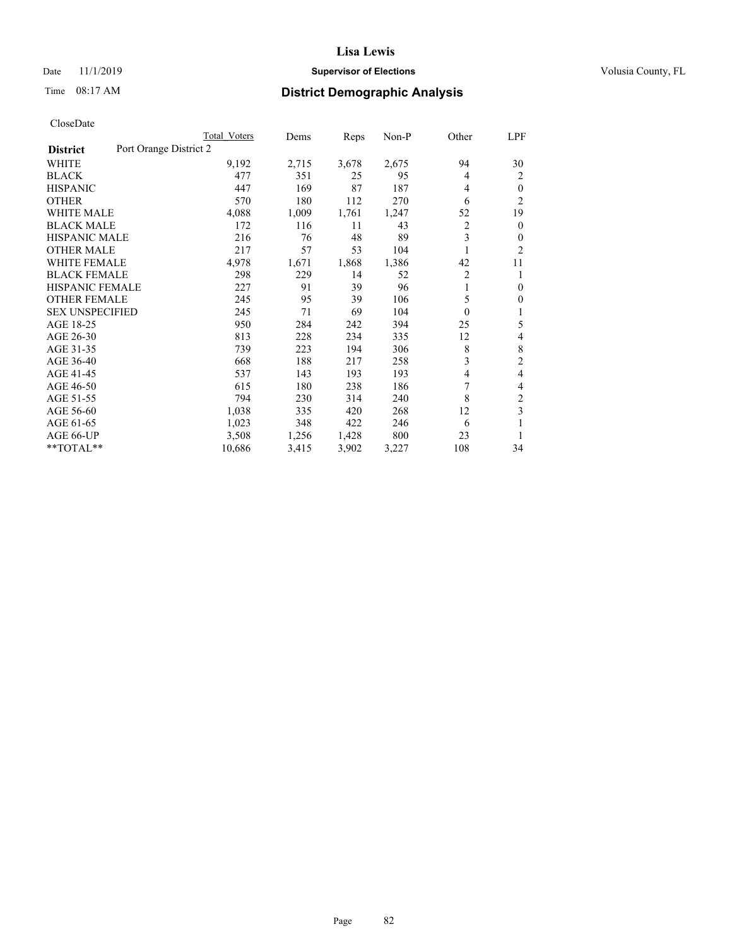# Date 11/1/2019 **Supervisor of Elections Supervisor of Elections** Volusia County, FL

# Time 08:17 AM **District Demographic Analysis**

|                                           | Total Voters | Dems  | Reps  | $Non-P$ | Other          | LPF            |
|-------------------------------------------|--------------|-------|-------|---------|----------------|----------------|
| Port Orange District 2<br><b>District</b> |              |       |       |         |                |                |
| WHITE                                     | 9,192        | 2,715 | 3,678 | 2,675   | 94             | 30             |
| <b>BLACK</b>                              | 477          | 351   | 25    | 95      | 4              | 2              |
| <b>HISPANIC</b>                           | 447          | 169   | 87    | 187     | 4              | $\theta$       |
| <b>OTHER</b>                              | 570          | 180   | 112   | 270     | 6              | $\overline{2}$ |
| <b>WHITE MALE</b>                         | 4,088        | 1,009 | 1,761 | 1,247   | 52             | 19             |
| <b>BLACK MALE</b>                         | 172          | 116   | 11    | 43      | 2              | $\mathbf{0}$   |
| <b>HISPANIC MALE</b>                      | 216          | 76    | 48    | 89      | 3              | $\theta$       |
| <b>OTHER MALE</b>                         | 217          | 57    | 53    | 104     |                | $\overline{2}$ |
| <b>WHITE FEMALE</b>                       | 4,978        | 1,671 | 1,868 | 1,386   | 42             | 11             |
| <b>BLACK FEMALE</b>                       | 298          | 229   | 14    | 52      | $\overline{c}$ | 1              |
| <b>HISPANIC FEMALE</b>                    | 227          | 91    | 39    | 96      | 1              | $\mathbf{0}$   |
| <b>OTHER FEMALE</b>                       | 245          | 95    | 39    | 106     | 5              | $\theta$       |
| <b>SEX UNSPECIFIED</b>                    | 245          | 71    | 69    | 104     | $\theta$       | 1              |
| AGE 18-25                                 | 950          | 284   | 242   | 394     | 25             | 5              |
| AGE 26-30                                 | 813          | 228   | 234   | 335     | 12             | 4              |
| AGE 31-35                                 | 739          | 223   | 194   | 306     | 8              | 8              |
| AGE 36-40                                 | 668          | 188   | 217   | 258     | 3              | $\overline{2}$ |
| AGE 41-45                                 | 537          | 143   | 193   | 193     | 4              | 4              |
| AGE 46-50                                 | 615          | 180   | 238   | 186     | 7              | 4              |
| AGE 51-55                                 | 794          | 230   | 314   | 240     | 8              | 2              |
| AGE 56-60                                 | 1,038        | 335   | 420   | 268     | 12             | 3              |
| AGE 61-65                                 | 1,023        | 348   | 422   | 246     | 6              |                |
| AGE 66-UP                                 | 3,508        | 1,256 | 1,428 | 800     | 23             | 1              |
| **TOTAL**                                 | 10,686       | 3,415 | 3,902 | 3,227   | 108            | 34             |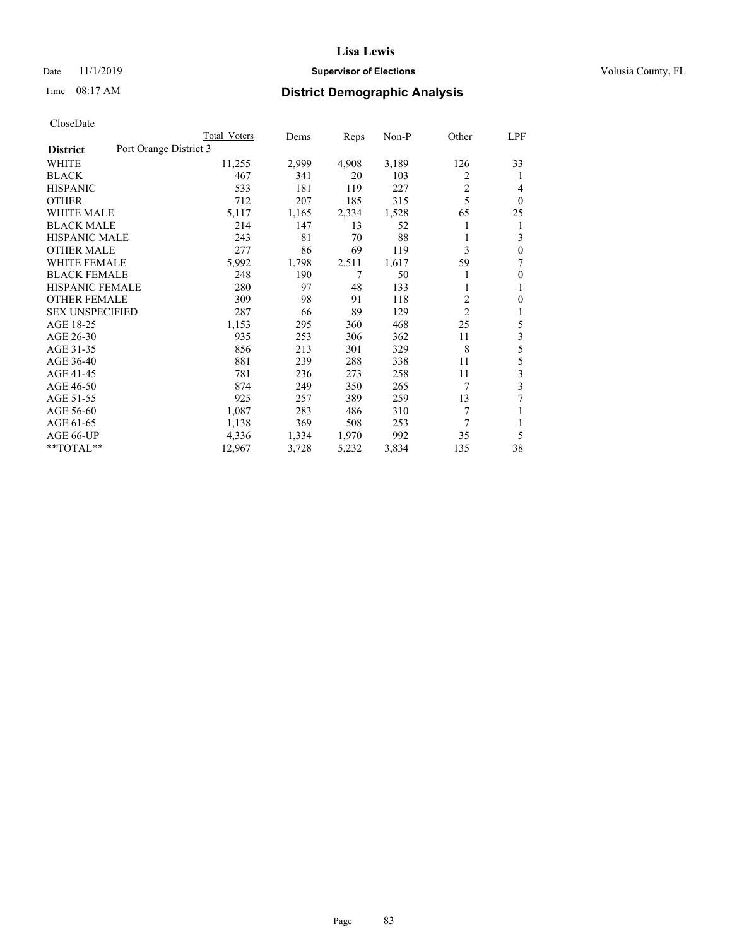# Date 11/1/2019 **Supervisor of Elections Supervisor of Elections** Volusia County, FL

# Time 08:17 AM **District Demographic Analysis**

|                        | Total Voters           | Dems  | Reps  | Non-P | Other          | LPF          |
|------------------------|------------------------|-------|-------|-------|----------------|--------------|
| <b>District</b>        | Port Orange District 3 |       |       |       |                |              |
| WHITE                  | 11,255                 | 2,999 | 4,908 | 3,189 | 126            | 33           |
| <b>BLACK</b>           | 467                    | 341   | 20    | 103   | 2              | 1            |
| <b>HISPANIC</b>        | 533                    | 181   | 119   | 227   | 2              | 4            |
| <b>OTHER</b>           | 712                    | 207   | 185   | 315   | 5              | $\theta$     |
| <b>WHITE MALE</b>      | 5,117                  | 1,165 | 2,334 | 1,528 | 65             | 25           |
| <b>BLACK MALE</b>      | 214                    | 147   | 13    | 52    |                | 1            |
| <b>HISPANIC MALE</b>   | 243                    | 81    | 70    | 88    |                | 3            |
| <b>OTHER MALE</b>      | 277                    | 86    | 69    | 119   | 3              | $\mathbf{0}$ |
| WHITE FEMALE           | 5,992                  | 1,798 | 2,511 | 1,617 | 59             | 7            |
| <b>BLACK FEMALE</b>    | 248                    | 190   | 7     | 50    |                | $\mathbf{0}$ |
| <b>HISPANIC FEMALE</b> | 280                    | 97    | 48    | 133   |                | 1            |
| <b>OTHER FEMALE</b>    | 309                    | 98    | 91    | 118   | $\overline{c}$ | $\theta$     |
| <b>SEX UNSPECIFIED</b> | 287                    | 66    | 89    | 129   | $\overline{2}$ | 1            |
| AGE 18-25              | 1,153                  | 295   | 360   | 468   | 25             | 5            |
| AGE 26-30              | 935                    | 253   | 306   | 362   | 11             | 3            |
| AGE 31-35              | 856                    | 213   | 301   | 329   | 8              | 5            |
| AGE 36-40              | 881                    | 239   | 288   | 338   | 11             | 5            |
| AGE 41-45              | 781                    | 236   | 273   | 258   | 11             | 3            |
| AGE 46-50              | 874                    | 249   | 350   | 265   | 7              | 3            |
| AGE 51-55              | 925                    | 257   | 389   | 259   | 13             |              |
| AGE 56-60              | 1,087                  | 283   | 486   | 310   | 7              |              |
| AGE 61-65              | 1,138                  | 369   | 508   | 253   | 7              | 1            |
| AGE 66-UP              | 4,336                  | 1,334 | 1,970 | 992   | 35             | 5            |
| $*$ TOTAL $*$          | 12,967                 | 3,728 | 5,232 | 3,834 | 135            | 38           |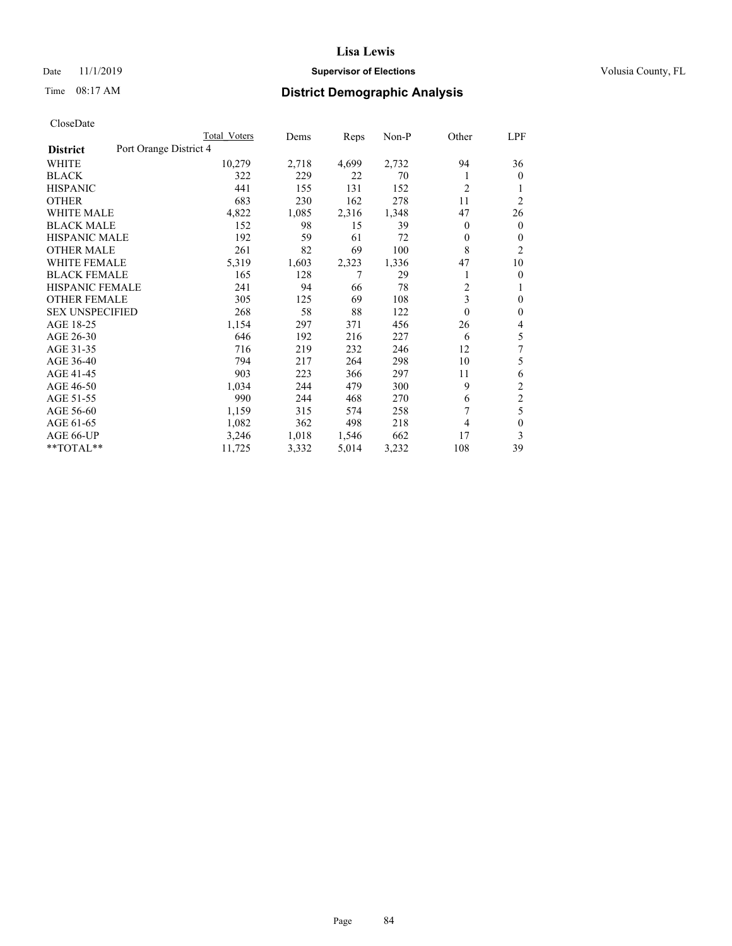# Date 11/1/2019 **Supervisor of Elections Supervisor of Elections** Volusia County, FL

# Time 08:17 AM **District Demographic Analysis**

|                        | Total Voters           | Dems  | Reps  | Non-P | Other          | LPF            |
|------------------------|------------------------|-------|-------|-------|----------------|----------------|
| <b>District</b>        | Port Orange District 4 |       |       |       |                |                |
| <b>WHITE</b>           | 10,279                 | 2,718 | 4,699 | 2,732 | 94             | 36             |
| <b>BLACK</b>           | 322                    | 229   | 22    | 70    |                | $\mathbf{0}$   |
| <b>HISPANIC</b>        | 441                    | 155   | 131   | 152   | $\overline{2}$ | 1              |
| <b>OTHER</b>           | 683                    | 230   | 162   | 278   | 11             | $\overline{2}$ |
| <b>WHITE MALE</b>      | 4,822                  | 1,085 | 2,316 | 1,348 | 47             | 26             |
| <b>BLACK MALE</b>      | 152                    | 98    | 15    | 39    | 0              | $\mathbf{0}$   |
| <b>HISPANIC MALE</b>   | 192                    | 59    | 61    | 72    | 0              | $\mathbf{0}$   |
| <b>OTHER MALE</b>      | 261                    | 82    | 69    | 100   | 8              | $\overline{2}$ |
| <b>WHITE FEMALE</b>    | 5,319                  | 1,603 | 2,323 | 1,336 | 47             | 10             |
| <b>BLACK FEMALE</b>    | 165                    | 128   | 7     | 29    |                | $\theta$       |
| <b>HISPANIC FEMALE</b> | 241                    | 94    | 66    | 78    | $\overline{2}$ | 1              |
| <b>OTHER FEMALE</b>    | 305                    | 125   | 69    | 108   | 3              | $\theta$       |
| <b>SEX UNSPECIFIED</b> | 268                    | 58    | 88    | 122   | $\mathbf{0}$   | $\theta$       |
| AGE 18-25              | 1,154                  | 297   | 371   | 456   | 26             | 4              |
| AGE 26-30              | 646                    | 192   | 216   | 227   | 6              | 5              |
| AGE 31-35              | 716                    | 219   | 232   | 246   | 12             | 7              |
| AGE 36-40              | 794                    | 217   | 264   | 298   | 10             | 5              |
| AGE 41-45              | 903                    | 223   | 366   | 297   | 11             | 6              |
| AGE 46-50              | 1,034                  | 244   | 479   | 300   | 9              | 2              |
| AGE 51-55              | 990                    | 244   | 468   | 270   | 6              | $\overline{c}$ |
| AGE 56-60              | 1,159                  | 315   | 574   | 258   | 7              | 5              |
| AGE 61-65              | 1,082                  | 362   | 498   | 218   | 4              | $\theta$       |
| AGE 66-UP              | 3,246                  | 1,018 | 1,546 | 662   | 17             | 3              |
| **TOTAL**              | 11,725                 | 3,332 | 5,014 | 3,232 | 108            | 39             |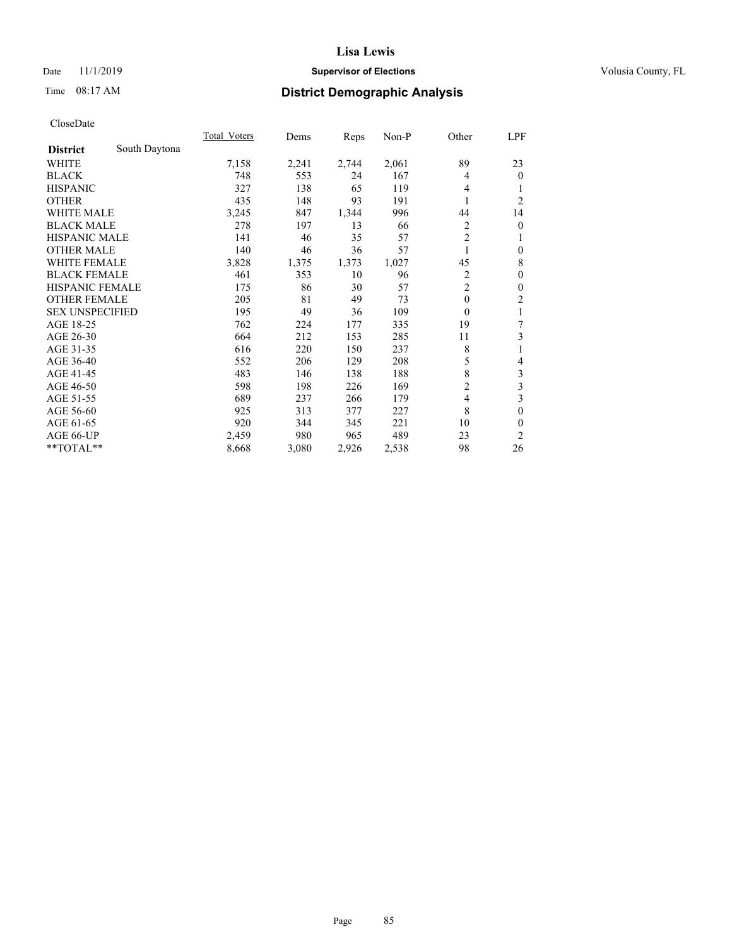# Date 11/1/2019 **Supervisor of Elections Supervisor of Elections** Volusia County, FL

# Time 08:17 AM **District Demographic Analysis**

|                        | <b>Total Voters</b> | Dems  | Reps  | Non-P | Other          | LPF            |
|------------------------|---------------------|-------|-------|-------|----------------|----------------|
| <b>District</b>        | South Daytona       |       |       |       |                |                |
| WHITE                  | 7,158               | 2,241 | 2,744 | 2,061 | 89             | 23             |
| <b>BLACK</b>           | 748                 | 553   | 24    | 167   | 4              | $\theta$       |
| <b>HISPANIC</b>        | 327                 | 138   | 65    | 119   | 4              |                |
| <b>OTHER</b>           | 435                 | 148   | 93    | 191   | 1              | $\overline{2}$ |
| <b>WHITE MALE</b>      | 3,245               | 847   | 1,344 | 996   | 44             | 14             |
| <b>BLACK MALE</b>      | 278                 | 197   | 13    | 66    | 2              | $\theta$       |
| <b>HISPANIC MALE</b>   | 141                 | 46    | 35    | 57    | $\overline{2}$ | 1              |
| <b>OTHER MALE</b>      | 140                 | 46    | 36    | 57    | 1              | $\theta$       |
| WHITE FEMALE           | 3,828               | 1,375 | 1,373 | 1,027 | 45             | 8              |
| <b>BLACK FEMALE</b>    | 461                 | 353   | 10    | 96    | $\overline{2}$ | $\theta$       |
| <b>HISPANIC FEMALE</b> | 175                 | 86    | 30    | 57    | $\overline{2}$ | $\theta$       |
| <b>OTHER FEMALE</b>    | 205                 | 81    | 49    | 73    | $\theta$       | 2              |
| <b>SEX UNSPECIFIED</b> | 195                 | 49    | 36    | 109   | $\mathbf{0}$   | 1              |
| AGE 18-25              | 762                 | 224   | 177   | 335   | 19             | 7              |
| AGE 26-30              | 664                 | 212   | 153   | 285   | 11             | 3              |
| AGE 31-35              | 616                 | 220   | 150   | 237   | 8              | 1              |
| AGE 36-40              | 552                 | 206   | 129   | 208   | 5              | 4              |
| AGE 41-45              | 483                 | 146   | 138   | 188   | 8              | 3              |
| AGE 46-50              | 598                 | 198   | 226   | 169   | $\overline{c}$ | 3              |
| AGE 51-55              | 689                 | 237   | 266   | 179   | 4              | 3              |
| AGE 56-60              | 925                 | 313   | 377   | 227   | 8              | 0              |
| AGE 61-65              | 920                 | 344   | 345   | 221   | 10             | 0              |
| AGE 66-UP              | 2,459               | 980   | 965   | 489   | 23             | $\overline{2}$ |
| **TOTAL**              | 8,668               | 3,080 | 2,926 | 2,538 | 98             | 26             |